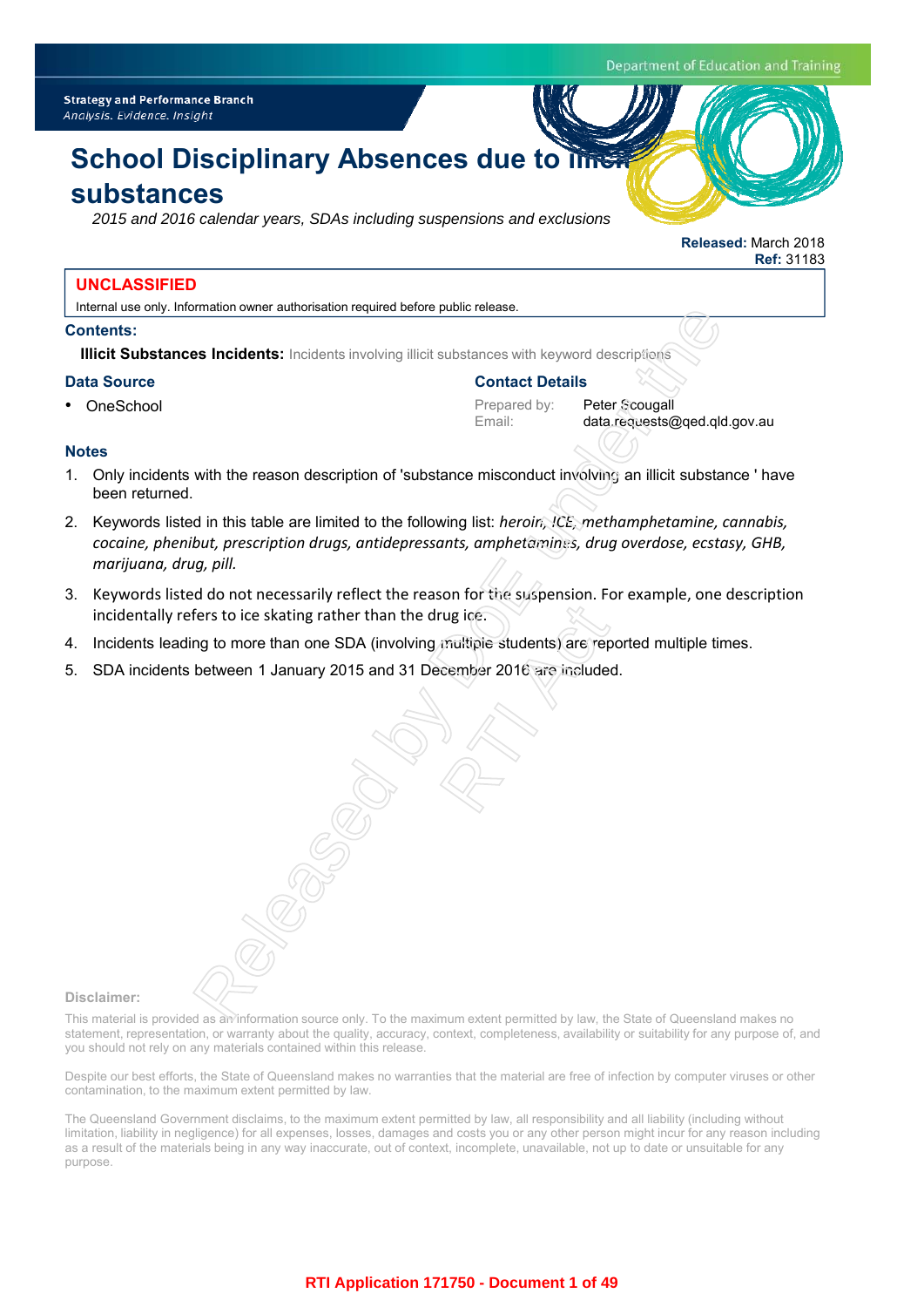Department of Education and Training

**Released:** March 2018

**Ref:** 31183

# **School Disciplinary Absences due to line**

## **substances**

*2015 and 2016 calendar years, SDAs including suspensions and exclusions*

## **UNCLASSIFIED**

Internal use only. Information owner authorisation required before public release.

## **Contents:**

**Illicit Substances Incidents:** Incidents involving illicit substances with keyword descriptions

## **Data Source**

• OneSchool

## **Contact Details**

Prepared by: Peter Scougall

Email: data.requests@qed.qld.gov.au

## **Notes**

- 1. Only incidents with the reason description of 'substance misconduct involving an illicit substance ' have been returned.
- 2. Keywords listed in this table are limited to the following list: *heroin, ICE, methamphetamine, cannabis, cocaine, phenibut, prescription drugs, antidepressants, amphetamines, drug overdose, ecstasy, GHB, marijuana, drug, pill.* The method of the substance with keyword descriptions<br>
So Incidents: Incidents involving illicit substances with keyword descriptions<br>
Proponed by:<br>
Proponed by:<br>
Proponed by:<br>
With the reason description of 'substance mis
- 3. Keywords listed do not necessarily reflect the reason for the suspension. For example, one description incidentally refers to ice skating rather than the drug ice. rug ice.<br>
multipie students) are rep<br>
cember 2016 are include
- 4. Incidents leading to more than one SDA (involving multiple students) are reported multiple times.
- 5. SDA incidents between 1 January 2015 and 31 December 2016 are included.

#### **Disclaimer:**

This material is provided as an information source only. To the maximum extent permitted by law, the State of Queensland makes no statement, representation, or warranty about the quality, accuracy, context, completeness, availability or suitability for any purpose of, and you should not rely on any materials contained within this release.

Despite our best efforts, the State of Queensland makes no warranties that the material are free of infection by computer viruses or other contamination, to the maximum extent permitted by law.

The Queensland Government disclaims, to the maximum extent permitted by law, all responsibility and all liability (including without limitation, liability in negligence) for all expenses, losses, damages and costs you or any other person might incur for any reason including as a result of the materials being in any way inaccurate, out of context, incomplete, unavailable, not up to date or unsuitable for any purpose.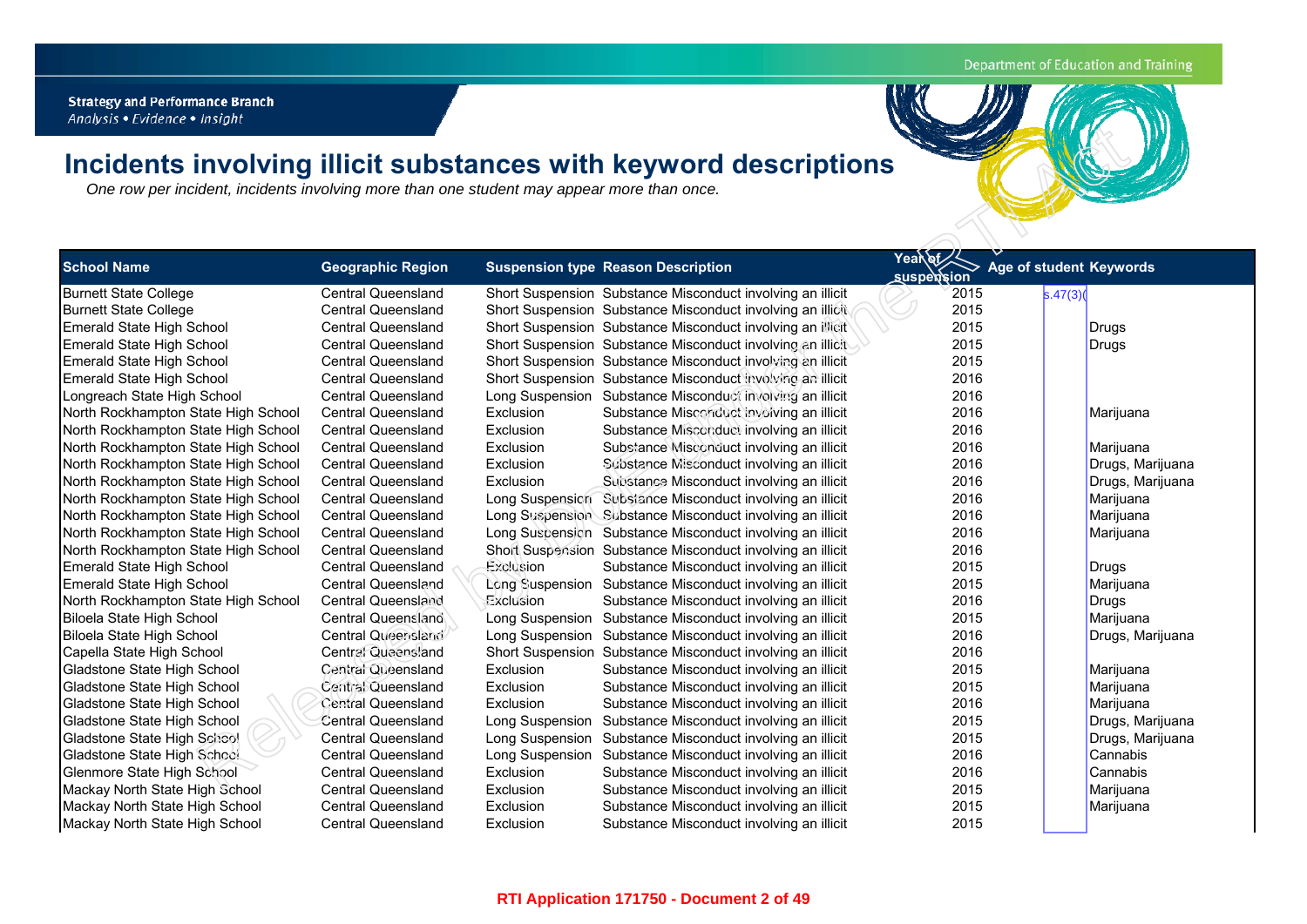## Department of Education and Training

**Strategy and Performance Branch** 

# **Incidents involving illicit substances with keyword description s**

| One row per incident, incidents involving more than one student may appear more than once. |                           |                 | Incidents involving illicit substances with keyword descriptions |                   |                         |
|--------------------------------------------------------------------------------------------|---------------------------|-----------------|------------------------------------------------------------------|-------------------|-------------------------|
|                                                                                            |                           |                 |                                                                  |                   |                         |
|                                                                                            |                           |                 |                                                                  |                   |                         |
|                                                                                            |                           |                 |                                                                  | Yeardf            |                         |
| <b>School Name</b>                                                                         | <b>Geographic Region</b>  |                 | <b>Suspension type Reason Description</b>                        | <b>suspension</b> | Age of student Keywords |
| <b>Burnett State College</b>                                                               | <b>Central Queensland</b> |                 | Short Suspension Substance Misconduct involving an illicit       | 2015              | s.47(3)                 |
| <b>Burnett State College</b>                                                               | <b>Central Queensland</b> |                 | Short Suspension Substance Misconduct involving an illicit       | 2015              |                         |
| Emerald State High School                                                                  | <b>Central Queensland</b> |                 | Short Suspension Substance Misconduct involving an illicit       | 2015              | Drugs                   |
| Emerald State High School                                                                  | <b>Central Queensland</b> |                 | Short Suspension Substance Misconduct involving an illicit       | 2015              | Drugs                   |
| Emerald State High School                                                                  | <b>Central Queensland</b> |                 | Short Suspension Substance Misconduct involving an illicit       | 2015              |                         |
| Emerald State High School                                                                  | <b>Central Queensland</b> |                 | Short Suspension Substance Misconduct involving an illicit       | 2016              |                         |
| Longreach State High School                                                                | <b>Central Queensland</b> |                 | Long Suspension Substance Misconduct involving an illicit        | 2016              |                         |
| North Rockhampton State High School                                                        | <b>Central Queensland</b> | Exclusion       | Substance Misconduct involving an illicit                        | 2016              | Marijuana               |
| North Rockhampton State High School                                                        | <b>Central Queensland</b> | Exclusion       | Substance Misconduct involving an illicit                        | 2016              |                         |
| North Rockhampton State High School                                                        | <b>Central Queensland</b> | Exclusion       | Substance Misconduct involving an illicit                        | 2016              | Marijuana               |
| North Rockhampton State High School                                                        | <b>Central Queensland</b> | Exclusion       | Substance Misconduct involving an illicit                        | 2016              | Drugs, Marijuana        |
| North Rockhampton State High School                                                        | <b>Central Queensland</b> | Exclusion       | Substance Misconduct involving an illicit                        | 2016              | Drugs, Marijuana        |
| North Rockhampton State High School                                                        | <b>Central Queensland</b> |                 | Long Suspension Substance Misconduct involving an illicit        | 2016              | Marijuana               |
| North Rockhampton State High School                                                        | <b>Central Queensland</b> |                 | Long Suspension Substance Misconduct involving an illicit        | 2016              | Marijuana               |
| North Rockhampton State High School                                                        | <b>Central Queensland</b> |                 | Long Suscension Substance Misconduct involving an illicit        | 2016              | Marijuana               |
| North Rockhampton State High School                                                        | <b>Central Queensland</b> |                 | Short Suspension Substance Misconduct involving an illicit       | 2016              |                         |
| Emerald State High School                                                                  | <b>Central Queensland</b> | Exclusion       | Substance Misconduct involving an illicit                        | 2015              | Drugs                   |
| Emerald State High School                                                                  | <b>Central Queensland</b> |                 | Long Suspension Substance Misconduct involving an illicit        | 2015              | Marijuana               |
| North Rockhampton State High School                                                        | <b>Central Queensland</b> | Exclusion       | Substance Misconduct involving an illicit                        | 2016              | Drugs                   |
| Biloela State High School                                                                  | Central Queensland        |                 | Long Suspension Substance Misconduct involving an illicit        | 2015              | Marijuana               |
| Biloela State High School                                                                  | Central Queensland        |                 | Long Suspension Substance Misconduct involving an illicit        | 2016              | Drugs, Marijuana        |
| Capella State High School                                                                  | Central Queensland        |                 | Short Suspension Substance Misconduct involving an illicit       | 2016              |                         |
| Gladstone State High School                                                                | Central Queensland        | Exclusion       | Substance Misconduct involving an illicit                        | 2015              | Marijuana               |
| Gladstone State High School                                                                | Central Queensland        | Exclusion       | Substance Misconduct involving an illicit                        | 2015              | Marijuana               |
| Gladstone State High School                                                                | <b>Central Queensland</b> | Exclusion       | Substance Misconduct involving an illicit                        | 2016              | Marijuana               |
| Gladstone State High School                                                                | <b>Central Queensland</b> |                 | Long Suspension Substance Misconduct involving an illicit        | 2015              | Drugs, Marijuana        |
| Gladstone State High School                                                                | <b>Central Queensland</b> |                 | Long Suspension Substance Misconduct involving an illicit        | 2015              | Drugs, Marijuana        |
| Gladstone State High School                                                                | <b>Central Queensland</b> | Long Suspension | Substance Misconduct involving an illicit                        | 2016              | Cannabis                |
| Glenmore State High School                                                                 | <b>Central Queensland</b> | Exclusion       | Substance Misconduct involving an illicit                        | 2016              | Cannabis                |
| Mackay North State High School                                                             | <b>Central Queensland</b> | Exclusion       | Substance Misconduct involving an illicit                        | 2015              | Marijuana               |
| Mackay North State High School                                                             | <b>Central Queensland</b> | Exclusion       | Substance Misconduct involving an illicit                        | 2015              | Marijuana               |
| Mackay North State High School                                                             | <b>Central Queensland</b> | Exclusion       | Substance Misconduct involving an illicit                        | 2015              |                         |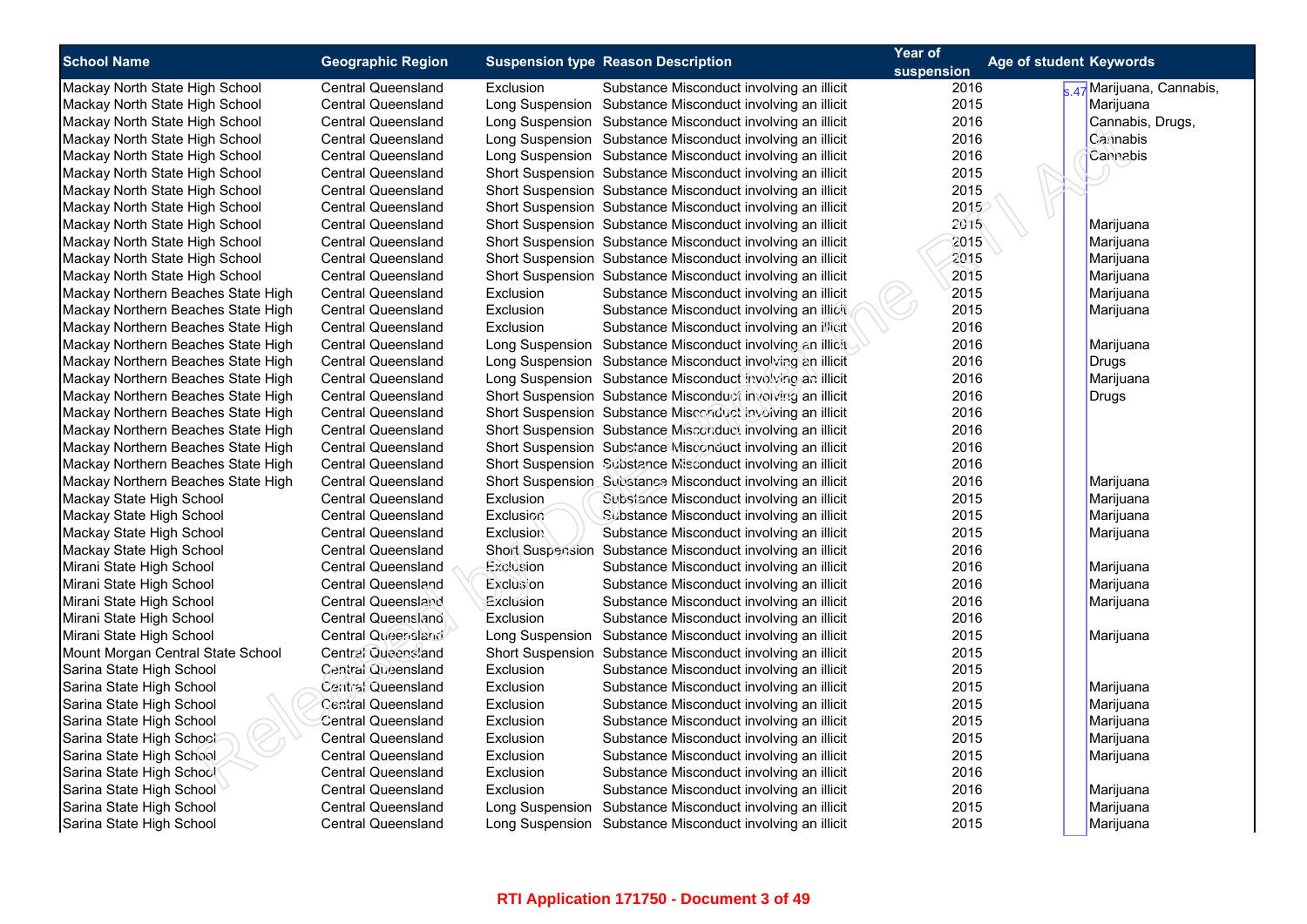| <b>School Name</b>                 | <b>Geographic Region</b>  |                  | <b>Suspension type Reason Description</b>                  | Year of<br>suspension | Age of student Keywords   |
|------------------------------------|---------------------------|------------------|------------------------------------------------------------|-----------------------|---------------------------|
| Mackay North State High School     | <b>Central Queensland</b> | Exclusion        | Substance Misconduct involving an illicit                  | 2016                  | s.47 Marijuana, Cannabis, |
| Mackay North State High School     | Central Queensland        |                  | Long Suspension Substance Misconduct involving an illicit  | 2015                  | Marijuana                 |
| Mackay North State High School     | <b>Central Queensland</b> |                  | Long Suspension Substance Misconduct involving an illicit  | 2016                  | Cannabis, Drugs,          |
| Mackay North State High School     | Central Queensland        |                  | Long Suspension Substance Misconduct involving an illicit  | 2016                  | Cannabis                  |
| Mackay North State High School     | <b>Central Queensland</b> |                  | Long Suspension Substance Misconduct involving an illicit  | 2016                  | Cannabis                  |
| Mackay North State High School     | <b>Central Queensland</b> |                  | Short Suspension Substance Misconduct involving an illicit | 2015                  |                           |
| Mackay North State High School     | <b>Central Queensland</b> |                  | Short Suspension Substance Misconduct involving an illicit | 2015                  |                           |
| Mackay North State High School     | <b>Central Queensland</b> |                  | Short Suspension Substance Misconduct involving an illicit | 2015                  |                           |
| Mackay North State High School     | <b>Central Queensland</b> |                  | Short Suspension Substance Misconduct involving an illicit | 2015                  | Marijuana                 |
| Mackay North State High School     | <b>Central Queensland</b> |                  | Short Suspension Substance Misconduct involving an illicit | 2015                  | Marijuana                 |
| Mackay North State High School     | <b>Central Queensland</b> |                  | Short Suspension Substance Misconduct involving an illicit | 2015                  | Marijuana                 |
| Mackay North State High School     | <b>Central Queensland</b> |                  | Short Suspension Substance Misconduct involving an illicit | 2015                  | Marijuana                 |
| Mackay Northern Beaches State High | <b>Central Queensland</b> | Exclusion        | Substance Misconduct involving an illicit                  | 2015                  | Marijuana                 |
| Mackay Northern Beaches State High | <b>Central Queensland</b> | Exclusion        | Substance Misconduct involving an illicit                  | 2015                  | Marijuana                 |
| Mackay Northern Beaches State High | Central Queensland        | Exclusion        | Substance Misconduct involving an illicit                  | 2016                  |                           |
| Mackay Northern Beaches State High | <b>Central Queensland</b> |                  | Long Suspension Substance Misconduct involving an illicit  | 2016                  | Marijuana                 |
| Mackay Northern Beaches State High | Central Queensland        |                  | Long Suspension Substance Misconduct involving an illicit  | 2016                  | Drugs                     |
| Mackay Northern Beaches State High | Central Queensland        |                  | Long Suspension Substance Misconduct involving an illicit  | 2016                  | Marijuana                 |
| Mackay Northern Beaches State High | Central Queensland        |                  | Short Suspension Substance Misconduct involving an illicit | 2016                  | Drugs                     |
| Mackay Northern Beaches State High | <b>Central Queensland</b> |                  | Short Suspension Substance Misconduct involving an illicit | 2016                  |                           |
| Mackay Northern Beaches State High | <b>Central Queensland</b> |                  | Short Suspension Substance Misconduct involving an illicit | 2016                  |                           |
| Mackay Northern Beaches State High | <b>Central Queensland</b> |                  | Short Suspension Substance Misconduct involving an illicit | 2016                  |                           |
| Mackay Northern Beaches State High | Central Queensland        |                  | Short Suspension Substance Misconduct involving an illicit | 2016                  |                           |
| Mackay Northern Beaches State High | <b>Central Queensland</b> |                  | Short Suspension Substance Misconduct involving an illicit | 2016                  | Marijuana                 |
| Mackay State High School           | <b>Central Queensland</b> | <b>Exclusion</b> | Subsiance Misconduct involving an illicit                  | 2015                  | Marijuana                 |
| Mackay State High School           | <b>Central Queensland</b> | Exclusion        | Substance Misconduct involving an illicit                  | 2015                  | Marijuana                 |
| Mackay State High School           | <b>Central Queensland</b> | <b>Exclusion</b> | Substance Misconduct involving an illicit                  | 2015                  | Marijuana                 |
| Mackay State High School           | Central Queensland        |                  | Short Suspension Substance Misconduct involving an illicit | 2016                  |                           |
| Mirani State High School           | <b>Central Queensland</b> | Exclusion        | Substance Misconduct involving an illicit                  | 2016                  | Marijuana                 |
| Mirani State High School           | Central Queensland        | Exclusion        | Substance Misconduct involving an illicit                  | 2016                  | Marijuana                 |
| Mirani State High School           | <b>Central Queensland</b> | Exclusion        | Substance Misconduct involving an illicit                  | 2016                  | Marijuana                 |
| Mirani State High School           | Central Queensland        | Exclusion        | Substance Misconduct involving an illicit                  | 2016                  |                           |
| Mirani State High School           | Central Queensland        |                  | Long Suspension Substance Misconduct involving an illicit  | 2015                  | Marijuana                 |
| Mount Morgan Central State School  | Central Queensland        |                  | Short Suspension Substance Misconduct involving an illicit | 2015                  |                           |
| Sarina State High School           | Central Queensland        | Exclusion        | Substance Misconduct involving an illicit                  | 2015                  |                           |
| Sarina State High School           | Central Queensland        | Exclusion        | Substance Misconduct involving an illicit                  | 2015                  | Marijuana                 |
| Sarina State High School           | Central Queensland        | Exclusion        | Substance Misconduct involving an illicit                  | 2015                  | Marijuana                 |
| Sarina State High School           | <b>Central Queensland</b> | Exclusion        | Substance Misconduct involving an illicit                  | 2015                  | Marijuana                 |
| Sarina State High School           | <b>Central Queensland</b> | Exclusion        | Substance Misconduct involving an illicit                  | 2015                  | Marijuana                 |
| Sarina State High School           | <b>Central Queensland</b> | Exclusion        | Substance Misconduct involving an illicit                  | 2015                  | Marijuana                 |
| Sarina State High School           | Central Queensland        | Exclusion        | Substance Misconduct involving an illicit                  | 2016                  |                           |
| Sarina State High School           | <b>Central Queensland</b> | Exclusion        | Substance Misconduct involving an illicit                  | 2016                  | Marijuana                 |
| Sarina State High School           | <b>Central Queensland</b> |                  | Long Suspension Substance Misconduct involving an illicit  | 2015                  | Marijuana                 |
| Sarina State High School           | <b>Central Queensland</b> |                  | Long Suspension Substance Misconduct involving an illicit  | 2015                  | Marijuana                 |
|                                    |                           |                  |                                                            |                       |                           |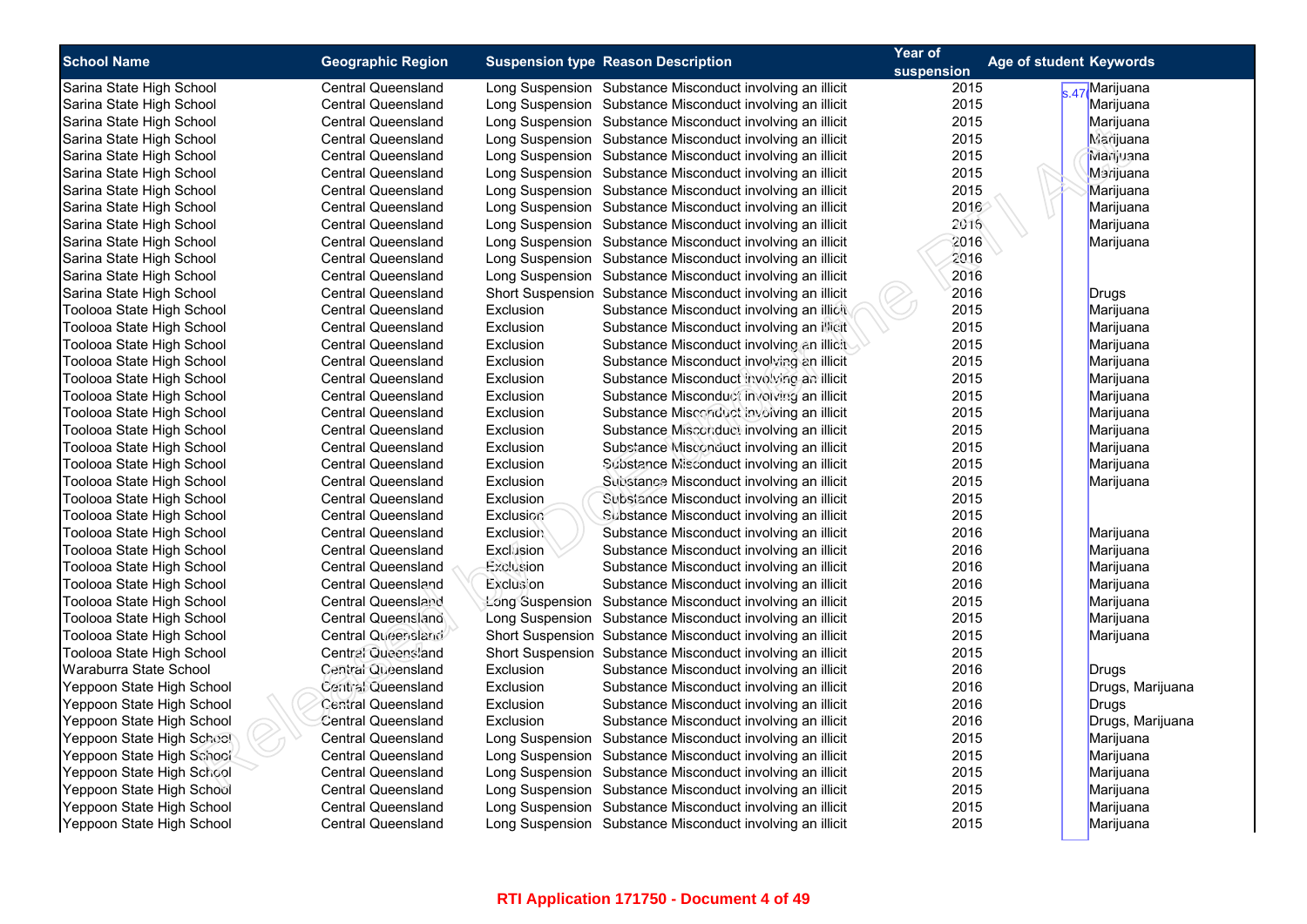| <b>School Name</b>        | <b>Geographic Region</b>  |                  | <b>Suspension type Reason Description</b>                  | Year of    | <b>Age of student Keywords</b> |                  |
|---------------------------|---------------------------|------------------|------------------------------------------------------------|------------|--------------------------------|------------------|
|                           |                           |                  |                                                            | suspension |                                |                  |
| Sarina State High School  | <b>Central Queensland</b> |                  | Long Suspension Substance Misconduct involving an illicit  | 2015       |                                | s.47 Marijuana   |
| Sarina State High School  | <b>Central Queensland</b> |                  | Long Suspension Substance Misconduct involving an illicit  | 2015       |                                | Marijuana        |
| Sarina State High School  | <b>Central Queensland</b> |                  | Long Suspension Substance Misconduct involving an illicit  | 2015       |                                | Marijuana        |
| Sarina State High School  | <b>Central Queensland</b> |                  | Long Suspension Substance Misconduct involving an illicit  | 2015       |                                | Marijuana        |
| Sarina State High School  | <b>Central Queensland</b> |                  | Long Suspension Substance Misconduct involving an illicit  | 2015       |                                | Marijuana        |
| Sarina State High School  | <b>Central Queensland</b> |                  | Long Suspension Substance Misconduct involving an illicit  | 2015       |                                | Marijuana        |
| Sarina State High School  | <b>Central Queensland</b> |                  | Long Suspension Substance Misconduct involving an illicit  | 2015       |                                | Marijuana        |
| Sarina State High School  | <b>Central Queensland</b> |                  | Long Suspension Substance Misconduct involving an illicit  | 2016       |                                | Marijuana        |
| Sarina State High School  | <b>Central Queensland</b> |                  | Long Suspension Substance Misconduct involving an illicit  | 2016       |                                | Marijuana        |
| Sarina State High School  | <b>Central Queensland</b> |                  | Long Suspension Substance Misconduct involving an illicit  | 2016       |                                | Marijuana        |
| Sarina State High School  | <b>Central Queensland</b> |                  | Long Suspension Substance Misconduct involving an illicit  | 2016       |                                |                  |
| Sarina State High School  | <b>Central Queensland</b> |                  | Long Suspension Substance Misconduct involving an illicit  | 2016       |                                |                  |
| Sarina State High School  | <b>Central Queensland</b> |                  | Short Suspension Substance Misconduct involving an illicit | 2016       |                                | Drugs            |
| Toolooa State High School | <b>Central Queensland</b> | Exclusion        | Substance Misconduct involving an illicit                  | 2015       |                                | Marijuana        |
| Toolooa State High School | <b>Central Queensland</b> | Exclusion        | Substance Misconduct involving an illicit                  | 2015       |                                | Marijuana        |
| Toolooa State High School | <b>Central Queensland</b> | Exclusion        | Substance Misconduct involving an illicit                  | 2015       |                                | Marijuana        |
| Toolooa State High School | <b>Central Queensland</b> | Exclusion        | Substance Misconduct involving an illicit                  | 2015       |                                | Marijuana        |
| Toolooa State High School | <b>Central Queensland</b> | Exclusion        | Substance Misconduct involving an illicit                  | 2015       |                                | Marijuana        |
| Toolooa State High School | <b>Central Queensland</b> | Exclusion        | Substance Misconduct involving an illicit                  | 2015       |                                | Marijuana        |
| Toolooa State High School | <b>Central Queensland</b> | Exclusion        | Substance Misconduct involving an illicit                  | 2015       |                                | Marijuana        |
| Toolooa State High School | <b>Central Queensland</b> | Exclusion        | Substance Misconduct involving an illicit                  | 2015       |                                | Marijuana        |
| Toolooa State High School | <b>Central Queensland</b> | Exclusion        | Substance Misconduct involving an illicit                  | 2015       |                                | Marijuana        |
| Toolooa State High School | <b>Central Queensland</b> | Exclusion        | Substance Misconduct involving an illicit                  | 2015       |                                | Marijuana        |
| Toolooa State High School | <b>Central Queensland</b> | Exclusion        | Substance Misconduct involving an illicit                  | 2015       |                                | Marijuana        |
| Toolooa State High School | <b>Central Queensland</b> | Exclusion        | Substance Misconduct involving an illicit                  | 2015       |                                |                  |
| Toolooa State High School | <b>Central Queensland</b> | Exclusion        | Substance Misconduct involving an illicit                  | 2015       |                                |                  |
| Toolooa State High School | <b>Central Queensland</b> | <b>Exclusion</b> | Substance Misconduct involving an illicit                  | 2016       |                                | Marijuana        |
| Toolooa State High School | <b>Central Queensland</b> | Exclusion        | Substance Misconduct involving an illicit                  | 2016       |                                | Marijuana        |
| Toolooa State High School | <b>Central Queensland</b> | Exclusion        | Substance Misconduct involving an illicit                  | 2016       |                                | Marijuana        |
| Toolooa State High School | Central Queensland        | Exclusion        | Substance Misconduct involving an illicit                  | 2016       |                                | Marijuana        |
| Toolooa State High School | <b>Central Queensland</b> | Long Suspension  | Substance Misconduct involving an illicit                  | 2015       |                                | Marijuana        |
| Toolooa State High School | Central Queensland        |                  | Long Suspension Substance Misconduct involving an illicit  | 2015       |                                | Marijuana        |
| Toolooa State High School | Central Queensland        |                  | Short Suspension Substance Misconduct involving an illicit | 2015       |                                | Marijuana        |
| Toolooa State High School | Central Queensland        |                  | Short Suspension Substance Misconduct involving an illicit | 2015       |                                |                  |
| Waraburra State School    | Central Queensland        | Exclusion        | Substance Misconduct involving an illicit                  | 2016       |                                | Drugs            |
| Yeppoon State High School | Central Queensland        | Exclusion        | Substance Misconduct involving an illicit                  | 2016       |                                | Drugs, Marijuana |
| Yeppoon State High School | <b>Central Queensland</b> | Exclusion        | Substance Misconduct involving an illicit                  | 2016       |                                | Drugs            |
| Yeppoon State High School | Central Queensland        | Exclusion        | Substance Misconduct involving an illicit                  | 2016       |                                | Drugs, Marijuana |
| Yeppoon State High School | <b>Central Queensland</b> |                  | Long Suspension Substance Misconduct involving an illicit  | 2015       |                                | Marijuana        |
| Yeppoon State High School | <b>Central Queensland</b> |                  | Long Suspension Substance Misconduct involving an illicit  | 2015       |                                | Marijuana        |
| Yeppoon State High School | <b>Central Queensland</b> |                  | Long Suspension Substance Misconduct involving an illicit  | 2015       |                                | Marijuana        |
| Yeppoon State High School | <b>Central Queensland</b> |                  | Long Suspension Substance Misconduct involving an illicit  | 2015       |                                | Marijuana        |
| Yeppoon State High School | <b>Central Queensland</b> |                  | Long Suspension Substance Misconduct involving an illicit  | 2015       |                                | Marijuana        |
| Yeppoon State High School | <b>Central Queensland</b> |                  | Long Suspension Substance Misconduct involving an illicit  | 2015       |                                | Marijuana        |
|                           |                           |                  |                                                            |            |                                |                  |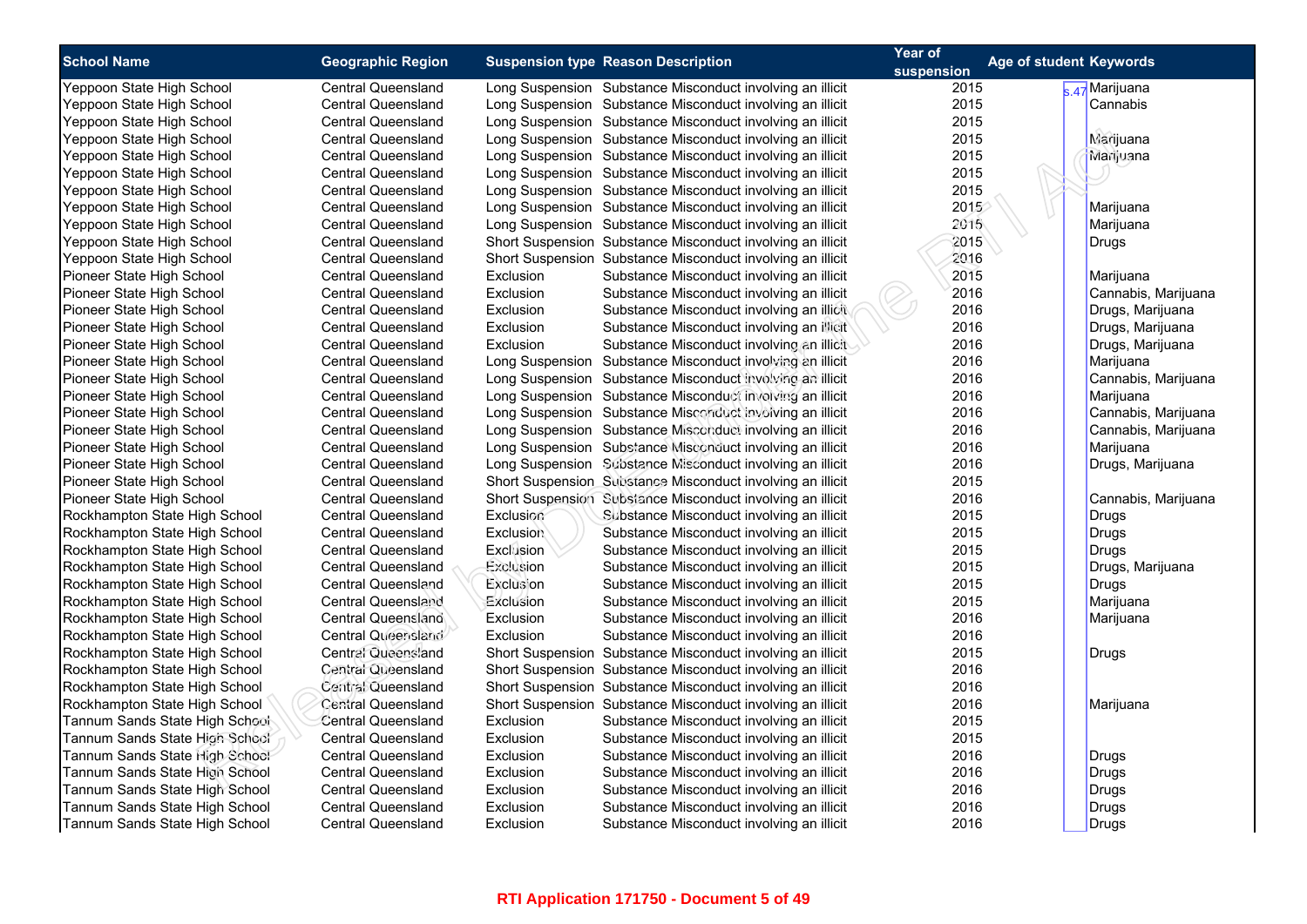| <b>School Name</b>             | <b>Geographic Region</b>                               |                  | <b>Suspension type Reason Description</b>                  | Year of            | Age of student Keywords |
|--------------------------------|--------------------------------------------------------|------------------|------------------------------------------------------------|--------------------|-------------------------|
| Yeppoon State High School      | <b>Central Queensland</b>                              |                  | Long Suspension Substance Misconduct involving an illicit  | suspension<br>2015 | s 47 Marijuana          |
| Yeppoon State High School      | <b>Central Queensland</b>                              |                  | Long Suspension Substance Misconduct involving an illicit  | 2015               | Cannabis                |
| Yeppoon State High School      | <b>Central Queensland</b>                              |                  | Long Suspension Substance Misconduct involving an illicit  | 2015               |                         |
| Yeppoon State High School      | <b>Central Queensland</b>                              |                  | Long Suspension Substance Misconduct involving an illicit  | 2015               | Marijuana               |
| Yeppoon State High School      | <b>Central Queensland</b>                              |                  | Long Suspension Substance Misconduct involving an illicit  | 2015               | Marijuana               |
| Yeppoon State High School      | <b>Central Queensland</b>                              |                  | Long Suspension Substance Misconduct involving an illicit  | 2015               |                         |
| Yeppoon State High School      | <b>Central Queensland</b>                              |                  | Long Suspension Substance Misconduct involving an illicit  | 2015               |                         |
| Yeppoon State High School      | <b>Central Queensland</b>                              |                  | Long Suspension Substance Misconduct involving an illicit  | 2015               | Marijuana               |
| Yeppoon State High School      | <b>Central Queensland</b>                              |                  | Long Suspension Substance Misconduct involving an illicit  | 2015               | Marijuana               |
| Yeppoon State High School      | <b>Central Queensland</b>                              |                  | Short Suspension Substance Misconduct involving an illicit | 2015               |                         |
|                                |                                                        |                  |                                                            | 2016               | Drugs                   |
| Yeppoon State High School      | <b>Central Queensland</b><br><b>Central Queensland</b> |                  | Short Suspension Substance Misconduct involving an illicit | 2015               |                         |
| Pioneer State High School      |                                                        | Exclusion        | Substance Misconduct involving an illicit                  |                    | Marijuana               |
| Pioneer State High School      | Central Queensland                                     | Exclusion        | Substance Misconduct involving an illicit                  | 2016               | Cannabis, Marijuana     |
| Pioneer State High School      | <b>Central Queensland</b>                              | Exclusion        | Substance Misconduct involving an illicit                  | 2016               | Drugs, Marijuana        |
| Pioneer State High School      | <b>Central Queensland</b>                              | Exclusion        | Substance Misconduct involving an illicit                  | 2016               | Drugs, Marijuana        |
| Pioneer State High School      | <b>Central Queensland</b>                              | Exclusion        | Substance Misconduct involving an illicit                  | 2016               | Drugs, Marijuana        |
| Pioneer State High School      | <b>Central Queensland</b>                              |                  | Long Suspension Substance Misconduct involving an illicit  | 2016               | Marijuana               |
| Pioneer State High School      | <b>Central Queensland</b>                              |                  | Long Suspension Substance Misconduct involving an illicit  | 2016               | Cannabis, Marijuana     |
| Pioneer State High School      | <b>Central Queensland</b>                              |                  | Long Suspension Substance Misconduct involving an illicit  | 2016               | Marijuana               |
| Pioneer State High School      | <b>Central Queensland</b>                              |                  | Long Suspension Substance Misconduct involving an illicit  | 2016               | Cannabis, Marijuana     |
| Pioneer State High School      | <b>Central Queensland</b>                              |                  | Long Suspension Substance Misconduct involving an illicit  | 2016               | Cannabis, Marijuana     |
| Pioneer State High School      | <b>Central Queensland</b>                              |                  | Long Suspension Substance Misconduct involving an illicit  | 2016               | Marijuana               |
| Pioneer State High School      | <b>Central Queensland</b>                              |                  | Long Suspension Substance Misconduct involving an illicit  | 2016               | Drugs, Marijuana        |
| Pioneer State High School      | <b>Central Queensland</b>                              |                  | Short Suspension Substance Misconduct involving an illicit | 2015               |                         |
| Pioneer State High School      | <b>Central Queensland</b>                              |                  | Short Suspension Substance Misconduct involving an illicit | 2016               | Cannabis, Marijuana     |
| Rockhampton State High School  | <b>Central Queensland</b>                              | Exclusion        | Substance Misconduct involving an illicit                  | 2015               | Drugs                   |
| Rockhampton State High School  | <b>Central Queensland</b>                              | <b>Exclusion</b> | Substance Misconduct involving an illicit                  | 2015               | Drugs                   |
| Rockhampton State High School  | <b>Central Queensland</b>                              | Exclusion        | Substance Misconduct involving an illicit                  | 2015               | Drugs                   |
| Rockhampton State High School  | <b>Central Queensland</b>                              | Exclusion        | Substance Misconduct involving an illicit                  | 2015               | Drugs, Marijuana        |
| Rockhampton State High School  | Central Queensland                                     | Exclusion        | Substance Misconduct involving an illicit                  | 2015               | Drugs                   |
| Rockhampton State High School  | <b>Central Queensland</b>                              | Exclusion        | Substance Misconduct involving an illicit                  | 2015               | Marijuana               |
| Rockhampton State High School  | Central Queensland                                     | Exclusion        | Substance Misconduct involving an illicit                  | 2016               | Marijuana               |
| Rockhampton State High School  | Central Queensland                                     | Exclusion        | Substance Misconduct involving an illicit                  | 2016               |                         |
| Rockhampton State High School  | Central Queensland                                     |                  | Short Suspension Substance Misconduct involving an illicit | 2015               | Drugs                   |
| Rockhampton State High School  | Central Queensland                                     |                  | Short Suspension Substance Misconduct involving an illicit | 2016               |                         |
| Rockhampton State High School  | Central Queensland                                     |                  | Short Suspension Substance Misconduct involving an illicit | 2016               |                         |
| Rockhampton State High School  | <b>Central Queensland</b>                              |                  | Short Suspension Substance Misconduct involving an illicit | 2016               | Marijuana               |
| Tannum Sands State High School | <b>Central Queensland</b>                              | Exclusion        | Substance Misconduct involving an illicit                  | 2015               |                         |
| Tannum Sands State High School | <b>Central Queensland</b>                              | Exclusion        | Substance Misconduct involving an illicit                  | 2015               |                         |
| Tannum Sands State High School | <b>Central Queensland</b>                              | Exclusion        | Substance Misconduct involving an illicit                  | 2016               | Drugs                   |
| Tannum Sands State High School | <b>Central Queensland</b>                              | Exclusion        | Substance Misconduct involving an illicit                  | 2016               | Drugs                   |
| Tannum Sands State High School | <b>Central Queensland</b>                              | Exclusion        | Substance Misconduct involving an illicit                  | 2016               | Drugs                   |
| Tannum Sands State High School | <b>Central Queensland</b>                              | Exclusion        | Substance Misconduct involving an illicit                  | 2016               | Drugs                   |
| Tannum Sands State High School | <b>Central Queensland</b>                              | Exclusion        | Substance Misconduct involving an illicit                  | 2016               | Drugs                   |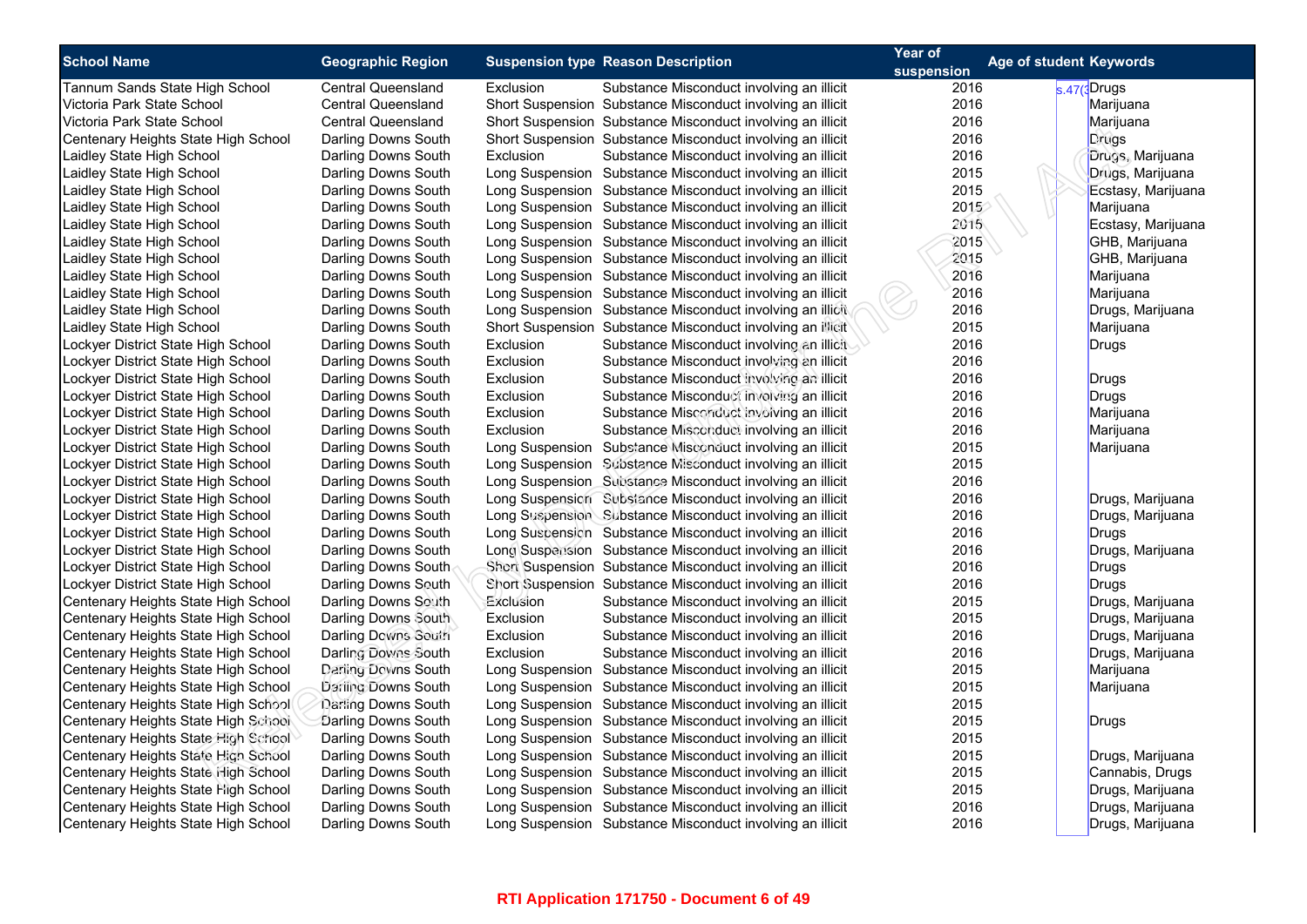| <b>School Name</b>                                                                                                                                                                                                                                                                                                                                                                                                                                                                                                                                                                                                                                                            | <b>Geographic Region</b>                                                                                                                                                                                                                                                                                                                              | <b>Suspension type Reason Description</b> | Year of                                                                                                                                                                                                                                                                                                                                                                                                                                                                                                                                                                                                                                                                                                                                                                                                                                                            | <b>Age of student Keywords</b>       |                                                                                                                                                                                                       |
|-------------------------------------------------------------------------------------------------------------------------------------------------------------------------------------------------------------------------------------------------------------------------------------------------------------------------------------------------------------------------------------------------------------------------------------------------------------------------------------------------------------------------------------------------------------------------------------------------------------------------------------------------------------------------------|-------------------------------------------------------------------------------------------------------------------------------------------------------------------------------------------------------------------------------------------------------------------------------------------------------------------------------------------------------|-------------------------------------------|--------------------------------------------------------------------------------------------------------------------------------------------------------------------------------------------------------------------------------------------------------------------------------------------------------------------------------------------------------------------------------------------------------------------------------------------------------------------------------------------------------------------------------------------------------------------------------------------------------------------------------------------------------------------------------------------------------------------------------------------------------------------------------------------------------------------------------------------------------------------|--------------------------------------|-------------------------------------------------------------------------------------------------------------------------------------------------------------------------------------------------------|
|                                                                                                                                                                                                                                                                                                                                                                                                                                                                                                                                                                                                                                                                               |                                                                                                                                                                                                                                                                                                                                                       |                                           |                                                                                                                                                                                                                                                                                                                                                                                                                                                                                                                                                                                                                                                                                                                                                                                                                                                                    | suspension                           |                                                                                                                                                                                                       |
| Tannum Sands State High School                                                                                                                                                                                                                                                                                                                                                                                                                                                                                                                                                                                                                                                | <b>Central Queensland</b>                                                                                                                                                                                                                                                                                                                             | Exclusion                                 | Substance Misconduct involving an illicit                                                                                                                                                                                                                                                                                                                                                                                                                                                                                                                                                                                                                                                                                                                                                                                                                          | 2016                                 | s.47(3Drugs                                                                                                                                                                                           |
| Victoria Park State School                                                                                                                                                                                                                                                                                                                                                                                                                                                                                                                                                                                                                                                    | <b>Central Queensland</b>                                                                                                                                                                                                                                                                                                                             |                                           | Short Suspension Substance Misconduct involving an illicit                                                                                                                                                                                                                                                                                                                                                                                                                                                                                                                                                                                                                                                                                                                                                                                                         | 2016                                 | Marijuana                                                                                                                                                                                             |
| Victoria Park State School                                                                                                                                                                                                                                                                                                                                                                                                                                                                                                                                                                                                                                                    | Central Queensland                                                                                                                                                                                                                                                                                                                                    |                                           | Short Suspension Substance Misconduct involving an illicit                                                                                                                                                                                                                                                                                                                                                                                                                                                                                                                                                                                                                                                                                                                                                                                                         | 2016                                 | Marijuana                                                                                                                                                                                             |
| Centenary Heights State High School                                                                                                                                                                                                                                                                                                                                                                                                                                                                                                                                                                                                                                           | Darling Downs South                                                                                                                                                                                                                                                                                                                                   |                                           | Short Suspension Substance Misconduct involving an illicit                                                                                                                                                                                                                                                                                                                                                                                                                                                                                                                                                                                                                                                                                                                                                                                                         | 2016                                 | Drugs                                                                                                                                                                                                 |
| Laidley State High School                                                                                                                                                                                                                                                                                                                                                                                                                                                                                                                                                                                                                                                     | Darling Downs South                                                                                                                                                                                                                                                                                                                                   | Exclusion                                 | Substance Misconduct involving an illicit                                                                                                                                                                                                                                                                                                                                                                                                                                                                                                                                                                                                                                                                                                                                                                                                                          | 2016                                 | Drugs, Marijuana                                                                                                                                                                                      |
| Laidley State High School                                                                                                                                                                                                                                                                                                                                                                                                                                                                                                                                                                                                                                                     | Darling Downs South                                                                                                                                                                                                                                                                                                                                   |                                           | Long Suspension Substance Misconduct involving an illicit                                                                                                                                                                                                                                                                                                                                                                                                                                                                                                                                                                                                                                                                                                                                                                                                          | 2015                                 | Drugs, Marijuana                                                                                                                                                                                      |
| Laidley State High School                                                                                                                                                                                                                                                                                                                                                                                                                                                                                                                                                                                                                                                     | Darling Downs South                                                                                                                                                                                                                                                                                                                                   |                                           | Long Suspension Substance Misconduct involving an illicit                                                                                                                                                                                                                                                                                                                                                                                                                                                                                                                                                                                                                                                                                                                                                                                                          | 2015                                 | Ecstasy, Marijuana                                                                                                                                                                                    |
| Laidley State High School                                                                                                                                                                                                                                                                                                                                                                                                                                                                                                                                                                                                                                                     | Darling Downs South                                                                                                                                                                                                                                                                                                                                   |                                           | Long Suspension Substance Misconduct involving an illicit                                                                                                                                                                                                                                                                                                                                                                                                                                                                                                                                                                                                                                                                                                                                                                                                          | 2015                                 | Marijuana                                                                                                                                                                                             |
| Laidley State High School                                                                                                                                                                                                                                                                                                                                                                                                                                                                                                                                                                                                                                                     | Darling Downs South                                                                                                                                                                                                                                                                                                                                   |                                           | Long Suspension Substance Misconduct involving an illicit                                                                                                                                                                                                                                                                                                                                                                                                                                                                                                                                                                                                                                                                                                                                                                                                          | 2015                                 | Ecstasy, Marijuana                                                                                                                                                                                    |
| Laidley State High School                                                                                                                                                                                                                                                                                                                                                                                                                                                                                                                                                                                                                                                     | Darling Downs South                                                                                                                                                                                                                                                                                                                                   |                                           | Long Suspension Substance Misconduct involving an illicit                                                                                                                                                                                                                                                                                                                                                                                                                                                                                                                                                                                                                                                                                                                                                                                                          | 2015                                 | GHB, Marijuana                                                                                                                                                                                        |
| Laidley State High School                                                                                                                                                                                                                                                                                                                                                                                                                                                                                                                                                                                                                                                     | Darling Downs South                                                                                                                                                                                                                                                                                                                                   |                                           | Long Suspension Substance Misconduct involving an illicit                                                                                                                                                                                                                                                                                                                                                                                                                                                                                                                                                                                                                                                                                                                                                                                                          | 2015                                 | GHB, Marijuana                                                                                                                                                                                        |
| Laidley State High School                                                                                                                                                                                                                                                                                                                                                                                                                                                                                                                                                                                                                                                     | Darling Downs South                                                                                                                                                                                                                                                                                                                                   |                                           | Long Suspension Substance Misconduct involving an illicit                                                                                                                                                                                                                                                                                                                                                                                                                                                                                                                                                                                                                                                                                                                                                                                                          | 2016                                 | Marijuana                                                                                                                                                                                             |
| Laidley State High School                                                                                                                                                                                                                                                                                                                                                                                                                                                                                                                                                                                                                                                     | Darling Downs South                                                                                                                                                                                                                                                                                                                                   |                                           | Long Suspension Substance Misconduct involving an illicit                                                                                                                                                                                                                                                                                                                                                                                                                                                                                                                                                                                                                                                                                                                                                                                                          | 2016                                 | Marijuana                                                                                                                                                                                             |
| Laidley State High School                                                                                                                                                                                                                                                                                                                                                                                                                                                                                                                                                                                                                                                     | Darling Downs South                                                                                                                                                                                                                                                                                                                                   |                                           | Long Suspension Substance Misconduct involving an illicit                                                                                                                                                                                                                                                                                                                                                                                                                                                                                                                                                                                                                                                                                                                                                                                                          | 2016                                 | Drugs, Marijuana                                                                                                                                                                                      |
| Laidley State High School                                                                                                                                                                                                                                                                                                                                                                                                                                                                                                                                                                                                                                                     | Darling Downs South                                                                                                                                                                                                                                                                                                                                   |                                           | Short Suspension Substance Misconduct involving an illicit                                                                                                                                                                                                                                                                                                                                                                                                                                                                                                                                                                                                                                                                                                                                                                                                         | 2015                                 | Marijuana                                                                                                                                                                                             |
| Lockyer District State High School                                                                                                                                                                                                                                                                                                                                                                                                                                                                                                                                                                                                                                            | Darling Downs South                                                                                                                                                                                                                                                                                                                                   | Exclusion                                 | Substance Misconduct involving an illicit                                                                                                                                                                                                                                                                                                                                                                                                                                                                                                                                                                                                                                                                                                                                                                                                                          | 2016                                 | <b>Drugs</b>                                                                                                                                                                                          |
| Lockyer District State High School                                                                                                                                                                                                                                                                                                                                                                                                                                                                                                                                                                                                                                            | Darling Downs South                                                                                                                                                                                                                                                                                                                                   | Exclusion                                 | Substance Misconduct involving an illicit                                                                                                                                                                                                                                                                                                                                                                                                                                                                                                                                                                                                                                                                                                                                                                                                                          | 2016                                 |                                                                                                                                                                                                       |
| Lockyer District State High School                                                                                                                                                                                                                                                                                                                                                                                                                                                                                                                                                                                                                                            | Darling Downs South                                                                                                                                                                                                                                                                                                                                   | Exclusion                                 | Substance Misconduct involving an illicit                                                                                                                                                                                                                                                                                                                                                                                                                                                                                                                                                                                                                                                                                                                                                                                                                          | 2016                                 | Drugs                                                                                                                                                                                                 |
| Lockyer District State High School                                                                                                                                                                                                                                                                                                                                                                                                                                                                                                                                                                                                                                            | Darling Downs South                                                                                                                                                                                                                                                                                                                                   | Exclusion                                 | Substance Misconduct involving an illicit                                                                                                                                                                                                                                                                                                                                                                                                                                                                                                                                                                                                                                                                                                                                                                                                                          | 2016                                 | Drugs                                                                                                                                                                                                 |
| Lockyer District State High School                                                                                                                                                                                                                                                                                                                                                                                                                                                                                                                                                                                                                                            | Darling Downs South                                                                                                                                                                                                                                                                                                                                   | Exclusion                                 | Substance Misconduct involving an illicit                                                                                                                                                                                                                                                                                                                                                                                                                                                                                                                                                                                                                                                                                                                                                                                                                          | 2016                                 | Marijuana                                                                                                                                                                                             |
|                                                                                                                                                                                                                                                                                                                                                                                                                                                                                                                                                                                                                                                                               |                                                                                                                                                                                                                                                                                                                                                       | Exclusion                                 | Substance Misconduct involving an illicit                                                                                                                                                                                                                                                                                                                                                                                                                                                                                                                                                                                                                                                                                                                                                                                                                          | 2016                                 | Marijuana                                                                                                                                                                                             |
| Lockyer District State High School                                                                                                                                                                                                                                                                                                                                                                                                                                                                                                                                                                                                                                            | Darling Downs South                                                                                                                                                                                                                                                                                                                                   |                                           | Long Suspension Substance Misconduct involving an illicit                                                                                                                                                                                                                                                                                                                                                                                                                                                                                                                                                                                                                                                                                                                                                                                                          | 2015                                 | Marijuana                                                                                                                                                                                             |
|                                                                                                                                                                                                                                                                                                                                                                                                                                                                                                                                                                                                                                                                               |                                                                                                                                                                                                                                                                                                                                                       |                                           |                                                                                                                                                                                                                                                                                                                                                                                                                                                                                                                                                                                                                                                                                                                                                                                                                                                                    | 2015                                 |                                                                                                                                                                                                       |
|                                                                                                                                                                                                                                                                                                                                                                                                                                                                                                                                                                                                                                                                               |                                                                                                                                                                                                                                                                                                                                                       |                                           |                                                                                                                                                                                                                                                                                                                                                                                                                                                                                                                                                                                                                                                                                                                                                                                                                                                                    | 2016                                 |                                                                                                                                                                                                       |
|                                                                                                                                                                                                                                                                                                                                                                                                                                                                                                                                                                                                                                                                               |                                                                                                                                                                                                                                                                                                                                                       |                                           |                                                                                                                                                                                                                                                                                                                                                                                                                                                                                                                                                                                                                                                                                                                                                                                                                                                                    | 2016                                 |                                                                                                                                                                                                       |
|                                                                                                                                                                                                                                                                                                                                                                                                                                                                                                                                                                                                                                                                               |                                                                                                                                                                                                                                                                                                                                                       |                                           |                                                                                                                                                                                                                                                                                                                                                                                                                                                                                                                                                                                                                                                                                                                                                                                                                                                                    | 2016                                 |                                                                                                                                                                                                       |
|                                                                                                                                                                                                                                                                                                                                                                                                                                                                                                                                                                                                                                                                               | Darling Downs South                                                                                                                                                                                                                                                                                                                                   |                                           |                                                                                                                                                                                                                                                                                                                                                                                                                                                                                                                                                                                                                                                                                                                                                                                                                                                                    | 2016                                 | Drugs                                                                                                                                                                                                 |
| Lockyer District State High School                                                                                                                                                                                                                                                                                                                                                                                                                                                                                                                                                                                                                                            | Darling Downs South                                                                                                                                                                                                                                                                                                                                   |                                           | Long Suspension Substance Misconduct involving an illicit                                                                                                                                                                                                                                                                                                                                                                                                                                                                                                                                                                                                                                                                                                                                                                                                          | 2016                                 | Drugs, Marijuana                                                                                                                                                                                      |
| Lockyer District State High School                                                                                                                                                                                                                                                                                                                                                                                                                                                                                                                                                                                                                                            | Darling Downs South                                                                                                                                                                                                                                                                                                                                   |                                           | Short Suspension Substance Misconduct involving an illicit                                                                                                                                                                                                                                                                                                                                                                                                                                                                                                                                                                                                                                                                                                                                                                                                         | 2016                                 | Drugs                                                                                                                                                                                                 |
| Lockyer District State High School                                                                                                                                                                                                                                                                                                                                                                                                                                                                                                                                                                                                                                            | Darling Downs South                                                                                                                                                                                                                                                                                                                                   |                                           | Short Suspension Substance Misconduct involving an illicit                                                                                                                                                                                                                                                                                                                                                                                                                                                                                                                                                                                                                                                                                                                                                                                                         | 2016                                 | <b>Drugs</b>                                                                                                                                                                                          |
| Centenary Heights State High School                                                                                                                                                                                                                                                                                                                                                                                                                                                                                                                                                                                                                                           | Darling Downs South                                                                                                                                                                                                                                                                                                                                   | Exclusion                                 | Substance Misconduct involving an illicit                                                                                                                                                                                                                                                                                                                                                                                                                                                                                                                                                                                                                                                                                                                                                                                                                          | 2015                                 | Drugs, Marijuana                                                                                                                                                                                      |
|                                                                                                                                                                                                                                                                                                                                                                                                                                                                                                                                                                                                                                                                               | Darling Downs South                                                                                                                                                                                                                                                                                                                                   | Exclusion                                 | Substance Misconduct involving an illicit                                                                                                                                                                                                                                                                                                                                                                                                                                                                                                                                                                                                                                                                                                                                                                                                                          | 2015                                 |                                                                                                                                                                                                       |
|                                                                                                                                                                                                                                                                                                                                                                                                                                                                                                                                                                                                                                                                               |                                                                                                                                                                                                                                                                                                                                                       | Exclusion                                 |                                                                                                                                                                                                                                                                                                                                                                                                                                                                                                                                                                                                                                                                                                                                                                                                                                                                    | 2016                                 |                                                                                                                                                                                                       |
| Centenary Heights State High School                                                                                                                                                                                                                                                                                                                                                                                                                                                                                                                                                                                                                                           |                                                                                                                                                                                                                                                                                                                                                       | Exclusion                                 | Substance Misconduct involving an illicit                                                                                                                                                                                                                                                                                                                                                                                                                                                                                                                                                                                                                                                                                                                                                                                                                          | 2016                                 |                                                                                                                                                                                                       |
|                                                                                                                                                                                                                                                                                                                                                                                                                                                                                                                                                                                                                                                                               |                                                                                                                                                                                                                                                                                                                                                       |                                           |                                                                                                                                                                                                                                                                                                                                                                                                                                                                                                                                                                                                                                                                                                                                                                                                                                                                    |                                      |                                                                                                                                                                                                       |
|                                                                                                                                                                                                                                                                                                                                                                                                                                                                                                                                                                                                                                                                               |                                                                                                                                                                                                                                                                                                                                                       |                                           |                                                                                                                                                                                                                                                                                                                                                                                                                                                                                                                                                                                                                                                                                                                                                                                                                                                                    | 2015                                 | Marijuana                                                                                                                                                                                             |
|                                                                                                                                                                                                                                                                                                                                                                                                                                                                                                                                                                                                                                                                               |                                                                                                                                                                                                                                                                                                                                                       |                                           |                                                                                                                                                                                                                                                                                                                                                                                                                                                                                                                                                                                                                                                                                                                                                                                                                                                                    |                                      |                                                                                                                                                                                                       |
|                                                                                                                                                                                                                                                                                                                                                                                                                                                                                                                                                                                                                                                                               |                                                                                                                                                                                                                                                                                                                                                       |                                           |                                                                                                                                                                                                                                                                                                                                                                                                                                                                                                                                                                                                                                                                                                                                                                                                                                                                    |                                      |                                                                                                                                                                                                       |
|                                                                                                                                                                                                                                                                                                                                                                                                                                                                                                                                                                                                                                                                               |                                                                                                                                                                                                                                                                                                                                                       |                                           |                                                                                                                                                                                                                                                                                                                                                                                                                                                                                                                                                                                                                                                                                                                                                                                                                                                                    | 2015                                 |                                                                                                                                                                                                       |
|                                                                                                                                                                                                                                                                                                                                                                                                                                                                                                                                                                                                                                                                               |                                                                                                                                                                                                                                                                                                                                                       |                                           |                                                                                                                                                                                                                                                                                                                                                                                                                                                                                                                                                                                                                                                                                                                                                                                                                                                                    |                                      |                                                                                                                                                                                                       |
| Centenary Heights State High School                                                                                                                                                                                                                                                                                                                                                                                                                                                                                                                                                                                                                                           | Darling Downs South                                                                                                                                                                                                                                                                                                                                   |                                           | Long Suspension Substance Misconduct involving an illicit                                                                                                                                                                                                                                                                                                                                                                                                                                                                                                                                                                                                                                                                                                                                                                                                          | 2015                                 |                                                                                                                                                                                                       |
|                                                                                                                                                                                                                                                                                                                                                                                                                                                                                                                                                                                                                                                                               |                                                                                                                                                                                                                                                                                                                                                       |                                           |                                                                                                                                                                                                                                                                                                                                                                                                                                                                                                                                                                                                                                                                                                                                                                                                                                                                    |                                      |                                                                                                                                                                                                       |
|                                                                                                                                                                                                                                                                                                                                                                                                                                                                                                                                                                                                                                                                               |                                                                                                                                                                                                                                                                                                                                                       |                                           |                                                                                                                                                                                                                                                                                                                                                                                                                                                                                                                                                                                                                                                                                                                                                                                                                                                                    | 2016                                 |                                                                                                                                                                                                       |
|                                                                                                                                                                                                                                                                                                                                                                                                                                                                                                                                                                                                                                                                               | Darling Downs South                                                                                                                                                                                                                                                                                                                                   |                                           | Long Suspension Substance Misconduct involving an illicit                                                                                                                                                                                                                                                                                                                                                                                                                                                                                                                                                                                                                                                                                                                                                                                                          | 2016                                 | Drugs, Marijuana                                                                                                                                                                                      |
| Lockyer District State High School<br>Lockyer District State High School<br>Lockyer District State High School<br>Lockyer District State High School<br>Lockyer District State High School<br>Lockyer District State High School<br>Centenary Heights State High School<br>Centenary Heights State High School<br>Centenary Heights State High School<br>Centenary Heights State High School<br>Centenary Heights State High School<br>Centenary Heights State High School<br>Centenary Heights State High School<br>Centenary Heights State High School<br>Centenary Heights State High School<br>Centenary Heights State High School<br>Centenary Heights State High School | Darling Downs South<br>Darling Downs South<br>Darling Downs South<br>Darling Downs South<br>Darling Downs South<br>Darling Downs South<br>Darling Downs South<br>Darling Downs South<br>Darling Downs South<br>Darling Downs South<br>Darling Downs South<br>Darling Downs South<br>Darling Downs South<br>Darling Downs South<br>Darling Downs South |                                           | Long Suspension Substance Misconduct involving an illicit<br>Long Suspension Substance Misconduct involving an illicit<br>Long Suspension Substance Misconduct involving an illicit<br>Long Suspension Substance Misconduct involving an illicit<br>Long Suspension Substance Misconduct involving an illicit<br>Substance Misconduct involving an illicit<br>Long Suspension Substance Misconduct involving an illicit<br>Long Suspension Substance Misconduct involving an illicit<br>Long Suspension Substance Misconduct involving an illicit<br>Long Suspension Substance Misconduct involving an illicit<br>Long Suspension Substance Misconduct involving an illicit<br>Long Suspension Substance Misconduct involving an illicit<br>Long Suspension Substance Misconduct involving an illicit<br>Long Suspension Substance Misconduct involving an illicit | 2015<br>2015<br>2015<br>2015<br>2015 | Drugs, Marijuana<br>Drugs, Marijuana<br>Drugs, Marijuana<br>Drugs, Marijuana<br>Drugs, Marijuana<br>Marijuana<br>Drugs<br>Drugs, Marijuana<br>Cannabis, Drugs<br>Drugs, Marijuana<br>Drugs, Marijuana |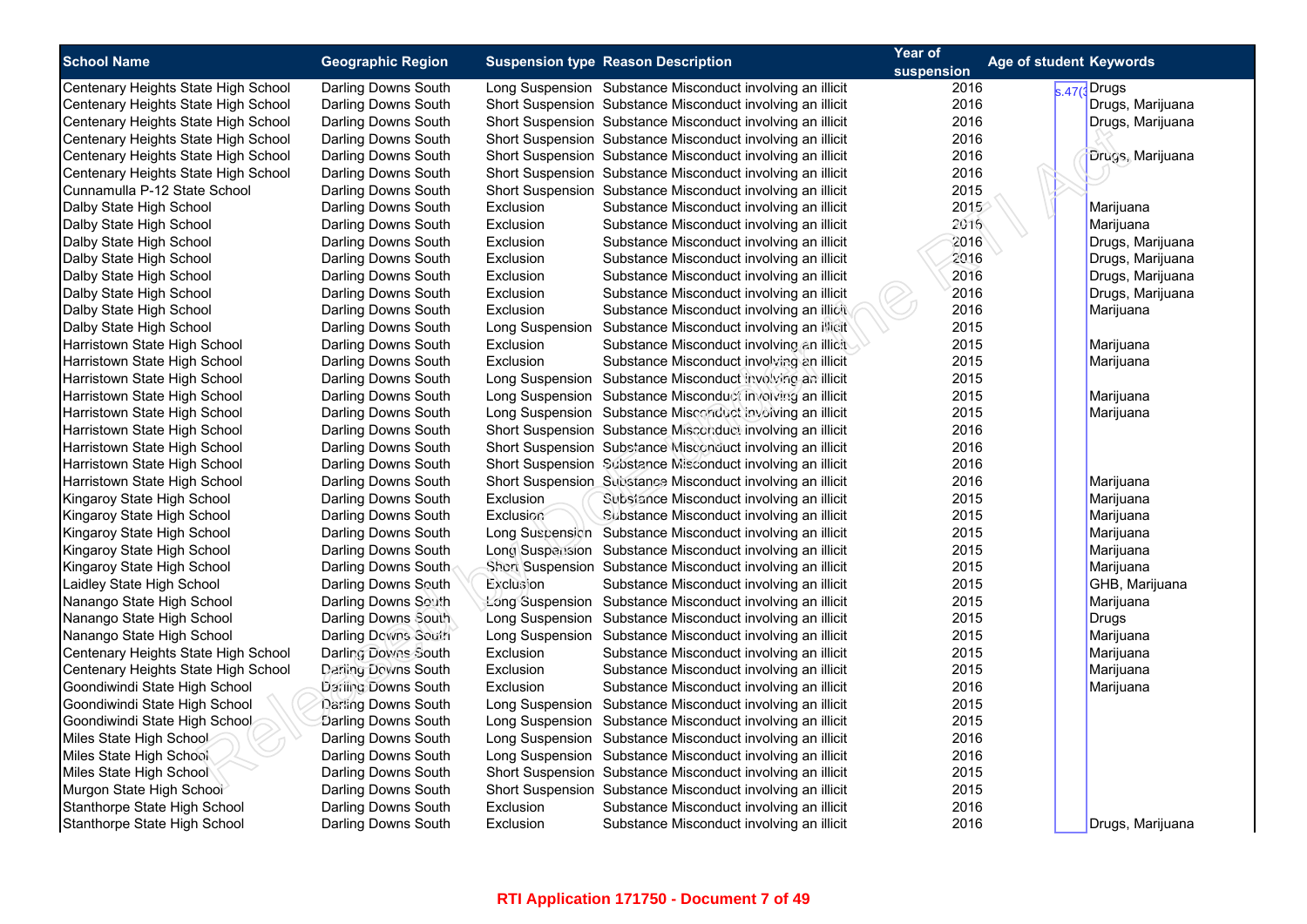| <b>School Name</b>                  | <b>Geographic Region</b> |                 | <b>Suspension type Reason Description</b>                  | Year of<br>suspension | <b>Age of student Keywords</b> |
|-------------------------------------|--------------------------|-----------------|------------------------------------------------------------|-----------------------|--------------------------------|
| Centenary Heights State High School | Darling Downs South      |                 | Long Suspension Substance Misconduct involving an illicit  | 2016                  | s.47(3Drugs                    |
| Centenary Heights State High School | Darling Downs South      |                 | Short Suspension Substance Misconduct involving an illicit | 2016                  | Drugs, Marijuana               |
| Centenary Heights State High School | Darling Downs South      |                 | Short Suspension Substance Misconduct involving an illicit | 2016                  | Drugs, Marijuana               |
| Centenary Heights State High School | Darling Downs South      |                 | Short Suspension Substance Misconduct involving an illicit | 2016                  |                                |
| Centenary Heights State High School | Darling Downs South      |                 | Short Suspension Substance Misconduct involving an illicit | 2016                  | Drugs, Marijuana               |
| Centenary Heights State High School | Darling Downs South      |                 | Short Suspension Substance Misconduct involving an illicit | 2016                  |                                |
| Cunnamulla P-12 State School        | Darling Downs South      |                 | Short Suspension Substance Misconduct involving an illicit | 2015                  |                                |
| Dalby State High School             | Darling Downs South      | Exclusion       | Substance Misconduct involving an illicit                  | 2015                  | Marijuana                      |
| Dalby State High School             | Darling Downs South      | Exclusion       | Substance Misconduct involving an illicit                  | 2016                  | Marijuana                      |
| Dalby State High School             | Darling Downs South      | Exclusion       | Substance Misconduct involving an illicit                  | 2016                  | Drugs, Marijuana               |
| Dalby State High School             | Darling Downs South      | Exclusion       | Substance Misconduct involving an illicit                  | 2016                  | Drugs, Marijuana               |
| Dalby State High School             | Darling Downs South      | Exclusion       | Substance Misconduct involving an illicit                  | 2016                  | Drugs, Marijuana               |
| Dalby State High School             | Darling Downs South      | Exclusion       | Substance Misconduct involving an illicit                  | 2016                  | Drugs, Marijuana               |
| Dalby State High School             | Darling Downs South      | Exclusion       | Substance Misconduct involving an illicit                  | 2016                  | Marijuana                      |
| Dalby State High School             | Darling Downs South      | Long Suspension | Substance Misconduct involving an illicit                  | 2015                  |                                |
| Harristown State High School        | Darling Downs South      | Exclusion       | Substance Misconduct involving an illicit                  | 2015                  | Marijuana                      |
| Harristown State High School        | Darling Downs South      | Exclusion       | Substance Misconduct involving an illicit                  | 2015                  | Marijuana                      |
| Harristown State High School        | Darling Downs South      |                 | Long Suspension Substance Misconduct involving an illicit  | 2015                  |                                |
| Harristown State High School        | Darling Downs South      |                 | Long Suspension Substance Misconduct involving an illicit  | 2015                  | Marijuana                      |
| Harristown State High School        | Darling Downs South      |                 | Long Suspension Substance Misconduct involving an illicit  | 2015                  | Marijuana                      |
| Harristown State High School        | Darling Downs South      |                 | Short Suspension Substance Misconduct involving an illicit | 2016                  |                                |
| Harristown State High School        | Darling Downs South      |                 | Short Suspension Substance Misconduct involving an illicit | 2016                  |                                |
| Harristown State High School        | Darling Downs South      |                 | Short Suspension Substance Misconduct involving an illicit | 2016                  |                                |
| Harristown State High School        | Darling Downs South      |                 | Short Suspension Substance Misconduct involving an illicit | 2016                  | Marijuana                      |
| Kingaroy State High School          | Darling Downs South      | Exclusion       | Substance Misconduct involving an illicit                  | 2015                  | Marijuana                      |
| Kingaroy State High School          | Darling Downs South      | Exclusion       | Substance Misconduct involving an illicit                  | 2015                  | Marijuana                      |
| Kingaroy State High School          | Darling Downs South      |                 | Long Suspension Substance Misconduct involving an illicit  | 2015                  | Marijuana                      |
| Kingaroy State High School          | Darling Downs South      |                 | Long Suspension Substance Misconduct involving an illicit  | 2015                  | Marijuana                      |
| Kingaroy State High School          | Darling Downs South      |                 | Short Suspension Substance Misconduct involving an illicit | 2015                  | Marijuana                      |
| Laidley State High School           | Darling Downs South      | Exclusion       | Substance Misconduct involving an illicit                  | 2015                  | GHB, Marijuana                 |
| Nanango State High School           | Darling Downs South      |                 | Long Suspension Substance Misconduct involving an illicit  | 2015                  | Marijuana                      |
| Nanango State High School           | Darling Downs South      | Long Suspension | Substance Misconduct involving an illicit                  | 2015                  | Drugs                          |
| Nanango State High School           | Darling Downs South      | Long Suspension | Substance Misconduct involving an illicit                  | 2015                  | Marijuana                      |
| Centenary Heights State High School | Darling Downs South      | Exclusion       | Substance Misconduct involving an illicit                  | 2015                  | Marijuana                      |
| Centenary Heights State High School | Darling Downs South      | Exclusion       | Substance Misconduct involving an illicit                  | 2015                  | Marijuana                      |
| Goondiwindi State High School       | Darling Downs South      | Exclusion       | Substance Misconduct involving an illicit                  | 2016                  | Marijuana                      |
| Goondiwindi State High School       | Darling Downs South      | Long Suspension | Substance Misconduct involving an illicit                  | 2015                  |                                |
| Goondiwindi State High School       | Darling Downs South      |                 | Long Suspension Substance Misconduct involving an illicit  | 2015                  |                                |
| Miles State High School             | Darling Downs South      |                 | Long Suspension Substance Misconduct involving an illicit  | 2016                  |                                |
| Miles State High School             | Darling Downs South      |                 | Long Suspension Substance Misconduct involving an illicit  | 2016                  |                                |
| Miles State High School             | Darling Downs South      |                 | Short Suspension Substance Misconduct involving an illicit | 2015                  |                                |
| Murgon State High School            | Darling Downs South      |                 | Short Suspension Substance Misconduct involving an illicit | 2015                  |                                |
| Stanthorpe State High School        | Darling Downs South      | Exclusion       | Substance Misconduct involving an illicit                  | 2016                  |                                |
| Stanthorpe State High School        | Darling Downs South      | Exclusion       | Substance Misconduct involving an illicit                  | 2016                  | Drugs, Marijuana               |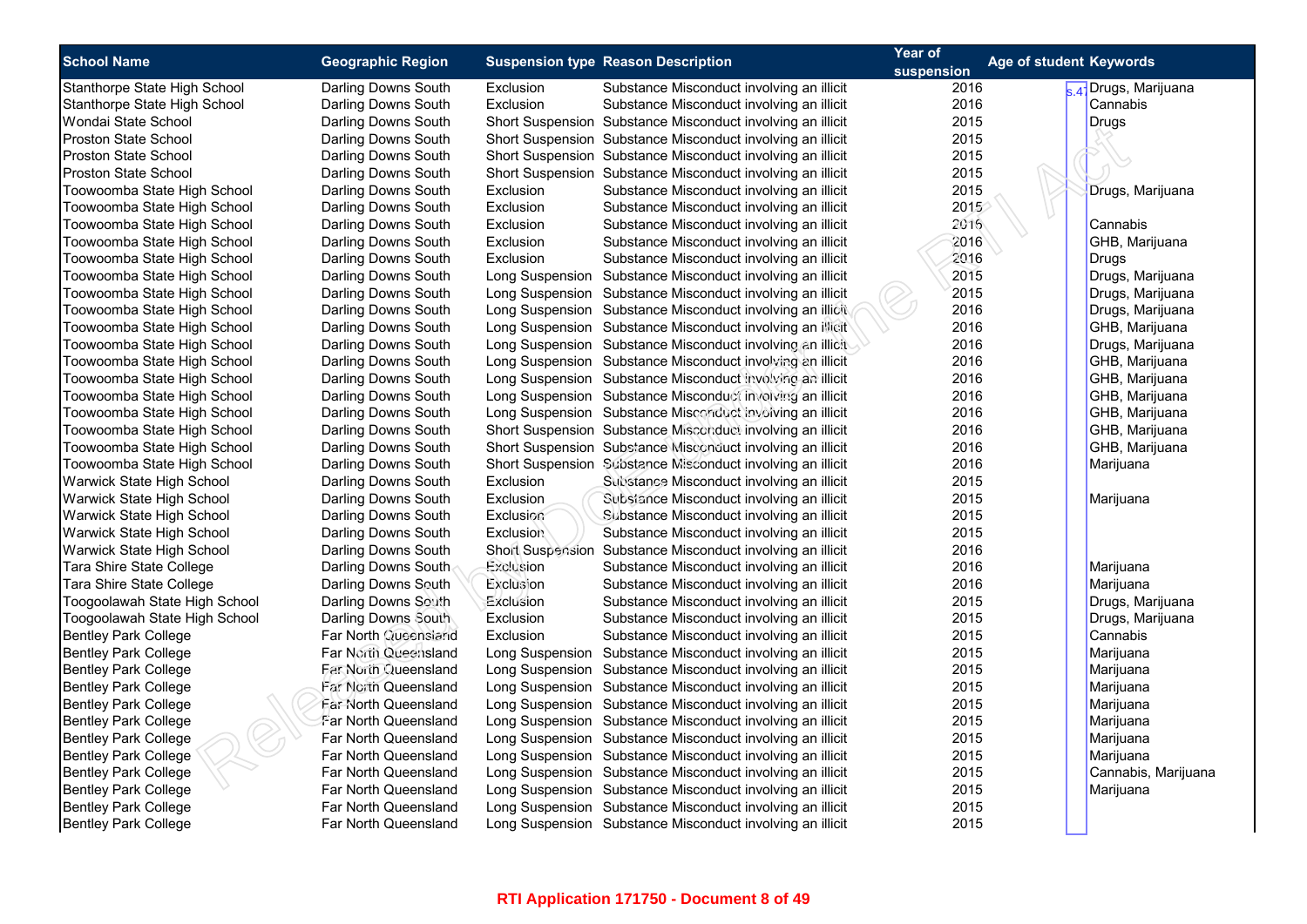| <b>School Name</b>            |                          |                  | <b>Suspension type Reason Description</b>                  | Year of<br><b>Age of student Keywords</b> |                                  |
|-------------------------------|--------------------------|------------------|------------------------------------------------------------|-------------------------------------------|----------------------------------|
|                               | <b>Geographic Region</b> |                  |                                                            | suspension                                |                                  |
| Stanthorpe State High School  | Darling Downs South      | Exclusion        | Substance Misconduct involving an illicit                  | 2016                                      | <sub>s 47</sub> Drugs, Marijuana |
| Stanthorpe State High School  | Darling Downs South      | Exclusion        | Substance Misconduct involving an illicit                  | 2016                                      | Cannabis                         |
| Wondai State School           | Darling Downs South      |                  | Short Suspension Substance Misconduct involving an illicit | 2015                                      | Drugs                            |
| Proston State School          | Darling Downs South      |                  | Short Suspension Substance Misconduct involving an illicit | 2015                                      |                                  |
| <b>Proston State School</b>   | Darling Downs South      |                  | Short Suspension Substance Misconduct involving an illicit | 2015                                      |                                  |
| Proston State School          | Darling Downs South      |                  | Short Suspension Substance Misconduct involving an illicit | 2015                                      |                                  |
| Toowoomba State High School   | Darling Downs South      | Exclusion        | Substance Misconduct involving an illicit                  | 2015                                      | Drugs, Marijuana                 |
| Toowoomba State High School   | Darling Downs South      | Exclusion        | Substance Misconduct involving an illicit                  | 2015                                      |                                  |
| Toowoomba State High School   | Darling Downs South      | Exclusion        | Substance Misconduct involving an illicit                  | 2016                                      | Cannabis                         |
| Toowoomba State High School   | Darling Downs South      | Exclusion        | Substance Misconduct involving an illicit                  | 2016                                      | GHB, Marijuana                   |
| Toowoomba State High School   | Darling Downs South      | Exclusion        | Substance Misconduct involving an illicit                  | 2016                                      | <b>Drugs</b>                     |
| Toowoomba State High School   | Darling Downs South      |                  | Long Suspension Substance Misconduct involving an illicit  | 2015                                      | Drugs, Marijuana                 |
| Toowoomba State High School   | Darling Downs South      |                  | Long Suspension Substance Misconduct involving an illicit  | 2015                                      | Drugs, Marijuana                 |
| Toowoomba State High School   | Darling Downs South      |                  | Long Suspension Substance Misconduct involving an illicit  | 2016                                      | Drugs, Marijuana                 |
| Toowoomba State High School   | Darling Downs South      |                  | Long Suspension Substance Misconduct involving an illicit  | 2016                                      | GHB, Marijuana                   |
| Toowoomba State High School   | Darling Downs South      |                  | Long Suspension Substance Misconduct involving an illicit  | 2016                                      | Drugs, Marijuana                 |
| Toowoomba State High School   | Darling Downs South      |                  | Long Suspension Substance Misconduct involving an illicit  | 2016                                      | GHB, Marijuana                   |
| Toowoomba State High School   | Darling Downs South      |                  | Long Suspension Substance Misconduct involving an illicit  | 2016                                      | GHB, Marijuana                   |
| Toowoomba State High School   | Darling Downs South      |                  | Long Suspension Substance Misconduct involving an illicit  | 2016                                      | GHB, Marijuana                   |
| Toowoomba State High School   | Darling Downs South      |                  | Long Suspension Substance Misconduct involving an illicit  | 2016                                      | GHB, Marijuana                   |
| Toowoomba State High School   | Darling Downs South      |                  | Short Suspension Substance Misconduct involving an illicit | 2016                                      | GHB, Marijuana                   |
| Toowoomba State High School   | Darling Downs South      |                  | Short Suspension Substance Misconduct involving an illicit | 2016                                      | GHB, Marijuana                   |
| Toowoomba State High School   | Darling Downs South      |                  | Short Suspension Substance Misconduct involving an illicit | 2016                                      | Marijuana                        |
| Warwick State High School     | Darling Downs South      | Exclusion        | Substance Misconduct involving an illicit                  | 2015                                      |                                  |
| Warwick State High School     | Darling Downs South      | Exclusion        | Substance Misconduct involving an illicit                  | 2015                                      | Marijuana                        |
| Warwick State High School     | Darling Downs South      | Exclusion        | Substance Misconduct involving an illicit                  | 2015                                      |                                  |
| Warwick State High School     | Darling Downs South      | <b>Exclusion</b> | Substance Misconduct involving an illicit                  | 2015                                      |                                  |
| Warwick State High School     | Darling Downs South      |                  | Short Suspension Substance Misconduct involving an illicit | 2016                                      |                                  |
| Tara Shire State College      | Darling Downs South      | Exclusion        | Substance Misconduct involving an illicit                  | 2016                                      | Marijuana                        |
| Tara Shire State College      | Darling Downs South      | Exclusion        | Substance Misconduct involving an illicit                  | 2016                                      | Marijuana                        |
| Toogoolawah State High School | Darling Downs South      | Exclusion        | Substance Misconduct involving an illicit                  | 2015                                      | Drugs, Marijuana                 |
| Toogoolawah State High School | Darling Downs South      | Exclusion        | Substance Misconduct involving an illicit                  | 2015                                      | Drugs, Marijuana                 |
| <b>Bentley Park College</b>   | Far North Queensland     | Exclusion        | Substance Misconduct involving an illicit                  | 2015                                      | Cannabis                         |
| <b>Bentley Park College</b>   | Far North Queensland     |                  | Long Suspension Substance Misconduct involving an illicit  | 2015                                      | Marijuana                        |
| <b>Bentley Park College</b>   | Far North Queensland     |                  | Long Suspension Substance Misconduct involving an illicit  | 2015                                      | Marijuana                        |
| <b>Bentley Park College</b>   | Far North Queensland     |                  | Long Suspension Substance Misconduct involving an illicit  | 2015                                      | Marijuana                        |
| <b>Bentley Park College</b>   | Far North Queensland     |                  | Long Suspension Substance Misconduct involving an illicit  | 2015                                      | Marijuana                        |
| <b>Bentley Park College</b>   | Far North Queensland     |                  | Long Suspension Substance Misconduct involving an illicit  | 2015                                      | Marijuana                        |
| <b>Bentley Park College</b>   | Far North Queensland     |                  | Long Suspension Substance Misconduct involving an illicit  | 2015                                      | Marijuana                        |
| Bentley Park College          | Far North Queensland     |                  | Long Suspension Substance Misconduct involving an illicit  | 2015                                      | Marijuana                        |
| <b>Bentley Park College</b>   | Far North Queensland     |                  | Long Suspension Substance Misconduct involving an illicit  | 2015                                      | Cannabis, Marijuana              |
| <b>Bentley Park College</b>   | Far North Queensland     |                  | Long Suspension Substance Misconduct involving an illicit  | 2015                                      | Marijuana                        |
| <b>Bentley Park College</b>   | Far North Queensland     |                  | Long Suspension Substance Misconduct involving an illicit  | 2015                                      |                                  |
| <b>Bentley Park College</b>   | Far North Queensland     |                  | Long Suspension Substance Misconduct involving an illicit  | 2015                                      |                                  |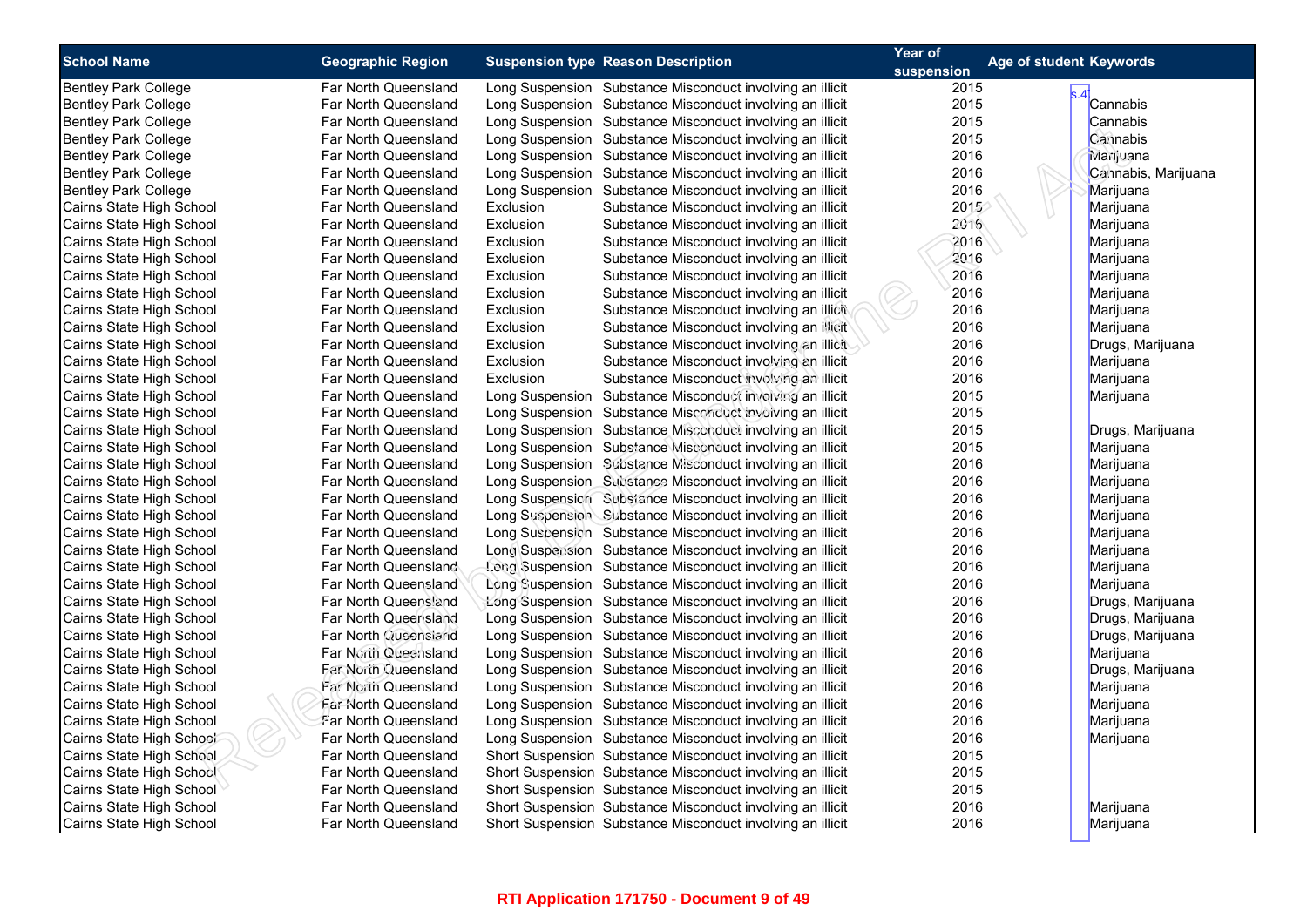| <b>School Name</b>          | <b>Geographic Region</b>    |           | <b>Suspension type Reason Description</b>                  | Year of    | <b>Age of student Keywords</b> |
|-----------------------------|-----------------------------|-----------|------------------------------------------------------------|------------|--------------------------------|
|                             |                             |           |                                                            | suspension |                                |
| Bentley Park College        | Far North Queensland        |           | Long Suspension Substance Misconduct involving an illicit  | 2015       |                                |
| <b>Bentley Park College</b> | Far North Queensland        |           | Long Suspension Substance Misconduct involving an illicit  | 2015       | Cannabis                       |
| <b>Bentley Park College</b> | Far North Queensland        |           | Long Suspension Substance Misconduct involving an illicit  | 2015       | Cannabis                       |
| <b>Bentley Park College</b> | Far North Queensland        |           | Long Suspension Substance Misconduct involving an illicit  | 2015       | Carinabis                      |
| Bentley Park College        | Far North Queensland        |           | Long Suspension Substance Misconduct involving an illicit  | 2016       | Marijuana                      |
| <b>Bentley Park College</b> | Far North Queensland        |           | Long Suspension Substance Misconduct involving an illicit  | 2016       | Cannabis, Marijuana            |
| <b>Bentley Park College</b> | Far North Queensland        |           | Long Suspension Substance Misconduct involving an illicit  | 2016       | Marijuana                      |
| Cairns State High School    | Far North Queensland        | Exclusion | Substance Misconduct involving an illicit                  | 2015       | Marijuana                      |
| Cairns State High School    | Far North Queensland        | Exclusion | Substance Misconduct involving an illicit                  | 2016       | Marijuana                      |
| Cairns State High School    | Far North Queensland        | Exclusion | Substance Misconduct involving an illicit                  | 2016       | Marijuana                      |
| Cairns State High School    | Far North Queensland        | Exclusion | Substance Misconduct involving an illicit                  | 2016       | Marijuana                      |
| Cairns State High School    | Far North Queensland        | Exclusion | Substance Misconduct involving an illicit                  | 2016       | Marijuana                      |
| Cairns State High School    | Far North Queensland        | Exclusion | Substance Misconduct involving an illicit                  | 2016       | Marijuana                      |
| Cairns State High School    | Far North Queensland        | Exclusion | Substance Misconduct involving an illicit                  | 2016       | Marijuana                      |
| Cairns State High School    | Far North Queensland        | Exclusion | Substance Misconduct involving an illicit                  | 2016       | Marijuana                      |
| Cairns State High School    | Far North Queensland        | Exclusion | Substance Misconduct involving an illicit                  | 2016       | Drugs, Marijuana               |
| Cairns State High School    | Far North Queensland        | Exclusion | Substance Misconduct involving an illicit                  | 2016       | Marijuana                      |
| Cairns State High School    | Far North Queensland        | Exclusion | Substance Misconduct involving an illicit                  | 2016       | Marijuana                      |
| Cairns State High School    | Far North Queensland        |           | Long Suspension Substance Misconduct involving an illicit  | 2015       | Marijuana                      |
| Cairns State High School    | Far North Queensland        |           | Long Suspension Substance Misconduct involving an illicit  | 2015       |                                |
| Cairns State High School    | Far North Queensland        |           | Long Suspension Substance Misconduct involving an illicit  | 2015       | Drugs, Marijuana               |
| Cairns State High School    | Far North Queensland        |           | Long Suspension Substance Misconduct involving an illicit  | 2015       | Marijuana                      |
| Cairns State High School    | Far North Queensland        |           | Long Suspension Substance Misconduct involving an illicit  | 2016       | Marijuana                      |
| Cairns State High School    | Far North Queensland        |           | Long Suspension Substance Misconduct involving an illicit  | 2016       | Marijuana                      |
| Cairns State High School    | Far North Queensland        |           | Long Suspension Substance Misconduct involving an illicit  | 2016       | Marijuana                      |
| Cairns State High School    | Far North Queensland        |           | Long Suspension Substance Misconduct involving an illicit  | 2016       | Marijuana                      |
| Cairns State High School    | <b>Far North Queensland</b> |           | Long Suspension Substance Misconduct involving an illicit  | 2016       | Marijuana                      |
| Cairns State High School    | Far North Queensland        |           | Long Suspension Substance Misconduct involving an illicit  | 2016       | Marijuana                      |
| Cairns State High School    | Far North Queensland        |           | Long Suspension Substance Misconduct involving an illicit  | 2016       | Marijuana                      |
| Cairns State High School    | Far North Queensland        |           | Long Suspension Substance Misconduct involving an illicit  | 2016       | Marijuana                      |
| Cairns State High School    | Far North Queensland        |           | Long Suspension Substance Misconduct involving an illicit  | 2016       | Drugs, Marijuana               |
| Cairns State High School    | Far North Queensland        |           | Long Suspension Substance Misconduct involving an illicit  | 2016       | Drugs, Marijuana               |
| Cairns State High School    | Far North Queensland        |           | Long Suspension Substance Misconduct involving an illicit  | 2016       | Drugs, Marijuana               |
| Cairns State High School    | Far North Queensland        |           | Long Suspension Substance Misconduct involving an illicit  | 2016       | Marijuana                      |
| Cairns State High School    | <b>Far North Queensland</b> |           | Long Suspension Substance Misconduct involving an illicit  | 2016       | Drugs, Marijuana               |
| Cairns State High School    | <b>Far North Queensland</b> |           | Long Suspension Substance Misconduct involving an illicit  | 2016       | Marijuana                      |
| Cairns State High School    | <b>Far North Queensland</b> |           | Long Suspension Substance Misconduct involving an illicit  | 2016       | Marijuana                      |
| Cairns State High School    | Far North Queensland        |           | Long Suspension Substance Misconduct involving an illicit  | 2016       | Marijuana                      |
| Cairns State High School    | Far North Queensland        |           | Long Suspension Substance Misconduct involving an illicit  | 2016       | Marijuana                      |
| Cairns State High School    | Far North Queensland        |           | Short Suspension Substance Misconduct involving an illicit | 2015       |                                |
| Cairns State High School    | Far North Queensland        |           | Short Suspension Substance Misconduct involving an illicit | 2015       |                                |
| Cairns State High School    | Far North Queensland        |           | Short Suspension Substance Misconduct involving an illicit | 2015       |                                |
| Cairns State High School    | Far North Queensland        |           | Short Suspension Substance Misconduct involving an illicit | 2016       | Marijuana                      |
| Cairns State High School    | Far North Queensland        |           | Short Suspension Substance Misconduct involving an illicit | 2016       | Marijuana                      |
|                             |                             |           |                                                            |            |                                |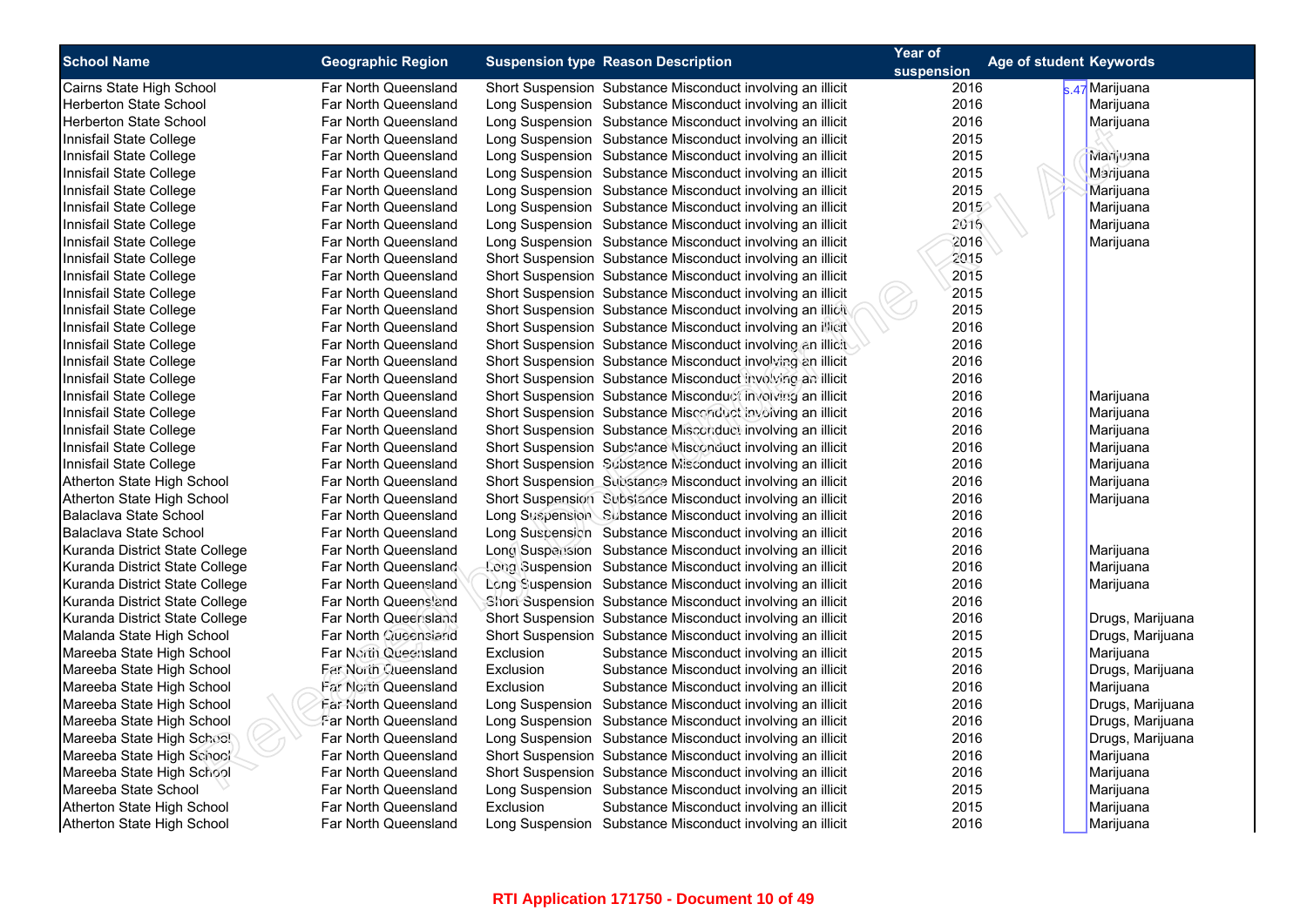| <b>School Name</b>             | <b>Geographic Region</b>    | <b>Suspension type Reason Description</b>                  | Year of    | Age of student Keywords |
|--------------------------------|-----------------------------|------------------------------------------------------------|------------|-------------------------|
|                                |                             |                                                            | suspension |                         |
| Cairns State High School       | Far North Queensland        | Short Suspension Substance Misconduct involving an illicit | 2016       | s.47 Marijuana          |
| <b>Herberton State School</b>  | Far North Queensland        | Long Suspension Substance Misconduct involving an illicit  | 2016       | Marijuana               |
| <b>Herberton State School</b>  | Far North Queensland        | Long Suspension Substance Misconduct involving an illicit  | 2016       | Marijuana               |
| Innisfail State College        | Far North Queensland        | Long Suspension Substance Misconduct involving an illicit  | 2015       |                         |
| Innisfail State College        | Far North Queensland        | Long Suspension Substance Misconduct involving an illicit  | 2015       | Marijuana               |
| Innisfail State College        | Far North Queensland        | Long Suspension Substance Misconduct involving an illicit  | 2015       | Marijuana               |
| Innisfail State College        | Far North Queensland        | Long Suspension Substance Misconduct involving an illicit  | 2015       | Marijuana               |
| Innisfail State College        | Far North Queensland        | Long Suspension Substance Misconduct involving an illicit  | 2015       | Marijuana               |
| Innisfail State College        | Far North Queensland        | Long Suspension Substance Misconduct involving an illicit  | 2016       | Marijuana               |
| Innisfail State College        | Far North Queensland        | Long Suspension Substance Misconduct involving an illicit  | 2016       | Marijuana               |
| Innisfail State College        | Far North Queensland        | Short Suspension Substance Misconduct involving an illicit | 2015       |                         |
| Innisfail State College        | Far North Queensland        | Short Suspension Substance Misconduct involving an illicit | 2015       |                         |
| Innisfail State College        | Far North Queensland        | Short Suspension Substance Misconduct involving an illicit | 2015       |                         |
| Innisfail State College        | Far North Queensland        | Short Suspension Substance Misconduct involving an illicit | 2015       |                         |
| Innisfail State College        | Far North Queensland        | Short Suspension Substance Misconduct involving an illicit | 2016       |                         |
| Innisfail State College        | Far North Queensland        | Short Suspension Substance Misconduct involving an illicit | 2016       |                         |
| Innisfail State College        | Far North Queensland        | Short Suspension Substance Misconduct involving an illicit | 2016       |                         |
| Innisfail State College        | Far North Queensland        | Short Suspension Substance Misconduct involving an illicit | 2016       |                         |
| Innisfail State College        | Far North Queensland        | Short Suspension Substance Misconduct involving an illicit | 2016       | Marijuana               |
| Innisfail State College        | Far North Queensland        | Short Suspension Substance Misconduct involving an illicit | 2016       | Marijuana               |
| Innisfail State College        | Far North Queensland        | Short Suspension Substance Misconduct involving an illicit | 2016       | Marijuana               |
| Innisfail State College        | Far North Queensland        | Short Suspension Substance Misconduct involving an illicit | 2016       | Marijuana               |
| Innisfail State College        | Far North Queensland        | Short Suspension Substance Misconduct involving an illicit | 2016       | Marijuana               |
| Atherton State High School     | Far North Queensland        | Short Suspension Substance Misconduct involving an illicit | 2016       | Marijuana               |
| Atherton State High School     | Far North Queensland        | Short Suspension Substance Misconduct involving an illicit | 2016       | Marijuana               |
| Balaclava State School         | Far North Queensland        | Long Suspension Substance Misconduct involving an illicit  | 2016       |                         |
| Balaclava State School         | Far North Queensland        | Long Suspension Substance Misconduct involving an illicit  | 2016       |                         |
| Kuranda District State College | Far North Queensland        | Long Suspension Substance Misconduct involving an illicit  | 2016       | Marijuana               |
| Kuranda District State College | Far North Queensland        | Long Suspension Substance Misconduct involving an illicit  | 2016       | Marijuana               |
| Kuranda District State College | Far North Queensland        | Long Suspension Substance Misconduct involving an illicit  | 2016       | Marijuana               |
| Kuranda District State College | Far North Queensland        | Short Suspension Substance Misconduct involving an illicit | 2016       |                         |
| Kuranda District State College | Far North Queensland        | Short Suspension Substance Misconduct involving an illicit | 2016       | Drugs, Marijuana        |
| Malanda State High School      | Far North Queensland        | Short Suspension Substance Misconduct involving an illicit | 2015       | Drugs, Marijuana        |
| Mareeba State High School      | Far North Queensland        | Exclusion<br>Substance Misconduct involving an illicit     | 2015       | Marijuana               |
| Mareeba State High School      | Far North Queensland        | Exclusion<br>Substance Misconduct involving an illicit     | 2016       | Drugs, Marijuana        |
| Mareeba State High School      | <b>Far North Queensland</b> | Exclusion<br>Substance Misconduct involving an illicit     | 2016       | Marijuana               |
| Mareeba State High School      | <b>Far North Queensland</b> | Long Suspension Substance Misconduct involving an illicit  | 2016       | Drugs, Marijuana        |
| Mareeba State High School      | Far North Queensland        | Long Suspension Substance Misconduct involving an illicit  | 2016       | Drugs, Marijuana        |
| Mareeba State High School      | Far North Queensland        | Long Suspension Substance Misconduct involving an illicit  | 2016       | Drugs, Marijuana        |
| Mareeba State High School      | Far North Queensland        | Short Suspension Substance Misconduct involving an illicit | 2016       | Marijuana               |
| Mareeba State High School      | Far North Queensland        | Short Suspension Substance Misconduct involving an illicit | 2016       | Marijuana               |
| Mareeba State School           | Far North Queensland        | Long Suspension Substance Misconduct involving an illicit  | 2015       | Marijuana               |
| Atherton State High School     | <b>Far North Queensland</b> | Exclusion<br>Substance Misconduct involving an illicit     | 2015       | Marijuana               |
| Atherton State High School     | Far North Queensland        | Long Suspension Substance Misconduct involving an illicit  | 2016       | Marijuana               |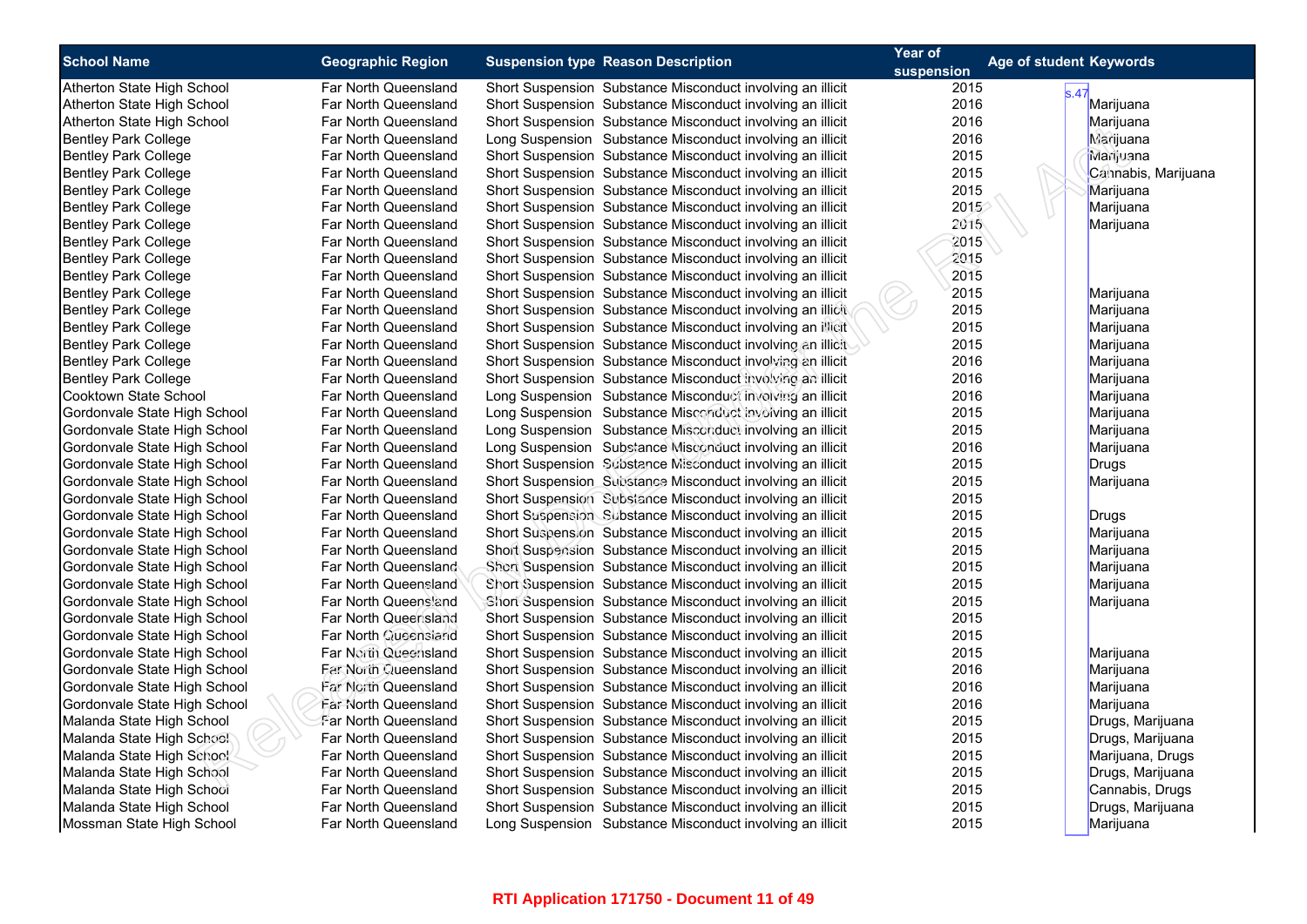| <b>School Name</b>           | <b>Geographic Region</b>    | <b>Suspension type Reason Description</b>                  | Year of    | Age of student Keywords |
|------------------------------|-----------------------------|------------------------------------------------------------|------------|-------------------------|
|                              |                             |                                                            | suspension |                         |
| Atherton State High School   | Far North Queensland        | Short Suspension Substance Misconduct involving an illicit | 2015       | s.47                    |
| Atherton State High School   | Far North Queensland        | Short Suspension Substance Misconduct involving an illicit | 2016       | Marijuana               |
| Atherton State High School   | Far North Queensland        | Short Suspension Substance Misconduct involving an illicit | 2016       | Marijuana               |
| <b>Bentley Park College</b>  | Far North Queensland        | Long Suspension Substance Misconduct involving an illicit  | 2016       | Marijuana               |
| <b>Bentley Park College</b>  | Far North Queensland        | Short Suspension Substance Misconduct involving an illicit | 2015       | Marijuana               |
| <b>Bentley Park College</b>  | Far North Queensland        | Short Suspension Substance Misconduct involving an illicit | 2015       | Cannabis, Marijuana     |
| <b>Bentley Park College</b>  | Far North Queensland        | Short Suspension Substance Misconduct involving an illicit | 2015       | Marijuana               |
| <b>Bentley Park College</b>  | Far North Queensland        | Short Suspension Substance Misconduct involving an illicit | 2015       | Marijuana               |
| <b>Bentley Park College</b>  | Far North Queensland        | Short Suspension Substance Misconduct involving an illicit | 2015       | Marijuana               |
| <b>Bentley Park College</b>  | Far North Queensland        | Short Suspension Substance Misconduct involving an illicit | 2015       |                         |
| <b>Bentley Park College</b>  | Far North Queensland        | Short Suspension Substance Misconduct involving an illicit | 2015       |                         |
| <b>Bentley Park College</b>  | Far North Queensland        | Short Suspension Substance Misconduct involving an illicit | 2015       |                         |
| <b>Bentley Park College</b>  | Far North Queensland        | Short Suspension Substance Misconduct involving an illicit | 2015       | Marijuana               |
| <b>Bentley Park College</b>  | Far North Queensland        | Short Suspension Substance Misconduct involving an illicit | 2015       | Marijuana               |
| <b>Bentley Park College</b>  | Far North Queensland        | Short Suspension Substance Misconduct involving an illicit | 2015       | Marijuana               |
| <b>Bentley Park College</b>  | Far North Queensland        | Short Suspension Substance Misconduct involving an illicit | 2015       | Marijuana               |
| <b>Bentley Park College</b>  | Far North Queensland        | Short Suspension Substance Misconduct involving an illicit | 2016       | Marijuana               |
| <b>Bentley Park College</b>  | Far North Queensland        | Short Suspension Substance Misconduct involving an illicit | 2016       | Marijuana               |
| Cooktown State School        | Far North Queensland        | Long Suspension Substance Misconduct involving an illicit  | 2016       | Marijuana               |
| Gordonvale State High School | Far North Queensland        | Long Suspension Substance Misconduct involving an illicit  | 2015       | Marijuana               |
| Gordonvale State High School | Far North Queensland        | Long Suspension Substance Misconduct involving an illicit  | 2015       | Marijuana               |
| Gordonvale State High School | Far North Queensland        | Long Suspension Substance Misconduct involving an illicit  | 2016       | Marijuana               |
| Gordonvale State High School | Far North Queensland        | Short Suspension Substance Misconduct involving an illicit | 2015       | Drugs                   |
| Gordonvale State High School | Far North Queensland        | Short Suspension Substance Misconduct involving an illicit | 2015       | Marijuana               |
| Gordonvale State High School | Far North Queensland        | Short Suspension Substance Misconduct involving an illicit | 2015       |                         |
| Gordonvale State High School | Far North Queensland        | Short Suspension Substance Misconduct involving an illicit | 2015       | Drugs                   |
| Gordonvale State High School | Far North Queensland        | Short Suspension Substance Misconduct involving an illicit | 2015       | Marijuana               |
| Gordonvale State High School | Far North Queensland        | Short Suspension Substance Misconduct involving an illicit | 2015       | Marijuana               |
| Gordonvale State High School | Far North Queensland        | Short Suspension Substance Misconduct involving an illicit | 2015       | Marijuana               |
| Gordonvale State High School | Far North Queensland        | Short Suspension Substance Misconduct involving an illicit | 2015       | Marijuana               |
| Gordonvale State High School | Far North Queensland        | Short Suspension Substance Misconduct involving an illicit | 2015       | Marijuana               |
| Gordonvale State High School | Far North Queensland        | Short Suspension Substance Misconduct involving an illicit | 2015       |                         |
| Gordonvale State High School | Far North Queensland        | Short Suspension Substance Misconduct involving an illicit | 2015       |                         |
| Gordonvale State High School | Far North Queensland        | Short Suspension Substance Misconduct involving an illicit | 2015       | Marijuana               |
| Gordonvale State High School | Far North Queensland        | Short Suspension Substance Misconduct involving an illicit | 2016       | Marijuana               |
| Gordonvale State High School | <b>Far North Queensland</b> | Short Suspension Substance Misconduct involving an illicit | 2016       | Marijuana               |
| Gordonvale State High School | Far North Queensland        | Short Suspension Substance Misconduct involving an illicit | 2016       | Marijuana               |
| Malanda State High School    | Far North Queensland        | Short Suspension Substance Misconduct involving an illicit | 2015       | Drugs, Marijuana        |
| Malanda State High School    | Far North Queensland        | Short Suspension Substance Misconduct involving an illicit | 2015       | Drugs, Marijuana        |
| Malanda State High School    | Far North Queensland        | Short Suspension Substance Misconduct involving an illicit | 2015       | Marijuana, Drugs        |
| Malanda State High School    | Far North Queensland        | Short Suspension Substance Misconduct involving an illicit | 2015       | Drugs, Marijuana        |
| Malanda State High School    | Far North Queensland        | Short Suspension Substance Misconduct involving an illicit | 2015       | Cannabis, Drugs         |
| Malanda State High School    | Far North Queensland        | Short Suspension Substance Misconduct involving an illicit | 2015       | Drugs, Marijuana        |
| Mossman State High School    | Far North Queensland        | Long Suspension Substance Misconduct involving an illicit  | 2015       | Marijuana               |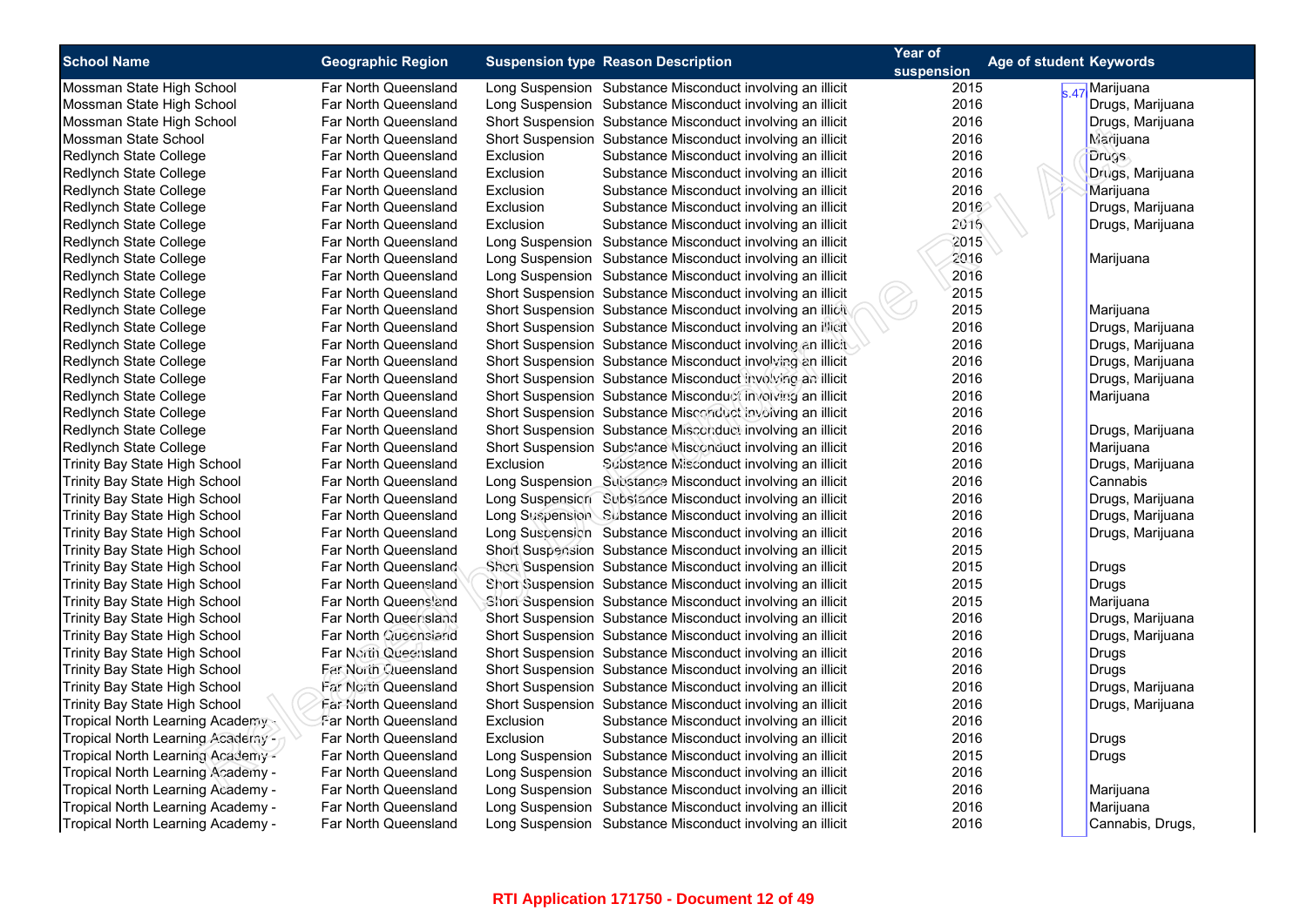| <b>School Name</b>                | <b>Geographic Region</b>          | <b>Suspension type Reason Description</b>                  | Year of    | <b>Age of student Keywords</b> |                  |
|-----------------------------------|-----------------------------------|------------------------------------------------------------|------------|--------------------------------|------------------|
|                                   |                                   |                                                            | suspension |                                |                  |
| Mossman State High School         | Far North Queensland              | Long Suspension Substance Misconduct involving an illicit  | 2015       |                                | s.47 Marijuana   |
| Mossman State High School         | Far North Queensland              | Long Suspension Substance Misconduct involving an illicit  | 2016       |                                | Drugs, Marijuana |
| Mossman State High School         | Far North Queensland              | Short Suspension Substance Misconduct involving an illicit | 2016       |                                | Drugs, Marijuana |
| Mossman State School              | Far North Queensland              | Short Suspension Substance Misconduct involving an illicit | 2016       |                                | <b>Marijuana</b> |
| Redlynch State College            | Far North Queensland<br>Exclusion | Substance Misconduct involving an illicit                  | 2016       |                                | <b>Drugs</b>     |
| Redlynch State College            | Exclusion<br>Far North Queensland | Substance Misconduct involving an illicit                  | 2016       |                                | Drugs, Marijuana |
| Redlynch State College            | Far North Queensland<br>Exclusion | Substance Misconduct involving an illicit                  | 2016       |                                | Marijuana        |
| Redlynch State College            | Exclusion<br>Far North Queensland | Substance Misconduct involving an illicit                  | 2016       |                                | Drugs, Marijuana |
| Redlynch State College            | Far North Queensland<br>Exclusion | Substance Misconduct involving an illicit                  | 2016       |                                | Drugs, Marijuana |
| Redlynch State College            | Far North Queensland              | Long Suspension Substance Misconduct involving an illicit  | 2015       |                                |                  |
| Redlynch State College            | Far North Queensland              | Long Suspension Substance Misconduct involving an illicit  | 2016       |                                | Marijuana        |
| Redlynch State College            | Far North Queensland              | Long Suspension Substance Misconduct involving an illicit  | 2016       |                                |                  |
| Redlynch State College            | Far North Queensland              | Short Suspension Substance Misconduct involving an illicit | 2015       |                                |                  |
| Redlynch State College            | Far North Queensland              | Short Suspension Substance Misconduct involving an illicit | 2015       |                                | Marijuana        |
| Redlynch State College            | Far North Queensland              | Short Suspension Substance Misconduct involving an illicit | 2016       |                                | Drugs, Marijuana |
| Redlynch State College            | Far North Queensland              | Short Suspension Substance Misconduct involving an illicit | 2016       |                                | Drugs, Marijuana |
| Redlynch State College            | Far North Queensland              | Short Suspension Substance Misconduct involving an illicit | 2016       |                                | Drugs, Marijuana |
| Redlynch State College            | Far North Queensland              | Short Suspension Substance Misconduct involving an illicit | 2016       |                                | Drugs, Marijuana |
| Redlynch State College            | Far North Queensland              | Short Suspension Substance Misconduct involving an illicit | 2016       |                                | Marijuana        |
| Redlynch State College            | Far North Queensland              | Short Suspension Substance Misconduct involving an illicit | 2016       |                                |                  |
| Redlynch State College            | Far North Queensland              | Short Suspension Substance Misconduct involving an illicit | 2016       |                                | Drugs, Marijuana |
| Redlynch State College            | Far North Queensland              | Short Suspension Substance Misconduct involving an illicit | 2016       |                                | Marijuana        |
| Trinity Bay State High School     | Far North Queensland<br>Exclusion | Substance Misconduct involving an illicit                  | 2016       |                                | Drugs, Marijuana |
| Trinity Bay State High School     | Far North Queensland              | Long Suspension Substance Misconduct involving an illicit  | 2016       |                                | Cannabis         |
| Trinity Bay State High School     | Far North Queensland              | Long Suspension Substance Misconduct involving an illicit  | 2016       |                                | Drugs, Marijuana |
| Trinity Bay State High School     | Far North Queensland              | Long Suspension Substance Misconduct involving an illicit  | 2016       |                                | Drugs, Marijuana |
| Trinity Bay State High School     | Far North Queensland              | Long Suspension Substance Misconduct involving an illicit  | 2016       |                                | Drugs, Marijuana |
| Trinity Bay State High School     | Far North Queensland              | Short Suspension Substance Misconduct involving an illicit | 2015       |                                |                  |
| Trinity Bay State High School     | Far North Queensland              | Short Suspension Substance Misconduct involving an illicit | 2015       |                                | <b>Drugs</b>     |
| Trinity Bay State High School     | Far North Queensland              | Short Suspension Substance Misconduct involving an illicit | 2015       |                                | <b>Drugs</b>     |
| Trinity Bay State High School     | Far North Queensland              | Short Suspension Substance Misconduct involving an illicit | 2015       |                                | Marijuana        |
| Trinity Bay State High School     | Far North Queensland              | Short Suspension Substance Misconduct involving an illicit | 2016       |                                | Drugs, Marijuana |
| Trinity Bay State High School     | Far North Queensland              | Short Suspension Substance Misconduct involving an illicit | 2016       |                                | Drugs, Marijuana |
| Trinity Bay State High School     | Far North Queensland              | Short Suspension Substance Misconduct involving an illicit | 2016       |                                | <b>Drugs</b>     |
| Trinity Bay State High School     | Far North Queensland              | Short Suspension Substance Misconduct involving an illicit | 2016       |                                | Drugs            |
| Trinity Bay State High School     | Far North Queensland              | Short Suspension Substance Misconduct involving an illicit | 2016       |                                | Drugs, Marijuana |
| Trinity Bay State High School     | Far North Queensland              | Short Suspension Substance Misconduct involving an illicit | 2016       |                                | Drugs, Marijuana |
| Tropical North Learning Academy   | Far North Queensland<br>Exclusion | Substance Misconduct involving an illicit                  | 2016       |                                |                  |
| Tropical North Learning Academy - | Far North Queensland<br>Exclusion | Substance Misconduct involving an illicit                  | 2016       |                                | <b>Drugs</b>     |
| Tropical North Learning Academy - | Far North Queensland              | Long Suspension Substance Misconduct involving an illicit  | 2015       |                                | Drugs            |
| Tropical North Learning Academy - | Far North Queensland              | Long Suspension Substance Misconduct involving an illicit  | 2016       |                                |                  |
| Tropical North Learning Academy - | Far North Queensland              | Long Suspension Substance Misconduct involving an illicit  | 2016       |                                | Marijuana        |
| Tropical North Learning Academy - | Far North Queensland              | Long Suspension Substance Misconduct involving an illicit  | 2016       |                                | Marijuana        |
| Tropical North Learning Academy - | Far North Queensland              | Long Suspension Substance Misconduct involving an illicit  | 2016       |                                | Cannabis, Drugs, |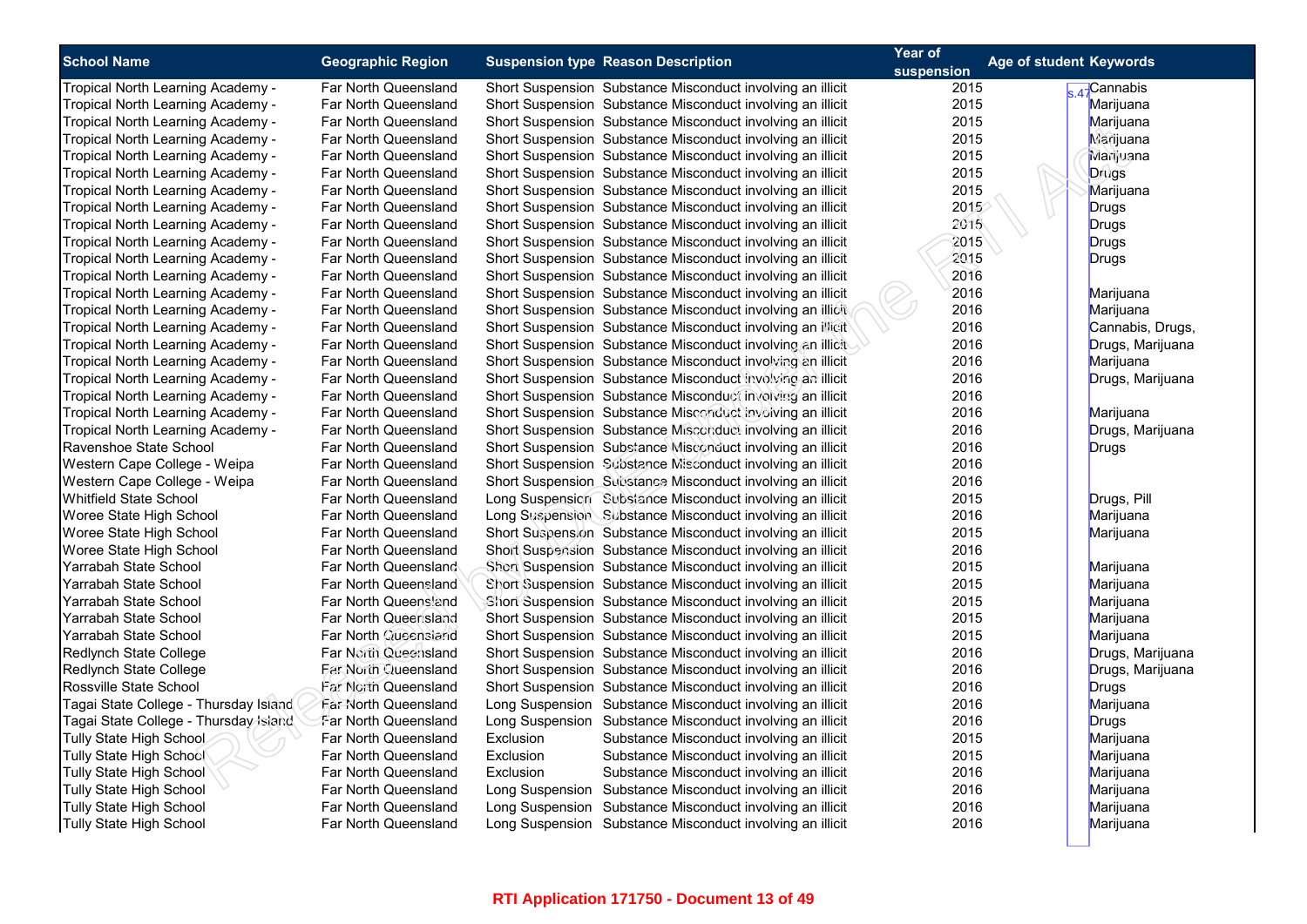| <b>School Name</b>                    | <b>Geographic Region</b>    | <b>Suspension type Reason Description</b>                  | Year of<br>suspension | Age of student Keywords |
|---------------------------------------|-----------------------------|------------------------------------------------------------|-----------------------|-------------------------|
| Tropical North Learning Academy -     | Far North Queensland        | Short Suspension Substance Misconduct involving an illicit | 2015                  | 47 Cannabis             |
| Tropical North Learning Academy -     | Far North Queensland        | Short Suspension Substance Misconduct involving an illicit | 2015                  | Marijuana               |
| Tropical North Learning Academy -     | Far North Queensland        | Short Suspension Substance Misconduct involving an illicit | 2015                  | Marijuana               |
| Tropical North Learning Academy -     | Far North Queensland        | Short Suspension Substance Misconduct involving an illicit | 2015                  | <b>Marijuana</b>        |
| Tropical North Learning Academy -     | Far North Queensland        | Short Suspension Substance Misconduct involving an illicit | 2015                  | Marijuana               |
| Tropical North Learning Academy -     | Far North Queensland        | Short Suspension Substance Misconduct involving an illicit | 2015                  | <b>Drugs</b>            |
| Tropical North Learning Academy -     | Far North Queensland        | Short Suspension Substance Misconduct involving an illicit | 2015                  | Marijuana               |
| Tropical North Learning Academy -     | Far North Queensland        | Short Suspension Substance Misconduct involving an illicit | 2015                  | Drugs                   |
| Tropical North Learning Academy -     | Far North Queensland        | Short Suspension Substance Misconduct involving an illicit | 2015                  | <b>Drugs</b>            |
| Tropical North Learning Academy -     | Far North Queensland        | Short Suspension Substance Misconduct involving an illicit | 2015                  | Drugs                   |
| Tropical North Learning Academy -     | Far North Queensland        | Short Suspension Substance Misconduct involving an illicit | 2015                  | <b>Drugs</b>            |
| Tropical North Learning Academy -     | Far North Queensland        | Short Suspension Substance Misconduct involving an illicit | 2016                  |                         |
| Tropical North Learning Academy -     | Far North Queensland        | Short Suspension Substance Misconduct involving an illicit | 2016                  | Marijuana               |
| Tropical North Learning Academy -     | Far North Queensland        | Short Suspension Substance Misconduct involving an illicit | 2016                  | Marijuana               |
| Tropical North Learning Academy -     | Far North Queensland        | Short Suspension Substance Misconduct involving an illicit | 2016                  | Cannabis, Drugs,        |
| Tropical North Learning Academy -     | Far North Queensland        | Short Suspension Substance Misconduct involving an illicit | 2016                  | Drugs, Marijuana        |
| Tropical North Learning Academy -     | Far North Queensland        | Short Suspension Substance Misconduct involving an illicit | 2016                  | Marijuana               |
| Tropical North Learning Academy -     | Far North Queensland        | Short Suspension Substance Misconduct involving an illicit | 2016                  | Drugs, Marijuana        |
| Tropical North Learning Academy -     | Far North Queensland        | Short Suspension Substance Misconduct involving an illicit | 2016                  |                         |
| Tropical North Learning Academy -     | Far North Queensland        | Short Suspension Substance Misconduct involving an illicit | 2016                  | Marijuana               |
| Tropical North Learning Academy -     | Far North Queensland        | Short Suspension Substance Misconduct involving an illicit | 2016                  | Drugs, Marijuana        |
| Ravenshoe State School                | Far North Queensland        | Short Suspension Substance Misconduct involving an illicit | 2016                  | <b>Drugs</b>            |
| Western Cape College - Weipa          | Far North Queensland        | Short Suspension Substance Misconduct involving an illicit | 2016                  |                         |
| Western Cape College - Weipa          | Far North Queensland        | Short Suspension Substance Misconduct involving an illicit | 2016                  |                         |
| <b>Whitfield State School</b>         | Far North Queensland        | Long Suspension Substance Misconduct involving an illicit  | 2015                  | Drugs, Pill             |
| Woree State High School               | Far North Queensland        | Long Suspension Substance Misconduct involving an illicit  | 2016                  | Marijuana               |
| Woree State High School               | Far North Queensland        | Short Suspension Substance Misconduct involving an illicit | 2015                  | Marijuana               |
| Woree State High School               | Far North Queensland        | Short Suspension Substance Misconduct involving an illicit | 2016                  |                         |
| Yarrabah State School                 | Far North Queensland        | Short Suspension Substance Misconduct involving an illicit | 2015                  | Marijuana               |
| Yarrabah State School                 | Far North Queensland        | Short Suspension Substance Misconduct involving an illicit | 2015                  | Marijuana               |
| Yarrabah State School                 | Far North Queensland        | Short Suspension Substance Misconduct involving an illicit | 2015                  | Marijuana               |
| Yarrabah State School                 | Far North Queensland        | Short Suspension Substance Misconduct involving an illicit | 2015                  | Marijuana               |
| Yarrabah State School                 | Far North Queensland        | Short Suspension Substance Misconduct involving an illicit | 2015                  | Marijuana               |
| Redlynch State College                | Far North Queensland        | Short Suspension Substance Misconduct involving an illicit | 2016                  | Drugs, Marijuana        |
| Redlynch State College                | Far North Queensland        | Short Suspension Substance Misconduct involving an illicit | 2016                  | Drugs, Marijuana        |
| Rossville State School                | Far North Queensland        | Short Suspension Substance Misconduct involving an illicit | 2016                  | <b>Drugs</b>            |
| Tagai State College - Thursday Island | <b>Far North Queensland</b> | Long Suspension Substance Misconduct involving an illicit  | 2016                  | Marijuana               |
| Tagai State College - Thursday Island | Far North Queensland        | Long Suspension Substance Misconduct involving an illicit  | 2016                  | Drugs                   |
| Tully State High School               | Far North Queensland        | Exclusion<br>Substance Misconduct involving an illicit     | 2015                  | Marijuana               |
| Tully State High School               | Far North Queensland        | Exclusion<br>Substance Misconduct involving an illicit     | 2015                  | Marijuana               |
| Tully State High School               | Far North Queensland        | Exclusion<br>Substance Misconduct involving an illicit     | 2016                  | Marijuana               |
| <b>Tully State High School</b>        | Far North Queensland        | Long Suspension Substance Misconduct involving an illicit  | 2016                  | Marijuana               |
| Tully State High School               | Far North Queensland        | Long Suspension Substance Misconduct involving an illicit  | 2016                  | Marijuana               |
| Tully State High School               | Far North Queensland        | Long Suspension Substance Misconduct involving an illicit  | 2016                  | Marijuana               |
|                                       |                             |                                                            |                       |                         |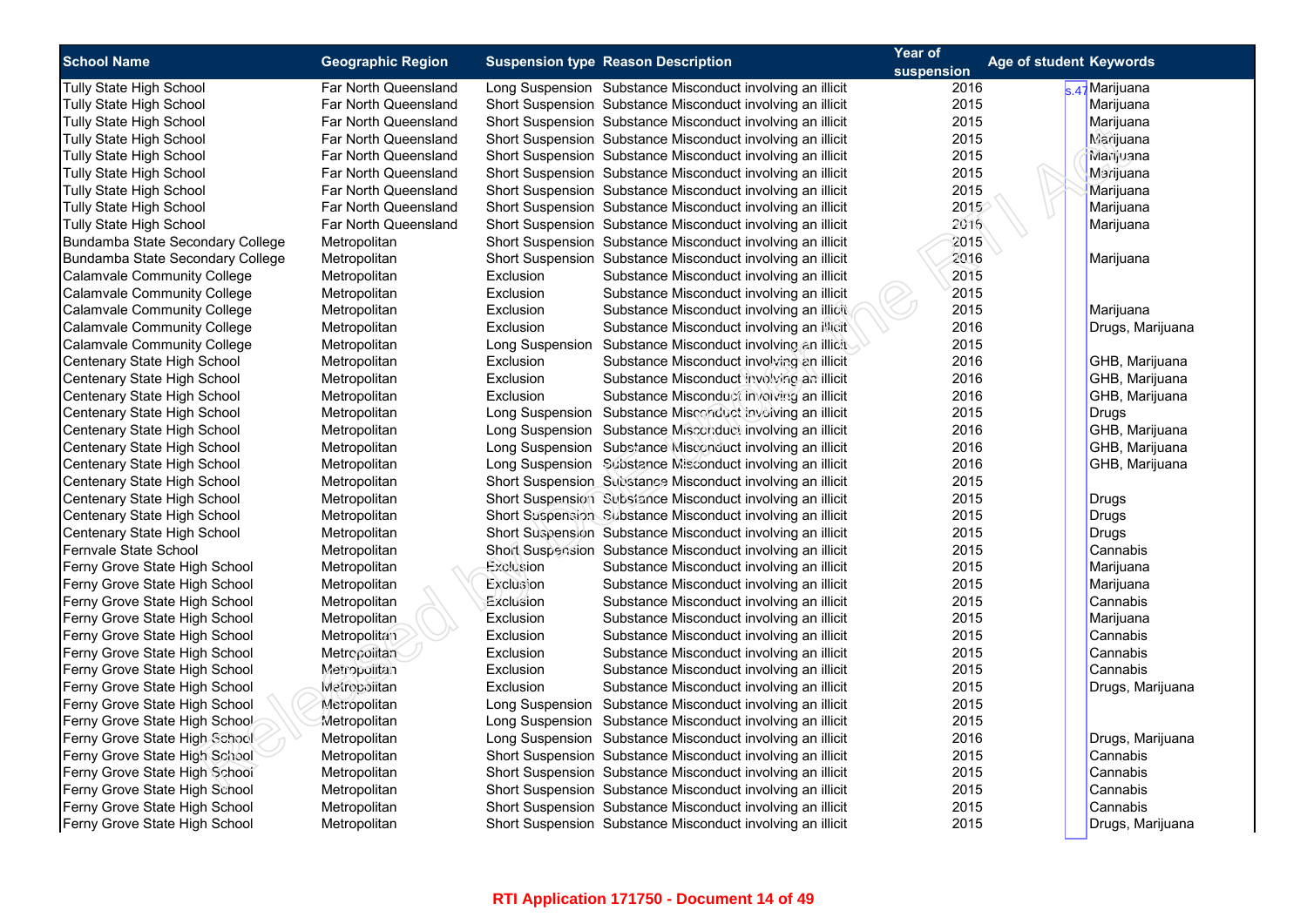| <b>School Name</b>                 |                          |           | <b>Suspension type Reason Description</b>                  | Year of    | Age of student Keywords |  |
|------------------------------------|--------------------------|-----------|------------------------------------------------------------|------------|-------------------------|--|
|                                    | <b>Geographic Region</b> |           |                                                            | suspension |                         |  |
| Tully State High School            | Far North Queensland     |           | Long Suspension Substance Misconduct involving an illicit  | 2016       | k 47 Marijuana          |  |
| <b>Tully State High School</b>     | Far North Queensland     |           | Short Suspension Substance Misconduct involving an illicit | 2015       | Marijuana               |  |
| Tully State High School            | Far North Queensland     |           | Short Suspension Substance Misconduct involving an illicit | 2015       | Marijuana               |  |
| Tully State High School            | Far North Queensland     |           | Short Suspension Substance Misconduct involving an illicit | 2015       | Marijuana               |  |
| <b>Tully State High School</b>     | Far North Queensland     |           | Short Suspension Substance Misconduct involving an illicit | 2015       | Marijuana               |  |
| Tully State High School            | Far North Queensland     |           | Short Suspension Substance Misconduct involving an illicit | 2015       | Marijuana               |  |
| <b>Tully State High School</b>     | Far North Queensland     |           | Short Suspension Substance Misconduct involving an illicit | 2015       | Marijuana               |  |
| Tully State High School            | Far North Queensland     |           | Short Suspension Substance Misconduct involving an illicit | 2015       | Marijuana               |  |
| Tully State High School            | Far North Queensland     |           | Short Suspension Substance Misconduct involving an illicit | 2016       | Marijuana               |  |
| Bundamba State Secondary College   | Metropolitan             |           | Short Suspension Substance Misconduct involving an illicit | 2015       |                         |  |
| Bundamba State Secondary College   | Metropolitan             |           | Short Suspension Substance Misconduct involving an illicit | 2016       | Marijuana               |  |
| Calamvale Community College        | Metropolitan             | Exclusion | Substance Misconduct involving an illicit                  | 2015       |                         |  |
| Calamvale Community College        | Metropolitan             | Exclusion | Substance Misconduct involving an illicit                  | 2015       |                         |  |
| Calamvale Community College        | Metropolitan             | Exclusion | Substance Misconduct involving an illicit                  | 2015       | Marijuana               |  |
| <b>Calamvale Community College</b> | Metropolitan             | Exclusion | Substance Misconduct involving an illicit                  | 2016       | Drugs, Marijuana        |  |
| Calamvale Community College        | Metropolitan             |           | Long Suspension Substance Misconduct involving an illicit  | 2015       |                         |  |
| Centenary State High School        | Metropolitan             | Exclusion | Substance Misconduct involving an illicit                  | 2016       | GHB, Marijuana          |  |
| Centenary State High School        | Metropolitan             | Exclusion | Substance Misconduct involving an illicit                  | 2016       | GHB, Marijuana          |  |
| Centenary State High School        | Metropolitan             | Exclusion | Substance Misconduct involving an illicit                  | 2016       | GHB, Marijuana          |  |
| Centenary State High School        | Metropolitan             |           | Long Suspension Substance Misconduct involving an illicit  | 2015       | <b>Drugs</b>            |  |
| Centenary State High School        | Metropolitan             |           | Long Suspension Substance Misconduct involving an illicit  | 2016       | GHB, Marijuana          |  |
| Centenary State High School        | Metropolitan             |           | Long Suspension Substance Misconduct involving an illicit  | 2016       | GHB, Marijuana          |  |
| Centenary State High School        | Metropolitan             |           | Long Suspension Substance Misconduct involving an illicit  | 2016       | GHB, Marijuana          |  |
| Centenary State High School        | Metropolitan             |           | Short Suspension Substance Misconduct involving an illicit | 2015       |                         |  |
| Centenary State High School        | Metropolitan             |           | Short Suspension Substance Misconduct involving an illicit | 2015       | <b>Drugs</b>            |  |
| Centenary State High School        | Metropolitan             |           | Short Suspension Substance Misconduct involving an illicit | 2015       | Drugs                   |  |
| Centenary State High School        | Metropolitan             |           | Short Suspension Substance Misconduct involving an illicit | 2015       | Drugs                   |  |
| Fernyale State School              | Metropolitan             |           | Short Suspension Substance Misconduct involving an illicit | 2015       | Cannabis                |  |
| Ferny Grove State High School      | Metropolitan             | Exclusion | Substance Misconduct involving an illicit                  | 2015       | Marijuana               |  |
| Ferny Grove State High School      | Metropolitan             | Exclusion | Substance Misconduct involving an illicit                  | 2015       | Marijuana               |  |
| Ferny Grove State High School      | Metropolitan             | Exclusion | Substance Misconduct involving an illicit                  | 2015       | Cannabis                |  |
| Ferny Grove State High School      | Metropolitan             | Exclusion | Substance Misconduct involving an illicit                  | 2015       | Marijuana               |  |
| Ferny Grove State High School      | Metropolitan             | Exclusion | Substance Misconduct involving an illicit                  | 2015       | Cannabis                |  |
| Ferny Grove State High School      | Metropolitan             | Exclusion | Substance Misconduct involving an illicit                  | 2015       | Cannabis                |  |
| Ferny Grove State High School      | Metropolitan             | Exclusion | Substance Misconduct involving an illicit                  | 2015       | Cannabis                |  |
| Ferny Grove State High School      | Metrocolitan             | Exclusion | Substance Misconduct involving an illicit                  | 2015       | Drugs, Marijuana        |  |
| Ferny Grove State High School      | Metropolitan             |           | Long Suspension Substance Misconduct involving an illicit  | 2015       |                         |  |
| Ferny Grove State High School      | Metropolitan             |           | Long Suspension Substance Misconduct involving an illicit  | 2015       |                         |  |
| Ferny Grove State High School      | Metropolitan             |           | Long Suspension Substance Misconduct involving an illicit  | 2016       | Drugs, Marijuana        |  |
| Ferny Grove State High School      | Metropolitan             |           | Short Suspension Substance Misconduct involving an illicit | 2015       | Cannabis                |  |
| Ferny Grove State High School      | Metropolitan             |           | Short Suspension Substance Misconduct involving an illicit | 2015       | Cannabis                |  |
| Ferny Grove State High School      | Metropolitan             |           | Short Suspension Substance Misconduct involving an illicit | 2015       | Cannabis                |  |
| Ferny Grove State High School      | Metropolitan             |           | Short Suspension Substance Misconduct involving an illicit | 2015       | Cannabis                |  |
| Ferny Grove State High School      | Metropolitan             |           | Short Suspension Substance Misconduct involving an illicit | 2015       | Drugs, Marijuana        |  |
|                                    |                          |           |                                                            |            |                         |  |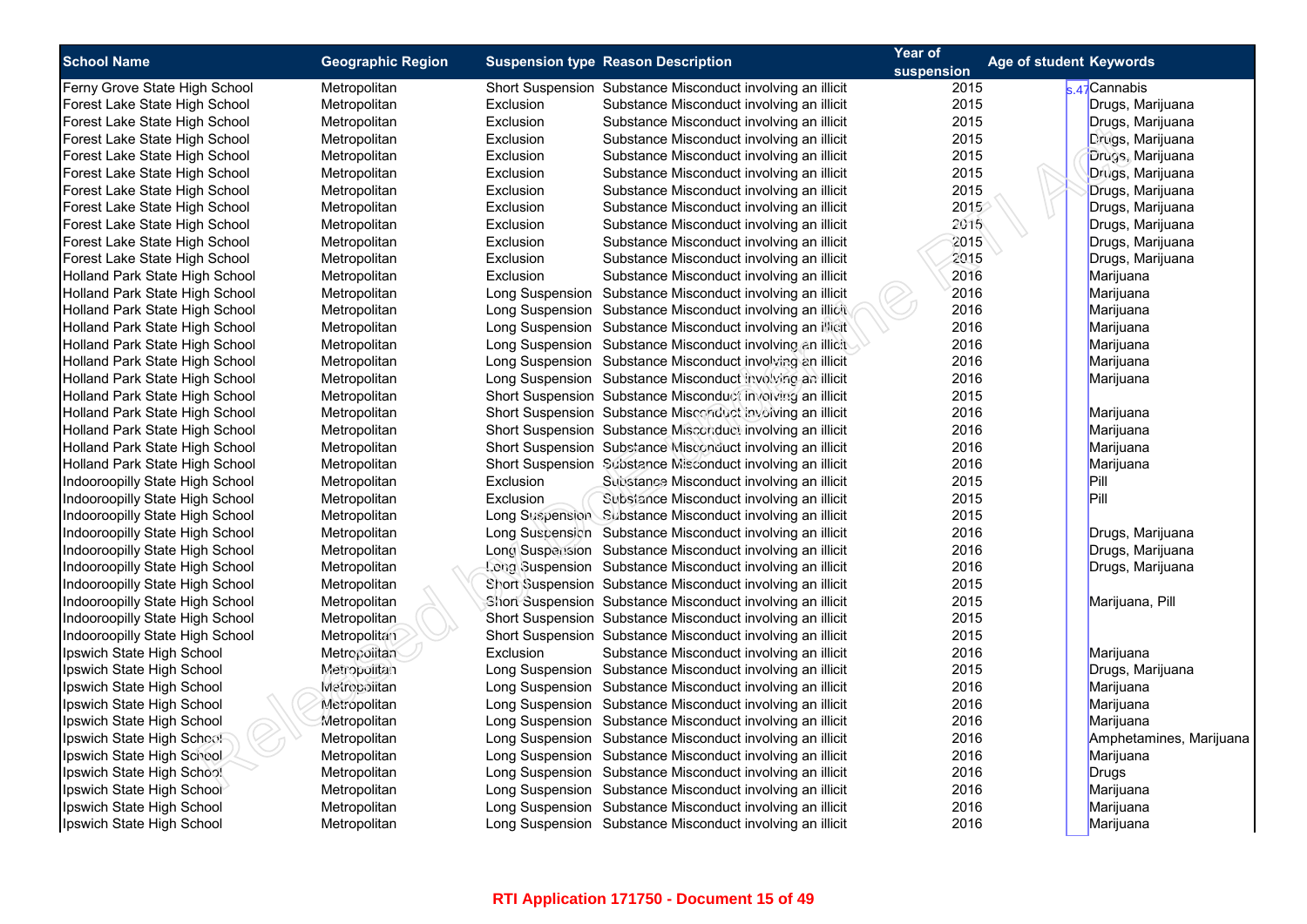|  | Age of student Keywords                                                                                                                                                                |  | Year of                                                                                      |                                                                                                                                                                                                                                                                                                                                                                                                                                                                                                                                                                                                                                                                                                                                                                                                                                                                                                                                                                                                                   |                                           | <b>Geographic Region</b>                                                                                                                                                                                                                                                     | <b>School Name</b>                                                                                                                                                                                                                                                                                                                                                                                                                                                                                                                                  |  |
|--|----------------------------------------------------------------------------------------------------------------------------------------------------------------------------------------|--|----------------------------------------------------------------------------------------------|-------------------------------------------------------------------------------------------------------------------------------------------------------------------------------------------------------------------------------------------------------------------------------------------------------------------------------------------------------------------------------------------------------------------------------------------------------------------------------------------------------------------------------------------------------------------------------------------------------------------------------------------------------------------------------------------------------------------------------------------------------------------------------------------------------------------------------------------------------------------------------------------------------------------------------------------------------------------------------------------------------------------|-------------------------------------------|------------------------------------------------------------------------------------------------------------------------------------------------------------------------------------------------------------------------------------------------------------------------------|-----------------------------------------------------------------------------------------------------------------------------------------------------------------------------------------------------------------------------------------------------------------------------------------------------------------------------------------------------------------------------------------------------------------------------------------------------------------------------------------------------------------------------------------------------|--|
|  |                                                                                                                                                                                        |  | suspension                                                                                   |                                                                                                                                                                                                                                                                                                                                                                                                                                                                                                                                                                                                                                                                                                                                                                                                                                                                                                                                                                                                                   | <b>Suspension type Reason Description</b> |                                                                                                                                                                                                                                                                              |                                                                                                                                                                                                                                                                                                                                                                                                                                                                                                                                                     |  |
|  | k 47 <sup>†</sup> Cannabis                                                                                                                                                             |  | 2015                                                                                         | Short Suspension Substance Misconduct involving an illicit                                                                                                                                                                                                                                                                                                                                                                                                                                                                                                                                                                                                                                                                                                                                                                                                                                                                                                                                                        |                                           | Metropolitan                                                                                                                                                                                                                                                                 | Ferny Grove State High School                                                                                                                                                                                                                                                                                                                                                                                                                                                                                                                       |  |
|  | Drugs, Marijuana                                                                                                                                                                       |  | 2015                                                                                         | Substance Misconduct involving an illicit                                                                                                                                                                                                                                                                                                                                                                                                                                                                                                                                                                                                                                                                                                                                                                                                                                                                                                                                                                         | Exclusion                                 | Metropolitan                                                                                                                                                                                                                                                                 | Forest Lake State High School                                                                                                                                                                                                                                                                                                                                                                                                                                                                                                                       |  |
|  | Drugs, Marijuana                                                                                                                                                                       |  | 2015                                                                                         | Substance Misconduct involving an illicit                                                                                                                                                                                                                                                                                                                                                                                                                                                                                                                                                                                                                                                                                                                                                                                                                                                                                                                                                                         | Exclusion                                 | Metropolitan                                                                                                                                                                                                                                                                 | Forest Lake State High School                                                                                                                                                                                                                                                                                                                                                                                                                                                                                                                       |  |
|  | Drugs, Marijuana                                                                                                                                                                       |  | 2015                                                                                         | Substance Misconduct involving an illicit                                                                                                                                                                                                                                                                                                                                                                                                                                                                                                                                                                                                                                                                                                                                                                                                                                                                                                                                                                         | Exclusion                                 | Metropolitan                                                                                                                                                                                                                                                                 | Forest Lake State High School                                                                                                                                                                                                                                                                                                                                                                                                                                                                                                                       |  |
|  | Drugs, Marijuana                                                                                                                                                                       |  | 2015                                                                                         | Substance Misconduct involving an illicit                                                                                                                                                                                                                                                                                                                                                                                                                                                                                                                                                                                                                                                                                                                                                                                                                                                                                                                                                                         | Exclusion                                 | Metropolitan                                                                                                                                                                                                                                                                 | Forest Lake State High School                                                                                                                                                                                                                                                                                                                                                                                                                                                                                                                       |  |
|  | Drugs, Marijuana                                                                                                                                                                       |  | 2015                                                                                         | Substance Misconduct involving an illicit                                                                                                                                                                                                                                                                                                                                                                                                                                                                                                                                                                                                                                                                                                                                                                                                                                                                                                                                                                         | Exclusion                                 | Metropolitan                                                                                                                                                                                                                                                                 | Forest Lake State High School                                                                                                                                                                                                                                                                                                                                                                                                                                                                                                                       |  |
|  | Drugs, Marijuana                                                                                                                                                                       |  | 2015                                                                                         | Substance Misconduct involving an illicit                                                                                                                                                                                                                                                                                                                                                                                                                                                                                                                                                                                                                                                                                                                                                                                                                                                                                                                                                                         | Exclusion                                 | Metropolitan                                                                                                                                                                                                                                                                 | Forest Lake State High School                                                                                                                                                                                                                                                                                                                                                                                                                                                                                                                       |  |
|  | Drugs, Marijuana                                                                                                                                                                       |  | 2015                                                                                         | Substance Misconduct involving an illicit                                                                                                                                                                                                                                                                                                                                                                                                                                                                                                                                                                                                                                                                                                                                                                                                                                                                                                                                                                         | Exclusion                                 | Metropolitan                                                                                                                                                                                                                                                                 | Forest Lake State High School                                                                                                                                                                                                                                                                                                                                                                                                                                                                                                                       |  |
|  | Drugs, Marijuana                                                                                                                                                                       |  | 2015                                                                                         | Substance Misconduct involving an illicit                                                                                                                                                                                                                                                                                                                                                                                                                                                                                                                                                                                                                                                                                                                                                                                                                                                                                                                                                                         | Exclusion                                 | Metropolitan                                                                                                                                                                                                                                                                 | Forest Lake State High School                                                                                                                                                                                                                                                                                                                                                                                                                                                                                                                       |  |
|  | Drugs, Marijuana                                                                                                                                                                       |  | 2015                                                                                         | Substance Misconduct involving an illicit                                                                                                                                                                                                                                                                                                                                                                                                                                                                                                                                                                                                                                                                                                                                                                                                                                                                                                                                                                         | Exclusion                                 | Metropolitan                                                                                                                                                                                                                                                                 | Forest Lake State High School                                                                                                                                                                                                                                                                                                                                                                                                                                                                                                                       |  |
|  | Drugs, Marijuana                                                                                                                                                                       |  | 2015                                                                                         | Substance Misconduct involving an illicit                                                                                                                                                                                                                                                                                                                                                                                                                                                                                                                                                                                                                                                                                                                                                                                                                                                                                                                                                                         | Exclusion                                 | Metropolitan                                                                                                                                                                                                                                                                 | Forest Lake State High School                                                                                                                                                                                                                                                                                                                                                                                                                                                                                                                       |  |
|  | Marijuana                                                                                                                                                                              |  | 2016                                                                                         | Substance Misconduct involving an illicit                                                                                                                                                                                                                                                                                                                                                                                                                                                                                                                                                                                                                                                                                                                                                                                                                                                                                                                                                                         | Exclusion                                 | Metropolitan                                                                                                                                                                                                                                                                 | Holland Park State High School                                                                                                                                                                                                                                                                                                                                                                                                                                                                                                                      |  |
|  | Marijuana                                                                                                                                                                              |  | 2016                                                                                         | Long Suspension Substance Misconduct involving an illicit                                                                                                                                                                                                                                                                                                                                                                                                                                                                                                                                                                                                                                                                                                                                                                                                                                                                                                                                                         |                                           | Metropolitan                                                                                                                                                                                                                                                                 | Holland Park State High School                                                                                                                                                                                                                                                                                                                                                                                                                                                                                                                      |  |
|  | Marijuana                                                                                                                                                                              |  | 2016                                                                                         | Long Suspension Substance Misconduct involving an illicit                                                                                                                                                                                                                                                                                                                                                                                                                                                                                                                                                                                                                                                                                                                                                                                                                                                                                                                                                         |                                           | Metropolitan                                                                                                                                                                                                                                                                 | Holland Park State High School                                                                                                                                                                                                                                                                                                                                                                                                                                                                                                                      |  |
|  | Marijuana                                                                                                                                                                              |  | 2016                                                                                         | Long Suspension Substance Misconduct involving an illicit                                                                                                                                                                                                                                                                                                                                                                                                                                                                                                                                                                                                                                                                                                                                                                                                                                                                                                                                                         |                                           | Metropolitan                                                                                                                                                                                                                                                                 | Holland Park State High School                                                                                                                                                                                                                                                                                                                                                                                                                                                                                                                      |  |
|  | Marijuana                                                                                                                                                                              |  | 2016                                                                                         | Long Suspension Substance Misconduct involving an illicit                                                                                                                                                                                                                                                                                                                                                                                                                                                                                                                                                                                                                                                                                                                                                                                                                                                                                                                                                         |                                           | Metropolitan                                                                                                                                                                                                                                                                 | Holland Park State High School                                                                                                                                                                                                                                                                                                                                                                                                                                                                                                                      |  |
|  | Marijuana                                                                                                                                                                              |  | 2016                                                                                         | Long Suspension Substance Misconduct involving an illicit                                                                                                                                                                                                                                                                                                                                                                                                                                                                                                                                                                                                                                                                                                                                                                                                                                                                                                                                                         |                                           | Metropolitan                                                                                                                                                                                                                                                                 | Holland Park State High School                                                                                                                                                                                                                                                                                                                                                                                                                                                                                                                      |  |
|  | Marijuana                                                                                                                                                                              |  | 2016                                                                                         | Long Suspension Substance Misconduct involving an illicit                                                                                                                                                                                                                                                                                                                                                                                                                                                                                                                                                                                                                                                                                                                                                                                                                                                                                                                                                         |                                           | Metropolitan                                                                                                                                                                                                                                                                 | Holland Park State High School                                                                                                                                                                                                                                                                                                                                                                                                                                                                                                                      |  |
|  |                                                                                                                                                                                        |  | 2015                                                                                         | Short Suspension Substance Misconduct involving an illicit                                                                                                                                                                                                                                                                                                                                                                                                                                                                                                                                                                                                                                                                                                                                                                                                                                                                                                                                                        |                                           | Metropolitan                                                                                                                                                                                                                                                                 | Holland Park State High School                                                                                                                                                                                                                                                                                                                                                                                                                                                                                                                      |  |
|  | Marijuana                                                                                                                                                                              |  | 2016                                                                                         | Short Suspension Substance Misconduct involving an illicit                                                                                                                                                                                                                                                                                                                                                                                                                                                                                                                                                                                                                                                                                                                                                                                                                                                                                                                                                        |                                           | Metropolitan                                                                                                                                                                                                                                                                 | Holland Park State High School                                                                                                                                                                                                                                                                                                                                                                                                                                                                                                                      |  |
|  | Marijuana                                                                                                                                                                              |  | 2016                                                                                         | Short Suspension Substance Misconduct involving an illicit                                                                                                                                                                                                                                                                                                                                                                                                                                                                                                                                                                                                                                                                                                                                                                                                                                                                                                                                                        |                                           | Metropolitan                                                                                                                                                                                                                                                                 | Holland Park State High School                                                                                                                                                                                                                                                                                                                                                                                                                                                                                                                      |  |
|  | Marijuana                                                                                                                                                                              |  | 2016                                                                                         | Short Suspension Substance Misconduct involving an illicit                                                                                                                                                                                                                                                                                                                                                                                                                                                                                                                                                                                                                                                                                                                                                                                                                                                                                                                                                        |                                           | Metropolitan                                                                                                                                                                                                                                                                 | Holland Park State High School                                                                                                                                                                                                                                                                                                                                                                                                                                                                                                                      |  |
|  |                                                                                                                                                                                        |  | 2016                                                                                         |                                                                                                                                                                                                                                                                                                                                                                                                                                                                                                                                                                                                                                                                                                                                                                                                                                                                                                                                                                                                                   |                                           | Metropolitan                                                                                                                                                                                                                                                                 | Holland Park State High School                                                                                                                                                                                                                                                                                                                                                                                                                                                                                                                      |  |
|  | Pill                                                                                                                                                                                   |  | 2015                                                                                         | Substance Misconduct involving an illicit                                                                                                                                                                                                                                                                                                                                                                                                                                                                                                                                                                                                                                                                                                                                                                                                                                                                                                                                                                         | Exclusion                                 | Metropolitan                                                                                                                                                                                                                                                                 | Indooroopilly State High School                                                                                                                                                                                                                                                                                                                                                                                                                                                                                                                     |  |
|  | Pill                                                                                                                                                                                   |  | 2015                                                                                         | Substance Misconduct involving an illicit                                                                                                                                                                                                                                                                                                                                                                                                                                                                                                                                                                                                                                                                                                                                                                                                                                                                                                                                                                         | Exclusion                                 |                                                                                                                                                                                                                                                                              |                                                                                                                                                                                                                                                                                                                                                                                                                                                                                                                                                     |  |
|  |                                                                                                                                                                                        |  | 2015                                                                                         | Long Suspension Substance Misconduct involving an illicit                                                                                                                                                                                                                                                                                                                                                                                                                                                                                                                                                                                                                                                                                                                                                                                                                                                                                                                                                         |                                           | Metropolitan                                                                                                                                                                                                                                                                 | Indooroopilly State High School                                                                                                                                                                                                                                                                                                                                                                                                                                                                                                                     |  |
|  |                                                                                                                                                                                        |  | 2016                                                                                         |                                                                                                                                                                                                                                                                                                                                                                                                                                                                                                                                                                                                                                                                                                                                                                                                                                                                                                                                                                                                                   |                                           |                                                                                                                                                                                                                                                                              |                                                                                                                                                                                                                                                                                                                                                                                                                                                                                                                                                     |  |
|  | Drugs, Marijuana                                                                                                                                                                       |  | 2016                                                                                         | Long Suspension Substance Misconduct involving an illicit                                                                                                                                                                                                                                                                                                                                                                                                                                                                                                                                                                                                                                                                                                                                                                                                                                                                                                                                                         |                                           | Metropolitan                                                                                                                                                                                                                                                                 | Indooroopilly State High School                                                                                                                                                                                                                                                                                                                                                                                                                                                                                                                     |  |
|  |                                                                                                                                                                                        |  | 2016                                                                                         |                                                                                                                                                                                                                                                                                                                                                                                                                                                                                                                                                                                                                                                                                                                                                                                                                                                                                                                                                                                                                   |                                           |                                                                                                                                                                                                                                                                              |                                                                                                                                                                                                                                                                                                                                                                                                                                                                                                                                                     |  |
|  |                                                                                                                                                                                        |  |                                                                                              |                                                                                                                                                                                                                                                                                                                                                                                                                                                                                                                                                                                                                                                                                                                                                                                                                                                                                                                                                                                                                   |                                           |                                                                                                                                                                                                                                                                              |                                                                                                                                                                                                                                                                                                                                                                                                                                                                                                                                                     |  |
|  |                                                                                                                                                                                        |  |                                                                                              |                                                                                                                                                                                                                                                                                                                                                                                                                                                                                                                                                                                                                                                                                                                                                                                                                                                                                                                                                                                                                   |                                           |                                                                                                                                                                                                                                                                              |                                                                                                                                                                                                                                                                                                                                                                                                                                                                                                                                                     |  |
|  |                                                                                                                                                                                        |  |                                                                                              |                                                                                                                                                                                                                                                                                                                                                                                                                                                                                                                                                                                                                                                                                                                                                                                                                                                                                                                                                                                                                   |                                           |                                                                                                                                                                                                                                                                              |                                                                                                                                                                                                                                                                                                                                                                                                                                                                                                                                                     |  |
|  |                                                                                                                                                                                        |  | 2015                                                                                         |                                                                                                                                                                                                                                                                                                                                                                                                                                                                                                                                                                                                                                                                                                                                                                                                                                                                                                                                                                                                                   |                                           |                                                                                                                                                                                                                                                                              |                                                                                                                                                                                                                                                                                                                                                                                                                                                                                                                                                     |  |
|  | Marijuana                                                                                                                                                                              |  |                                                                                              | Substance Misconduct involving an illicit                                                                                                                                                                                                                                                                                                                                                                                                                                                                                                                                                                                                                                                                                                                                                                                                                                                                                                                                                                         | Exclusion                                 |                                                                                                                                                                                                                                                                              |                                                                                                                                                                                                                                                                                                                                                                                                                                                                                                                                                     |  |
|  |                                                                                                                                                                                        |  | 2015                                                                                         |                                                                                                                                                                                                                                                                                                                                                                                                                                                                                                                                                                                                                                                                                                                                                                                                                                                                                                                                                                                                                   |                                           |                                                                                                                                                                                                                                                                              |                                                                                                                                                                                                                                                                                                                                                                                                                                                                                                                                                     |  |
|  |                                                                                                                                                                                        |  |                                                                                              |                                                                                                                                                                                                                                                                                                                                                                                                                                                                                                                                                                                                                                                                                                                                                                                                                                                                                                                                                                                                                   |                                           |                                                                                                                                                                                                                                                                              |                                                                                                                                                                                                                                                                                                                                                                                                                                                                                                                                                     |  |
|  |                                                                                                                                                                                        |  |                                                                                              |                                                                                                                                                                                                                                                                                                                                                                                                                                                                                                                                                                                                                                                                                                                                                                                                                                                                                                                                                                                                                   |                                           |                                                                                                                                                                                                                                                                              |                                                                                                                                                                                                                                                                                                                                                                                                                                                                                                                                                     |  |
|  |                                                                                                                                                                                        |  |                                                                                              |                                                                                                                                                                                                                                                                                                                                                                                                                                                                                                                                                                                                                                                                                                                                                                                                                                                                                                                                                                                                                   |                                           |                                                                                                                                                                                                                                                                              |                                                                                                                                                                                                                                                                                                                                                                                                                                                                                                                                                     |  |
|  | Amphetamines, Marijuana                                                                                                                                                                |  |                                                                                              |                                                                                                                                                                                                                                                                                                                                                                                                                                                                                                                                                                                                                                                                                                                                                                                                                                                                                                                                                                                                                   |                                           |                                                                                                                                                                                                                                                                              |                                                                                                                                                                                                                                                                                                                                                                                                                                                                                                                                                     |  |
|  |                                                                                                                                                                                        |  |                                                                                              |                                                                                                                                                                                                                                                                                                                                                                                                                                                                                                                                                                                                                                                                                                                                                                                                                                                                                                                                                                                                                   |                                           |                                                                                                                                                                                                                                                                              |                                                                                                                                                                                                                                                                                                                                                                                                                                                                                                                                                     |  |
|  |                                                                                                                                                                                        |  |                                                                                              |                                                                                                                                                                                                                                                                                                                                                                                                                                                                                                                                                                                                                                                                                                                                                                                                                                                                                                                                                                                                                   |                                           |                                                                                                                                                                                                                                                                              |                                                                                                                                                                                                                                                                                                                                                                                                                                                                                                                                                     |  |
|  |                                                                                                                                                                                        |  |                                                                                              |                                                                                                                                                                                                                                                                                                                                                                                                                                                                                                                                                                                                                                                                                                                                                                                                                                                                                                                                                                                                                   |                                           |                                                                                                                                                                                                                                                                              |                                                                                                                                                                                                                                                                                                                                                                                                                                                                                                                                                     |  |
|  |                                                                                                                                                                                        |  |                                                                                              |                                                                                                                                                                                                                                                                                                                                                                                                                                                                                                                                                                                                                                                                                                                                                                                                                                                                                                                                                                                                                   |                                           |                                                                                                                                                                                                                                                                              |                                                                                                                                                                                                                                                                                                                                                                                                                                                                                                                                                     |  |
|  |                                                                                                                                                                                        |  |                                                                                              |                                                                                                                                                                                                                                                                                                                                                                                                                                                                                                                                                                                                                                                                                                                                                                                                                                                                                                                                                                                                                   |                                           |                                                                                                                                                                                                                                                                              |                                                                                                                                                                                                                                                                                                                                                                                                                                                                                                                                                     |  |
|  | Marijuana<br>Drugs, Marijuana<br>Drugs, Marijuana<br>Marijuana, Pill<br>Drugs, Marijuana<br>Marijuana<br>Marijuana<br>Marijuana<br>Marijuana<br><b>Drugs</b><br>Marijuana<br>Marijuana |  | 2015<br>2015<br>2015<br>2016<br>2016<br>2016<br>2016<br>2016<br>2016<br>2016<br>2016<br>2016 | Short Suspension Substance Misconduct involving an illicit<br>Long Suspension Substance Misconduct involving an illicit<br>Long Suspension Substance Misconduct involving an illicit<br>Short Suspension Substance Misconduct involving an illicit<br>Short Suspension Substance Misconduct involving an illicit<br>Short Suspension Substance Misconduct involving an illicit<br>Short Suspension Substance Misconduct involving an illicit<br>Long Suspension Substance Misconduct involving an illicit<br>Long Suspension Substance Misconduct involving an illicit<br>Long Suspension Substance Misconduct involving an illicit<br>Long Suspension Substance Misconduct involving an illicit<br>Long Suspension Substance Misconduct involving an illicit<br>Long Suspension Substance Misconduct involving an illicit<br>Long Suspension Substance Misconduct involving an illicit<br>Long Suspension Substance Misconduct involving an illicit<br>Long Suspension Substance Misconduct involving an illicit |                                           | Metropolitan<br>Metropolitan<br>Metropolitan<br>Metropolitan<br>Metropolitan<br>Metropolitan<br>Metropolitan<br>Metropolitan<br>Metropolitan<br>Metropolitan<br>Metropolitan<br>Metropolitan<br>Metropolitan<br>Metropolitan<br>Metropolitan<br>Metropolitan<br>Metropolitan | Indooroopilly State High School<br>Indooroopilly State High School<br>Indooroopilly State High School<br>Indooroopilly State High School<br>Indooroopilly State High School<br>Indooroopilly State High School<br>Indooroopilly State High School<br>Ipswich State High School<br>Ipswich State High School<br>Ipswich State High School<br>Ipswich State High School<br>Ipswich State High School<br>Ipswich State High School<br>Ipswich State High School<br>Ipswich State High School<br>Ipswich State High School<br>Ipswich State High School |  |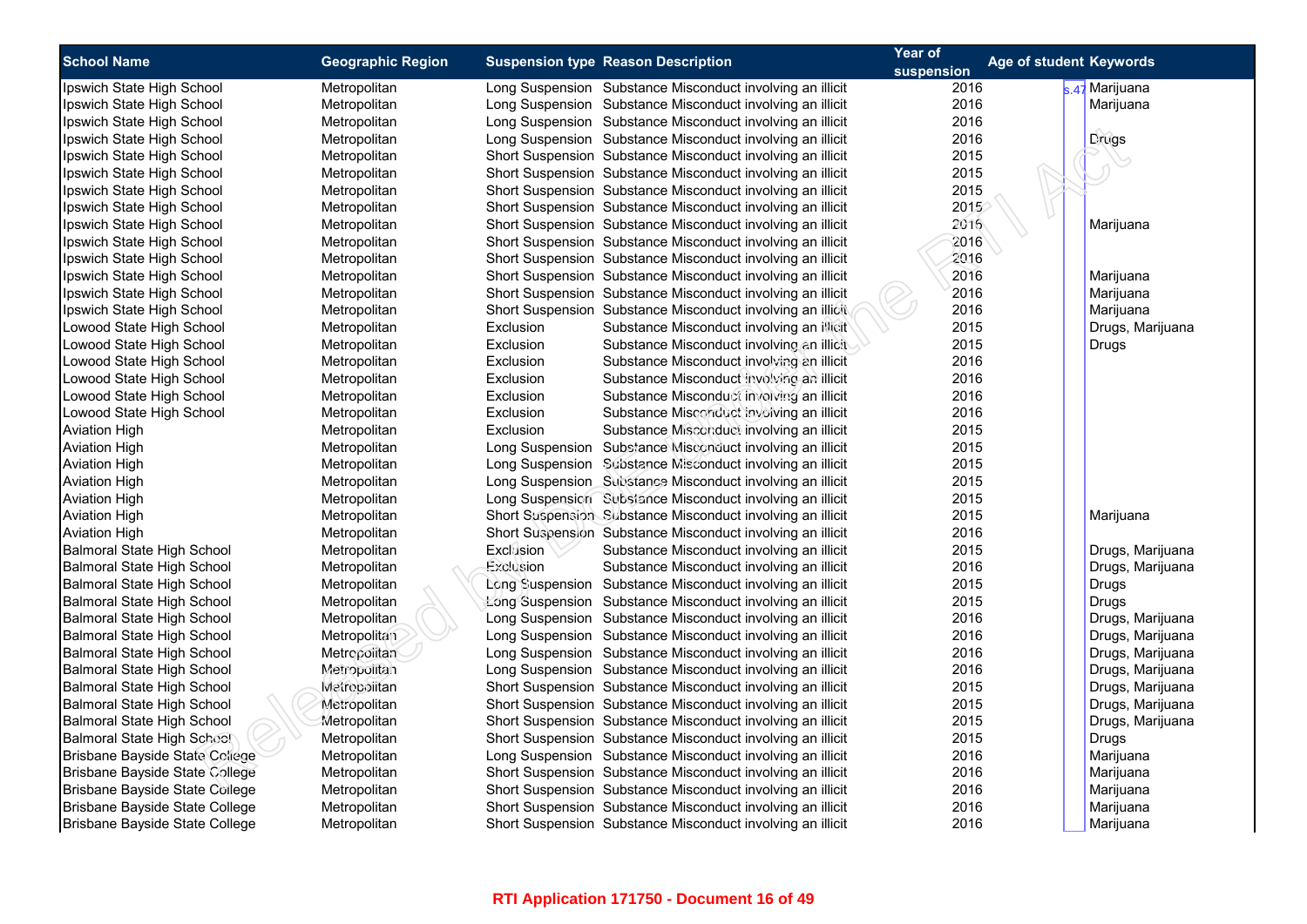| <b>School Name</b>   |                                   | <b>Geographic Region</b> |                  | <b>Suspension type Reason Description</b>                  | Year of    | Age of student Keywords |                  |
|----------------------|-----------------------------------|--------------------------|------------------|------------------------------------------------------------|------------|-------------------------|------------------|
|                      |                                   |                          |                  |                                                            | suspension |                         |                  |
|                      | Ipswich State High School         | Metropolitan             |                  | Long Suspension Substance Misconduct involving an illicit  | 2016       |                         | s.47 Marijuana   |
|                      | Ipswich State High School         | Metropolitan             |                  | Long Suspension Substance Misconduct involving an illicit  | 2016       |                         | Marijuana        |
|                      | Ipswich State High School         | Metropolitan             |                  | Long Suspension Substance Misconduct involving an illicit  | 2016       |                         |                  |
|                      | Ipswich State High School         | Metropolitan             |                  | Long Suspension Substance Misconduct involving an illicit  | 2016       |                         | Drugs            |
|                      | Ipswich State High School         | Metropolitan             |                  | Short Suspension Substance Misconduct involving an illicit | 2015       |                         |                  |
|                      | Ipswich State High School         | Metropolitan             |                  | Short Suspension Substance Misconduct involving an illicit | 2015       |                         |                  |
|                      | Ipswich State High School         | Metropolitan             |                  | Short Suspension Substance Misconduct involving an illicit | 2015       |                         |                  |
|                      | Ipswich State High School         | Metropolitan             |                  | Short Suspension Substance Misconduct involving an illicit | 2015       |                         |                  |
|                      | Ipswich State High School         | Metropolitan             |                  | Short Suspension Substance Misconduct involving an illicit | 2016       |                         | Marijuana        |
|                      | Ipswich State High School         | Metropolitan             |                  | Short Suspension Substance Misconduct involving an illicit | 2016       |                         |                  |
|                      | Ipswich State High School         | Metropolitan             |                  | Short Suspension Substance Misconduct involving an illicit | 2016       |                         |                  |
|                      | Ipswich State High School         | Metropolitan             |                  | Short Suspension Substance Misconduct involving an illicit | 2016       |                         | Marijuana        |
|                      | Ipswich State High School         | Metropolitan             |                  | Short Suspension Substance Misconduct involving an illicit | 2016       |                         | Marijuana        |
|                      | Ipswich State High School         | Metropolitan             |                  | Short Suspension Substance Misconduct involving an illicit | 2016       |                         | Marijuana        |
|                      | Lowood State High School          | Metropolitan             | Exclusion        | Substance Misconduct involving an illicit                  | 2015       |                         | Drugs, Marijuana |
|                      | Lowood State High School          | Metropolitan             | Exclusion        | Substance Misconduct involving an illicit                  | 2015       |                         | Drugs            |
|                      | Lowood State High School          | Metropolitan             | Exclusion        | Substance Misconduct involving an illicit                  | 2016       |                         |                  |
|                      | Lowood State High School          | Metropolitan             | Exclusion        | Substance Misconduct involving an illicit                  | 2016       |                         |                  |
|                      | Lowood State High School          | Metropolitan             | Exclusion        | Substance Misconduct involving an illicit                  | 2016       |                         |                  |
|                      | Lowood State High School          | Metropolitan             | Exclusion        | Substance Misconduct involving an illicit                  | 2016       |                         |                  |
| <b>Aviation High</b> |                                   | Metropolitan             | Exclusion        | Substance Misconduct involving an illicit                  | 2015       |                         |                  |
| <b>Aviation High</b> |                                   | Metropolitan             |                  | Long Suspension Substance Misconduct involving an illicit  | 2015       |                         |                  |
| <b>Aviation High</b> |                                   | Metropolitan             |                  | Long Suspension Substance Misconduct involving an illicit  | 2015       |                         |                  |
| <b>Aviation High</b> |                                   | Metropolitan             |                  | Long Suspension Substance Misconduct involving an illicit  | 2015       |                         |                  |
| <b>Aviation High</b> |                                   | Metropolitan             |                  | Long Suspension Substance Misconduct involving an illicit  | 2015       |                         |                  |
| <b>Aviation High</b> |                                   | Metropolitan             |                  | Short Suspension Substance Misconduct involving an illicit | 2015       |                         | Marijuana        |
| <b>Aviation High</b> |                                   | Metropolitan             |                  | Short Suspension Substance Misconduct involving an illicit | 2016       |                         |                  |
|                      | Balmoral State High School        | Metropolitan             | <b>Exclusion</b> | Substance Misconduct involving an illicit                  | 2015       |                         | Drugs, Marijuana |
|                      | Balmoral State High School        | Metropolitan             | Exclusion        | Substance Misconduct involving an illicit                  | 2016       |                         | Drugs, Marijuana |
|                      | Balmoral State High School        | Metropolitan             |                  | Long Suspension Substance Misconduct involving an illicit  | 2015       |                         | Drugs            |
|                      | Balmoral State High School        | Metropolitan             |                  | Long Suspension Substance Misconduct involving an illicit  | 2015       |                         | Drugs            |
|                      | <b>Balmoral State High School</b> | Metropolitan             |                  | Long Suspension Substance Misconduct involving an illicit  | 2016       |                         | Drugs, Marijuana |
|                      | Balmoral State High School        | Metropolitan             |                  | Long Suspension Substance Misconduct involving an illicit  | 2016       |                         | Drugs, Marijuana |
|                      | Balmoral State High School        | Metropolitan             |                  | Long Suspension Substance Misconduct involving an illicit  | 2016       |                         | Drugs, Marijuana |
|                      | Balmoral State High School        | Metropolitan             |                  | Long Suspension Substance Misconduct involving an illicit  | 2016       |                         | Drugs, Marijuana |
|                      | Balmoral State High School        | Metrocolitan             |                  | Short Suspension Substance Misconduct involving an illicit | 2015       |                         | Drugs, Marijuana |
|                      | Balmoral State High School        | Metropolitan             |                  | Short Suspension Substance Misconduct involving an illicit | 2015       |                         | Drugs, Marijuana |
|                      | Balmoral State High School        | Metropolitan             |                  | Short Suspension Substance Misconduct involving an illicit | 2015       |                         | Drugs, Marijuana |
|                      | Balmoral State High School        | Metropolitan             |                  | Short Suspension Substance Misconduct involving an illicit | 2015       |                         | <b>Drugs</b>     |
|                      | Brisbane Bayside State College    | Metropolitan             |                  | Long Suspension Substance Misconduct involving an illicit  | 2016       |                         | Marijuana        |
|                      | Brisbane Bayside State College    | Metropolitan             |                  | Short Suspension Substance Misconduct involving an illicit | 2016       |                         | Marijuana        |
|                      | Brisbane Bayside State College    | Metropolitan             |                  | Short Suspension Substance Misconduct involving an illicit | 2016       |                         | Marijuana        |
|                      | Brisbane Bayside State College    | Metropolitan             |                  | Short Suspension Substance Misconduct involving an illicit | 2016       |                         | Marijuana        |
|                      | Brisbane Bayside State College    | Metropolitan             |                  | Short Suspension Substance Misconduct involving an illicit | 2016       |                         | Marijuana        |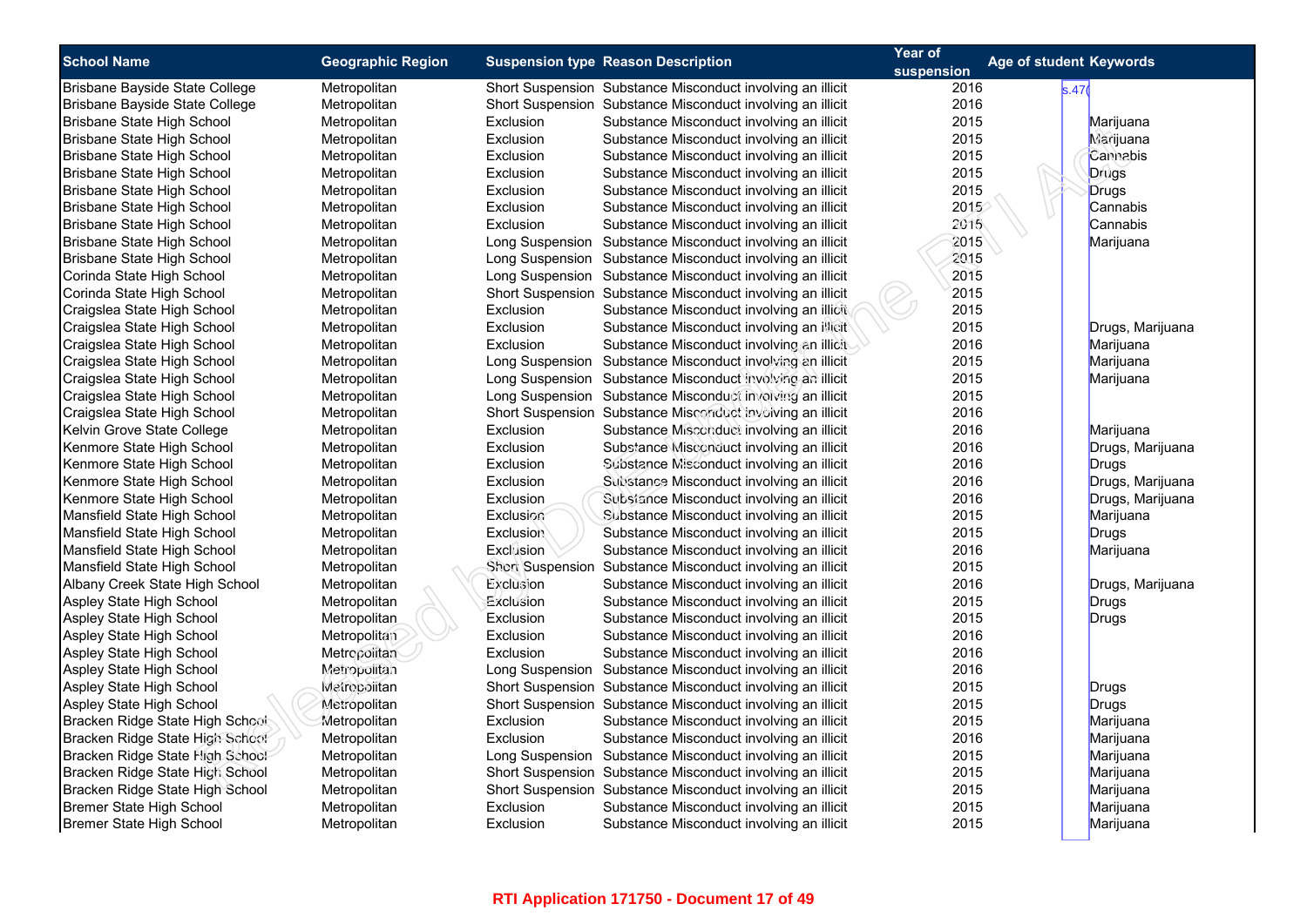| <b>School Name</b>              | <b>Geographic Region</b> |                                           |                                                            | Year of | Age of student Keywords |
|---------------------------------|--------------------------|-------------------------------------------|------------------------------------------------------------|---------|-------------------------|
|                                 |                          | <b>Suspension type Reason Description</b> | suspension                                                 |         |                         |
| Brisbane Bayside State College  | Metropolitan             |                                           | Short Suspension Substance Misconduct involving an illicit | 2016    | s.47(                   |
| Brisbane Bayside State College  | Metropolitan             |                                           | Short Suspension Substance Misconduct involving an illicit | 2016    |                         |
| Brisbane State High School      | Metropolitan             | Exclusion                                 | Substance Misconduct involving an illicit                  | 2015    | Marijuana               |
| Brisbane State High School      | Metropolitan             | Exclusion                                 | Substance Misconduct involving an illicit                  | 2015    | Marijuana               |
| Brisbane State High School      | Metropolitan             | Exclusion                                 | Substance Misconduct involving an illicit                  | 2015    | Cannabis                |
| Brisbane State High School      | Metropolitan             | Exclusion                                 | Substance Misconduct involving an illicit                  | 2015    | <b>Drugs</b>            |
| Brisbane State High School      | Metropolitan             | Exclusion                                 | Substance Misconduct involving an illicit                  | 2015    | <b>Drugs</b>            |
| Brisbane State High School      | Metropolitan             | Exclusion                                 | Substance Misconduct involving an illicit                  | 2015    | Cannabis                |
| Brisbane State High School      | Metropolitan             | Exclusion                                 | Substance Misconduct involving an illicit                  | 2015    | Cannabis                |
| Brisbane State High School      | Metropolitan             |                                           | Long Suspension Substance Misconduct involving an illicit  | 2015    | Marijuana               |
| Brisbane State High School      | Metropolitan             |                                           | Long Suspension Substance Misconduct involving an illicit  | 2015    |                         |
| Corinda State High School       | Metropolitan             |                                           | Long Suspension Substance Misconduct involving an illicit  | 2015    |                         |
| Corinda State High School       | Metropolitan             |                                           | Short Suspension Substance Misconduct involving an illicit | 2015    |                         |
| Craigslea State High School     | Metropolitan             | Exclusion                                 | Substance Misconduct involving an illicit                  | 2015    |                         |
| Craigslea State High School     | Metropolitan             | Exclusion                                 | Substance Misconduct involving an illicit                  | 2015    | Drugs, Marijuana        |
| Craigslea State High School     | Metropolitan             | Exclusion                                 | Substance Misconduct involving an illicit                  | 2016    | Marijuana               |
| Craigslea State High School     | Metropolitan             |                                           | Long Suspension Substance Misconduct involving an illicit  | 2015    | Marijuana               |
| Craigslea State High School     | Metropolitan             |                                           | Long Suspension Substance Misconduct involving an illicit  | 2015    | Marijuana               |
| Craigslea State High School     | Metropolitan             |                                           | Long Suspension Substance Misconduct involving an illicit  | 2015    |                         |
| Craigslea State High School     | Metropolitan             |                                           | Short Suspension Substance Misconduct involving an illicit | 2016    |                         |
| Kelvin Grove State College      | Metropolitan             | Exclusion                                 | Substance Misconduct involving an illicit                  | 2016    | Marijuana               |
| Kenmore State High School       | Metropolitan             | Exclusion                                 | Substance Misconduct involving an illicit                  | 2016    | Drugs, Marijuana        |
| Kenmore State High School       | Metropolitan             | Exclusion                                 | Substance Misconduct involving an illicit                  | 2016    | <b>Drugs</b>            |
| Kenmore State High School       | Metropolitan             | Exclusion                                 | Substance Misconduct involving an illicit                  | 2016    | Drugs, Marijuana        |
| Kenmore State High School       | Metropolitan             | Exclusion                                 | Subsiance Misconduct involving an illicit                  | 2016    | Drugs, Marijuana        |
| Mansfield State High School     | Metropolitan             | Exclusion                                 | Substance Misconduct involving an illicit                  | 2015    | Marijuana               |
| Mansfield State High School     | Metropolitan             | <b>Exclusion</b>                          | Substance Misconduct involving an illicit                  | 2015    | Drugs                   |
| Mansfield State High School     | Metropolitan             | Exclusion                                 | Substance Misconduct involving an illicit                  | 2016    | Marijuana               |
| Mansfield State High School     | Metropolitan             |                                           | Short Suspension Substance Misconduct involving an illicit | 2015    |                         |
| Albany Creek State High School  | Metropolitan             | Exclusion                                 | Substance Misconduct involving an illicit                  | 2016    | Drugs, Marijuana        |
| Aspley State High School        | Metropolitan             | Exclusion                                 | Substance Misconduct involving an illicit                  | 2015    | <b>Drugs</b>            |
| Aspley State High School        | <b>Metropolitan</b>      | Exclusion                                 | Substance Misconduct involving an illicit                  | 2015    | Drugs                   |
| Aspley State High School        | Metropolitan             | Exclusion                                 | Substance Misconduct involving an illicit                  | 2016    |                         |
| Aspley State High School        | Metropolitan             | Exclusion                                 | Substance Misconduct involving an illicit                  | 2016    |                         |
| Aspley State High School        | Metropolitan             |                                           | Long Suspension Substance Misconduct involving an illicit  | 2016    |                         |
| Aspley State High School        | Metropolitan             |                                           | Short Suspension Substance Misconduct involving an illicit | 2015    | Drugs                   |
| Aspley State High School        | Metropolitan             |                                           | Short Suspension Substance Misconduct involving an illicit | 2015    | Drugs                   |
| Bracken Ridge State High School | Metropolitan             | Exclusion                                 | Substance Misconduct involving an illicit                  | 2015    | Marijuana               |
| Bracken Ridge State High School | Metropolitan             | Exclusion                                 | Substance Misconduct involving an illicit                  | 2016    | Marijuana               |
| Bracken Ridge State High School | Metropolitan             |                                           | Long Suspension Substance Misconduct involving an illicit  | 2015    | Marijuana               |
| Bracken Ridge State High School | Metropolitan             |                                           | Short Suspension Substance Misconduct involving an illicit | 2015    | Marijuana               |
| Bracken Ridge State High School | Metropolitan             |                                           | Short Suspension Substance Misconduct involving an illicit | 2015    | Marijuana               |
| Bremer State High School        | Metropolitan             | Exclusion                                 | Substance Misconduct involving an illicit                  | 2015    | Marijuana               |
| Bremer State High School        | Metropolitan             | Exclusion                                 | Substance Misconduct involving an illicit                  | 2015    | Marijuana               |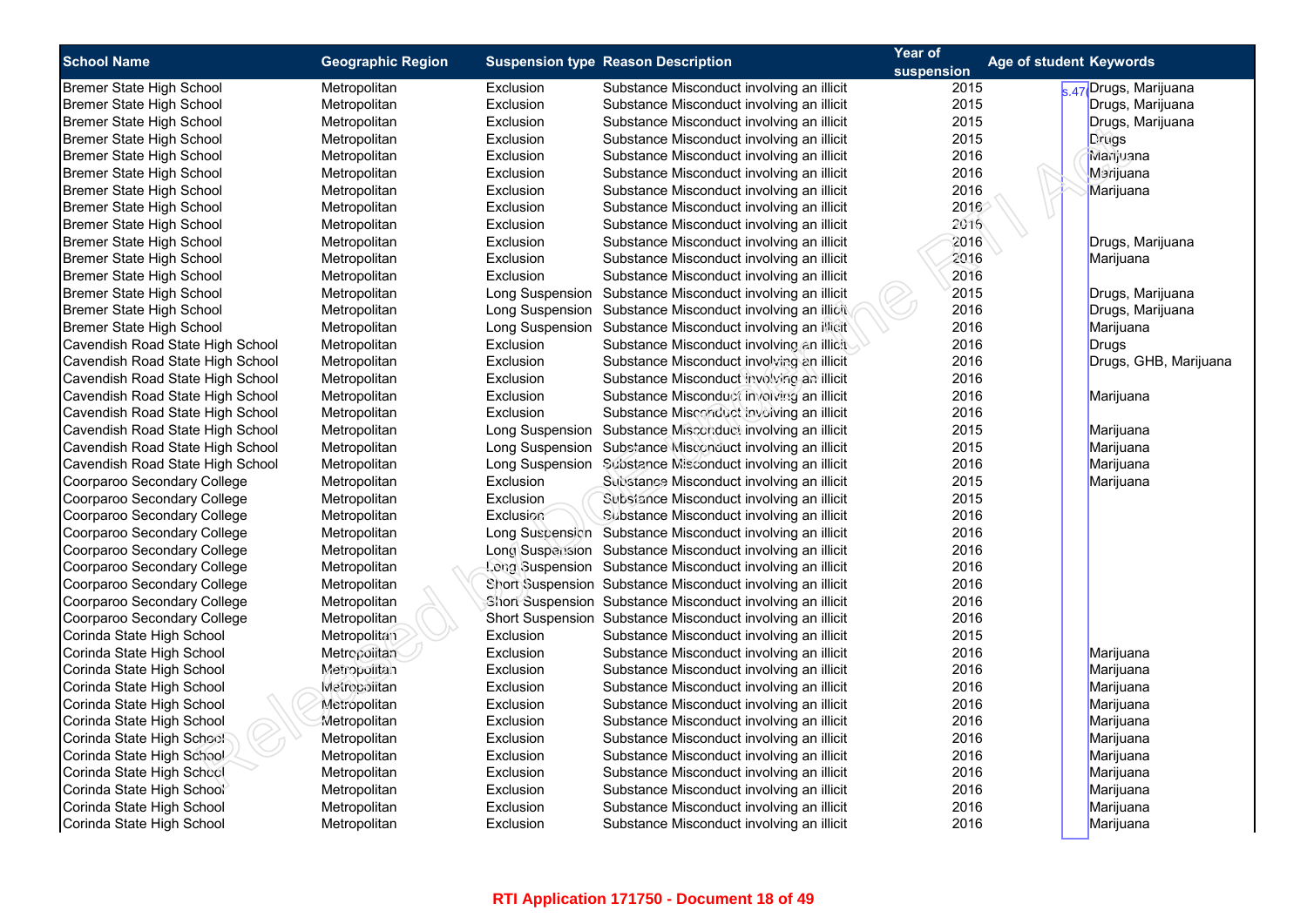| <b>School Name</b>               | <b>Geographic Region</b> |                 | <b>Suspension type Reason Description</b>                  | Year of    | Age of student Keywords |                       |
|----------------------------------|--------------------------|-----------------|------------------------------------------------------------|------------|-------------------------|-----------------------|
|                                  |                          |                 |                                                            | suspension |                         |                       |
| Bremer State High School         | Metropolitan             | Exclusion       | Substance Misconduct involving an illicit                  | 2015       |                         | s.47 Drugs, Marijuana |
| Bremer State High School         | Metropolitan             | Exclusion       | Substance Misconduct involving an illicit                  | 2015       |                         | Drugs, Marijuana      |
| Bremer State High School         | Metropolitan             | Exclusion       | Substance Misconduct involving an illicit                  | 2015       |                         | Drugs, Marijuana      |
| Bremer State High School         | Metropolitan             | Exclusion       | Substance Misconduct involving an illicit                  | 2015       |                         | Drugs                 |
| Bremer State High School         | Metropolitan             | Exclusion       | Substance Misconduct involving an illicit                  | 2016       |                         | Marijuana             |
| Bremer State High School         | Metropolitan             | Exclusion       | Substance Misconduct involving an illicit                  | 2016       |                         | Marijuana             |
| Bremer State High School         | Metropolitan             | Exclusion       | Substance Misconduct involving an illicit                  | 2016       |                         | Marijuana             |
| Bremer State High School         | Metropolitan             | Exclusion       | Substance Misconduct involving an illicit                  | 2016       |                         |                       |
| Bremer State High School         | Metropolitan             | Exclusion       | Substance Misconduct involving an illicit                  | 2016       |                         |                       |
| Bremer State High School         | Metropolitan             | Exclusion       | Substance Misconduct involving an illicit                  | 2016       |                         | Drugs, Marijuana      |
| Bremer State High School         | Metropolitan             | Exclusion       | Substance Misconduct involving an illicit                  | 2016       |                         | Marijuana             |
| Bremer State High School         | Metropolitan             | Exclusion       | Substance Misconduct involving an illicit                  | 2016       |                         |                       |
| Bremer State High School         | Metropolitan             |                 | Long Suspension Substance Misconduct involving an illicit  | 2015       |                         | Drugs, Marijuana      |
| Bremer State High School         | Metropolitan             |                 | Long Suspension Substance Misconduct involving an illicit  | 2016       |                         | Drugs, Marijuana      |
| Bremer State High School         | Metropolitan             | Long Suspension | Substance Misconduct involving an illicit                  | 2016       |                         | Marijuana             |
| Cavendish Road State High School | Metropolitan             | Exclusion       | Substance Misconduct involving an illicit                  | 2016       |                         | Drugs                 |
| Cavendish Road State High School | Metropolitan             | Exclusion       | Substance Misconduct involving an illicit                  | 2016       |                         | Drugs, GHB, Marijuana |
| Cavendish Road State High School | Metropolitan             | Exclusion       | Substance Misconduct involving an illicit                  | 2016       |                         |                       |
| Cavendish Road State High School | Metropolitan             | Exclusion       | Substance Misconduct involving an illicit                  | 2016       |                         | Marijuana             |
| Cavendish Road State High School | Metropolitan             | Exclusion       | Substance Misconduct involving an illicit                  | 2016       |                         |                       |
| Cavendish Road State High School | Metropolitan             |                 | Long Suspension Substance Misconduct involving an illicit  | 2015       |                         | Marijuana             |
| Cavendish Road State High School | Metropolitan             |                 | Long Suspension Substance Misconduct involving an illicit  | 2015       |                         | Marijuana             |
| Cavendish Road State High School | Metropolitan             |                 | Long Suspension Substance Misconduct involving an illicit  | 2016       |                         | Marijuana             |
| Coorparoo Secondary College      | Metropolitan             | Exclusion       | Substance Misconduct involving an illicit                  | 2015       |                         | Marijuana             |
| Coorparoo Secondary College      | Metropolitan             | Exclusion       | Substance Misconduct involving an illicit                  | 2015       |                         |                       |
| Coorparoo Secondary College      | Metropolitan             | Exclusion       | Substance Misconduct involving an illicit                  | 2016       |                         |                       |
| Coorparoo Secondary College      | Metropolitan             |                 | Long Suspension Substance Misconduct involving an illicit  | 2016       |                         |                       |
| Coorparoo Secondary College      | Metropolitan             |                 | Long Suspension Substance Misconduct involving an illicit  | 2016       |                         |                       |
| Coorparoo Secondary College      | Metropolitan             |                 | Long Suspension Substance Misconduct involving an illicit  | 2016       |                         |                       |
| Coorparoo Secondary College      | Metropolitan             |                 | Short Suspension Substance Misconduct involving an illicit | 2016       |                         |                       |
| Coorparoo Secondary College      | Metropolitan             |                 | Short Suspension Substance Misconduct involving an illicit | 2016       |                         |                       |
| Coorparoo Secondary College      | Metropolitan             |                 | Short Suspension Substance Misconduct involving an illicit | 2016       |                         |                       |
| Corinda State High School        | Metropolitan             | Exclusion       | Substance Misconduct involving an illicit                  | 2015       |                         |                       |
| Corinda State High School        | Metropolitan             | Exclusion       | Substance Misconduct involving an illicit                  | 2016       |                         | Marijuana             |
| Corinda State High School        | Metropolitan             | Exclusion       | Substance Misconduct involving an illicit                  | 2016       |                         | Marijuana             |
| Corinda State High School        | Metropolitan             | Exclusion       | Substance Misconduct involving an illicit                  | 2016       |                         | Marijuana             |
| Corinda State High School        | Metropolitan             | Exclusion       | Substance Misconduct involving an illicit                  | 2016       |                         | Marijuana             |
| Corinda State High School        | Metropolitan             | Exclusion       | Substance Misconduct involving an illicit                  | 2016       |                         | Marijuana             |
| Corinda State High School        | Metropolitan             | Exclusion       | Substance Misconduct involving an illicit                  | 2016       |                         | Marijuana             |
| Corinda State High School        | Metropolitan             | Exclusion       | Substance Misconduct involving an illicit                  | 2016       |                         | Marijuana             |
| Corinda State High School        | Metropolitan             | Exclusion       | Substance Misconduct involving an illicit                  | 2016       |                         | Marijuana             |
| Corinda State High School        | Metropolitan             | Exclusion       | Substance Misconduct involving an illicit                  | 2016       |                         |                       |
|                                  |                          |                 |                                                            | 2016       |                         | Marijuana             |
| Corinda State High School        | Metropolitan             | Exclusion       | Substance Misconduct involving an illicit                  |            |                         | Marijuana             |
| Corinda State High School        | Metropolitan             | Exclusion       | Substance Misconduct involving an illicit                  | 2016       |                         | Marijuana             |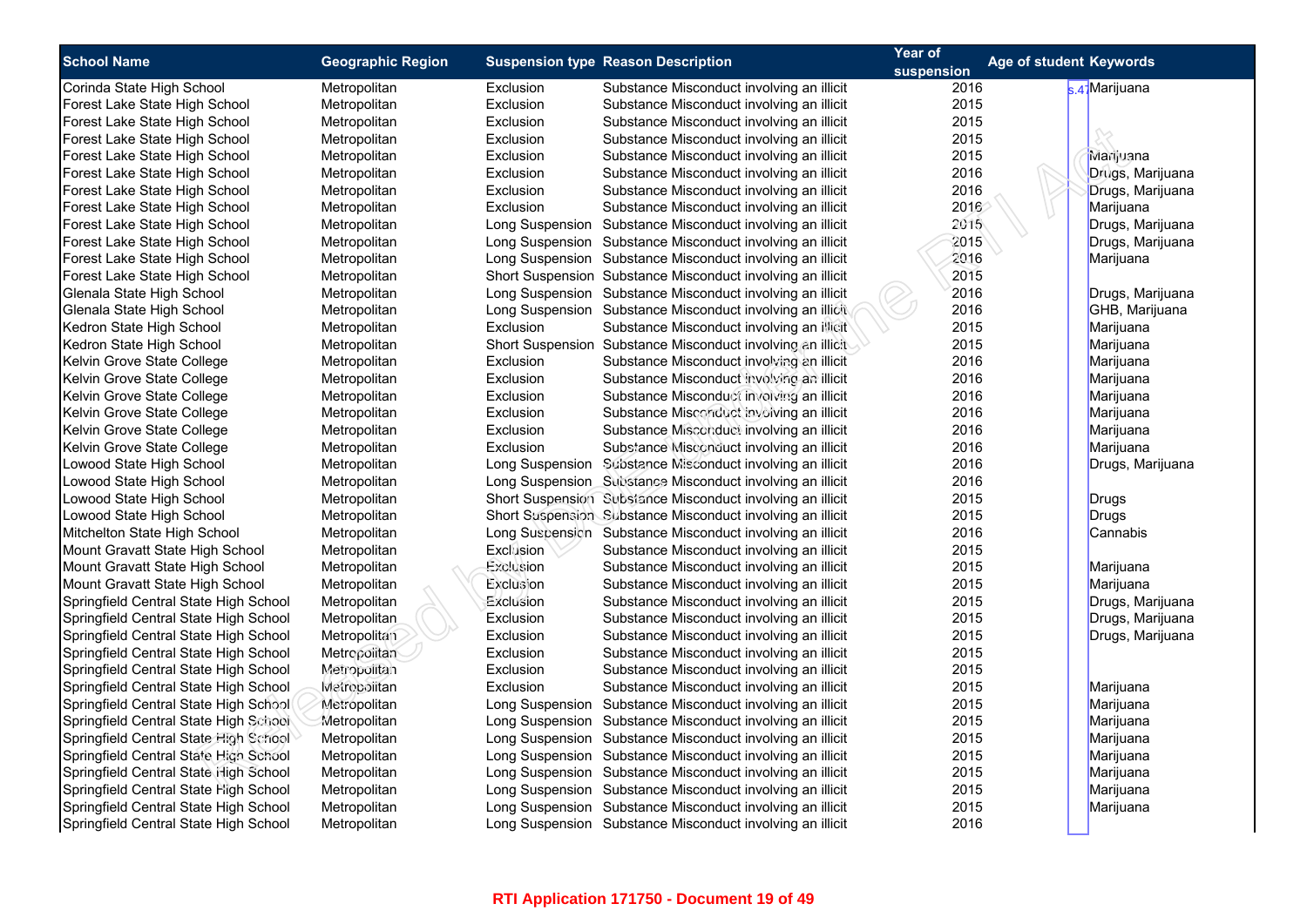| <b>School Name</b>                                                             |                          |           |                                                            | Year of    |                         |  |
|--------------------------------------------------------------------------------|--------------------------|-----------|------------------------------------------------------------|------------|-------------------------|--|
|                                                                                | <b>Geographic Region</b> |           | <b>Suspension type Reason Description</b>                  | suspension | Age of student Keywords |  |
| Corinda State High School                                                      | Metropolitan             | Exclusion | Substance Misconduct involving an illicit                  | 2016       | k 47 Marijuana          |  |
| Forest Lake State High School                                                  | Metropolitan             | Exclusion | Substance Misconduct involving an illicit                  | 2015       |                         |  |
| Forest Lake State High School                                                  | Metropolitan             | Exclusion | Substance Misconduct involving an illicit                  | 2015       |                         |  |
| Forest Lake State High School                                                  | Metropolitan             | Exclusion | Substance Misconduct involving an illicit                  | 2015       |                         |  |
| Forest Lake State High School                                                  | Metropolitan             | Exclusion | Substance Misconduct involving an illicit                  | 2015       | Marijuana               |  |
| Forest Lake State High School                                                  | Metropolitan             | Exclusion | Substance Misconduct involving an illicit                  | 2016       | Drugs, Marijuana        |  |
| Forest Lake State High School                                                  | Metropolitan             | Exclusion | Substance Misconduct involving an illicit                  | 2016       | Drugs, Marijuana        |  |
| Forest Lake State High School                                                  | Metropolitan             | Exclusion | Substance Misconduct involving an illicit                  | 2016       | Marijuana               |  |
| Forest Lake State High School                                                  | Metropolitan             |           | Long Suspension Substance Misconduct involving an illicit  | 2015       | Drugs, Marijuana        |  |
| Forest Lake State High School                                                  | Metropolitan             |           | Long Suspension Substance Misconduct involving an illicit  | 2015       | Drugs, Marijuana        |  |
| Forest Lake State High School                                                  | Metropolitan             |           | Long Suspension Substance Misconduct involving an illicit  | 2016       | Marijuana               |  |
| Forest Lake State High School                                                  | Metropolitan             |           | Short Suspension Substance Misconduct involving an illicit | 2015       |                         |  |
| Glenala State High School                                                      | Metropolitan             |           | Long Suspension Substance Misconduct involving an illicit  | 2016       | Drugs, Marijuana        |  |
| Glenala State High School                                                      | Metropolitan             |           | Long Suspension Substance Misconduct involving an illicit  | 2016       | GHB, Marijuana          |  |
| Kedron State High School                                                       | Metropolitan             | Exclusion | Substance Misconduct involving an illicit                  | 2015       | Marijuana               |  |
| Kedron State High School                                                       | Metropolitan             |           | Short Suspension Substance Misconduct involving an illicit | 2015       | Marijuana               |  |
| Kelvin Grove State College                                                     | Metropolitan             | Exclusion | Substance Misconduct involving an illicit                  | 2016       | Marijuana               |  |
| Kelvin Grove State College                                                     | Metropolitan             | Exclusion | Substance Misconduct involving an illicit                  | 2016       | Marijuana               |  |
| Kelvin Grove State College                                                     | Metropolitan             | Exclusion | Substance Misconduct involving an illicit                  | 2016       | Marijuana               |  |
| Kelvin Grove State College                                                     | Metropolitan             | Exclusion | Substance Misconduct involving an illicit                  | 2016       | Marijuana               |  |
| Kelvin Grove State College                                                     | Metropolitan             | Exclusion | Substance Misconduct involving an illicit                  | 2016       | Marijuana               |  |
| Kelvin Grove State College                                                     | Metropolitan             | Exclusion | Substance Misconduct involving an illicit                  | 2016       | Marijuana               |  |
| Lowood State High School                                                       | Metropolitan             |           | Long Suspension Substance Misconduct involving an illicit  | 2016       | Drugs, Marijuana        |  |
| Lowood State High School                                                       | Metropolitan             |           | Long Suspension Substance Misconduct involving an illicit  | 2016       |                         |  |
| Lowood State High School                                                       | Metropolitan             |           | Short Suspension Subsiance Misconduct involving an illicit | 2015       | Drugs                   |  |
| Lowood State High School                                                       | Metropolitan             |           | Short Suspension Substance Misconduct involving an illicit | 2015       | Drugs                   |  |
| Mitchelton State High School                                                   | Metropolitan             |           | Long Suspension Substance Misconduct involving an illicit  | 2016       | Cannabis                |  |
| Mount Gravatt State High School                                                | Metropolitan             | Exclusion | Substance Misconduct involving an illicit                  | 2015       |                         |  |
| Mount Gravatt State High School                                                | Metropolitan             | Exclusion | Substance Misconduct involving an illicit                  | 2015       | Marijuana               |  |
| Mount Gravatt State High School                                                | Metropolitan             | Exclusion | Substance Misconduct involving an illicit                  | 2015       | Marijuana               |  |
| Springfield Central State High School                                          | Metropolitan             | Exclusion | Substance Misconduct involving an illicit                  | 2015       | Drugs, Marijuana        |  |
| Springfield Central State High School                                          |                          | Exclusion |                                                            | 2015       |                         |  |
|                                                                                | Metropolitan             |           | Substance Misconduct involving an illicit                  | 2015       | Drugs, Marijuana        |  |
| Springfield Central State High School                                          | Metropolitan             | Exclusion | Substance Misconduct involving an illicit                  | 2015       | Drugs, Marijuana        |  |
| Springfield Central State High School<br>Springfield Central State High School | Metropolitan             | Exclusion | Substance Misconduct involving an illicit                  | 2015       |                         |  |
|                                                                                | Metropolitan             | Exclusion | Substance Misconduct involving an illicit                  |            |                         |  |
| Springfield Central State High School                                          | Metropolitan             | Exclusion | Substance Misconduct involving an illicit                  | 2015       | Marijuana               |  |
| Springfield Central State High School                                          | Metropolitan             |           | Long Suspension Substance Misconduct involving an illicit  | 2015       | Marijuana               |  |
| Springfield Central State High School                                          | Metropolitan             |           | Long Suspension Substance Misconduct involving an illicit  | 2015       | Marijuana               |  |
| Springfield Central State High School                                          | Metropolitan             |           | Long Suspension Substance Misconduct involving an illicit  | 2015       | Marijuana               |  |
| Springfield Central State High School                                          | Metropolitan             |           | Long Suspension Substance Misconduct involving an illicit  | 2015       | Marijuana               |  |
| Springfield Central State High School                                          | Metropolitan             |           | Long Suspension Substance Misconduct involving an illicit  | 2015       | Marijuana               |  |
| Springfield Central State High School                                          | Metropolitan             |           | Long Suspension Substance Misconduct involving an illicit  | 2015       | Marijuana               |  |
| Springfield Central State High School                                          | Metropolitan             |           | Long Suspension Substance Misconduct involving an illicit  | 2015       | Marijuana               |  |
| Springfield Central State High School                                          | Metropolitan             |           | Long Suspension Substance Misconduct involving an illicit  | 2016       |                         |  |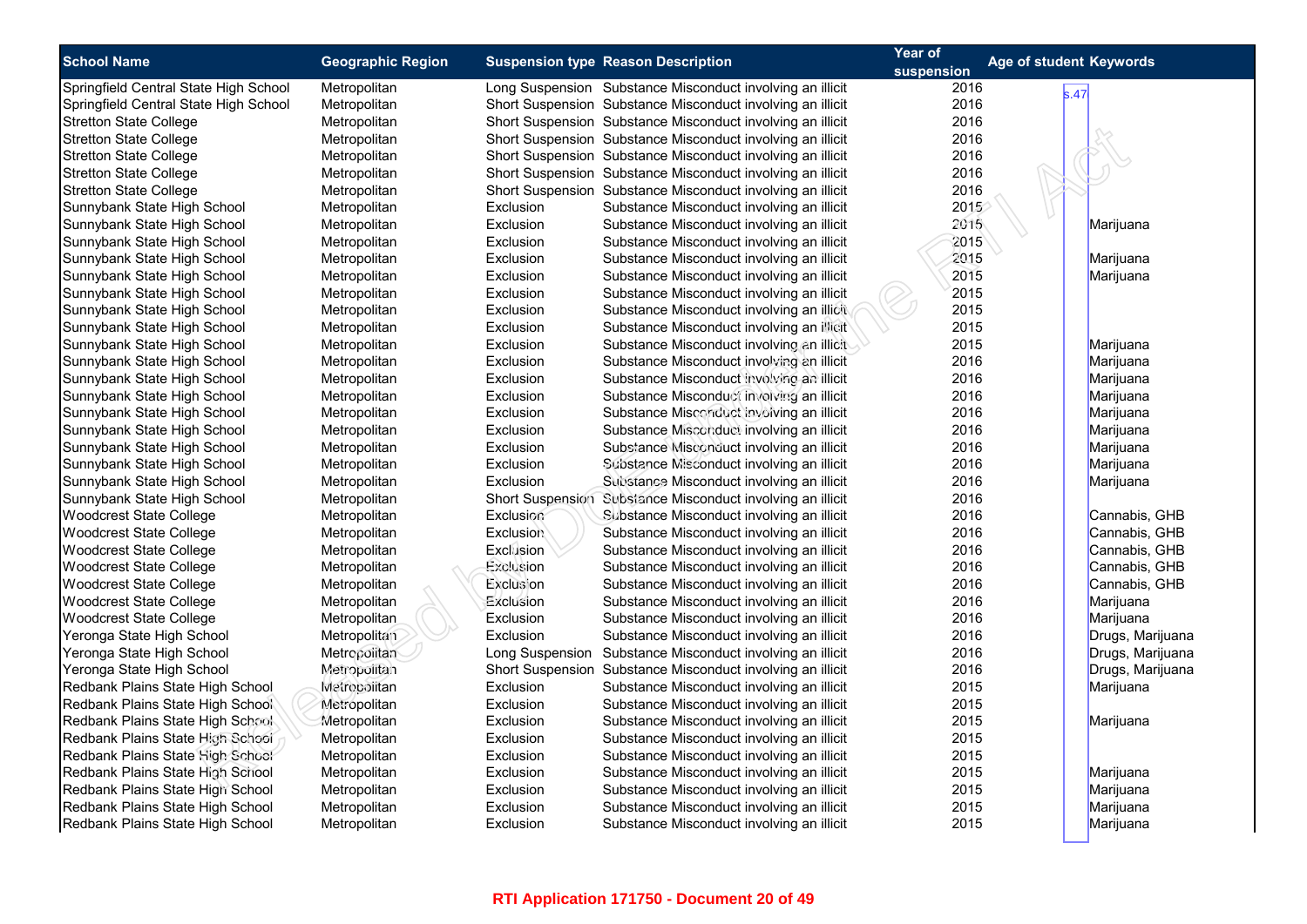| <b>School Name</b>                                                   | <b>Geographic Region</b> |                        | <b>Suspension type Reason Description</b>                  | Year of    | Age of student Keywords |
|----------------------------------------------------------------------|--------------------------|------------------------|------------------------------------------------------------|------------|-------------------------|
|                                                                      |                          |                        |                                                            | suspension |                         |
| Springfield Central State High School                                | Metropolitan             |                        | Long Suspension Substance Misconduct involving an illicit  | 2016       | s.47                    |
| Springfield Central State High School                                | Metropolitan             |                        | Short Suspension Substance Misconduct involving an illicit | 2016       |                         |
| <b>Stretton State College</b>                                        | Metropolitan             |                        | Short Suspension Substance Misconduct involving an illicit | 2016       |                         |
| <b>Stretton State College</b>                                        | Metropolitan             |                        | Short Suspension Substance Misconduct involving an illicit | 2016       |                         |
| <b>Stretton State College</b>                                        | Metropolitan             |                        | Short Suspension Substance Misconduct involving an illicit | 2016       |                         |
| <b>Stretton State College</b>                                        | Metropolitan             |                        | Short Suspension Substance Misconduct involving an illicit | 2016       |                         |
| <b>Stretton State College</b>                                        | Metropolitan             |                        | Short Suspension Substance Misconduct involving an illicit | 2016       |                         |
| Sunnybank State High School                                          | Metropolitan             | Exclusion              | Substance Misconduct involving an illicit                  | 2015       |                         |
| Sunnybank State High School                                          | Metropolitan             | Exclusion              | Substance Misconduct involving an illicit                  | 2015       | Marijuana               |
| Sunnybank State High School                                          | Metropolitan             | Exclusion              | Substance Misconduct involving an illicit                  | 2015       |                         |
| Sunnybank State High School                                          | Metropolitan             | Exclusion              | Substance Misconduct involving an illicit                  | 2015       | Marijuana               |
| Sunnybank State High School                                          | Metropolitan             | Exclusion              | Substance Misconduct involving an illicit                  | 2015       | Marijuana               |
| Sunnybank State High School                                          | Metropolitan             | Exclusion              | Substance Misconduct involving an illicit                  | 2015       |                         |
| Sunnybank State High School                                          | Metropolitan             | Exclusion              | Substance Misconduct involving an illicit                  | 2015       |                         |
| Sunnybank State High School                                          | Metropolitan             | Exclusion              | Substance Misconduct involving an illicit                  | 2015       |                         |
| Sunnybank State High School                                          | Metropolitan             | Exclusion              | Substance Misconduct involving an illicit                  | 2015       | Marijuana               |
| Sunnybank State High School                                          | Metropolitan             | Exclusion              | Substance Misconduct involving an illicit                  | 2016       | Marijuana               |
| Sunnybank State High School                                          | Metropolitan             | Exclusion              | Substance Misconduct involving an illicit                  | 2016       | Marijuana               |
| Sunnybank State High School                                          | Metropolitan             | Exclusion              | Substance Misconduct involving an illicit                  | 2016       | Marijuana               |
| Sunnybank State High School                                          | Metropolitan             | Exclusion              | Substance Misconduct involving an illicit                  | 2016       | Marijuana               |
| Sunnybank State High School                                          | Metropolitan             | Exclusion              | Substance Misconduct involving an illicit                  | 2016       | Marijuana               |
| Sunnybank State High School                                          | Metropolitan             | Exclusion              | Substance Misconduct involving an illicit                  | 2016       | Marijuana               |
| Sunnybank State High School                                          | Metropolitan             | Exclusion              | Substance Misconduct involving an illicit                  | 2016       | Marijuana               |
| Sunnybank State High School                                          | Metropolitan             | Exclusion              | Substance Misconduct involving an illicit                  | 2016       | Marijuana               |
| Sunnybank State High School                                          | Metropolitan             |                        | Short Suspension Substance Misconduct involving an illicit | 2016       |                         |
| <b>Woodcrest State College</b>                                       | Metropolitan             | Exclusion              | Substance Misconduct involving an illicit                  | 2016       | Cannabis, GHB           |
| Woodcrest State College                                              | Metropolitan             | <b>Exclusion</b>       | Substance Misconduct involving an illicit                  | 2016       | Cannabis, GHB           |
| <b>Woodcrest State College</b>                                       | Metropolitan             | Exclusion              | Substance Misconduct involving an illicit                  | 2016       | Cannabis, GHB           |
| <b>Woodcrest State College</b>                                       | Metropolitan             | Exclusion              | Substance Misconduct involving an illicit                  | 2016       | Cannabis, GHB           |
| Woodcrest State College                                              | Metropolitan             | <b>Exclusion</b>       | Substance Misconduct involving an illicit                  | 2016       | Cannabis, GHB           |
| Woodcrest State College                                              | Metropolitan             | Exclusion              | Substance Misconduct involving an illicit                  | 2016       | Marijuana               |
| Woodcrest State College                                              | Metropolitan             | Exclusion              | Substance Misconduct involving an illicit                  | 2016       | Marijuana               |
| Yeronga State High School                                            | Metropolitan             | Exclusion              | Substance Misconduct involving an illicit                  | 2016       | Drugs, Marijuana        |
| Yeronga State High School                                            | Metropolitan             |                        | Long Suspension Substance Misconduct involving an illicit  | 2016       | Drugs, Marijuana        |
| Yeronga State High School                                            | Metropolitan             |                        | Short Suspension Substance Misconduct involving an illicit | 2016       | Drugs, Marijuana        |
| Redbank Plains State High School                                     | Metrocolitan             | Exclusion              | Substance Misconduct involving an illicit                  | 2015       | Marijuana               |
| Redbank Plains State High School                                     | Metropolitan             | Exclusion              | Substance Misconduct involving an illicit                  | 2015       |                         |
| Redbank Plains State High School                                     | Metropolitan             | Exclusion              | Substance Misconduct involving an illicit                  | 2015       | Marijuana               |
| Redbank Plains State High School                                     | Metropolitan             | Exclusion              | Substance Misconduct involving an illicit                  | 2015       |                         |
| Redbank Plains State High School                                     | Metropolitan             | <b>Exclusion</b>       | Substance Misconduct involving an illicit                  | 2015       |                         |
| Redbank Plains State High School                                     | Metropolitan             | Exclusion              | Substance Misconduct involving an illicit                  | 2015       | Marijuana               |
| Redbank Plains State High School                                     | Metropolitan             | Exclusion              | Substance Misconduct involving an illicit                  | 2015       | Marijuana               |
|                                                                      |                          |                        |                                                            | 2015       |                         |
| Redbank Plains State High School<br>Redbank Plains State High School | Metropolitan             | Exclusion<br>Exclusion | Substance Misconduct involving an illicit                  | 2015       | Marijuana               |
|                                                                      | Metropolitan             |                        | Substance Misconduct involving an illicit                  |            | Marijuana               |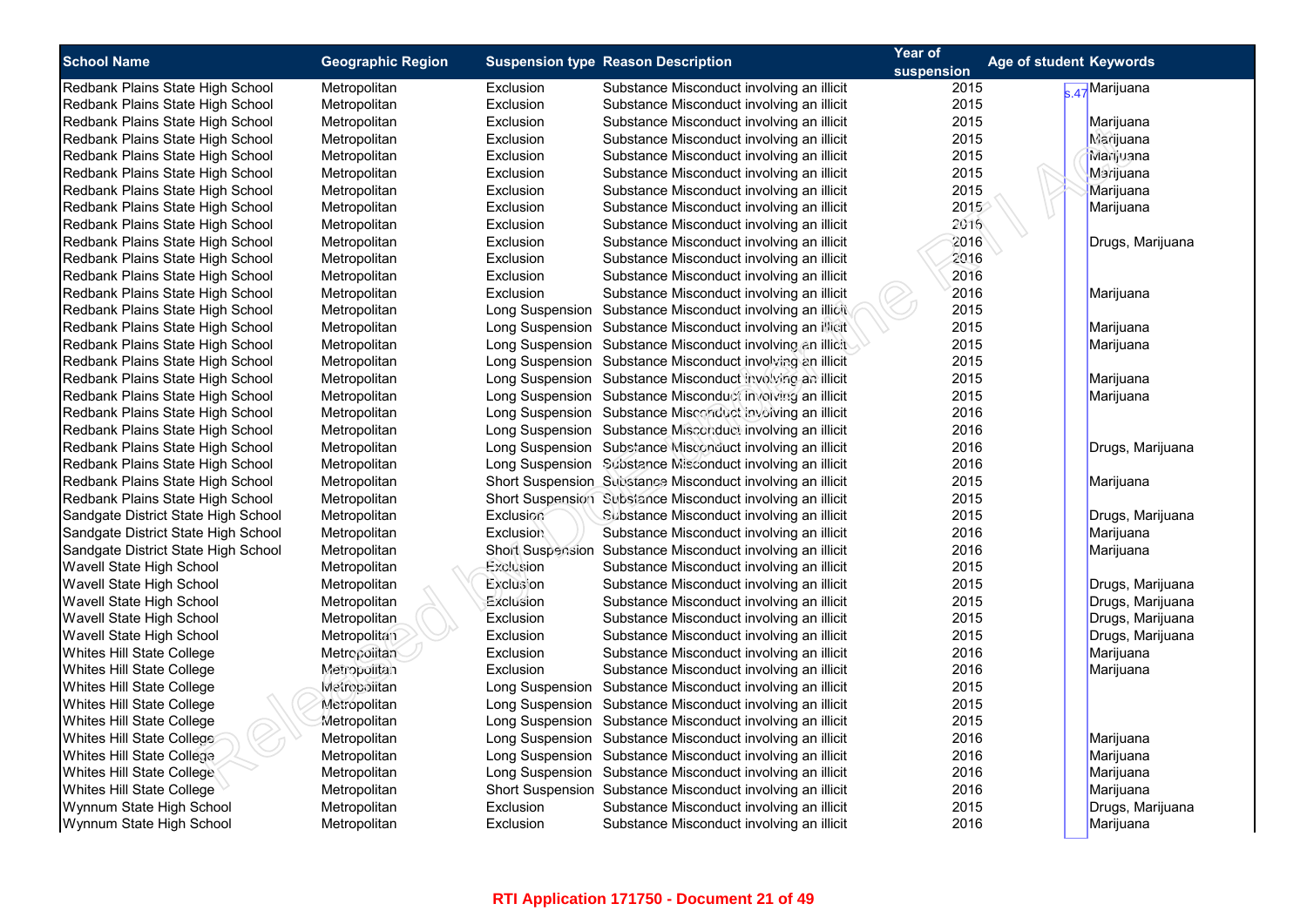| <b>School Name</b>                  | <b>Geographic Region</b> |                  | <b>Suspension type Reason Description</b>                  | Year of<br>suspension | Age of student Keywords |
|-------------------------------------|--------------------------|------------------|------------------------------------------------------------|-----------------------|-------------------------|
| Redbank Plains State High School    | Metropolitan             | Exclusion        | Substance Misconduct involving an illicit                  | 2015                  | s.47 Marijuana          |
| Redbank Plains State High School    | Metropolitan             | Exclusion        | Substance Misconduct involving an illicit                  | 2015                  |                         |
| Redbank Plains State High School    | Metropolitan             | Exclusion        | Substance Misconduct involving an illicit                  | 2015                  | Marijuana               |
| Redbank Plains State High School    | Metropolitan             | Exclusion        | Substance Misconduct involving an illicit                  | 2015                  | Marijuana               |
| Redbank Plains State High School    | Metropolitan             | Exclusion        | Substance Misconduct involving an illicit                  | 2015                  | Marijuana               |
| Redbank Plains State High School    | Metropolitan             | Exclusion        | Substance Misconduct involving an illicit                  | 2015                  | Marijuana               |
| Redbank Plains State High School    | Metropolitan             | Exclusion        | Substance Misconduct involving an illicit                  | 2015                  | Marijuana               |
| Redbank Plains State High School    | Metropolitan             | Exclusion        | Substance Misconduct involving an illicit                  | 2015                  | Marijuana               |
| Redbank Plains State High School    | Metropolitan             | Exclusion        | Substance Misconduct involving an illicit                  | 2016                  |                         |
| Redbank Plains State High School    | Metropolitan             | Exclusion        | Substance Misconduct involving an illicit                  | 2016                  | Drugs, Marijuana        |
| Redbank Plains State High School    | Metropolitan             | Exclusion        | Substance Misconduct involving an illicit                  | 2016                  |                         |
| Redbank Plains State High School    | Metropolitan             | Exclusion        | Substance Misconduct involving an illicit                  | 2016                  |                         |
| Redbank Plains State High School    | Metropolitan             | Exclusion        | Substance Misconduct involving an illicit                  | 2016                  | Marijuana               |
| Redbank Plains State High School    | Metropolitan             |                  | Long Suspension Substance Misconduct involving an illicit  | 2015                  |                         |
| Redbank Plains State High School    | Metropolitan             |                  | Long Suspension Substance Misconduct involving an illicit  | 2015                  | Marijuana               |
| Redbank Plains State High School    | Metropolitan             |                  | Long Suspension Substance Misconduct involving an illicit  | 2015                  | Marijuana               |
| Redbank Plains State High School    | Metropolitan             |                  | Long Suspension Substance Misconduct involving an illicit  | 2015                  |                         |
| Redbank Plains State High School    | Metropolitan             |                  | Long Suspension Substance Misconduct involving an illicit  | 2015                  | Marijuana               |
| Redbank Plains State High School    | Metropolitan             |                  | Long Suspension Substance Misconduct involving an illicit  | 2015                  | Marijuana               |
| Redbank Plains State High School    | Metropolitan             |                  | Long Suspension Substance Misconduct involving an illicit  | 2016                  |                         |
| Redbank Plains State High School    | Metropolitan             |                  | Long Suspension Substance Misconduct involving an illicit  | 2016                  |                         |
| Redbank Plains State High School    | Metropolitan             |                  | Long Suspension Substance Misconduct involving an illicit  | 2016                  | Drugs, Marijuana        |
| Redbank Plains State High School    | Metropolitan             |                  | Long Suspension Substance Misconduct involving an illicit  | 2016                  |                         |
| Redbank Plains State High School    | Metropolitan             |                  | Short Suspension Substance Misconduct involving an illicit | 2015                  | Marijuana               |
| Redbank Plains State High School    | Metropolitan             |                  | Short Suspension Substance Misconduct involving an illicit | 2015                  |                         |
| Sandgate District State High School | Metropolitan             | Exclusion        | Substance Misconduct involving an illicit                  | 2015                  | Drugs, Marijuana        |
| Sandgate District State High School | Metropolitan             | <b>Exclusion</b> | Substance Misconduct involving an illicit                  | 2016                  | Marijuana               |
| Sandgate District State High School | Metropolitan             |                  | Short Suspension Substance Misconduct involving an illicit | 2016                  | Marijuana               |
| Wavell State High School            | Metropolitan             | Exclusion        | Substance Misconduct involving an illicit                  | 2015                  |                         |
| Wavell State High School            | Metropolitan             | Exclusion        | Substance Misconduct involving an illicit                  | 2015                  | Drugs, Marijuana        |
| Wavell State High School            | Metropolitan             | Exclusion        | Substance Misconduct involving an illicit                  | 2015                  | Drugs, Marijuana        |
| Wavell State High School            | Metropolitan             | Exclusion        | Substance Misconduct involving an illicit                  | 2015                  | Drugs, Marijuana        |
| Wavell State High School            | Metropolitan             | Exclusion        | Substance Misconduct involving an illicit                  | 2015                  | Drugs, Marijuana        |
| Whites Hill State College           | Metropolitan             | Exclusion        | Substance Misconduct involving an illicit                  | 2016                  | Marijuana               |
| Whites Hill State College           | Metropolitan             | Exclusion        | Substance Misconduct involving an illicit                  | 2016                  | Marijuana               |
| Whites Hill State College           | Metropolitan             |                  | Long Suspension Substance Misconduct involving an illicit  | 2015                  |                         |
| Whites Hill State College           | Metropolitan             |                  | Long Suspension Substance Misconduct involving an illicit  | 2015                  |                         |
| Whites Hill State College           | Metropolitan             |                  | Long Suspension Substance Misconduct involving an illicit  | 2015                  |                         |
| Whites Hill State College           | Metropolitan             |                  | Long Suspension Substance Misconduct involving an illicit  | 2016                  | Marijuana               |
| Whites Hill State College           | Metropolitan             |                  | Long Suspension Substance Misconduct involving an illicit  | 2016                  | Marijuana               |
| Whites Hill State College           | Metropolitan             |                  | Long Suspension Substance Misconduct involving an illicit  | 2016                  | Marijuana               |
| Whites Hill State College           | Metropolitan             |                  | Short Suspension Substance Misconduct involving an illicit | 2016                  | Marijuana               |
| Wynnum State High School            | Metropolitan             | Exclusion        | Substance Misconduct involving an illicit                  | 2015                  | Drugs, Marijuana        |
| Wynnum State High School            | Metropolitan             | Exclusion        | Substance Misconduct involving an illicit                  | 2016                  | Marijuana               |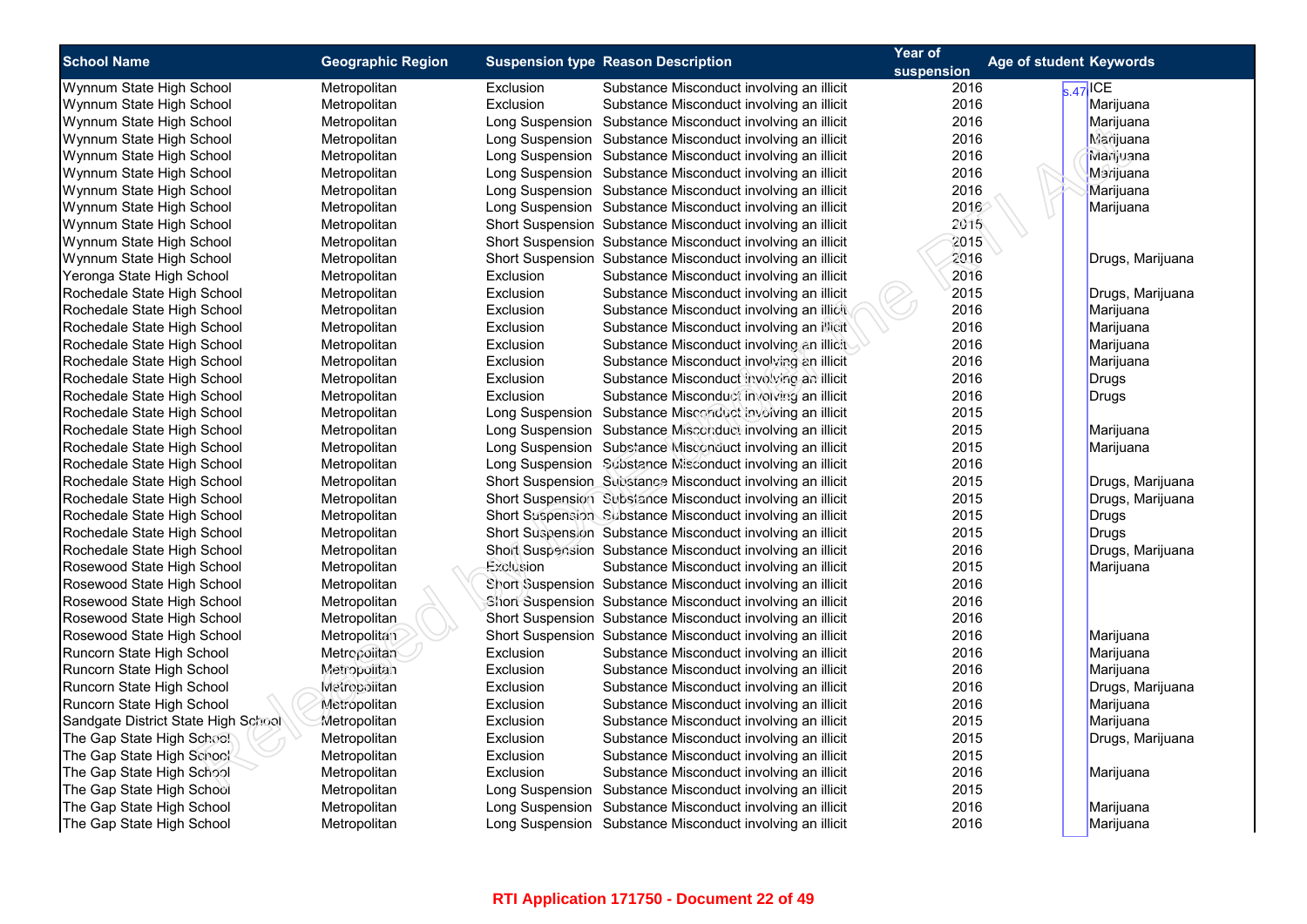| <b>School Name</b>                  | <b>Geographic Region</b> |           | <b>Suspension type Reason Description</b>                  | Year of    | Age of student Keywords |                              |
|-------------------------------------|--------------------------|-----------|------------------------------------------------------------|------------|-------------------------|------------------------------|
|                                     |                          |           |                                                            | suspension |                         |                              |
| Wynnum State High School            | Metropolitan             | Exclusion | Substance Misconduct involving an illicit                  | 2016       |                         | $\overline{\text{s.47}}$ ICE |
| Wynnum State High School            | Metropolitan             | Exclusion | Substance Misconduct involving an illicit                  | 2016       |                         | Marijuana                    |
| Wynnum State High School            | Metropolitan             |           | Long Suspension Substance Misconduct involving an illicit  | 2016       |                         | Marijuana                    |
| Wynnum State High School            | Metropolitan             |           | Long Suspension Substance Misconduct involving an illicit  | 2016       |                         | Marijuana                    |
| Wynnum State High School            | Metropolitan             |           | Long Suspension Substance Misconduct involving an illicit  | 2016       |                         | Marijuana                    |
| Wynnum State High School            | Metropolitan             |           | Long Suspension Substance Misconduct involving an illicit  | 2016       |                         | Marijuana                    |
| Wynnum State High School            | Metropolitan             |           | Long Suspension Substance Misconduct involving an illicit  | 2016       |                         | Marijuana                    |
| Wynnum State High School            | Metropolitan             |           | Long Suspension Substance Misconduct involving an illicit  | 2016       |                         | Marijuana                    |
| Wynnum State High School            | Metropolitan             |           | Short Suspension Substance Misconduct involving an illicit | 2015       |                         |                              |
| Wynnum State High School            | Metropolitan             |           | Short Suspension Substance Misconduct involving an illicit | 2015       |                         |                              |
| Wynnum State High School            | Metropolitan             |           | Short Suspension Substance Misconduct involving an illicit | 2016       |                         | Drugs, Marijuana             |
| Yeronga State High School           | Metropolitan             | Exclusion | Substance Misconduct involving an illicit                  | 2016       |                         |                              |
| Rochedale State High School         | Metropolitan             | Exclusion | Substance Misconduct involving an illicit                  | 2015       |                         | Drugs, Marijuana             |
| Rochedale State High School         | Metropolitan             | Exclusion | Substance Misconduct involving an illicit                  | 2016       |                         | Marijuana                    |
| Rochedale State High School         | Metropolitan             | Exclusion | Substance Misconduct involving an illicit                  | 2016       |                         | Marijuana                    |
| Rochedale State High School         | Metropolitan             | Exclusion | Substance Misconduct involving an illicit                  | 2016       |                         | Marijuana                    |
| Rochedale State High School         | Metropolitan             | Exclusion | Substance Misconduct involving an illicit                  | 2016       |                         | Marijuana                    |
| Rochedale State High School         | Metropolitan             | Exclusion | Substance Misconduct involving an illicit                  | 2016       |                         | Drugs                        |
| Rochedale State High School         | Metropolitan             | Exclusion | Substance Misconduct involving an illicit                  | 2016       |                         | Drugs                        |
| Rochedale State High School         | Metropolitan             |           | Long Suspension Substance Misconduct involving an illicit  | 2015       |                         |                              |
| Rochedale State High School         | Metropolitan             |           | Long Suspension Substance Misconduct involving an illicit  | 2015       |                         | Marijuana                    |
| Rochedale State High School         | Metropolitan             |           | Long Suspension Substance Misconduct involving an illicit  | 2015       |                         | Marijuana                    |
| Rochedale State High School         | Metropolitan             |           | Long Suspension Substance Misconduct involving an illicit  | 2016       |                         |                              |
| Rochedale State High School         | Metropolitan             |           | Short Suspension Substance Misconduct involving an illicit | 2015       |                         | Drugs, Marijuana             |
| Rochedale State High School         | Metropolitan             |           | Short Suspension Subsiance Misconduct involving an illicit | 2015       |                         | Drugs, Marijuana             |
| Rochedale State High School         | Metropolitan             |           | Short Suspension Substance Misconduct involving an illicit | 2015       |                         | <b>Drugs</b>                 |
| Rochedale State High School         | Metropolitan             |           | Short Suspension Substance Misconduct involving an illicit | 2015       |                         | <b>Drugs</b>                 |
| Rochedale State High School         | Metropolitan             |           | Short Suspension Substance Misconduct involving an illicit | 2016       |                         | Drugs, Marijuana             |
| Rosewood State High School          | Metropolitan             | Exclusion | Substance Misconduct involving an illicit                  | 2015       |                         | Marijuana                    |
| Rosewood State High School          | Metropolitan             |           | Short Suspension Substance Misconduct involving an illicit | 2016       |                         |                              |
| Rosewood State High School          | Metropolitan             |           | Short Suspension Substance Misconduct involving an illicit | 2016       |                         |                              |
| Rosewood State High School          | Metropolitan             |           | Short Suspension Substance Misconduct involving an illicit | 2016       |                         |                              |
| Rosewood State High School          | Metropolitan             |           | Short Suspension Substance Misconduct involving an illicit | 2016       |                         | Marijuana                    |
| Runcorn State High School           | Metropolitan             | Exclusion | Substance Misconduct involving an illicit                  | 2016       |                         | Marijuana                    |
| Runcorn State High School           | Metropolitan             | Exclusion | Substance Misconduct involving an illicit                  | 2016       |                         | Marijuana                    |
| Runcorn State High School           | Metrocolitan             | Exclusion | Substance Misconduct involving an illicit                  | 2016       |                         | Drugs, Marijuana             |
| Runcorn State High School           | Metropolitan             | Exclusion | Substance Misconduct involving an illicit                  | 2016       |                         | Marijuana                    |
| Sandgate District State High School | Metropolitan             | Exclusion | Substance Misconduct involving an illicit                  | 2015       |                         | Marijuana                    |
| The Gap State High School           | Metropolitan             | Exclusion | Substance Misconduct involving an illicit                  | 2015       |                         | Drugs, Marijuana             |
| The Gap State High School           | Metropolitan             | Exclusion | Substance Misconduct involving an illicit                  | 2015       |                         |                              |
| The Gap State High School           | Metropolitan             | Exclusion | Substance Misconduct involving an illicit                  | 2016       |                         | Marijuana                    |
| The Gap State High School           | Metropolitan             |           | Long Suspension Substance Misconduct involving an illicit  | 2015       |                         |                              |
| The Gap State High School           | Metropolitan             |           | Long Suspension Substance Misconduct involving an illicit  | 2016       |                         | Marijuana                    |
| The Gap State High School           | Metropolitan             |           | Long Suspension Substance Misconduct involving an illicit  | 2016       |                         | Marijuana                    |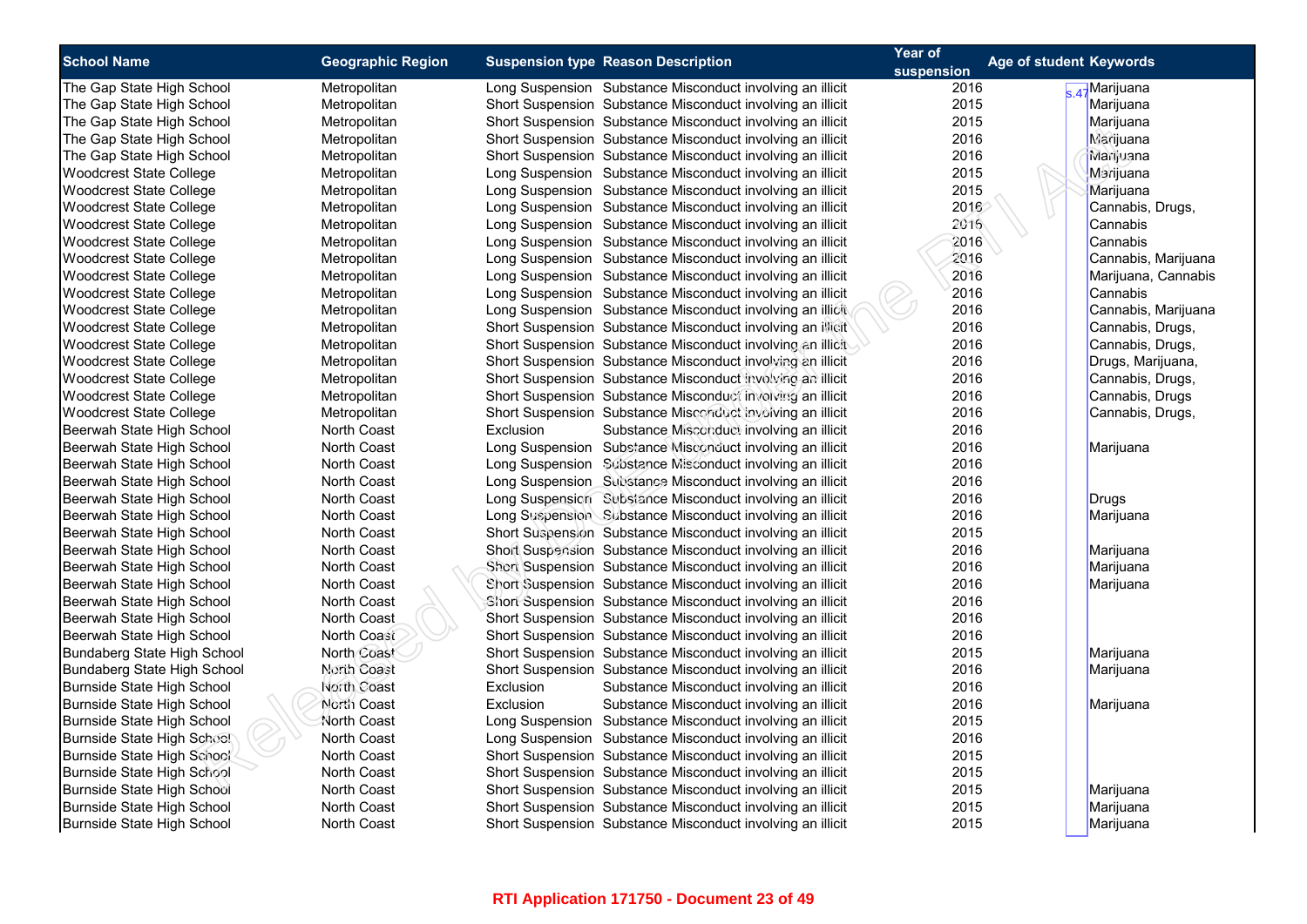| <b>School Name</b>             | <b>Geographic Region</b> | <b>Suspension type Reason Description</b> | Year of                                                    | Age of student Keywords |                     |
|--------------------------------|--------------------------|-------------------------------------------|------------------------------------------------------------|-------------------------|---------------------|
|                                |                          |                                           |                                                            | suspension              |                     |
| The Gap State High School      | Metropolitan             |                                           | Long Suspension Substance Misconduct involving an illicit  | 2016                    | A-Marijuana         |
| The Gap State High School      | Metropolitan             |                                           | Short Suspension Substance Misconduct involving an illicit | 2015                    | Marijuana           |
| The Gap State High School      | Metropolitan             |                                           | Short Suspension Substance Misconduct involving an illicit | 2015                    | Marijuana           |
| The Gap State High School      | Metropolitan             |                                           | Short Suspension Substance Misconduct involving an illicit | 2016                    | Marijuana           |
| The Gap State High School      | Metropolitan             |                                           | Short Suspension Substance Misconduct involving an illicit | 2016                    | Marijuana           |
| <b>Woodcrest State College</b> | Metropolitan             |                                           | Long Suspension Substance Misconduct involving an illicit  | 2015                    | Marijuana           |
| <b>Woodcrest State College</b> | Metropolitan             |                                           | Long Suspension Substance Misconduct involving an illicit  | 2015                    | Marijuana           |
| <b>Woodcrest State College</b> | Metropolitan             |                                           | Long Suspension Substance Misconduct involving an illicit  | 2016                    | Cannabis, Drugs,    |
| <b>Woodcrest State College</b> | Metropolitan             |                                           | Long Suspension Substance Misconduct involving an illicit  | 2016                    | Cannabis            |
| <b>Woodcrest State College</b> | Metropolitan             |                                           | Long Suspension Substance Misconduct involving an illicit  | 2016                    | Cannabis            |
| <b>Woodcrest State College</b> | Metropolitan             |                                           | Long Suspension Substance Misconduct involving an illicit  | 2016                    | Cannabis, Marijuana |
| <b>Woodcrest State College</b> | Metropolitan             |                                           | Long Suspension Substance Misconduct involving an illicit  | 2016                    | Marijuana, Cannabis |
| <b>Woodcrest State College</b> | Metropolitan             |                                           | Long Suspension Substance Misconduct involving an illicit  | 2016                    | Cannabis            |
| <b>Woodcrest State College</b> | Metropolitan             |                                           | Long Suspension Substance Misconduct involving an illicit  | 2016                    | Cannabis, Marijuana |
| <b>Woodcrest State College</b> | Metropolitan             |                                           | Short Suspension Substance Misconduct involving an illicit | 2016                    | Cannabis, Drugs,    |
| <b>Woodcrest State College</b> | Metropolitan             |                                           | Short Suspension Substance Misconduct involving an illicit | 2016                    | Cannabis, Drugs,    |
| <b>Woodcrest State College</b> | Metropolitan             |                                           | Short Suspension Substance Misconduct involving an illicit | 2016                    | Drugs, Marijuana,   |
| <b>Woodcrest State College</b> | Metropolitan             |                                           | Short Suspension Substance Misconduct involving an illicit | 2016                    | Cannabis, Drugs,    |
| <b>Woodcrest State College</b> | Metropolitan             |                                           | Short Suspension Substance Misconduct involving an illicit | 2016                    | Cannabis, Drugs     |
| <b>Woodcrest State College</b> | Metropolitan             |                                           | Short Suspension Substance Misconduct involving an illicit | 2016                    | Cannabis, Drugs,    |
| Beerwah State High School      | <b>North Coast</b>       | Exclusion                                 | Substance Misconduct involving an illicit                  | 2016                    |                     |
| Beerwah State High School      | <b>North Coast</b>       |                                           | Long Suspension Substance Misconduct involving an illicit  | 2016                    | Marijuana           |
| Beerwah State High School      | <b>North Coast</b>       |                                           | Long Suspension Substance Misconduct involving an illicit  | 2016                    |                     |
| Beerwah State High School      | North Coast              |                                           | Long Suspension Substance Misconduct involving an illicit  | 2016                    |                     |
| Beerwah State High School      | <b>North Coast</b>       |                                           | Long Suspension Substance Misconduct involving an illicit  | 2016                    | Drugs               |
| Beerwah State High School      | <b>North Coast</b>       |                                           | Long Suspension Substance Misconduct involving an illicit  | 2016                    | Marijuana           |
| Beerwah State High School      | <b>North Coast</b>       |                                           | Short Suspension Substance Misconduct involving an illicit | 2015                    |                     |
| Beerwah State High School      | <b>North Coast</b>       |                                           | Short Suspension Substance Misconduct involving an illicit | 2016                    | Marijuana           |
| Beerwah State High School      | North Coast              |                                           | Short Suspension Substance Misconduct involving an illicit | 2016                    | Marijuana           |
| Beerwah State High School      | North Coast              |                                           | Short Suspension Substance Misconduct involving an illicit | 2016                    | Marijuana           |
| Beerwah State High School      | North Coast              |                                           | Short Suspension Substance Misconduct involving an illicit | 2016                    |                     |
| Beerwah State High School      | North Coast              |                                           | Short Suspension Substance Misconduct involving an illicit | 2016                    |                     |
| Beerwah State High School      | North Coast              |                                           | Short Suspension Substance Misconduct involving an illicit | 2016                    |                     |
| Bundaberg State High School    | North Coast              |                                           | Short Suspension Substance Misconduct involving an illicit | 2015                    | Marijuana           |
| Bundaberg State High School    | North Coast              |                                           | Short Suspension Substance Misconduct involving an illicit | 2016                    | Marijuana           |
| Burnside State High School     | North Coast              | <b>Exclusion</b>                          | Substance Misconduct involving an illicit                  | 2016                    |                     |
| Burnside State High School     | North Coast              | Exclusion                                 | Substance Misconduct involving an illicit                  | 2016                    | Marijuana           |
| Burnside State High School     | North Coast              |                                           | Long Suspension Substance Misconduct involving an illicit  | 2015                    |                     |
| Burnside State High School     | <b>North Coast</b>       |                                           | Long Suspension Substance Misconduct involving an illicit  | 2016                    |                     |
| Burnside State High School     | <b>North Coast</b>       |                                           | Short Suspension Substance Misconduct involving an illicit | 2015                    |                     |
| Burnside State High School     | North Coast              |                                           | Short Suspension Substance Misconduct involving an illicit | 2015                    |                     |
| Burnside State High School     | North Coast              |                                           | Short Suspension Substance Misconduct involving an illicit | 2015                    | Marijuana           |
| Burnside State High School     | <b>North Coast</b>       |                                           | Short Suspension Substance Misconduct involving an illicit | 2015                    | Marijuana           |
| Burnside State High School     | <b>North Coast</b>       |                                           | Short Suspension Substance Misconduct involving an illicit | 2015                    | Marijuana           |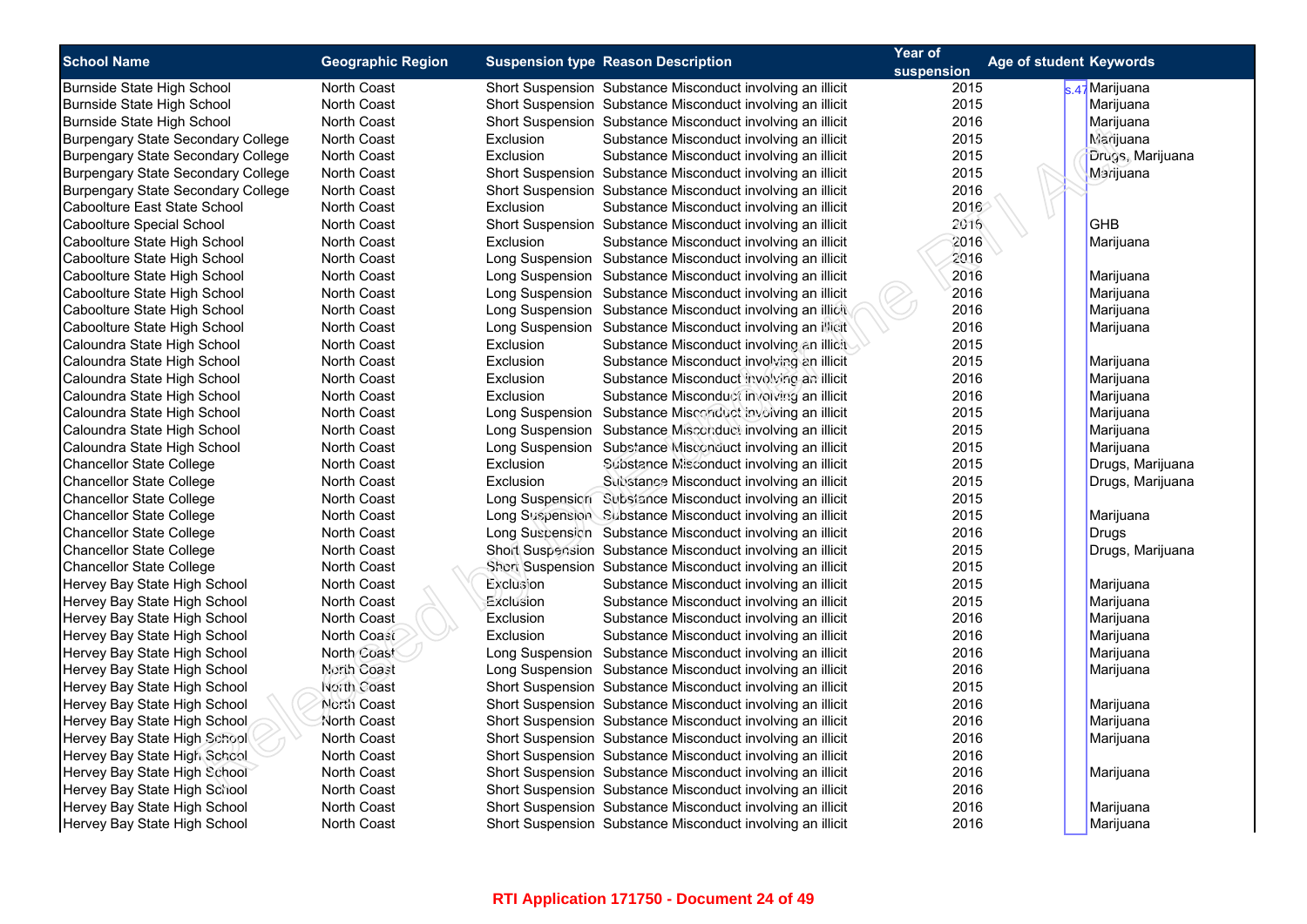| <b>School Name</b>                        | <b>Geographic Region</b> | <b>Suspension type Reason Description</b> | Year of<br>Age of student Keywords                         |            |                  |
|-------------------------------------------|--------------------------|-------------------------------------------|------------------------------------------------------------|------------|------------------|
|                                           |                          |                                           |                                                            | suspension |                  |
| Burnside State High School                | North Coast              |                                           | Short Suspension Substance Misconduct involving an illicit | 2015       | s.47 Marijuana   |
| Burnside State High School                | <b>North Coast</b>       |                                           | Short Suspension Substance Misconduct involving an illicit | 2015       | Marijuana        |
| Burnside State High School                | <b>North Coast</b>       |                                           | Short Suspension Substance Misconduct involving an illicit | 2016       | Marijuana        |
| <b>Burpengary State Secondary College</b> | <b>North Coast</b>       | Exclusion                                 | Substance Misconduct involving an illicit                  | 2015       | <b>Marijuana</b> |
| <b>Burpengary State Secondary College</b> | North Coast              | Exclusion                                 | Substance Misconduct involving an illicit                  | 2015       | Drugs, Marijuana |
| <b>Burpengary State Secondary College</b> | <b>North Coast</b>       |                                           | Short Suspension Substance Misconduct involving an illicit | 2015       | Marijuana        |
| <b>Burpengary State Secondary College</b> | <b>North Coast</b>       |                                           | Short Suspension Substance Misconduct involving an illicit | 2016       |                  |
| Caboolture East State School              | <b>North Coast</b>       | Exclusion                                 | Substance Misconduct involving an illicit                  | 2016       |                  |
| Caboolture Special School                 | North Coast              |                                           | Short Suspension Substance Misconduct involving an illicit | 2016       | GHB              |
| Caboolture State High School              | <b>North Coast</b>       | Exclusion                                 | Substance Misconduct involving an illicit                  | 2016       | Marijuana        |
| Caboolture State High School              | North Coast              |                                           | Long Suspension Substance Misconduct involving an illicit  | 2016       |                  |
| Caboolture State High School              | <b>North Coast</b>       |                                           | Long Suspension Substance Misconduct involving an illicit  | 2016       | Marijuana        |
| Caboolture State High School              | <b>North Coast</b>       |                                           | Long Suspension Substance Misconduct involving an illicit  | 2016       | Marijuana        |
| Caboolture State High School              | <b>North Coast</b>       |                                           | Long Suspension Substance Misconduct involving an illicit  | 2016       | Marijuana        |
| Caboolture State High School              | North Coast              |                                           | Long Suspension Substance Misconduct involving an illicit  | 2016       | Marijuana        |
| Caloundra State High School               | <b>North Coast</b>       | Exclusion                                 | Substance Misconduct involving an illicit                  | 2015       |                  |
| Caloundra State High School               | North Coast              | Exclusion                                 | Substance Misconduct involving an illicit                  | 2015       | Marijuana        |
| Caloundra State High School               | <b>North Coast</b>       | Exclusion                                 | Substance Misconduct involving an illicit                  | 2016       | Marijuana        |
| Caloundra State High School               | North Coast              | Exclusion                                 | Substance Misconduct involving an illicit                  | 2016       | Marijuana        |
| Caloundra State High School               | <b>North Coast</b>       |                                           | Long Suspension Substance Misconduct involving an illicit  | 2015       | Marijuana        |
| Caloundra State High School               | North Coast              |                                           | Long Suspension Substance Misconduct involving an illicit  | 2015       | Marijuana        |
| Caloundra State High School               | <b>North Coast</b>       |                                           | Long Suspension Substance Misconduct involving an illicit  | 2015       | Marijuana        |
| <b>Chancellor State College</b>           | North Coast              | Exclusion                                 | Substance Misconduct involving an illicit                  | 2015       | Drugs, Marijuana |
| <b>Chancellor State College</b>           | <b>North Coast</b>       | Exclusion                                 | Substance Misconduct involving an illicit                  | 2015       | Drugs, Marijuana |
| <b>Chancellor State College</b>           | North Coast              |                                           | Long Suspension Substance Misconduct involving an illicit  | 2015       |                  |
| <b>Chancellor State College</b>           | <b>North Coast</b>       |                                           | Long Suspension Substance Misconduct involving an illicit  | 2015       | Marijuana        |
| <b>Chancellor State College</b>           | North Coast              |                                           | Long Suspension Substance Misconduct involving an illicit  | 2016       | Drugs            |
| <b>Chancellor State College</b>           | <b>North Coast</b>       |                                           | Short Suspension Substance Misconduct involving an illicit | 2015       | Drugs, Marijuana |
| <b>Chancellor State College</b>           | North Coast              |                                           | Short Suspension Substance Misconduct involving an illicit | 2015       |                  |
| Hervey Bay State High School              | <b>North Coast</b>       | Exclusion                                 | Substance Misconduct involving an illicit                  | 2015       | Marijuana        |
| Hervey Bay State High School              | North Coast              | Exclusion                                 | Substance Misconduct involving an illicit                  | 2015       | Marijuana        |
| Hervey Bay State High School              | <b>North Coast</b>       | Exclusion                                 | Substance Misconduct involving an illicit                  | 2016       | Marijuana        |
| Hervey Bay State High School              | North Coast              | Exclusion                                 | Substance Misconduct involving an illicit                  | 2016       | Marijuana        |
| Hervey Bay State High School              | North Coast              |                                           | Long Suspension Substance Misconduct involving an illicit  | 2016       | Marijuana        |
| Hervey Bay State High School              | North Coast              |                                           | Long Suspension Substance Misconduct involving an illicit  | 2016       | Marijuana        |
| Hervey Bay State High School              | North Coast              |                                           | Short Suspension Substance Misconduct involving an illicit | 2015       |                  |
| Hervey Bay State High School              | North Coast              |                                           | Short Suspension Substance Misconduct involving an illicit | 2016       | Marijuana        |
| Hervey Bay State High School              | North Coast              |                                           | Short Suspension Substance Misconduct involving an illicit | 2016       | Marijuana        |
| Hervey Bay State High School              | North Coast              |                                           | Short Suspension Substance Misconduct involving an illicit | 2016       | Marijuana        |
| Hervey Bay State High School              | <b>North Coast</b>       |                                           | Short Suspension Substance Misconduct involving an illicit | 2016       |                  |
| Hervey Bay State High School              | North Coast              |                                           | Short Suspension Substance Misconduct involving an illicit | 2016       | Marijuana        |
| Hervey Bay State High School              | <b>North Coast</b>       |                                           | Short Suspension Substance Misconduct involving an illicit | 2016       |                  |
| Hervey Bay State High School              | North Coast              |                                           | Short Suspension Substance Misconduct involving an illicit | 2016       | Marijuana        |
| Hervey Bay State High School              | <b>North Coast</b>       |                                           | Short Suspension Substance Misconduct involving an illicit | 2016       | Marijuana        |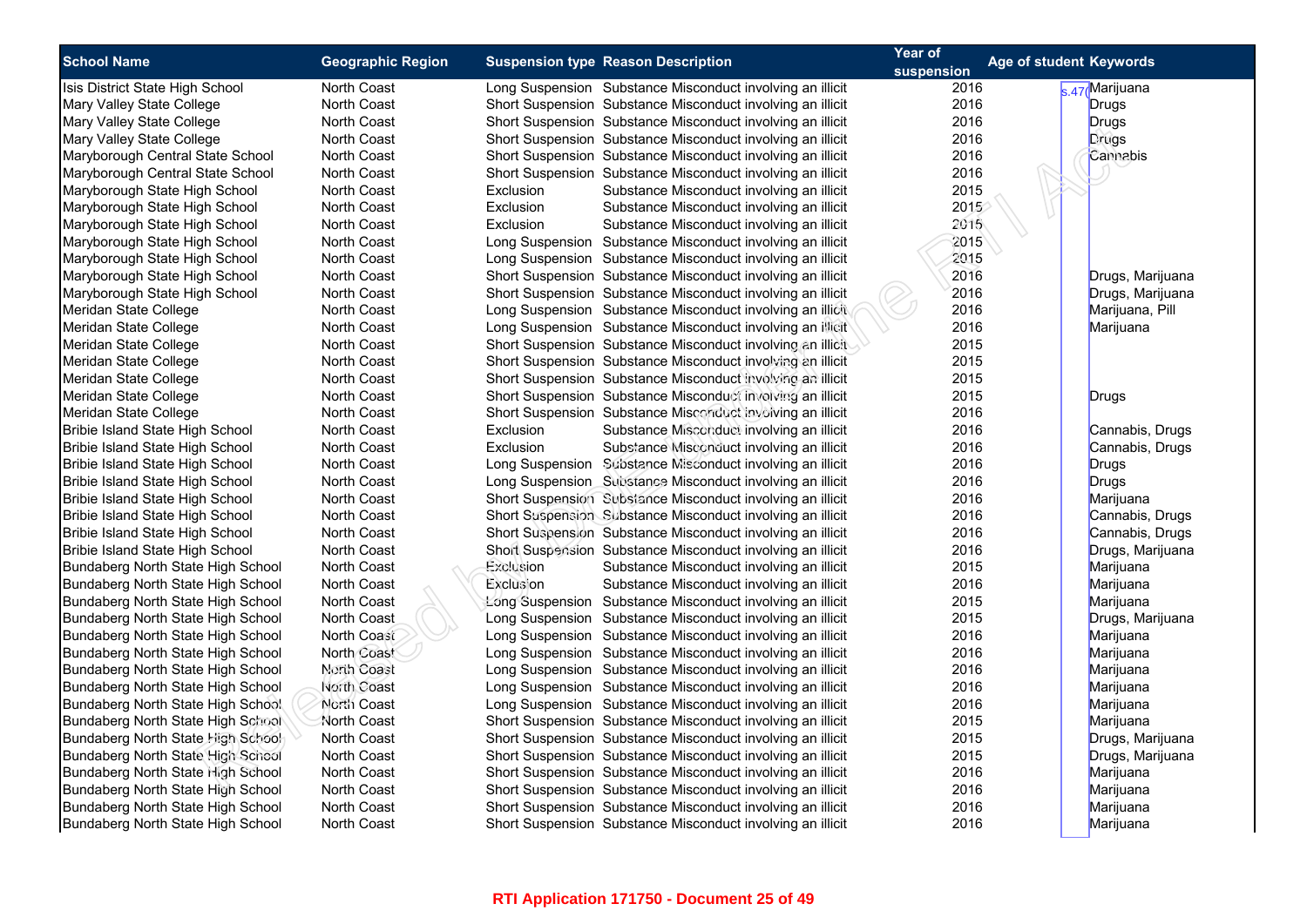| <b>School Name</b>                                                                                                                                                                                                                                                                                                                                                                                                                                                                                                                                                             | <b>Geographic Region</b>                                        | <b>Suspension type Reason Description</b>                                                                                                                                                                                                                                                                                                                                                                                                                                                                                                                                                                                                                                                                                                                                                                                    | Year of              | <b>Age of student Keywords</b>                                                                                                                                                |
|--------------------------------------------------------------------------------------------------------------------------------------------------------------------------------------------------------------------------------------------------------------------------------------------------------------------------------------------------------------------------------------------------------------------------------------------------------------------------------------------------------------------------------------------------------------------------------|-----------------------------------------------------------------|------------------------------------------------------------------------------------------------------------------------------------------------------------------------------------------------------------------------------------------------------------------------------------------------------------------------------------------------------------------------------------------------------------------------------------------------------------------------------------------------------------------------------------------------------------------------------------------------------------------------------------------------------------------------------------------------------------------------------------------------------------------------------------------------------------------------------|----------------------|-------------------------------------------------------------------------------------------------------------------------------------------------------------------------------|
|                                                                                                                                                                                                                                                                                                                                                                                                                                                                                                                                                                                |                                                                 |                                                                                                                                                                                                                                                                                                                                                                                                                                                                                                                                                                                                                                                                                                                                                                                                                              | suspension           |                                                                                                                                                                               |
| Isis District State High School                                                                                                                                                                                                                                                                                                                                                                                                                                                                                                                                                | North Coast                                                     | Long Suspension Substance Misconduct involving an illicit                                                                                                                                                                                                                                                                                                                                                                                                                                                                                                                                                                                                                                                                                                                                                                    | 2016                 | s.47 Marijuana                                                                                                                                                                |
| Mary Valley State College                                                                                                                                                                                                                                                                                                                                                                                                                                                                                                                                                      | North Coast                                                     | Short Suspension Substance Misconduct involving an illicit                                                                                                                                                                                                                                                                                                                                                                                                                                                                                                                                                                                                                                                                                                                                                                   | 2016                 | <b>Drugs</b>                                                                                                                                                                  |
| Mary Valley State College                                                                                                                                                                                                                                                                                                                                                                                                                                                                                                                                                      | <b>North Coast</b>                                              | Short Suspension Substance Misconduct involving an illicit                                                                                                                                                                                                                                                                                                                                                                                                                                                                                                                                                                                                                                                                                                                                                                   | 2016                 | Drugs                                                                                                                                                                         |
| Mary Valley State College                                                                                                                                                                                                                                                                                                                                                                                                                                                                                                                                                      | <b>North Coast</b>                                              | Short Suspension Substance Misconduct involving an illicit                                                                                                                                                                                                                                                                                                                                                                                                                                                                                                                                                                                                                                                                                                                                                                   | 2016                 | Drugs                                                                                                                                                                         |
| Maryborough Central State School                                                                                                                                                                                                                                                                                                                                                                                                                                                                                                                                               | North Coast                                                     | Short Suspension Substance Misconduct involving an illicit                                                                                                                                                                                                                                                                                                                                                                                                                                                                                                                                                                                                                                                                                                                                                                   | 2016                 | Cannabis                                                                                                                                                                      |
| Maryborough Central State School                                                                                                                                                                                                                                                                                                                                                                                                                                                                                                                                               | North Coast                                                     | Short Suspension Substance Misconduct involving an illicit                                                                                                                                                                                                                                                                                                                                                                                                                                                                                                                                                                                                                                                                                                                                                                   | 2016                 |                                                                                                                                                                               |
| Maryborough State High School                                                                                                                                                                                                                                                                                                                                                                                                                                                                                                                                                  | <b>North Coast</b>                                              | Exclusion<br>Substance Misconduct involving an illicit                                                                                                                                                                                                                                                                                                                                                                                                                                                                                                                                                                                                                                                                                                                                                                       | 2015                 |                                                                                                                                                                               |
| Maryborough State High School                                                                                                                                                                                                                                                                                                                                                                                                                                                                                                                                                  | North Coast                                                     | Exclusion<br>Substance Misconduct involving an illicit                                                                                                                                                                                                                                                                                                                                                                                                                                                                                                                                                                                                                                                                                                                                                                       | 2015                 |                                                                                                                                                                               |
| Maryborough State High School                                                                                                                                                                                                                                                                                                                                                                                                                                                                                                                                                  | <b>North Coast</b>                                              | Substance Misconduct involving an illicit<br>Exclusion                                                                                                                                                                                                                                                                                                                                                                                                                                                                                                                                                                                                                                                                                                                                                                       | 2015                 |                                                                                                                                                                               |
| Maryborough State High School                                                                                                                                                                                                                                                                                                                                                                                                                                                                                                                                                  | North Coast                                                     | Long Suspension Substance Misconduct involving an illicit                                                                                                                                                                                                                                                                                                                                                                                                                                                                                                                                                                                                                                                                                                                                                                    | 2015                 |                                                                                                                                                                               |
| Maryborough State High School                                                                                                                                                                                                                                                                                                                                                                                                                                                                                                                                                  | <b>North Coast</b>                                              | Long Suspension Substance Misconduct involving an illicit                                                                                                                                                                                                                                                                                                                                                                                                                                                                                                                                                                                                                                                                                                                                                                    | 2015                 |                                                                                                                                                                               |
| Maryborough State High School                                                                                                                                                                                                                                                                                                                                                                                                                                                                                                                                                  | North Coast                                                     | Short Suspension Substance Misconduct involving an illicit                                                                                                                                                                                                                                                                                                                                                                                                                                                                                                                                                                                                                                                                                                                                                                   | 2016                 | Drugs, Marijuana                                                                                                                                                              |
| Maryborough State High School                                                                                                                                                                                                                                                                                                                                                                                                                                                                                                                                                  | North Coast                                                     | Short Suspension Substance Misconduct involving an illicit                                                                                                                                                                                                                                                                                                                                                                                                                                                                                                                                                                                                                                                                                                                                                                   | 2016                 | Drugs, Marijuana                                                                                                                                                              |
| Meridan State College                                                                                                                                                                                                                                                                                                                                                                                                                                                                                                                                                          | North Coast                                                     | Long Suspension Substance Misconduct involving an illicit                                                                                                                                                                                                                                                                                                                                                                                                                                                                                                                                                                                                                                                                                                                                                                    | 2016                 | Marijuana, Pill                                                                                                                                                               |
| Meridan State College                                                                                                                                                                                                                                                                                                                                                                                                                                                                                                                                                          | <b>North Coast</b>                                              | Long Suspension Substance Misconduct involving an illicit                                                                                                                                                                                                                                                                                                                                                                                                                                                                                                                                                                                                                                                                                                                                                                    | 2016                 | Marijuana                                                                                                                                                                     |
| Meridan State College                                                                                                                                                                                                                                                                                                                                                                                                                                                                                                                                                          | North Coast                                                     | Short Suspension Substance Misconduct involving an illicit                                                                                                                                                                                                                                                                                                                                                                                                                                                                                                                                                                                                                                                                                                                                                                   | 2015                 |                                                                                                                                                                               |
| Meridan State College                                                                                                                                                                                                                                                                                                                                                                                                                                                                                                                                                          | North Coast                                                     | Short Suspension Substance Misconduct involving an illicit                                                                                                                                                                                                                                                                                                                                                                                                                                                                                                                                                                                                                                                                                                                                                                   | 2015                 |                                                                                                                                                                               |
| Meridan State College                                                                                                                                                                                                                                                                                                                                                                                                                                                                                                                                                          | North Coast                                                     | Short Suspension Substance Misconduct involving an illicit                                                                                                                                                                                                                                                                                                                                                                                                                                                                                                                                                                                                                                                                                                                                                                   | 2015                 |                                                                                                                                                                               |
| Meridan State College                                                                                                                                                                                                                                                                                                                                                                                                                                                                                                                                                          | <b>North Coast</b>                                              | Short Suspension Substance Misconduct involving an illicit                                                                                                                                                                                                                                                                                                                                                                                                                                                                                                                                                                                                                                                                                                                                                                   | 2015                 | Drugs                                                                                                                                                                         |
| Meridan State College                                                                                                                                                                                                                                                                                                                                                                                                                                                                                                                                                          | <b>North Coast</b>                                              | Short Suspension Substance Misconduct involving an illicit                                                                                                                                                                                                                                                                                                                                                                                                                                                                                                                                                                                                                                                                                                                                                                   | 2016                 |                                                                                                                                                                               |
| Bribie Island State High School                                                                                                                                                                                                                                                                                                                                                                                                                                                                                                                                                | North Coast                                                     | Exclusion<br>Substance Misconduct involving an illicit                                                                                                                                                                                                                                                                                                                                                                                                                                                                                                                                                                                                                                                                                                                                                                       | 2016                 | Cannabis, Drugs                                                                                                                                                               |
| Bribie Island State High School                                                                                                                                                                                                                                                                                                                                                                                                                                                                                                                                                | North Coast                                                     | Exclusion<br>Substance Misconduct involving an illicit                                                                                                                                                                                                                                                                                                                                                                                                                                                                                                                                                                                                                                                                                                                                                                       | 2016                 | Cannabis, Drugs                                                                                                                                                               |
| Bribie Island State High School                                                                                                                                                                                                                                                                                                                                                                                                                                                                                                                                                | North Coast                                                     | Long Suspension Substance Misconduct involving an illicit                                                                                                                                                                                                                                                                                                                                                                                                                                                                                                                                                                                                                                                                                                                                                                    | 2016                 | Drugs                                                                                                                                                                         |
| Bribie Island State High School                                                                                                                                                                                                                                                                                                                                                                                                                                                                                                                                                | <b>North Coast</b>                                              | Long Suspension Substance Misconduct involving an illicit                                                                                                                                                                                                                                                                                                                                                                                                                                                                                                                                                                                                                                                                                                                                                                    | 2016                 | <b>Drugs</b>                                                                                                                                                                  |
| Bribie Island State High School                                                                                                                                                                                                                                                                                                                                                                                                                                                                                                                                                | North Coast                                                     | Short Suspension Substance Misconduct involving an illicit                                                                                                                                                                                                                                                                                                                                                                                                                                                                                                                                                                                                                                                                                                                                                                   | 2016                 | Marijuana                                                                                                                                                                     |
| Bribie Island State High School                                                                                                                                                                                                                                                                                                                                                                                                                                                                                                                                                | North Coast                                                     | Short Suspension Substance Misconduct involving an illicit                                                                                                                                                                                                                                                                                                                                                                                                                                                                                                                                                                                                                                                                                                                                                                   | 2016                 | Cannabis, Drugs                                                                                                                                                               |
| Bribie Island State High School                                                                                                                                                                                                                                                                                                                                                                                                                                                                                                                                                | North Coast                                                     | Short Suspension Substance Misconduct involving an illicit                                                                                                                                                                                                                                                                                                                                                                                                                                                                                                                                                                                                                                                                                                                                                                   | 2016                 | Cannabis, Drugs                                                                                                                                                               |
| Bribie Island State High School                                                                                                                                                                                                                                                                                                                                                                                                                                                                                                                                                | <b>North Coast</b>                                              | Short Suspension Substance Misconduct involving an illicit                                                                                                                                                                                                                                                                                                                                                                                                                                                                                                                                                                                                                                                                                                                                                                   | 2016                 | Drugs, Marijuana                                                                                                                                                              |
| Bundaberg North State High School                                                                                                                                                                                                                                                                                                                                                                                                                                                                                                                                              | North Coast                                                     | Exclusion<br>Substance Misconduct involving an illicit                                                                                                                                                                                                                                                                                                                                                                                                                                                                                                                                                                                                                                                                                                                                                                       | 2015                 | Marijuana                                                                                                                                                                     |
|                                                                                                                                                                                                                                                                                                                                                                                                                                                                                                                                                                                | North Coast                                                     | Exclusion<br>Substance Misconduct involving an illicit                                                                                                                                                                                                                                                                                                                                                                                                                                                                                                                                                                                                                                                                                                                                                                       | 2016                 | Marijuana                                                                                                                                                                     |
|                                                                                                                                                                                                                                                                                                                                                                                                                                                                                                                                                                                | North Coast                                                     |                                                                                                                                                                                                                                                                                                                                                                                                                                                                                                                                                                                                                                                                                                                                                                                                                              | 2015                 |                                                                                                                                                                               |
|                                                                                                                                                                                                                                                                                                                                                                                                                                                                                                                                                                                | <b>North Coast</b>                                              |                                                                                                                                                                                                                                                                                                                                                                                                                                                                                                                                                                                                                                                                                                                                                                                                                              | 2015                 |                                                                                                                                                                               |
|                                                                                                                                                                                                                                                                                                                                                                                                                                                                                                                                                                                | North Coast                                                     | Long Suspension Substance Misconduct involving an illicit                                                                                                                                                                                                                                                                                                                                                                                                                                                                                                                                                                                                                                                                                                                                                                    | 2016                 | Marijuana                                                                                                                                                                     |
|                                                                                                                                                                                                                                                                                                                                                                                                                                                                                                                                                                                |                                                                 |                                                                                                                                                                                                                                                                                                                                                                                                                                                                                                                                                                                                                                                                                                                                                                                                                              | 2016                 |                                                                                                                                                                               |
|                                                                                                                                                                                                                                                                                                                                                                                                                                                                                                                                                                                | North Coast                                                     |                                                                                                                                                                                                                                                                                                                                                                                                                                                                                                                                                                                                                                                                                                                                                                                                                              | 2016                 | Marijuana                                                                                                                                                                     |
|                                                                                                                                                                                                                                                                                                                                                                                                                                                                                                                                                                                | North Coast                                                     |                                                                                                                                                                                                                                                                                                                                                                                                                                                                                                                                                                                                                                                                                                                                                                                                                              | 2016                 |                                                                                                                                                                               |
|                                                                                                                                                                                                                                                                                                                                                                                                                                                                                                                                                                                | North Coast                                                     |                                                                                                                                                                                                                                                                                                                                                                                                                                                                                                                                                                                                                                                                                                                                                                                                                              | 2016                 |                                                                                                                                                                               |
|                                                                                                                                                                                                                                                                                                                                                                                                                                                                                                                                                                                |                                                                 |                                                                                                                                                                                                                                                                                                                                                                                                                                                                                                                                                                                                                                                                                                                                                                                                                              |                      |                                                                                                                                                                               |
|                                                                                                                                                                                                                                                                                                                                                                                                                                                                                                                                                                                | North Coast                                                     |                                                                                                                                                                                                                                                                                                                                                                                                                                                                                                                                                                                                                                                                                                                                                                                                                              | 2015                 |                                                                                                                                                                               |
|                                                                                                                                                                                                                                                                                                                                                                                                                                                                                                                                                                                | North Coast                                                     |                                                                                                                                                                                                                                                                                                                                                                                                                                                                                                                                                                                                                                                                                                                                                                                                                              |                      |                                                                                                                                                                               |
|                                                                                                                                                                                                                                                                                                                                                                                                                                                                                                                                                                                | <b>North Coast</b>                                              |                                                                                                                                                                                                                                                                                                                                                                                                                                                                                                                                                                                                                                                                                                                                                                                                                              | 2016                 |                                                                                                                                                                               |
|                                                                                                                                                                                                                                                                                                                                                                                                                                                                                                                                                                                |                                                                 |                                                                                                                                                                                                                                                                                                                                                                                                                                                                                                                                                                                                                                                                                                                                                                                                                              |                      |                                                                                                                                                                               |
|                                                                                                                                                                                                                                                                                                                                                                                                                                                                                                                                                                                | <b>North Coast</b>                                              |                                                                                                                                                                                                                                                                                                                                                                                                                                                                                                                                                                                                                                                                                                                                                                                                                              | 2016                 |                                                                                                                                                                               |
|                                                                                                                                                                                                                                                                                                                                                                                                                                                                                                                                                                                |                                                                 |                                                                                                                                                                                                                                                                                                                                                                                                                                                                                                                                                                                                                                                                                                                                                                                                                              | 2016                 |                                                                                                                                                                               |
| Bundaberg North State High School<br>Bundaberg North State High School<br>Bundaberg North State High School<br>Bundaberg North State High School<br>Bundaberg North State High School<br>Bundaberg North State High School<br>Bundaberg North State High School<br>Bundaberg North State High School<br><b>Bundaberg North State High School</b><br>Bundaberg North State High School<br>Bundaberg North State High School<br>Bundaberg North State High School<br>Bundaberg North State High School<br>Bundaberg North State High School<br>Bundaberg North State High School | North Coast<br>North Coast<br>North Coast<br><b>North Coast</b> | Long Suspension Substance Misconduct involving an illicit<br>Long Suspension Substance Misconduct involving an illicit<br>Long Suspension Substance Misconduct involving an illicit<br>Long Suspension Substance Misconduct involving an illicit<br>Long Suspension Substance Misconduct involving an illicit<br>Long Suspension Substance Misconduct involving an illicit<br>Short Suspension Substance Misconduct involving an illicit<br>Short Suspension Substance Misconduct involving an illicit<br>Short Suspension Substance Misconduct involving an illicit<br>Short Suspension Substance Misconduct involving an illicit<br>Short Suspension Substance Misconduct involving an illicit<br>Short Suspension Substance Misconduct involving an illicit<br>Short Suspension Substance Misconduct involving an illicit | 2015<br>2015<br>2016 | Marijuana<br>Drugs, Marijuana<br>Marijuana<br>Marijuana<br>Marijuana<br>Marijuana<br>Drugs, Marijuana<br>Drugs, Marijuana<br>Marijuana<br>Marijuana<br>Marijuana<br>Marijuana |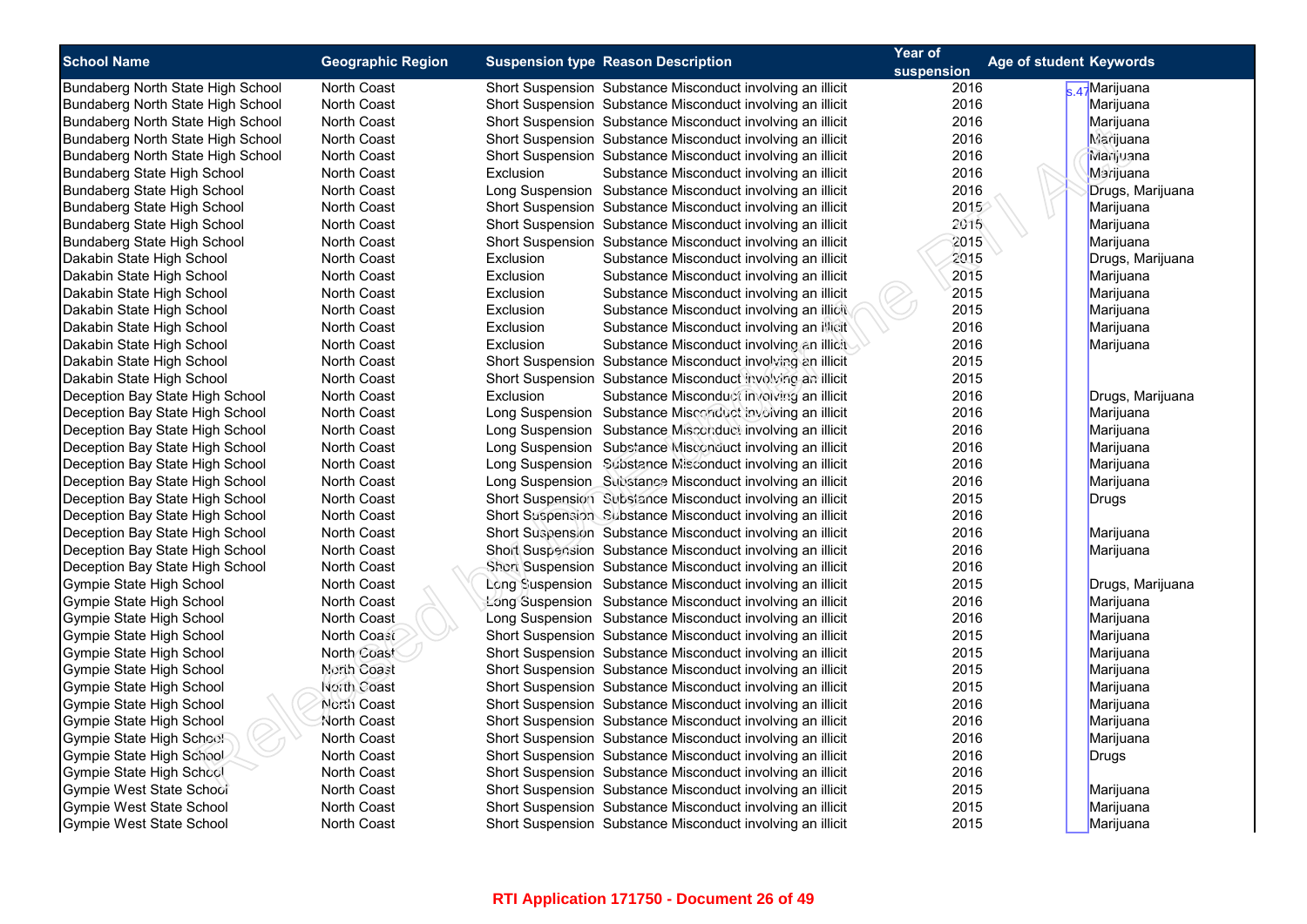| <b>School Name</b>                | <b>Geographic Region</b> |                                           |                                                            | Year of | Age of student Keywords |
|-----------------------------------|--------------------------|-------------------------------------------|------------------------------------------------------------|---------|-------------------------|
|                                   |                          | <b>Suspension type Reason Description</b> | suspension                                                 |         |                         |
| Bundaberg North State High School | <b>North Coast</b>       |                                           | Short Suspension Substance Misconduct involving an illicit | 2016    | s 47 Marijuana          |
| Bundaberg North State High School | <b>North Coast</b>       |                                           | Short Suspension Substance Misconduct involving an illicit | 2016    | Marijuana               |
| Bundaberg North State High School | <b>North Coast</b>       |                                           | Short Suspension Substance Misconduct involving an illicit | 2016    | Marijuana               |
| Bundaberg North State High School | <b>North Coast</b>       |                                           | Short Suspension Substance Misconduct involving an illicit | 2016    | Marijuana               |
| Bundaberg North State High School | <b>North Coast</b>       |                                           | Short Suspension Substance Misconduct involving an illicit | 2016    | Marijuana               |
| Bundaberg State High School       | <b>North Coast</b>       | Exclusion                                 | Substance Misconduct involving an illicit                  | 2016    | Marijuana               |
| Bundaberg State High School       | <b>North Coast</b>       |                                           | Long Suspension Substance Misconduct involving an illicit  | 2016    | Drugs, Marijuana        |
| Bundaberg State High School       | North Coast              |                                           | Short Suspension Substance Misconduct involving an illicit | 2015    | Marijuana               |
| Bundaberg State High School       | <b>North Coast</b>       |                                           | Short Suspension Substance Misconduct involving an illicit | 2015    | Marijuana               |
| Bundaberg State High School       | North Coast              |                                           | Short Suspension Substance Misconduct involving an illicit | 2015    | Marijuana               |
| Dakabin State High School         | <b>North Coast</b>       | Exclusion                                 | Substance Misconduct involving an illicit                  | 2015    | Drugs, Marijuana        |
| Dakabin State High School         | <b>North Coast</b>       | Exclusion                                 | Substance Misconduct involving an illicit                  | 2015    | Marijuana               |
| Dakabin State High School         | <b>North Coast</b>       | Exclusion                                 | Substance Misconduct involving an illicit                  | 2015    | Marijuana               |
| Dakabin State High School         | North Coast              | Exclusion                                 | Substance Misconduct involving an illicit                  | 2015    | Marijuana               |
| Dakabin State High School         | <b>North Coast</b>       | Exclusion                                 | Substance Misconduct involving an illicit                  | 2016    | Marijuana               |
| Dakabin State High School         | North Coast              | Exclusion                                 | Substance Misconduct involving an illicit                  | 2016    | Marijuana               |
| Dakabin State High School         | <b>North Coast</b>       |                                           | Short Suspension Substance Misconduct involving an illicit | 2015    |                         |
| Dakabin State High School         | <b>North Coast</b>       |                                           | Short Suspension Substance Misconduct involving an illicit | 2015    |                         |
| Deception Bay State High School   | <b>North Coast</b>       | Exclusion                                 | Substance Misconduct involving an illicit                  | 2016    | Drugs, Marijuana        |
| Deception Bay State High School   | <b>North Coast</b>       |                                           | Long Suspension Substance Misconduct involving an illicit  | 2016    | Marijuana               |
| Deception Bay State High School   | North Coast              |                                           | Long Suspension Substance Misconduct involving an illicit  | 2016    | Marijuana               |
| Deception Bay State High School   | <b>North Coast</b>       |                                           | Long Suspension Substance Misconduct involving an illicit  | 2016    | Marijuana               |
| Deception Bay State High School   | North Coast              |                                           | Long Suspension Substance Misconduct involving an illicit  | 2016    | Marijuana               |
| Deception Bay State High School   | <b>North Coast</b>       |                                           | Long Suspension Substance Misconduct involving an illicit  | 2016    | Marijuana               |
| Deception Bay State High School   | North Coast              |                                           | Short Suspension Substance Misconduct involving an illicit | 2015    | Drugs                   |
| Deception Bay State High School   | <b>North Coast</b>       |                                           | Short Suspension Substance Misconduct involving an illicit | 2016    |                         |
| Deception Bay State High School   | North Coast              |                                           | Short Suspension Substance Misconduct involving an illicit | 2016    | Marijuana               |
| Deception Bay State High School   | <b>North Coast</b>       |                                           | Short Suspension Substance Misconduct involving an illicit | 2016    | Marijuana               |
| Deception Bay State High School   | <b>North Coast</b>       |                                           | Short Suspension Substance Misconduct involving an illicit | 2016    |                         |
| Gympie State High School          | <b>North Coast</b>       |                                           | Long Suspension Substance Misconduct involving an illicit  | 2015    | Drugs, Marijuana        |
| Gympie State High School          | <b>North Coast</b>       |                                           | Long Suspension Substance Misconduct involving an illicit  | 2016    | Marijuana               |
| Gympie State High School          | <b>North Coast</b>       |                                           | Long Suspension Substance Misconduct involving an illicit  | 2016    | Marijuana               |
| Gympie State High School          | North Coast              |                                           | Short Suspension Substance Misconduct involving an illicit | 2015    | Marijuana               |
| Gympie State High School          | North Coast              |                                           | Short Suspension Substance Misconduct involving an illicit | 2015    | Marijuana               |
| Gympie State High School          | North Coast              |                                           | Short Suspension Substance Misconduct involving an illicit | 2015    | Marijuana               |
| Gympie State High School          | North Coast              |                                           | Short Suspension Substance Misconduct involving an illicit | 2015    | Marijuana               |
| Gympie State High School          | North Coast              |                                           | Short Suspension Substance Misconduct involving an illicit | 2016    | Marijuana               |
| Gympie State High School          | North Coast              |                                           | Short Suspension Substance Misconduct involving an illicit | 2016    | Marijuana               |
| Gympie State High School          | <b>North Coast</b>       |                                           | Short Suspension Substance Misconduct involving an illicit | 2016    | Marijuana               |
| Gympie State High School          | North Coast              |                                           | Short Suspension Substance Misconduct involving an illicit | 2016    | Drugs                   |
| Gympie State High School          | <b>North Coast</b>       |                                           | Short Suspension Substance Misconduct involving an illicit | 2016    |                         |
| Gympie West State School          | North Coast              |                                           | Short Suspension Substance Misconduct involving an illicit | 2015    | Marijuana               |
| Gympie West State School          | <b>North Coast</b>       |                                           | Short Suspension Substance Misconduct involving an illicit | 2015    | Marijuana               |
| Gympie West State School          | <b>North Coast</b>       |                                           | Short Suspension Substance Misconduct involving an illicit | 2015    | Marijuana               |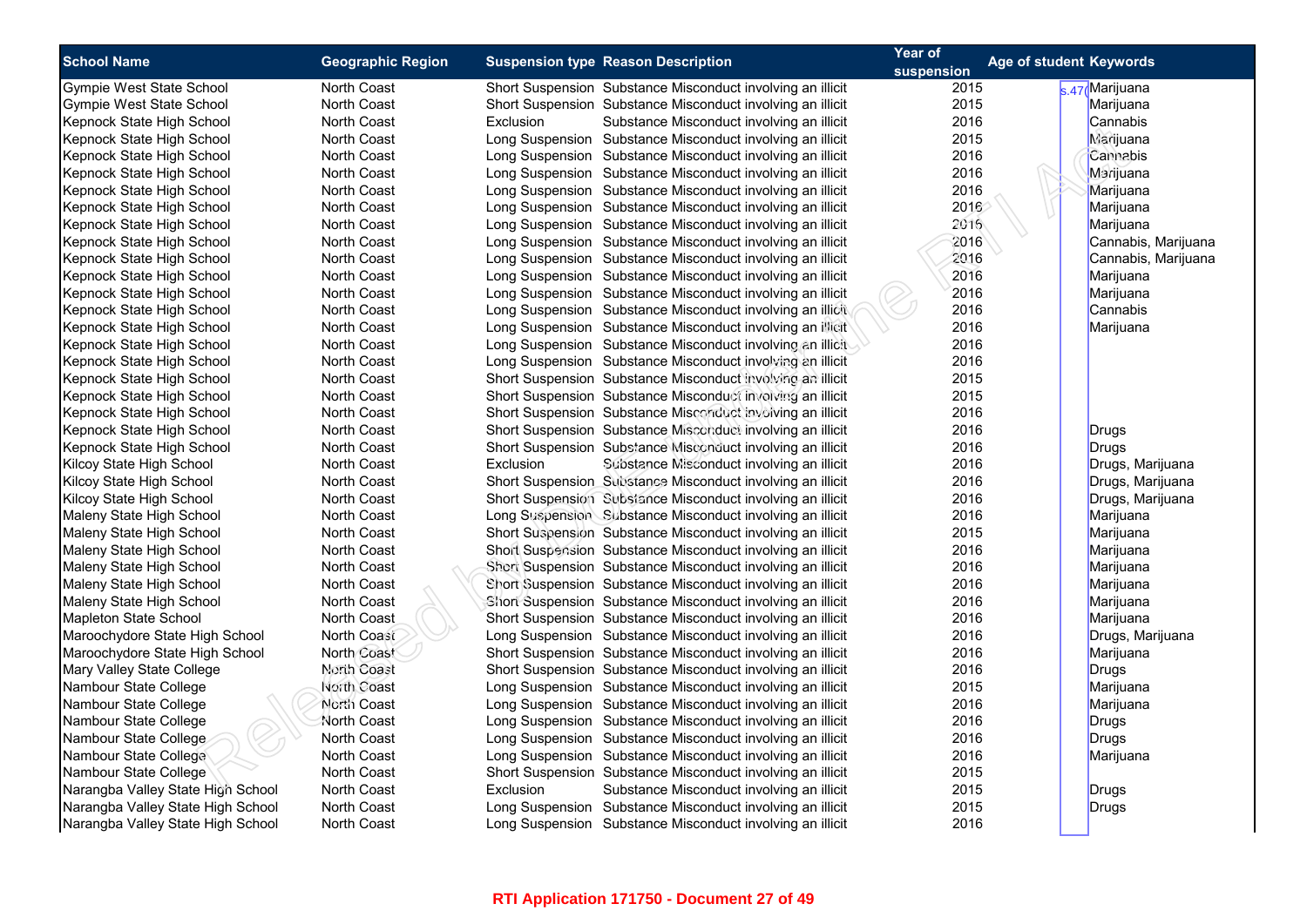| <b>School Name</b>                | <b>Geographic Region</b>   | <b>Suspension type Reason Description</b>                  | Year of            | <b>Age of student Keywords</b> |
|-----------------------------------|----------------------------|------------------------------------------------------------|--------------------|--------------------------------|
| Gympie West State School          | North Coast                | Short Suspension Substance Misconduct involving an illicit | suspension<br>2015 | s.47 Marijuana                 |
| Gympie West State School          | <b>North Coast</b>         | Short Suspension Substance Misconduct involving an illicit | 2015               | Marijuana                      |
| Kepnock State High School         | North Coast                | Exclusion<br>Substance Misconduct involving an illicit     | 2016               | Cannabis                       |
| Kepnock State High School         | <b>North Coast</b>         | Long Suspension Substance Misconduct involving an illicit  | 2015               | <b>Marijuana</b>               |
| Kepnock State High School         | North Coast                | Long Suspension Substance Misconduct involving an illicit  | 2016               | Cannabis                       |
| Kepnock State High School         | <b>North Coast</b>         | Long Suspension Substance Misconduct involving an illicit  | 2016               | Marijuana                      |
| Kepnock State High School         | North Coast                | Long Suspension Substance Misconduct involving an illicit  | 2016               | Marijuana                      |
| Kepnock State High School         | <b>North Coast</b>         | Long Suspension Substance Misconduct involving an illicit  | 2016               | Marijuana                      |
| Kepnock State High School         | North Coast                | Long Suspension Substance Misconduct involving an illicit  | 2016               | Marijuana                      |
| Kepnock State High School         | <b>North Coast</b>         | Long Suspension Substance Misconduct involving an illicit  | 2016               | Cannabis, Marijuana            |
| Kepnock State High School         | North Coast                | Long Suspension Substance Misconduct involving an illicit  | 2016               | Cannabis, Marijuana            |
| Kepnock State High School         | <b>North Coast</b>         | Long Suspension Substance Misconduct involving an illicit  | 2016               | Marijuana                      |
| Kepnock State High School         | <b>North Coast</b>         | Long Suspension Substance Misconduct involving an illicit  | 2016               | Marijuana                      |
| Kepnock State High School         | <b>North Coast</b>         | Long Suspension Substance Misconduct involving an illicit  | 2016               | Cannabis                       |
| Kepnock State High School         | <b>North Coast</b>         | Long Suspension Substance Misconduct involving an illicit  | 2016               | Marijuana                      |
| Kepnock State High School         | <b>North Coast</b>         | Long Suspension Substance Misconduct involving an illicit  | 2016               |                                |
| Kepnock State High School         | North Coast                | Long Suspension Substance Misconduct involving an illicit  | 2016               |                                |
| Kepnock State High School         | <b>North Coast</b>         | Short Suspension Substance Misconduct involving an illicit | 2015               |                                |
| Kepnock State High School         | North Coast                | Short Suspension Substance Misconduct involving an illicit | 2015               |                                |
| Kepnock State High School         | <b>North Coast</b>         | Short Suspension Substance Misconduct involving an illicit | 2016               |                                |
| Kepnock State High School         | North Coast                | Short Suspension Substance Misconduct involving an illicit | 2016               |                                |
| Kepnock State High School         | <b>North Coast</b>         | Short Suspension Substance Misconduct involving an illicit | 2016               | Drugs                          |
| Kilcoy State High School          | North Coast                | Exclusion<br>Substance Misconduct involving an illicit     | 2016               | Drugs<br>Drugs, Marijuana      |
| Kilcoy State High School          | <b>North Coast</b>         | Short Suspension Substance Misconduct involving an illicit | 2016               | Drugs, Marijuana               |
| Kilcoy State High School          | <b>North Coast</b>         | Short Suspension Subsiance Misconduct involving an illicit | 2016               | Drugs, Marijuana               |
|                                   | North Coast                | Long Suspension Substance Misconduct involving an illicit  | 2016               |                                |
| Maleny State High School          |                            |                                                            | 2015               | Marijuana                      |
| Maleny State High School          | North Coast<br>North Coast | Short Suspension Substance Misconduct involving an illicit | 2016               | Marijuana                      |
| Maleny State High School          | <b>North Coast</b>         | Short Suspension Substance Misconduct involving an illicit | 2016               | Marijuana                      |
| Maleny State High School          |                            | Short Suspension Substance Misconduct involving an illicit |                    | Marijuana                      |
| Maleny State High School          | North Coast                | Short Suspension Substance Misconduct involving an illicit | 2016               | Marijuana                      |
| Maleny State High School          | North Coast                | Short Suspension Substance Misconduct involving an illicit | 2016               | Marijuana                      |
| Mapleton State School             | North Coast                | Short Suspension Substance Misconduct involving an illicit | 2016<br>2016       | Marijuana                      |
| Maroochydore State High School    | North Coast                | Long Suspension Substance Misconduct involving an illicit  |                    | Drugs, Marijuana               |
| Maroochydore State High School    | North Coast                | Short Suspension Substance Misconduct involving an illicit | 2016               | Marijuana                      |
| Mary Valley State College         | North Coast                | Short Suspension Substance Misconduct involving an illicit | 2016               | Drugs                          |
| Nambour State College             | North Coast                | Long Suspension Substance Misconduct involving an illicit  | 2015               | Marijuana                      |
| Nambour State College             | North Coast                | Long Suspension Substance Misconduct involving an illicit  | 2016               | Marijuana                      |
| Nambour State College             | North Coast                | Long Suspension Substance Misconduct involving an illicit  | 2016               | Drugs                          |
| Nambour State College             | <b>North Coast</b>         | Long Suspension Substance Misconduct involving an illicit  | 2016               | Drugs                          |
| Nambour State College             | North Coast                | Long Suspension Substance Misconduct involving an illicit  | 2016               | Marijuana                      |
| Nambour State College             | North Coast                | Short Suspension Substance Misconduct involving an illicit | 2015               |                                |
| Narangba Valley State High School | North Coast                | Exclusion<br>Substance Misconduct involving an illicit     | 2015               | Drugs                          |
| Narangba Valley State High School | <b>North Coast</b>         | Long Suspension Substance Misconduct involving an illicit  | 2015               | Drugs                          |
| Narangba Valley State High School | <b>North Coast</b>         | Long Suspension Substance Misconduct involving an illicit  | 2016               |                                |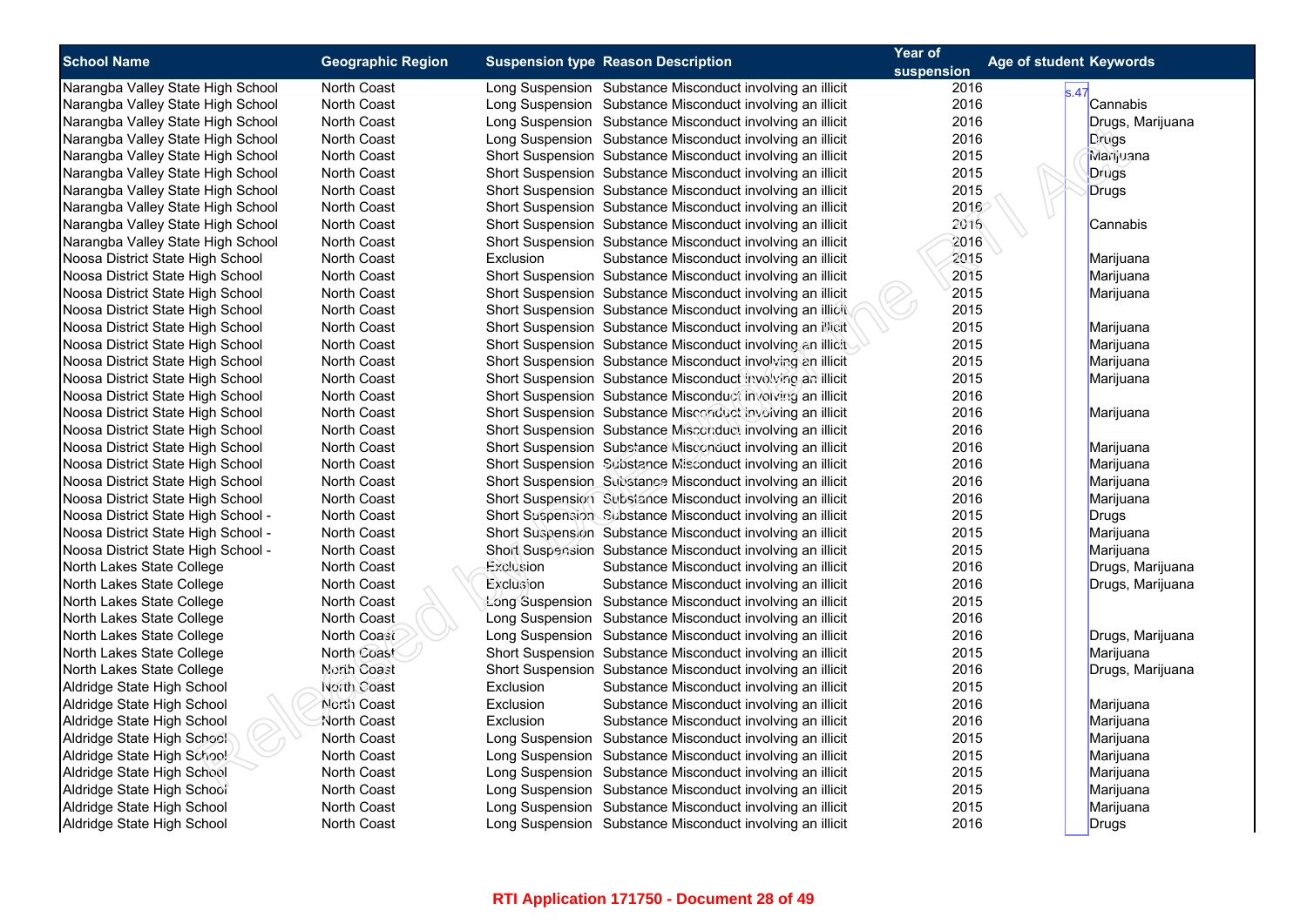| <b>School Name</b>                                                   | <b>Geographic Region</b> | <b>Suspension type Reason Description</b>                  | Year of            | Age of student Keywords |
|----------------------------------------------------------------------|--------------------------|------------------------------------------------------------|--------------------|-------------------------|
| Narangba Valley State High School                                    | North Coast              | Long Suspension Substance Misconduct involving an illicit  | suspension<br>2016 |                         |
| Narangba Valley State High School                                    | <b>North Coast</b>       | Long Suspension Substance Misconduct involving an illicit  | 2016               | s.47<br>Cannabis        |
| Narangba Valley State High School                                    | North Coast              | Long Suspension Substance Misconduct involving an illicit  | 2016               | Drugs, Marijuana        |
| Narangba Valley State High School                                    | North Coast              | Long Suspension Substance Misconduct involving an illicit  | 2016               | Drugs                   |
| Narangba Valley State High School                                    | North Coast              | Short Suspension Substance Misconduct involving an illicit | 2015               | Marijuana               |
| Narangba Valley State High School                                    | North Coast              | Short Suspension Substance Misconduct involving an illicit | 2015               | Drugs                   |
| Narangba Valley State High School                                    | <b>North Coast</b>       | Short Suspension Substance Misconduct involving an illicit | 2015               | Drugs                   |
| Narangba Valley State High School                                    | North Coast              | Short Suspension Substance Misconduct involving an illicit | 2016               |                         |
| Narangba Valley State High School                                    | North Coast              | Short Suspension Substance Misconduct involving an illicit | 2016               | Cannabis                |
| Narangba Valley State High School                                    | North Coast              | Short Suspension Substance Misconduct involving an illicit | 2016               |                         |
| Noosa District State High School                                     | North Coast              | Exclusion<br>Substance Misconduct involving an illicit     | 2015               | Marijuana               |
| Noosa District State High School                                     | North Coast              | Short Suspension Substance Misconduct involving an illicit | 2015               |                         |
| Noosa District State High School                                     | <b>North Coast</b>       | Short Suspension Substance Misconduct involving an illicit | 2015               | Marijuana<br>Marijuana  |
|                                                                      | North Coast              | Short Suspension Substance Misconduct involving an illicit | 2015               |                         |
| Noosa District State High School<br>Noosa District State High School | <b>North Coast</b>       | Short Suspension Substance Misconduct involving an illicit | 2015               | Marijuana               |
|                                                                      |                          |                                                            | 2015               |                         |
| Noosa District State High School                                     | <b>North Coast</b>       | Short Suspension Substance Misconduct involving an illicit | 2015               | Marijuana               |
| Noosa District State High School                                     | <b>North Coast</b>       | Short Suspension Substance Misconduct involving an illicit |                    | Marijuana               |
| Noosa District State High School                                     | <b>North Coast</b>       | Short Suspension Substance Misconduct involving an illicit | 2015               | Marijuana               |
| Noosa District State High School                                     | North Coast              | Short Suspension Substance Misconduct involving an illicit | 2016               |                         |
| Noosa District State High School                                     | <b>North Coast</b>       | Short Suspension Substance Misconduct involving an illicit | 2016               | Marijuana               |
| Noosa District State High School                                     | North Coast              | Short Suspension Substance Misconduct involving an illicit | 2016               |                         |
| Noosa District State High School                                     | North Coast              | Short Suspension Substance Misconduct involving an illicit | 2016               | Marijuana               |
| Noosa District State High School                                     | North Coast              | Short Suspension Substance Misconduct involving an illicit | 2016               | Marijuana               |
| Noosa District State High School                                     | <b>North Coast</b>       | Short Suspension Substance Misconduct involving an illicit | 2016               | Marijuana               |
| Noosa District State High School                                     | North Coast              | Short Suspension Substance Misconduct involving an illicit | 2016               | Marijuana               |
| Noosa District State High School -                                   | <b>North Coast</b>       | Short Suspension Substance Misconduct involving an illicit | 2015               | Drugs                   |
| Noosa District State High School -                                   | North Coast              | Short Suspension Substance Misconduct involving an illicit | 2015               | Marijuana               |
| Noosa District State High School -                                   | <b>North Coast</b>       | Short Suspension Substance Misconduct involving an illicit | 2015               | Marijuana               |
| North Lakes State College                                            | <b>North Coast</b>       | Exclusion<br>Substance Misconduct involving an illicit     | 2016               | Drugs, Marijuana        |
| North Lakes State College                                            | North Coast              | Exclusion<br>Substance Misconduct involving an illicit     | 2016               | Drugs, Marijuana        |
| North Lakes State College                                            | <b>North Coast</b>       | Long Suspension Substance Misconduct involving an illicit  | 2015               |                         |
| North Lakes State College                                            | North Coast              | Long Suspension Substance Misconduct involving an illicit  | 2016               |                         |
| North Lakes State College                                            | North Coast              | Long Suspension Substance Misconduct involving an illicit  | 2016               | Drugs, Marijuana        |
| North Lakes State College                                            | North Coast              | Short Suspension Substance Misconduct involving an illicit | 2015               | Marijuana               |
| North Lakes State College                                            | North Coast              | Short Suspension Substance Misconduct involving an illicit | 2016               | Drugs, Marijuana        |
| Aldridge State High School                                           | North Coast              | Exclusion<br>Substance Misconduct involving an illicit     | 2015               |                         |
| Aldridge State High School                                           | North Coast              | Exclusion<br>Substance Misconduct involving an illicit     | 2016               | Marijuana               |
| Aldridge State High School                                           | North Coast              | Exclusion<br>Substance Misconduct involving an illicit     | 2016               | Marijuana               |
| Aldridge State High School                                           | North Coast              | Long Suspension Substance Misconduct involving an illicit  | 2015               | Marijuana               |
| Aldridge State High School                                           | <b>North Coast</b>       | Long Suspension Substance Misconduct involving an illicit  | 2015               | Marijuana               |
| Aldridge State High School                                           | <b>North Coast</b>       | Long Suspension Substance Misconduct involving an illicit  | 2015               | Marijuana               |
| Aldridge State High School                                           | <b>North Coast</b>       | Long Suspension Substance Misconduct involving an illicit  | 2015               | Marijuana               |
| Aldridge State High School                                           | North Coast              | Long Suspension Substance Misconduct involving an illicit  | 2015               | Marijuana               |
| Aldridge State High School                                           | <b>North Coast</b>       | Long Suspension Substance Misconduct involving an illicit  | 2016               | Drugs                   |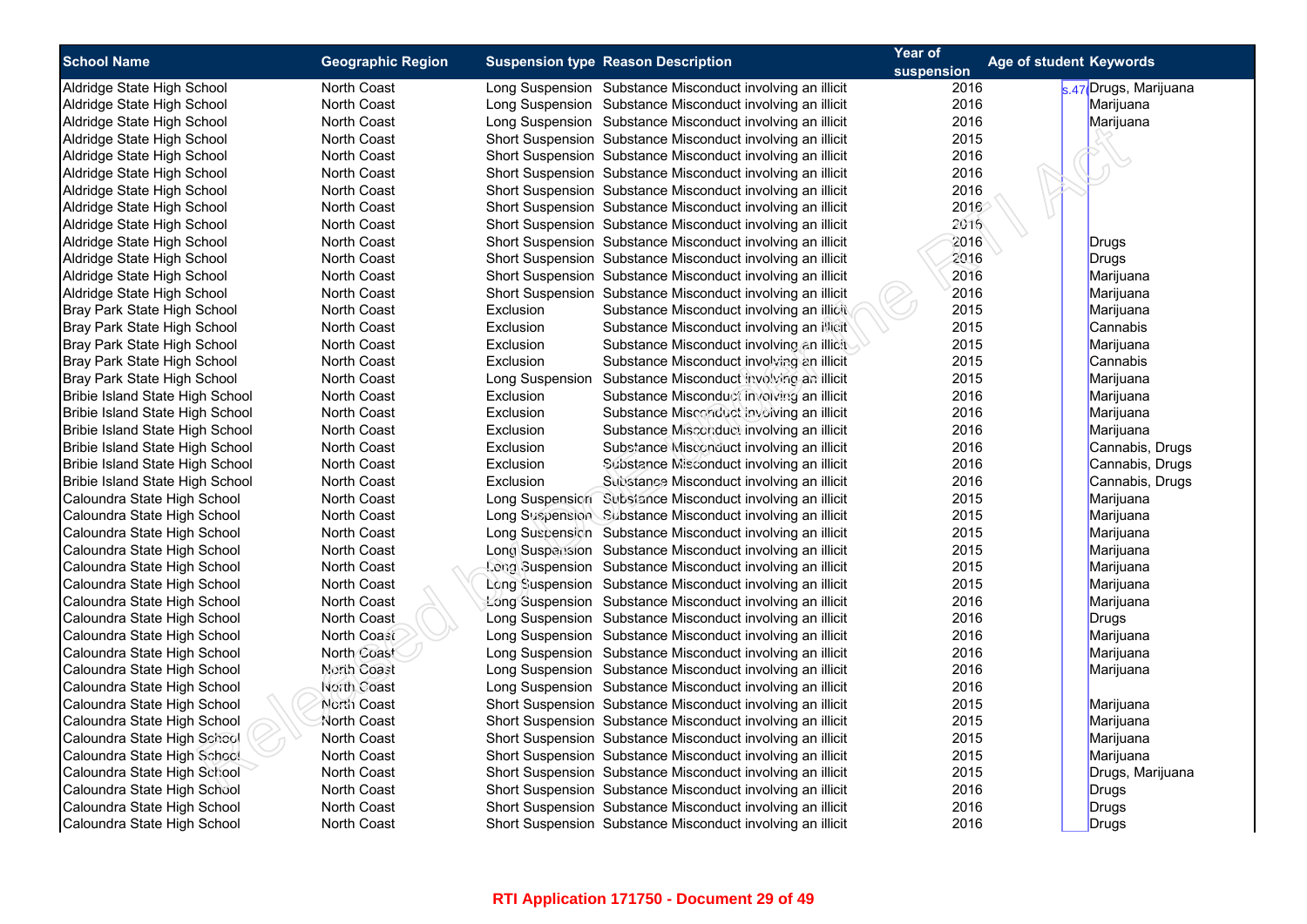| <b>School Name</b>              |                          |                                                            | Year of    | Age of student Keywords |
|---------------------------------|--------------------------|------------------------------------------------------------|------------|-------------------------|
|                                 | <b>Geographic Region</b> | <b>Suspension type Reason Description</b>                  | suspension |                         |
| Aldridge State High School      | North Coast              | Long Suspension Substance Misconduct involving an illicit  | 2016       | s.47 Drugs, Marijuana   |
| Aldridge State High School      | <b>North Coast</b>       | Long Suspension Substance Misconduct involving an illicit  | 2016       | Marijuana               |
| Aldridge State High School      | North Coast              | Long Suspension Substance Misconduct involving an illicit  | 2016       | Marijuana               |
| Aldridge State High School      | <b>North Coast</b>       | Short Suspension Substance Misconduct involving an illicit | 2015       |                         |
| Aldridge State High School      | <b>North Coast</b>       | Short Suspension Substance Misconduct involving an illicit | 2016       |                         |
| Aldridge State High School      | <b>North Coast</b>       | Short Suspension Substance Misconduct involving an illicit | 2016       |                         |
| Aldridge State High School      | North Coast              | Short Suspension Substance Misconduct involving an illicit | 2016       |                         |
| Aldridge State High School      | <b>North Coast</b>       | Short Suspension Substance Misconduct involving an illicit | 2016       |                         |
| Aldridge State High School      | <b>North Coast</b>       | Short Suspension Substance Misconduct involving an illicit | 2016       |                         |
| Aldridge State High School      | <b>North Coast</b>       | Short Suspension Substance Misconduct involving an illicit | 2016       | <b>Drugs</b>            |
| Aldridge State High School      | North Coast              | Short Suspension Substance Misconduct involving an illicit | 2016       | <b>Drugs</b>            |
| Aldridge State High School      | <b>North Coast</b>       | Short Suspension Substance Misconduct involving an illicit | 2016       | Marijuana               |
| Aldridge State High School      | North Coast              | Short Suspension Substance Misconduct involving an illicit | 2016       | Marijuana               |
| Bray Park State High School     | <b>North Coast</b>       | Exclusion<br>Substance Misconduct involving an illicit     | 2015       | Marijuana               |
| Bray Park State High School     | <b>North Coast</b>       | Exclusion<br>Substance Misconduct involving an illicit     | 2015       | Cannabis                |
| Bray Park State High School     | <b>North Coast</b>       | Exclusion<br>Substance Misconduct involving an illicit     | 2015       | Marijuana               |
| Bray Park State High School     | North Coast              | Exclusion<br>Substance Misconduct involving an illicit     | 2015       | Cannabis                |
| Bray Park State High School     | <b>North Coast</b>       | Long Suspension Substance Misconduct involving an illicit  | 2015       | Marijuana               |
| Bribie Island State High School | North Coast              | Exclusion<br>Substance Misconduct involving an illicit     | 2016       | Marijuana               |
| Bribie Island State High School | <b>North Coast</b>       | Exclusion<br>Substance Misconduct involving an illicit     | 2016       | Marijuana               |
| Bribie Island State High School | North Coast              | Exclusion<br>Substance Misconduct involving an illicit     | 2016       | Marijuana               |
| Bribie Island State High School | <b>North Coast</b>       | Exclusion<br>Substance Misconduct involving an illicit     | 2016       | Cannabis, Drugs         |
| Bribie Island State High School | North Coast              | Exclusion<br>Substance Misconduct involving an illicit     | 2016       | Cannabis, Drugs         |
| Bribie Island State High School | <b>North Coast</b>       | Exclusion<br>Substance Misconduct involving an illicit     | 2016       | Cannabis, Drugs         |
| Caloundra State High School     | <b>North Coast</b>       | Long Suspension Subsiance Misconduct involving an illicit  | 2015       | Marijuana               |
| Caloundra State High School     | <b>North Coast</b>       | Long Suspension Substance Misconduct involving an illicit  | 2015       | Marijuana               |
| Caloundra State High School     | North Coast              | Long Suspension Substance Misconduct involving an illicit  | 2015       | Marijuana               |
| Caloundra State High School     | <b>North Coast</b>       | Long Suspension Substance Misconduct involving an illicit  | 2015       | Marijuana               |
| Caloundra State High School     | North Coast              | Long Suspension Substance Misconduct involving an illicit  | 2015       | Marijuana               |
| Caloundra State High School     | <b>North Coast</b>       | Long Suspension Substance Misconduct involving an illicit  | 2015       | Marijuana               |
| Caloundra State High School     | North Coast              | Long Suspension Substance Misconduct involving an illicit  | 2016       | Marijuana               |
| Caloundra State High School     | <b>North Coast</b>       | Long Suspension Substance Misconduct involving an illicit  | 2016       | Drugs                   |
| Caloundra State High School     | North Coast              | Long Suspension Substance Misconduct involving an illicit  | 2016       | Marijuana               |
| Caloundra State High School     | North Coast              | Long Suspension Substance Misconduct involving an illicit  | 2016       | Marijuana               |
| Caloundra State High School     | North Coast              | Long Suspension Substance Misconduct involving an illicit  | 2016       | Marijuana               |
| Caloundra State High School     | North Coast              | Long Suspension Substance Misconduct involving an illicit  | 2016       |                         |
| Caloundra State High School     | North Coast              | Short Suspension Substance Misconduct involving an illicit | 2015       | Marijuana               |
| Caloundra State High School     | <b>North Coast</b>       | Short Suspension Substance Misconduct involving an illicit | 2015       | Marijuana               |
| Caloundra State High School     | North Coast              | Short Suspension Substance Misconduct involving an illicit | 2015       | Marijuana               |
| Caloundra State High School     | <b>North Coast</b>       | Short Suspension Substance Misconduct involving an illicit | 2015       | Marijuana               |
| Caloundra State High School     | <b>North Coast</b>       | Short Suspension Substance Misconduct involving an illicit | 2015       | Drugs, Marijuana        |
| Caloundra State High School     | <b>North Coast</b>       | Short Suspension Substance Misconduct involving an illicit | 2016       | Drugs                   |
| Caloundra State High School     | North Coast              | Short Suspension Substance Misconduct involving an illicit | 2016       | <b>Drugs</b>            |
| Caloundra State High School     | <b>North Coast</b>       | Short Suspension Substance Misconduct involving an illicit | 2016       | Drugs                   |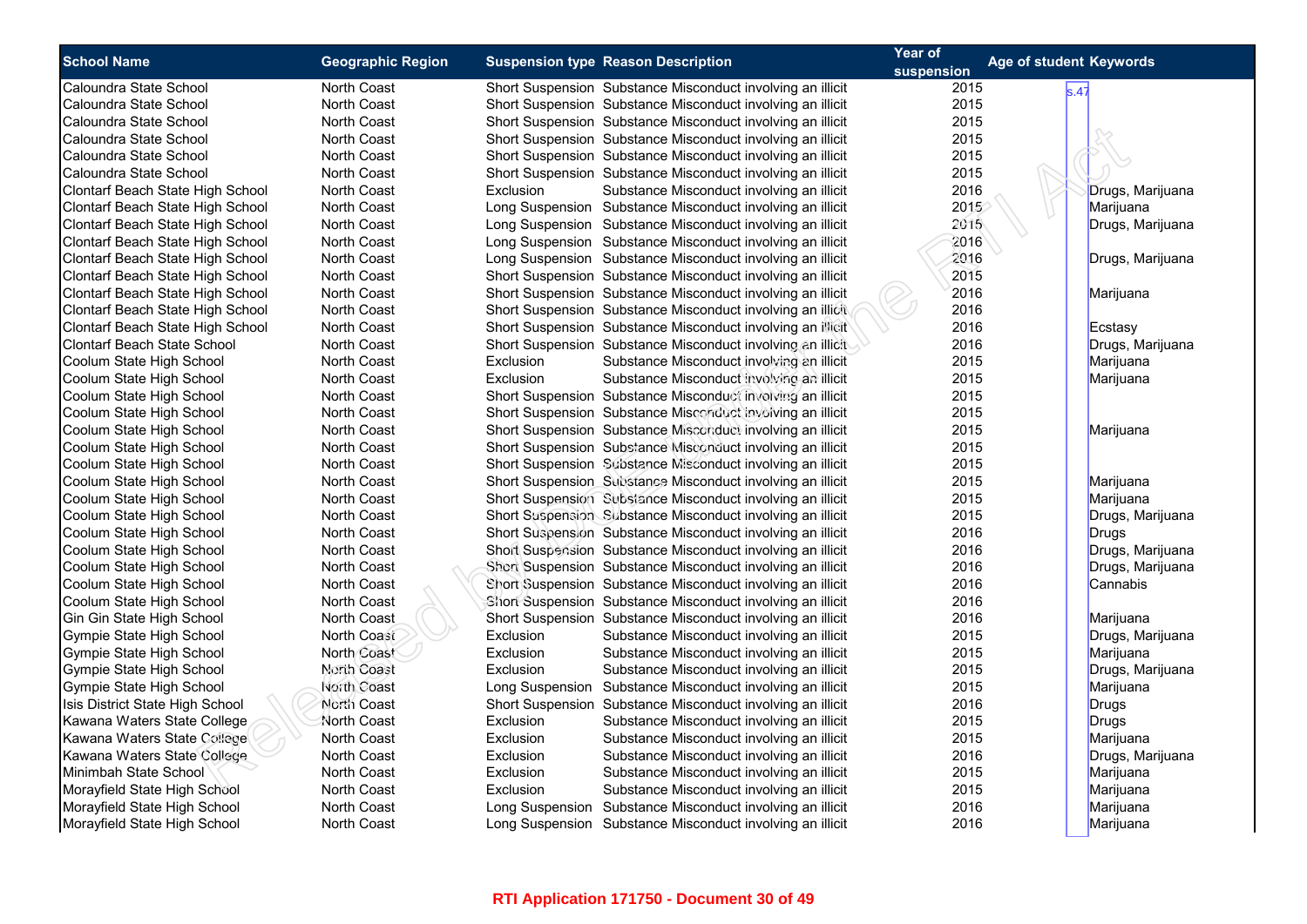| <b>School Name</b>                                                                                                                                                                                                                                                                | <b>Geographic Region</b>                                                                                                   | <b>Suspension type Reason Description</b>                                                                                                                                                                                                                                                                                                                                                                                                                                                                                              | Year of                                              | Age of student Keywords                                                                                          |
|-----------------------------------------------------------------------------------------------------------------------------------------------------------------------------------------------------------------------------------------------------------------------------------|----------------------------------------------------------------------------------------------------------------------------|----------------------------------------------------------------------------------------------------------------------------------------------------------------------------------------------------------------------------------------------------------------------------------------------------------------------------------------------------------------------------------------------------------------------------------------------------------------------------------------------------------------------------------------|------------------------------------------------------|------------------------------------------------------------------------------------------------------------------|
|                                                                                                                                                                                                                                                                                   |                                                                                                                            |                                                                                                                                                                                                                                                                                                                                                                                                                                                                                                                                        | suspension                                           |                                                                                                                  |
| Caloundra State School                                                                                                                                                                                                                                                            | <b>North Coast</b>                                                                                                         | Short Suspension Substance Misconduct involving an illicit                                                                                                                                                                                                                                                                                                                                                                                                                                                                             | 2015                                                 | s.47                                                                                                             |
| Caloundra State School                                                                                                                                                                                                                                                            | <b>North Coast</b>                                                                                                         | Short Suspension Substance Misconduct involving an illicit                                                                                                                                                                                                                                                                                                                                                                                                                                                                             | 2015                                                 |                                                                                                                  |
| Caloundra State School                                                                                                                                                                                                                                                            | <b>North Coast</b>                                                                                                         | Short Suspension Substance Misconduct involving an illicit                                                                                                                                                                                                                                                                                                                                                                                                                                                                             | 2015                                                 |                                                                                                                  |
| Caloundra State School                                                                                                                                                                                                                                                            | <b>North Coast</b>                                                                                                         | Short Suspension Substance Misconduct involving an illicit                                                                                                                                                                                                                                                                                                                                                                                                                                                                             | 2015                                                 |                                                                                                                  |
| Caloundra State School                                                                                                                                                                                                                                                            | North Coast                                                                                                                | Short Suspension Substance Misconduct involving an illicit                                                                                                                                                                                                                                                                                                                                                                                                                                                                             | 2015                                                 |                                                                                                                  |
| Caloundra State School                                                                                                                                                                                                                                                            | <b>North Coast</b>                                                                                                         | Short Suspension Substance Misconduct involving an illicit                                                                                                                                                                                                                                                                                                                                                                                                                                                                             | 2015                                                 |                                                                                                                  |
| Clontarf Beach State High School                                                                                                                                                                                                                                                  | <b>North Coast</b>                                                                                                         | Exclusion<br>Substance Misconduct involving an illicit                                                                                                                                                                                                                                                                                                                                                                                                                                                                                 | 2016                                                 | Drugs, Marijuana                                                                                                 |
| Clontarf Beach State High School                                                                                                                                                                                                                                                  | <b>North Coast</b>                                                                                                         | Long Suspension Substance Misconduct involving an illicit                                                                                                                                                                                                                                                                                                                                                                                                                                                                              | 2015                                                 | Marijuana                                                                                                        |
| Clontarf Beach State High School                                                                                                                                                                                                                                                  | North Coast                                                                                                                | Long Suspension Substance Misconduct involving an illicit                                                                                                                                                                                                                                                                                                                                                                                                                                                                              | 2015                                                 | Drugs, Marijuana                                                                                                 |
| Clontarf Beach State High School                                                                                                                                                                                                                                                  | <b>North Coast</b>                                                                                                         | Long Suspension Substance Misconduct involving an illicit                                                                                                                                                                                                                                                                                                                                                                                                                                                                              | 2016                                                 |                                                                                                                  |
| Clontarf Beach State High School                                                                                                                                                                                                                                                  | <b>North Coast</b>                                                                                                         | Long Suspension Substance Misconduct involving an illicit                                                                                                                                                                                                                                                                                                                                                                                                                                                                              | 2016                                                 | Drugs, Marijuana                                                                                                 |
| Clontarf Beach State High School                                                                                                                                                                                                                                                  | <b>North Coast</b>                                                                                                         | Short Suspension Substance Misconduct involving an illicit                                                                                                                                                                                                                                                                                                                                                                                                                                                                             | 2015                                                 |                                                                                                                  |
| Clontarf Beach State High School                                                                                                                                                                                                                                                  | North Coast                                                                                                                | Short Suspension Substance Misconduct involving an illicit                                                                                                                                                                                                                                                                                                                                                                                                                                                                             | 2016                                                 | Marijuana                                                                                                        |
| Clontarf Beach State High School                                                                                                                                                                                                                                                  | <b>North Coast</b>                                                                                                         | Short Suspension Substance Misconduct involving an illicit                                                                                                                                                                                                                                                                                                                                                                                                                                                                             | 2016                                                 |                                                                                                                  |
| Clontarf Beach State High School                                                                                                                                                                                                                                                  | North Coast                                                                                                                | Short Suspension Substance Misconduct involving an illicit                                                                                                                                                                                                                                                                                                                                                                                                                                                                             | 2016                                                 | Ecstasy                                                                                                          |
| Clontarf Beach State School                                                                                                                                                                                                                                                       | <b>North Coast</b>                                                                                                         | Short Suspension Substance Misconduct involving an illicit                                                                                                                                                                                                                                                                                                                                                                                                                                                                             | 2016                                                 | Drugs, Marijuana                                                                                                 |
| Coolum State High School                                                                                                                                                                                                                                                          | North Coast                                                                                                                | Exclusion<br>Substance Misconduct involving an illicit                                                                                                                                                                                                                                                                                                                                                                                                                                                                                 | 2015                                                 | Marijuana                                                                                                        |
| Coolum State High School                                                                                                                                                                                                                                                          | <b>North Coast</b>                                                                                                         | Exclusion<br>Substance Misconduct involving an illicit                                                                                                                                                                                                                                                                                                                                                                                                                                                                                 | 2015                                                 | Marijuana                                                                                                        |
| Coolum State High School                                                                                                                                                                                                                                                          | North Coast                                                                                                                | Short Suspension Substance Misconduct involving an illicit                                                                                                                                                                                                                                                                                                                                                                                                                                                                             | 2015                                                 |                                                                                                                  |
| Coolum State High School                                                                                                                                                                                                                                                          | <b>North Coast</b>                                                                                                         | Short Suspension Substance Misconduct involving an illicit                                                                                                                                                                                                                                                                                                                                                                                                                                                                             | 2015                                                 |                                                                                                                  |
| Coolum State High School                                                                                                                                                                                                                                                          | North Coast                                                                                                                | Short Suspension Substance Misconduct involving an illicit                                                                                                                                                                                                                                                                                                                                                                                                                                                                             | 2015                                                 | Marijuana                                                                                                        |
| Coolum State High School                                                                                                                                                                                                                                                          | <b>North Coast</b>                                                                                                         | Short Suspension Substance Misconduct involving an illicit                                                                                                                                                                                                                                                                                                                                                                                                                                                                             | 2015                                                 |                                                                                                                  |
| Coolum State High School                                                                                                                                                                                                                                                          | <b>North Coast</b>                                                                                                         | Short Suspension Substance Misconduct involving an illicit                                                                                                                                                                                                                                                                                                                                                                                                                                                                             | 2015                                                 |                                                                                                                  |
| Coolum State High School                                                                                                                                                                                                                                                          | <b>North Coast</b>                                                                                                         | Short Suspension Substance Misconduct involving an illicit                                                                                                                                                                                                                                                                                                                                                                                                                                                                             | 2015                                                 | Marijuana                                                                                                        |
| Coolum State High School                                                                                                                                                                                                                                                          | North Coast                                                                                                                | Short Suspension Substance Misconduct involving an illicit                                                                                                                                                                                                                                                                                                                                                                                                                                                                             | 2015                                                 | Marijuana                                                                                                        |
| Coolum State High School                                                                                                                                                                                                                                                          | <b>North Coast</b>                                                                                                         | Short Suspension Substance Misconduct involving an illicit                                                                                                                                                                                                                                                                                                                                                                                                                                                                             | 2015                                                 | Drugs, Marijuana                                                                                                 |
| Coolum State High School                                                                                                                                                                                                                                                          | North Coast                                                                                                                | Short Suspension Substance Misconduct involving an illicit                                                                                                                                                                                                                                                                                                                                                                                                                                                                             | 2016                                                 | Drugs                                                                                                            |
| Coolum State High School                                                                                                                                                                                                                                                          | <b>North Coast</b>                                                                                                         | Short Suspension Substance Misconduct involving an illicit                                                                                                                                                                                                                                                                                                                                                                                                                                                                             | 2016                                                 | Drugs, Marijuana                                                                                                 |
| Coolum State High School                                                                                                                                                                                                                                                          | North Coast                                                                                                                | Short Suspension Substance Misconduct involving an illicit                                                                                                                                                                                                                                                                                                                                                                                                                                                                             | 2016                                                 | Drugs, Marijuana                                                                                                 |
| Coolum State High School                                                                                                                                                                                                                                                          | <b>North Coast</b>                                                                                                         | Short Suspension Substance Misconduct involving an illicit                                                                                                                                                                                                                                                                                                                                                                                                                                                                             | 2016                                                 | Cannabis                                                                                                         |
| Coolum State High School                                                                                                                                                                                                                                                          | North Coast                                                                                                                | Short Suspension Substance Misconduct involving an illicit                                                                                                                                                                                                                                                                                                                                                                                                                                                                             | 2016                                                 |                                                                                                                  |
| Gin Gin State High School                                                                                                                                                                                                                                                         | <b>North Coast</b>                                                                                                         | Short Suspension Substance Misconduct involving an illicit                                                                                                                                                                                                                                                                                                                                                                                                                                                                             | 2016                                                 | Marijuana                                                                                                        |
| Gympie State High School                                                                                                                                                                                                                                                          | North Coast                                                                                                                | Exclusion<br>Substance Misconduct involving an illicit                                                                                                                                                                                                                                                                                                                                                                                                                                                                                 | 2015                                                 | Drugs, Marijuana                                                                                                 |
| Gympie State High School                                                                                                                                                                                                                                                          | North Coast                                                                                                                | Exclusion<br>Substance Misconduct involving an illicit                                                                                                                                                                                                                                                                                                                                                                                                                                                                                 | 2015                                                 | Marijuana                                                                                                        |
| Gympie State High School                                                                                                                                                                                                                                                          | North Coast                                                                                                                | Exclusion<br>Substance Misconduct involving an illicit                                                                                                                                                                                                                                                                                                                                                                                                                                                                                 | 2015                                                 | Drugs, Marijuana                                                                                                 |
|                                                                                                                                                                                                                                                                                   |                                                                                                                            |                                                                                                                                                                                                                                                                                                                                                                                                                                                                                                                                        |                                                      |                                                                                                                  |
|                                                                                                                                                                                                                                                                                   | North Coast                                                                                                                |                                                                                                                                                                                                                                                                                                                                                                                                                                                                                                                                        |                                                      |                                                                                                                  |
|                                                                                                                                                                                                                                                                                   |                                                                                                                            | Exclusion                                                                                                                                                                                                                                                                                                                                                                                                                                                                                                                              | 2015                                                 |                                                                                                                  |
|                                                                                                                                                                                                                                                                                   |                                                                                                                            |                                                                                                                                                                                                                                                                                                                                                                                                                                                                                                                                        |                                                      |                                                                                                                  |
|                                                                                                                                                                                                                                                                                   |                                                                                                                            |                                                                                                                                                                                                                                                                                                                                                                                                                                                                                                                                        |                                                      |                                                                                                                  |
|                                                                                                                                                                                                                                                                                   |                                                                                                                            |                                                                                                                                                                                                                                                                                                                                                                                                                                                                                                                                        |                                                      |                                                                                                                  |
|                                                                                                                                                                                                                                                                                   |                                                                                                                            |                                                                                                                                                                                                                                                                                                                                                                                                                                                                                                                                        |                                                      |                                                                                                                  |
|                                                                                                                                                                                                                                                                                   |                                                                                                                            |                                                                                                                                                                                                                                                                                                                                                                                                                                                                                                                                        |                                                      |                                                                                                                  |
|                                                                                                                                                                                                                                                                                   | <b>North Coast</b>                                                                                                         |                                                                                                                                                                                                                                                                                                                                                                                                                                                                                                                                        | 2016                                                 |                                                                                                                  |
| Gympie State High School<br>Isis District State High School<br>Kawana Waters State College<br>Kawana Waters State College<br>Kawana Waters State College<br>Minimbah State School<br>Morayfield State High School<br>Morayfield State High School<br>Morayfield State High School | North Coast<br><b>North Coast</b><br>North Coast<br><b>North Coast</b><br>North Coast<br><b>North Coast</b><br>North Coast | Long Suspension Substance Misconduct involving an illicit<br>Short Suspension Substance Misconduct involving an illicit<br>Substance Misconduct involving an illicit<br>Exclusion<br>Substance Misconduct involving an illicit<br>Exclusion<br>Substance Misconduct involving an illicit<br>Substance Misconduct involving an illicit<br>Exclusion<br>Substance Misconduct involving an illicit<br>Exclusion<br>Long Suspension Substance Misconduct involving an illicit<br>Long Suspension Substance Misconduct involving an illicit | 2015<br>2016<br>2015<br>2016<br>2015<br>2015<br>2016 | Marijuana<br>Drugs<br>Drugs<br>Marijuana<br>Drugs, Marijuana<br>Marijuana<br>Marijuana<br>Marijuana<br>Marijuana |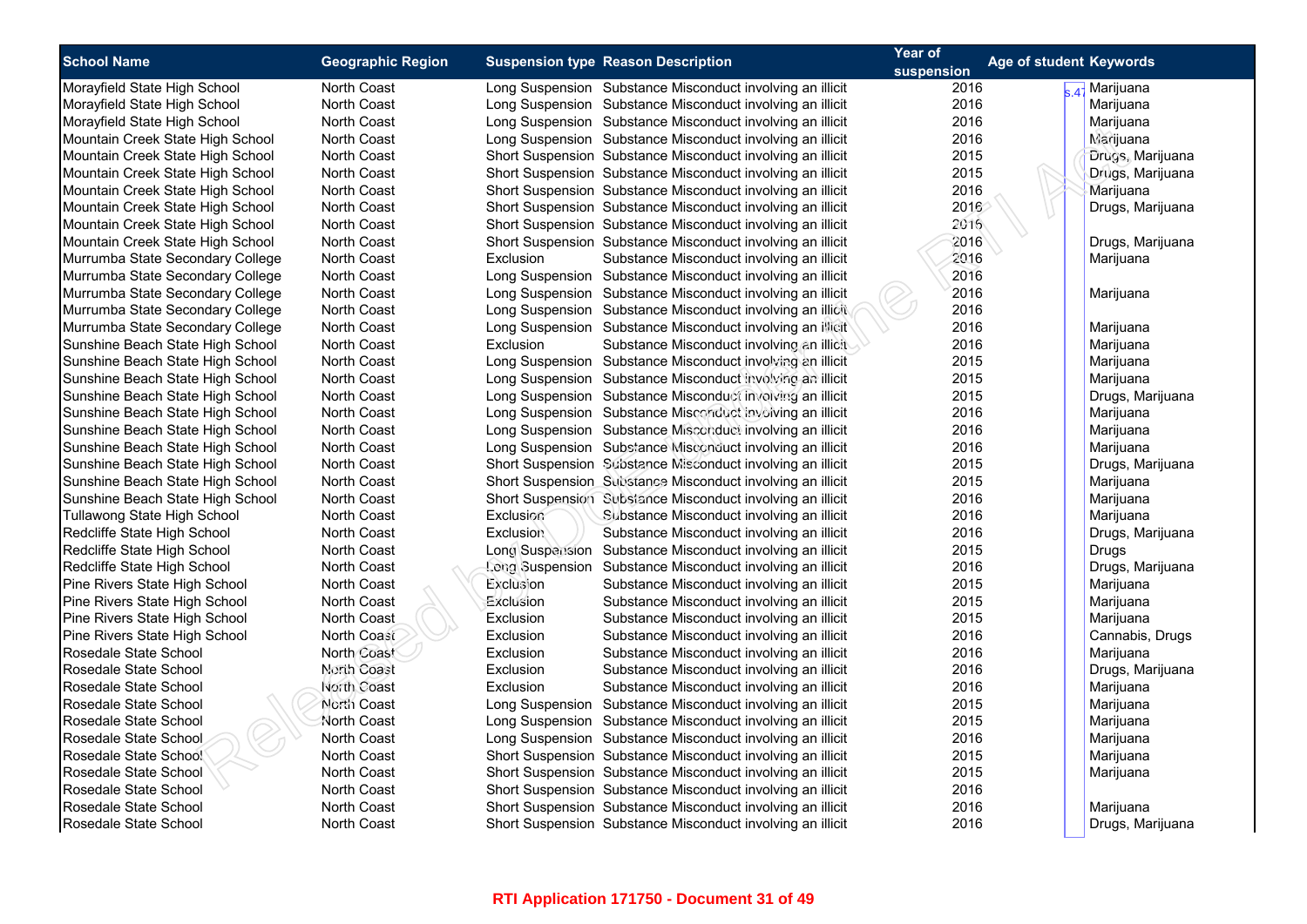| <b>School Name</b>               | <b>Geographic Region</b> | <b>Suspension type Reason Description</b>                                                                              | Year of            | Age of student Keywords   |
|----------------------------------|--------------------------|------------------------------------------------------------------------------------------------------------------------|--------------------|---------------------------|
| Morayfield State High School     | North Coast              | Long Suspension Substance Misconduct involving an illicit                                                              | suspension<br>2016 | 4 <sup>-</sup> Marijuana  |
| Morayfield State High School     | North Coast              | Long Suspension Substance Misconduct involving an illicit                                                              | 2016               | Marijuana                 |
| Morayfield State High School     | North Coast              | Long Suspension Substance Misconduct involving an illicit                                                              | 2016               | Marijuana                 |
| Mountain Creek State High School | North Coast              | Long Suspension Substance Misconduct involving an illicit                                                              | 2016               | Marijuana                 |
| Mountain Creek State High School | North Coast              | Short Suspension Substance Misconduct involving an illicit                                                             | 2015               | Drugs, Marijuana          |
| Mountain Creek State High School | North Coast              | Short Suspension Substance Misconduct involving an illicit                                                             | 2015               | Drugs, Marijuana          |
| Mountain Creek State High School | <b>North Coast</b>       | Short Suspension Substance Misconduct involving an illicit                                                             | 2016               | Marijuana                 |
| Mountain Creek State High School | North Coast              | Short Suspension Substance Misconduct involving an illicit                                                             | 2016               | Drugs, Marijuana          |
| Mountain Creek State High School | North Coast              | Short Suspension Substance Misconduct involving an illicit                                                             | 2016               |                           |
| Mountain Creek State High School | <b>North Coast</b>       | Short Suspension Substance Misconduct involving an illicit                                                             | 2016               | Drugs, Marijuana          |
| Murrumba State Secondary College | <b>North Coast</b>       | Exclusion<br>Substance Misconduct involving an illicit                                                                 | 2016               | Marijuana                 |
| Murrumba State Secondary College | North Coast              | Long Suspension Substance Misconduct involving an illicit                                                              | 2016               |                           |
| Murrumba State Secondary College | North Coast              | Long Suspension Substance Misconduct involving an illicit                                                              | 2016               | Marijuana                 |
| Murrumba State Secondary College | North Coast              | Long Suspension Substance Misconduct involving an illicit                                                              | 2016               |                           |
| Murrumba State Secondary College | <b>North Coast</b>       | Long Suspension Substance Misconduct involving an illicit                                                              | 2016               | Marijuana                 |
| Sunshine Beach State High School | North Coast              | Exclusion<br>Substance Misconduct involving an illicit                                                                 | 2016               | Marijuana                 |
| Sunshine Beach State High School | North Coast              | Long Suspension Substance Misconduct involving an illicit                                                              | 2015               | Marijuana                 |
| Sunshine Beach State High School | North Coast              | Long Suspension Substance Misconduct involving an illicit                                                              | 2015               | Marijuana                 |
| Sunshine Beach State High School | <b>North Coast</b>       | Long Suspension Substance Misconduct involving an illicit                                                              | 2015               | Drugs, Marijuana          |
| Sunshine Beach State High School | North Coast              | Long Suspension Substance Misconduct involving an illicit                                                              | 2016               | Marijuana                 |
| Sunshine Beach State High School | North Coast              | Long Suspension Substance Misconduct involving an illicit                                                              | 2016               | Marijuana                 |
| Sunshine Beach State High School | North Coast              | Long Suspension Substance Misconduct involving an illicit                                                              | 2016               | Marijuana                 |
| Sunshine Beach State High School | North Coast              | Short Suspension Substance Misconduct involving an illicit                                                             | 2015               | Drugs, Marijuana          |
| Sunshine Beach State High School | <b>North Coast</b>       | Short Suspension Substance Misconduct involving an illicit                                                             | 2015               | Marijuana                 |
| Sunshine Beach State High School | North Coast              | Short Suspension Substance Misconduct involving an illicit                                                             | 2016               | Marijuana                 |
| Tullawong State High School      | North Coast              | Exclusion<br>Substance Misconduct involving an illicit                                                                 | 2016               | Marijuana                 |
| Redcliffe State High School      | <b>North Coast</b>       | <b>Exclusion</b>                                                                                                       | 2016               |                           |
| Redcliffe State High School      | <b>North Coast</b>       | Substance Misconduct involving an illicit                                                                              | 2015               | Drugs, Marijuana          |
| Redcliffe State High School      | <b>North Coast</b>       | Long Suspension Substance Misconduct involving an illicit<br>Long Suspension Substance Misconduct involving an illicit | 2016               | Drugs<br>Drugs, Marijuana |
| Pine Rivers State High School    |                          | Exclusion                                                                                                              | 2015               |                           |
| Pine Rivers State High School    | North Coast              | Substance Misconduct involving an illicit                                                                              | 2015               | Marijuana                 |
|                                  | <b>North Coast</b>       | Exclusion<br>Substance Misconduct involving an illicit                                                                 |                    | Marijuana                 |
| Pine Rivers State High School    | <b>North Coast</b>       | Exclusion<br>Substance Misconduct involving an illicit                                                                 | 2015               | Marijuana                 |
| Pine Rivers State High School    | North Coast              | Exclusion<br>Substance Misconduct involving an illicit                                                                 | 2016               | Cannabis, Drugs           |
| Rosedale State School            | North Coast              | Exclusion<br>Substance Misconduct involving an illicit                                                                 | 2016<br>2016       | Marijuana                 |
| Rosedale State School            | North Coast              | Exclusion<br>Substance Misconduct involving an illicit                                                                 |                    | Drugs, Marijuana          |
| Rosedale State School            | North Coast              | Exclusion<br>Substance Misconduct involving an illicit                                                                 | 2016               | Marijuana                 |
| Rosedale State School            | North Coast              | Long Suspension Substance Misconduct involving an illicit                                                              | 2015               | Marijuana                 |
| Rosedale State School            | <b>North Coast</b>       | Long Suspension Substance Misconduct involving an illicit                                                              | 2015               | Marijuana                 |
| Rosedale State School            | <b>North Coast</b>       | Long Suspension Substance Misconduct involving an illicit                                                              | 2016               | Marijuana                 |
| Rosedale State School            | <b>North Coast</b>       | Short Suspension Substance Misconduct involving an illicit                                                             | 2015               | Marijuana                 |
| Rosedale State School            | North Coast              | Short Suspension Substance Misconduct involving an illicit                                                             | 2015               | Marijuana                 |
| Rosedale State School            | <b>North Coast</b>       | Short Suspension Substance Misconduct involving an illicit                                                             | 2016               |                           |
| Rosedale State School            | <b>North Coast</b>       | Short Suspension Substance Misconduct involving an illicit                                                             | 2016               | Marijuana                 |
| Rosedale State School            | <b>North Coast</b>       | Short Suspension Substance Misconduct involving an illicit                                                             | 2016               | Drugs, Marijuana          |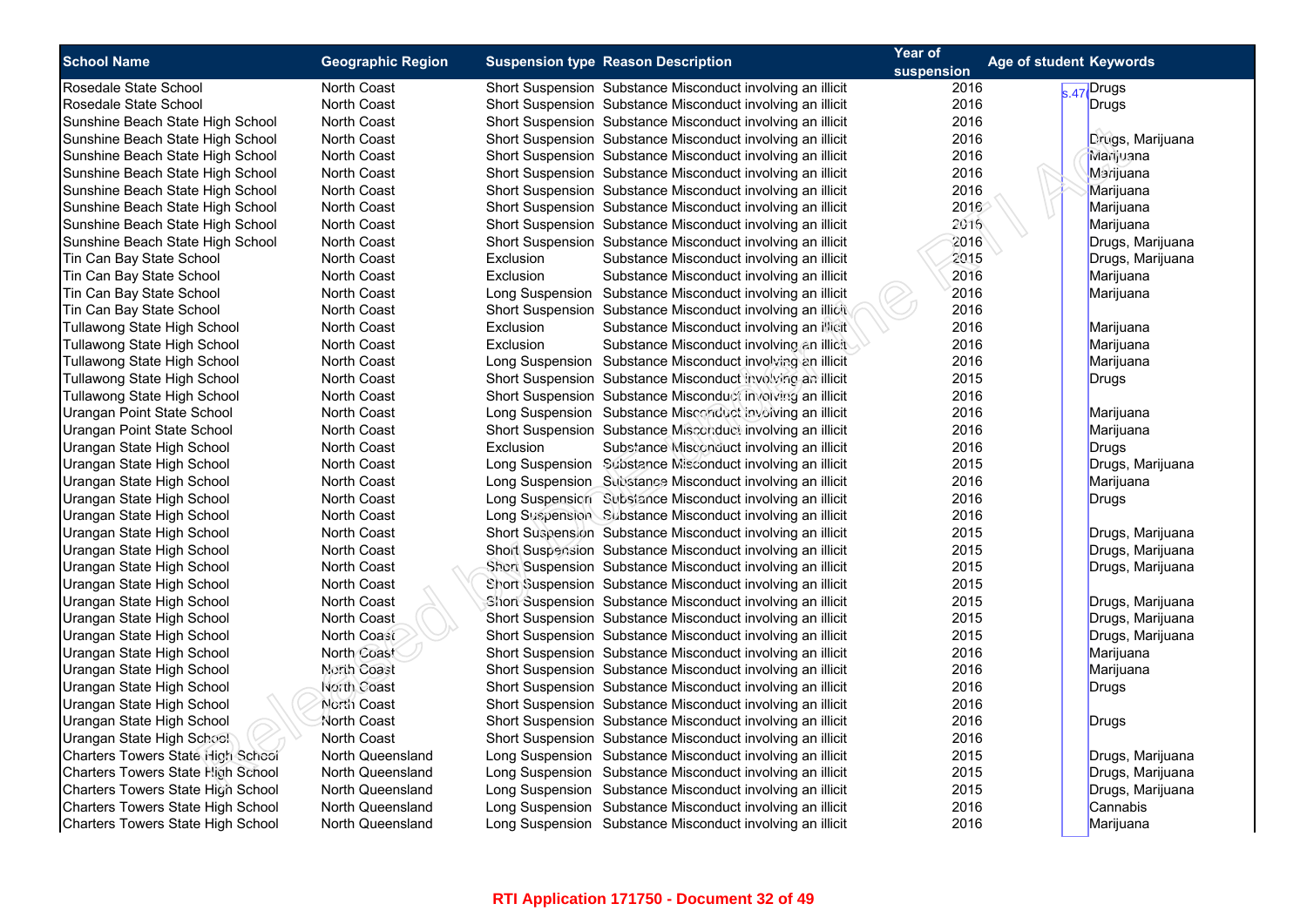| <b>School Name</b>                       | <b>Geographic Region</b> |                  |                                                            | Year of<br>Age of student Keywords |                  |
|------------------------------------------|--------------------------|------------------|------------------------------------------------------------|------------------------------------|------------------|
|                                          |                          |                  | <b>Suspension type Reason Description</b>                  | suspension                         |                  |
| Rosedale State School                    | <b>North Coast</b>       |                  | Short Suspension Substance Misconduct involving an illicit | 2016                               | $s.47$ Drugs     |
| Rosedale State School                    | North Coast              |                  | Short Suspension Substance Misconduct involving an illicit | 2016                               | Drugs            |
| Sunshine Beach State High School         | <b>North Coast</b>       |                  | Short Suspension Substance Misconduct involving an illicit | 2016                               |                  |
| Sunshine Beach State High School         | North Coast              |                  | Short Suspension Substance Misconduct involving an illicit | 2016                               | Drugs, Marijuana |
| Sunshine Beach State High School         | North Coast              |                  | Short Suspension Substance Misconduct involving an illicit | 2016                               | Marijuana        |
| Sunshine Beach State High School         | North Coast              |                  | Short Suspension Substance Misconduct involving an illicit | 2016                               | Marijuana        |
| Sunshine Beach State High School         | <b>North Coast</b>       |                  | Short Suspension Substance Misconduct involving an illicit | 2016                               | Marijuana        |
| Sunshine Beach State High School         | North Coast              |                  | Short Suspension Substance Misconduct involving an illicit | 2016                               | Marijuana        |
| Sunshine Beach State High School         | North Coast              |                  | Short Suspension Substance Misconduct involving an illicit | 2016                               | Marijuana        |
| Sunshine Beach State High School         | <b>North Coast</b>       |                  | Short Suspension Substance Misconduct involving an illicit | 2016                               | Drugs, Marijuana |
| Tin Can Bay State School                 | <b>North Coast</b>       | Exclusion        | Substance Misconduct involving an illicit                  | 2015                               | Drugs, Marijuana |
| Tin Can Bay State School                 | North Coast              | Exclusion        | Substance Misconduct involving an illicit                  | 2016                               | Marijuana        |
| Tin Can Bay State School                 | North Coast              |                  | Long Suspension Substance Misconduct involving an illicit  | 2016                               | Marijuana        |
| Tin Can Bay State School                 | <b>North Coast</b>       |                  | Short Suspension Substance Misconduct involving an illicit | 2016                               |                  |
| Tullawong State High School              | <b>North Coast</b>       | Exclusion        | Substance Misconduct involving an illicit                  | 2016                               | Marijuana        |
| Tullawong State High School              | North Coast              | Exclusion        | Substance Misconduct involving an illicit                  | 2016                               | Marijuana        |
| Tullawong State High School              | North Coast              |                  | Long Suspension Substance Misconduct involving an illicit  | 2016                               | Marijuana        |
| Tullawong State High School              | <b>North Coast</b>       |                  | Short Suspension Substance Misconduct involving an illicit | 2015                               | <b>Drugs</b>     |
| Tullawong State High School              | <b>North Coast</b>       |                  | Short Suspension Substance Misconduct involving an illicit | 2016                               |                  |
| Urangan Point State School               | North Coast              |                  | Long Suspension Substance Misconduct involving an illicit  | 2016                               | Marijuana        |
| Urangan Point State School               | <b>North Coast</b>       |                  | Short Suspension Substance Misconduct involving an illicit | 2016                               | Marijuana        |
| Urangan State High School                | <b>North Coast</b>       | <b>Exclusion</b> | Substance Misconduct involving an illicit                  | 2016                               | Drugs            |
| Urangan State High School                | North Coast              |                  | Long Suspension Substance Misconduct involving an illicit  | 2015                               | Drugs, Marijuana |
| Urangan State High School                | <b>North Coast</b>       |                  | Long Suspension Substance Misconduct involving an illicit  | 2016                               | Marijuana        |
| Urangan State High School                | <b>North Coast</b>       |                  | Long Suspension Subsiance Misconduct involving an illicit  | 2016                               | Drugs            |
| Urangan State High School                | North Coast              |                  | Long Suspension Substance Misconduct involving an illicit  | 2016                               |                  |
| Urangan State High School                | <b>North Coast</b>       |                  | Short Suspension Substance Misconduct involving an illicit | 2015                               | Drugs, Marijuana |
| Urangan State High School                | North Coast              |                  | Short Suspension Substance Misconduct involving an illicit | 2015                               | Drugs, Marijuana |
| Urangan State High School                | North Coast              |                  | Short Suspension Substance Misconduct involving an illicit | 2015                               | Drugs, Marijuana |
| Urangan State High School                | North Coast              |                  | Short Suspension Substance Misconduct involving an illicit | 2015                               |                  |
| Urangan State High School                | North Coast              |                  | Short Suspension Substance Misconduct involving an illicit | 2015                               | Drugs, Marijuana |
| Urangan State High School                | North Coast              |                  | Short Suspension Substance Misconduct involving an illicit | 2015                               | Drugs, Marijuana |
| Urangan State High School                | North Coast              |                  | Short Suspension Substance Misconduct involving an illicit | 2015                               | Drugs, Marijuana |
| Urangan State High School                | North Coast              |                  | Short Suspension Substance Misconduct involving an illicit | 2016                               | Marijuana        |
| Urangan State High School                | North Coast              |                  | Short Suspension Substance Misconduct involving an illicit | 2016                               | Marijuana        |
| Urangan State High School                | North Coast              |                  | Short Suspension Substance Misconduct involving an illicit | 2016                               | <b>Drugs</b>     |
| Urangan State High School                | North Coast              |                  | Short Suspension Substance Misconduct involving an illicit | 2016                               |                  |
| Urangan State High School                | North Coast              |                  | Short Suspension Substance Misconduct involving an illicit | 2016                               | <b>Drugs</b>     |
| Urangan State High School                | <b>North Coast</b>       |                  | Short Suspension Substance Misconduct involving an illicit | 2016                               |                  |
| Charters Towers State High School        | North Queensland         |                  | Long Suspension Substance Misconduct involving an illicit  | 2015                               | Drugs, Marijuana |
| <b>Charters Towers State High School</b> | North Queensland         |                  | Long Suspension Substance Misconduct involving an illicit  | 2015                               | Drugs, Marijuana |
| Charters Towers State High School        | North Queensland         |                  | Long Suspension Substance Misconduct involving an illicit  | 2015                               | Drugs, Marijuana |
| <b>Charters Towers State High School</b> | North Queensland         |                  | Long Suspension Substance Misconduct involving an illicit  | 2016                               | Cannabis         |
| Charters Towers State High School        | North Queensland         |                  | Long Suspension Substance Misconduct involving an illicit  | 2016                               | Marijuana        |
|                                          |                          |                  |                                                            |                                    |                  |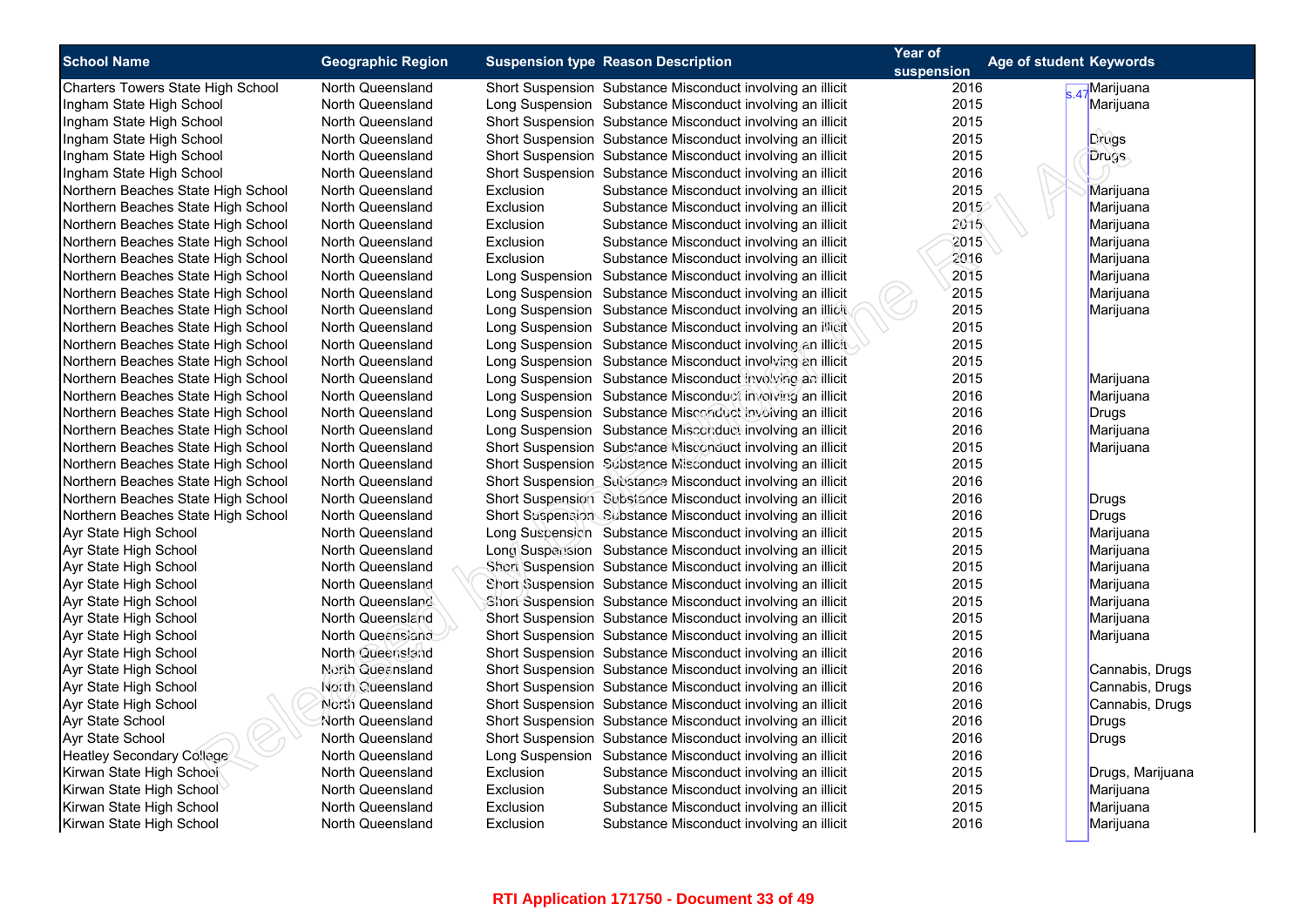| <b>School Name</b>                 | <b>Geographic Region</b> |           | <b>Suspension type Reason Description</b>                  | Year of    | Age of student Keywords |
|------------------------------------|--------------------------|-----------|------------------------------------------------------------|------------|-------------------------|
|                                    |                          |           |                                                            | suspension |                         |
| Charters Towers State High School  | North Queensland         |           | Short Suspension Substance Misconduct involving an illicit | 2016       | A-Marijuana             |
| Ingham State High School           | North Queensland         |           | Long Suspension Substance Misconduct involving an illicit  | 2015       | Marijuana               |
| Ingham State High School           | North Queensland         |           | Short Suspension Substance Misconduct involving an illicit | 2015       |                         |
| Ingham State High School           | North Queensland         |           | Short Suspension Substance Misconduct involving an illicit | 2015       | Drugs                   |
| Ingham State High School           | North Queensland         |           | Short Suspension Substance Misconduct involving an illicit | 2015       | Drugs                   |
| Ingham State High School           | North Queensland         |           | Short Suspension Substance Misconduct involving an illicit | 2016       |                         |
| Northern Beaches State High School | North Queensland         | Exclusion | Substance Misconduct involving an illicit                  | 2015       | Marijuana               |
| Northern Beaches State High School | North Queensland         | Exclusion | Substance Misconduct involving an illicit                  | 2015       | Marijuana               |
| Northern Beaches State High School | North Queensland         | Exclusion | Substance Misconduct involving an illicit                  | 2015       | Marijuana               |
| Northern Beaches State High School | North Queensland         | Exclusion | Substance Misconduct involving an illicit                  | 2015       | Marijuana               |
| Northern Beaches State High School | North Queensland         | Exclusion | Substance Misconduct involving an illicit                  | 2016       | Marijuana               |
| Northern Beaches State High School | North Queensland         |           | Long Suspension Substance Misconduct involving an illicit  | 2015       | Marijuana               |
| Northern Beaches State High School | North Queensland         |           | Long Suspension Substance Misconduct involving an illicit  | 2015       | Marijuana               |
| Northern Beaches State High School | North Queensland         |           | Long Suspension Substance Misconduct involving an illicit  | 2015       | Marijuana               |
| Northern Beaches State High School | North Queensland         |           | Long Suspension Substance Misconduct involving an illicit  | 2015       |                         |
| Northern Beaches State High School | North Queensland         |           | Long Suspension Substance Misconduct involving an illicit  | 2015       |                         |
| Northern Beaches State High School | North Queensland         |           | Long Suspension Substance Misconduct involving an illicit  | 2015       |                         |
| Northern Beaches State High School | North Queensland         |           | Long Suspension Substance Misconduct involving an illicit  | 2015       | Marijuana               |
| Northern Beaches State High School | North Queensland         |           | Long Suspension Substance Misconduct involving an illicit  | 2016       | Marijuana               |
| Northern Beaches State High School | North Queensland         |           | Long Suspension Substance Misconduct involving an illicit  | 2016       | <b>Drugs</b>            |
| Northern Beaches State High School | North Queensland         |           | Long Suspension Substance Misconduct involving an illicit  | 2016       | Marijuana               |
| Northern Beaches State High School | North Queensland         |           | Short Suspension Substance Misconduct involving an illicit | 2015       | Marijuana               |
| Northern Beaches State High School | North Queensland         |           | Short Suspension Substance Misconduct involving an illicit | 2015       |                         |
| Northern Beaches State High School | North Queensland         |           | Short Suspension Substance Misconduct involving an illicit | 2016       |                         |
| Northern Beaches State High School | North Queensland         |           | Short Suspension Substance Misconduct involving an illicit | 2016       | Drugs                   |
| Northern Beaches State High School | North Queensland         |           | Short Suspension Substance Misconduct involving an illicit | 2016       | <b>Drugs</b>            |
| Ayr State High School              | North Queensland         |           | Long Suspension Substance Misconduct involving an illicit  | 2015       | Marijuana               |
| Ayr State High School              | North Queensland         |           | Long Suspension Substance Misconduct involving an illicit  | 2015       | Marijuana               |
| Ayr State High School              | North Queensland         |           | Short Suspension Substance Misconduct involving an illicit | 2015       | Marijuana               |
| Ayr State High School              | North Queensland         |           | Short Suspension Substance Misconduct involving an illicit | 2015       | Marijuana               |
| Ayr State High School              | North Queensland         |           | Short Suspension Substance Misconduct involving an illicit | 2015       | Marijuana               |
| Ayr State High School              | North Queensland         |           | Short Suspension Substance Misconduct involving an illicit | 2015       | Marijuana               |
| Ayr State High School              | North Queensiand         |           | Short Suspension Substance Misconduct involving an illicit | 2015       | Marijuana               |
| Ayr State High School              | North Queensland         |           | Short Suspension Substance Misconduct involving an illicit | 2016       |                         |
| Ayr State High School              | North Queensland         |           | Short Suspension Substance Misconduct involving an illicit | 2016       | Cannabis, Drugs         |
| Ayr State High School              | North Queensland         |           | Short Suspension Substance Misconduct involving an illicit | 2016       | Cannabis, Drugs         |
| Ayr State High School              | North Queensland         |           | Short Suspension Substance Misconduct involving an illicit | 2016       | Cannabis, Drugs         |
| Ayr State School                   | North Queensland         |           | Short Suspension Substance Misconduct involving an illicit | 2016       | Drugs                   |
| Ayr State School                   | North Queensland         |           | Short Suspension Substance Misconduct involving an illicit | 2016       | <b>Drugs</b>            |
| Heatley Secondary College          | North Queensland         |           | Long Suspension Substance Misconduct involving an illicit  | 2016       |                         |
| Kirwan State High School           | North Queensland         | Exclusion | Substance Misconduct involving an illicit                  | 2015       | Drugs, Marijuana        |
| Kirwan State High School           | North Queensland         | Exclusion | Substance Misconduct involving an illicit                  | 2015       | Marijuana               |
| Kirwan State High School           | North Queensland         | Exclusion |                                                            | 2015       |                         |
|                                    |                          | Exclusion | Substance Misconduct involving an illicit                  | 2016       | Marijuana               |
| Kirwan State High School           | North Queensland         |           | Substance Misconduct involving an illicit                  |            | Marijuana               |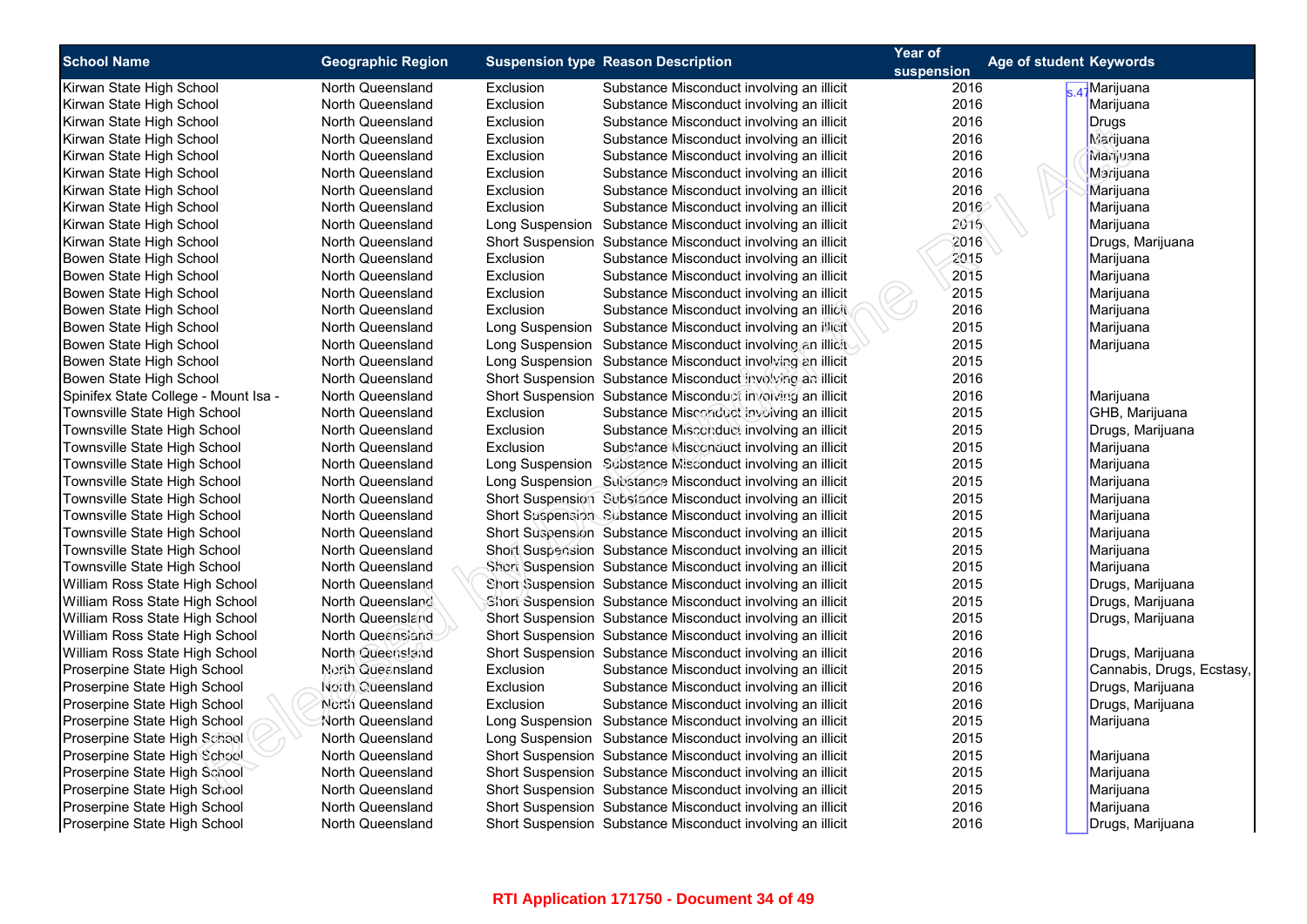| Drugs, Marijuana         |
|--------------------------|
|                          |
|                          |
|                          |
|                          |
|                          |
|                          |
|                          |
|                          |
|                          |
|                          |
| Drugs, Marijuana         |
|                          |
|                          |
|                          |
|                          |
|                          |
|                          |
|                          |
|                          |
| Drugs, Marijuana         |
| Drugs, Marijuana         |
| Drugs, Marijuana         |
|                          |
| Drugs, Marijuana         |
| Cannabis, Drugs, Ecstasy |
| Drugs, Marijuana         |
| Drugs, Marijuana         |
|                          |
|                          |
|                          |
|                          |
|                          |
|                          |
| Drugs, Marijuana         |
| GHB, Marijuana           |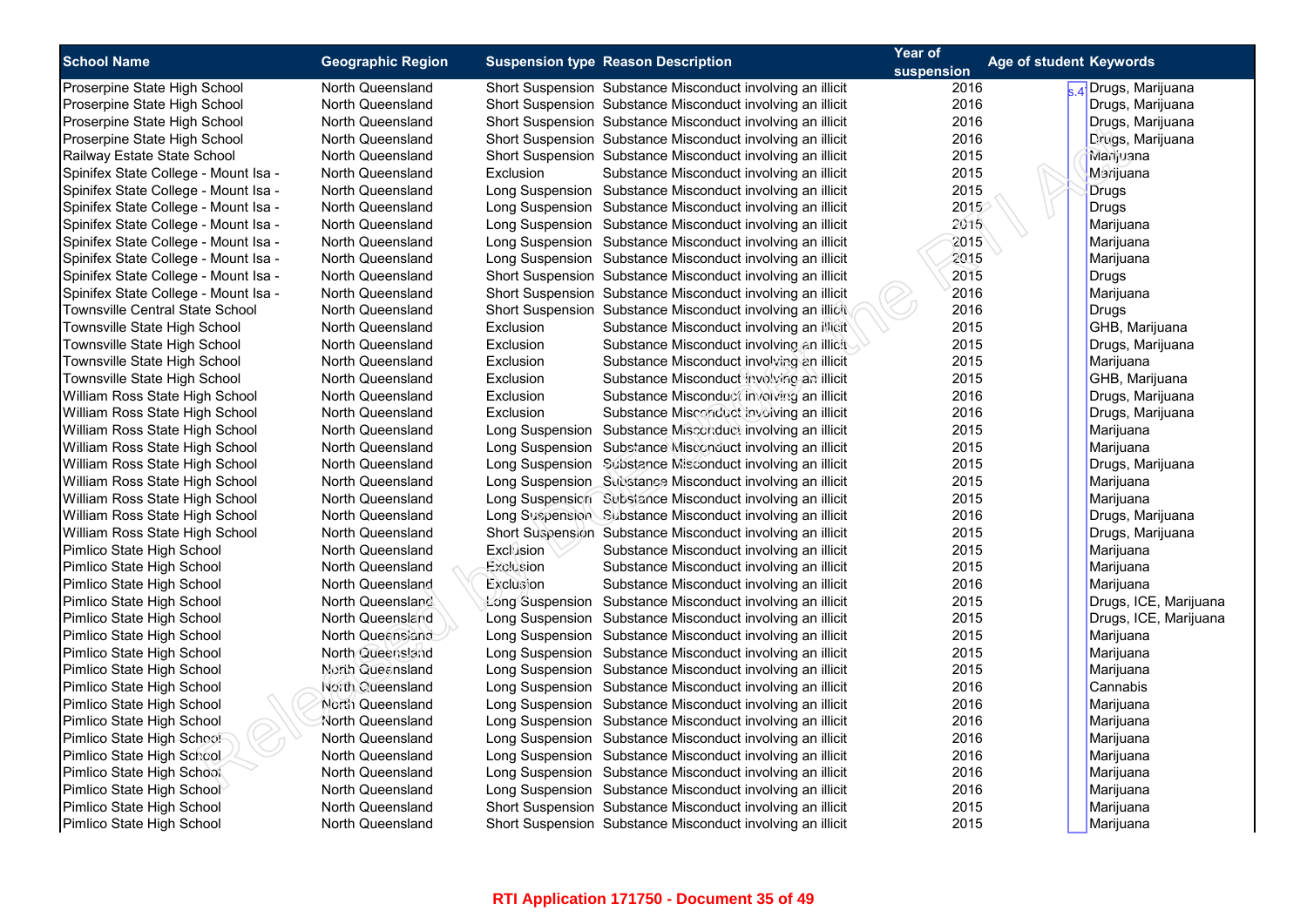| <b>School Name</b>                   |                          |           |                                                            | Year of    | Age of student Keywords |                                |
|--------------------------------------|--------------------------|-----------|------------------------------------------------------------|------------|-------------------------|--------------------------------|
|                                      | <b>Geographic Region</b> |           | <b>Suspension type Reason Description</b>                  | suspension |                         |                                |
| Proserpine State High School         | North Queensland         |           | Short Suspension Substance Misconduct involving an illicit | 2016       |                         | <sub>4</sub> ∤Drugs, Marijuana |
| Proserpine State High School         | North Queensland         |           | Short Suspension Substance Misconduct involving an illicit | 2016       |                         | Drugs, Marijuana               |
| Proserpine State High School         | North Queensland         |           | Short Suspension Substance Misconduct involving an illicit | 2016       |                         | Drugs, Marijuana               |
| Proserpine State High School         | North Queensland         |           | Short Suspension Substance Misconduct involving an illicit | 2016       |                         | Drugs, Marijuana               |
| Railway Estate State School          | North Queensland         |           | Short Suspension Substance Misconduct involving an illicit | 2015       |                         | Marijuana                      |
| Spinifex State College - Mount Isa - | North Queensland         | Exclusion | Substance Misconduct involving an illicit                  | 2015       |                         | Marijuana                      |
| Spinifex State College - Mount Isa - | North Queensland         |           | Long Suspension Substance Misconduct involving an illicit  | 2015       |                         | <b>Drugs</b>                   |
| Spinifex State College - Mount Isa - | North Queensland         |           | Long Suspension Substance Misconduct involving an illicit  | 2015       |                         | <b>Drugs</b>                   |
| Spinifex State College - Mount Isa - | North Queensland         |           | Long Suspension Substance Misconduct involving an illicit  | 2015       |                         | Marijuana                      |
| Spinifex State College - Mount Isa - | North Queensland         |           | Long Suspension Substance Misconduct involving an illicit  | 2015       |                         | Marijuana                      |
| Spinifex State College - Mount Isa - | North Queensland         |           | Long Suspension Substance Misconduct involving an illicit  | 2015       |                         | Marijuana                      |
| Spinifex State College - Mount Isa - | North Queensland         |           | Short Suspension Substance Misconduct involving an illicit | 2015       |                         | <b>Drugs</b>                   |
| Spinifex State College - Mount Isa - | North Queensland         |           | Short Suspension Substance Misconduct involving an illicit | 2016       |                         | Marijuana                      |
| Townsville Central State School      | North Queensland         |           | Short Suspension Substance Misconduct involving an illicit | 2016       |                         | Drugs                          |
| Townsville State High School         | North Queensland         | Exclusion | Substance Misconduct involving an inicit                   | 2015       |                         | GHB, Marijuana                 |
| Townsville State High School         | North Queensland         | Exclusion | Substance Misconduct involving an illicit                  | 2015       |                         | Drugs, Marijuana               |
| Townsville State High School         | North Queensland         | Exclusion | Substance Misconduct involving an illicit                  | 2015       |                         | Marijuana                      |
| Townsville State High School         | North Queensland         | Exclusion | Substance Misconduct involving an illicit                  | 2015       |                         | GHB, Marijuana                 |
| William Ross State High School       | North Queensland         | Exclusion | Substance Misconduct involving an illicit                  | 2016       |                         | Drugs, Marijuana               |
| William Ross State High School       | North Queensland         | Exclusion | Substance Misconduct involving an illicit                  | 2016       |                         | Drugs, Marijuana               |
| William Ross State High School       | North Queensland         |           | Long Suspension Substance Misconduct involving an illicit  | 2015       |                         | Marijuana                      |
| William Ross State High School       | North Queensland         |           | Long Suspension Substance Misconduct involving an illicit  | 2015       |                         | Marijuana                      |
| William Ross State High School       | North Queensland         |           | Long Suspension Substance Misconduct involving an illicit  | 2015       |                         | Drugs, Marijuana               |
| William Ross State High School       | North Queensland         |           | Long Suspension Substance Misconduct involving an illicit  | 2015       |                         | Marijuana                      |
| William Ross State High School       | North Queensland         |           | Long Suspension Substance Misconduct involving an illicit  | 2015       |                         | Marijuana                      |
| William Ross State High School       | North Queensland         |           | Long Suspension Substance Misconduct involving an illicit  | 2016       |                         | Drugs, Marijuana               |
| William Ross State High School       | North Queensland         |           | Short Suspension Substance Misconduct involving an illicit | 2015       |                         | Drugs, Marijuana               |
| Pimlico State High School            | North Queensland         | Exclusion | Substance Misconduct involving an illicit                  | 2015       |                         | Marijuana                      |
| Pimlico State High School            | North Queensland         | Exclusion | Substance Misconduct involving an illicit                  | 2015       |                         | Marijuana                      |
| Pimlico State High School            | North Queensland         | Exclusion | Substance Misconduct involving an illicit                  | 2016       |                         | Marijuana                      |
| Pimlico State High School            | North Queensland         |           | Long Suspension Substance Misconduct involving an illicit  | 2015       |                         | Drugs, ICE, Marijuana          |
| Pimlico State High School            | North Queensland         |           | Long Suspension Substance Misconduct involving an illicit  | 2015       |                         | Drugs, ICE, Marijuana          |
| Pimlico State High School            | North Queensiand         |           | Long Suspension Substance Misconduct involving an illicit  | 2015       |                         | Marijuana                      |
| Pimlico State High School            | North Queensland         |           | Long Suspension Substance Misconduct involving an illicit  | 2015       |                         | Marijuana                      |
| Pimlico State High School            | <b>North Queensland</b>  |           | Long Suspension Substance Misconduct involving an illicit  | 2015       |                         | Marijuana                      |
| Pimlico State High School            | North Queensland         |           | Long Suspension Substance Misconduct involving an illicit  | 2016       |                         | Cannabis                       |
| Pimlico State High School            | North Queensland         |           | Long Suspension Substance Misconduct involving an illicit  | 2016       |                         | Marijuana                      |
| Pimlico State High School            | North Queensland         |           | Long Suspension Substance Misconduct involving an illicit  | 2016       |                         | Marijuana                      |
| Pimlico State High School            | North Queensland         |           | Long Suspension Substance Misconduct involving an illicit  | 2016       |                         | Marijuana                      |
| Pimlico State High School            | North Queensland         |           | Long Suspension Substance Misconduct involving an illicit  | 2016       |                         | Marijuana                      |
| Pimlico State High School            | North Queensland         |           | Long Suspension Substance Misconduct involving an illicit  | 2016       |                         | Marijuana                      |
| Pimlico State High School            | North Queensland         |           | Long Suspension Substance Misconduct involving an illicit  | 2016       |                         | Marijuana                      |
| Pimlico State High School            | North Queensland         |           | Short Suspension Substance Misconduct involving an illicit | 2015       |                         | Marijuana                      |
| Pimlico State High School            | North Queensland         |           | Short Suspension Substance Misconduct involving an illicit | 2015       |                         | Marijuana                      |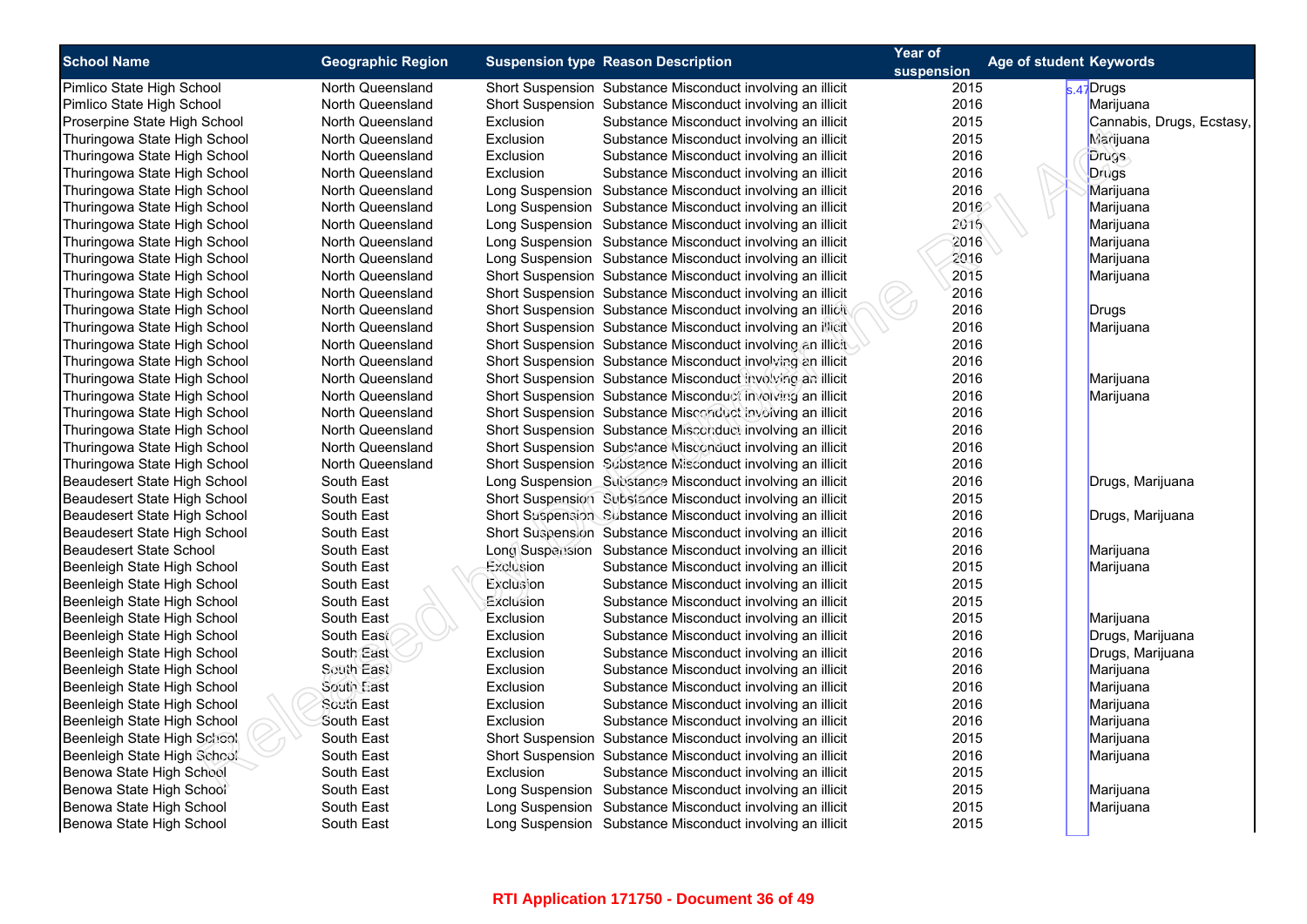| <b>School Name</b>             | <b>Geographic Region</b> | <b>Suspension type Reason Description</b> |                                                            | Year of    | Age of student Keywords   |
|--------------------------------|--------------------------|-------------------------------------------|------------------------------------------------------------|------------|---------------------------|
|                                |                          |                                           |                                                            | suspension |                           |
| Pimlico State High School      | North Queensland         |                                           | Short Suspension Substance Misconduct involving an illicit | 2015       | <sub>s.47</sub> Drugs     |
| Pimlico State High School      | North Queensland         |                                           | Short Suspension Substance Misconduct involving an illicit | 2016       | Marijuana                 |
| Proserpine State High School   | North Queensland         | Exclusion                                 | Substance Misconduct involving an illicit                  | 2015       | Cannabis, Drugs, Ecstasy, |
| Thuringowa State High School   | North Queensland         | Exclusion                                 | Substance Misconduct involving an illicit                  | 2015       | Marijuana                 |
| Thuringowa State High School   | North Queensland         | Exclusion                                 | Substance Misconduct involving an illicit                  | 2016       | <b>Drugs</b>              |
| Thuringowa State High School   | <b>North Queensland</b>  | Exclusion                                 | Substance Misconduct involving an illicit                  | 2016       | Drugs                     |
| Thuringowa State High School   | North Queensland         |                                           | Long Suspension Substance Misconduct involving an illicit  | 2016       | Marijuana                 |
| Thuringowa State High School   | North Queensland         |                                           | Long Suspension Substance Misconduct involving an illicit  | 2016       | Marijuana                 |
| Thuringowa State High School   | <b>North Queensland</b>  |                                           | Long Suspension Substance Misconduct involving an illicit  | 2016       | Marijuana                 |
| Thuringowa State High School   | North Queensland         |                                           | Long Suspension Substance Misconduct involving an illicit  | 2016       | Marijuana                 |
| Thuringowa State High School   | <b>North Queensland</b>  |                                           | Long Suspension Substance Misconduct involving an illicit  | 2016       | Marijuana                 |
| Thuringowa State High School   | <b>North Queensland</b>  |                                           | Short Suspension Substance Misconduct involving an illicit | 2015       | Marijuana                 |
| Thuringowa State High School   | North Queensland         |                                           | Short Suspension Substance Misconduct involving an illicit | 2016       |                           |
| Thuringowa State High School   | <b>North Queensland</b>  |                                           | Short Suspension Substance Misconduct involving an illicit | 2016       | Drugs                     |
| Thuringowa State High School   | North Queensland         |                                           | Short Suspension Substance Misconduct involving an illicit | 2016       | Marijuana                 |
| Thuringowa State High School   | <b>North Queensland</b>  |                                           | Short Suspension Substance Misconduct involving an illicit | 2016       |                           |
| Thuringowa State High School   | North Queensland         |                                           | Short Suspension Substance Misconduct involving an illicit | 2016       |                           |
| Thuringowa State High School   | <b>North Queensland</b>  |                                           | Short Suspension Substance Misconduct involving an illicit | 2016       | Marijuana                 |
| Thuringowa State High School   | North Queensland         |                                           | Short Suspension Substance Misconduct involving an illicit | 2016       | Marijuana                 |
| Thuringowa State High School   | <b>North Queensland</b>  |                                           | Short Suspension Substance Misconduct involving an illicit | 2016       |                           |
| Thuringowa State High School   | North Queensland         |                                           | Short Suspension Substance Misconduct involving an illicit | 2016       |                           |
| Thuringowa State High School   | <b>North Queensland</b>  |                                           | Short Suspension Substance Misconduct involving an illicit | 2016       |                           |
| Thuringowa State High School   | North Queensland         |                                           | Short Suspension Substance Misconduct involving an illicit | 2016       |                           |
| Beaudesert State High School   | South East               |                                           | Long Suspension Substance Misconduct involving an illicit  | 2016       | Drugs, Marijuana          |
| Beaudesert State High School   | South East               |                                           | Short Suspension Subsiance Misconduct involving an illicit | 2015       |                           |
| Beaudesert State High School   | South East               |                                           | Short Suspension Substance Misconduct involving an illicit | 2016       | Drugs, Marijuana          |
| Beaudesert State High School   | South East               |                                           | Short Suspension Substance Misconduct involving an illicit | 2016       |                           |
| <b>Beaudesert State School</b> | South East               |                                           | Long Suspension Substance Misconduct involving an illicit  | 2016       | Marijuana                 |
| Beenleigh State High School    | South East               | Exclusion                                 | Substance Misconduct involving an illicit                  | 2015       | Marijuana                 |
| Beenleigh State High School    | South East               | Exclusion                                 | Substance Misconduct involving an illicit                  | 2015       |                           |
| Beenleigh State High School    | South East               | Exclusion                                 | Substance Misconduct involving an illicit                  | 2015       |                           |
| Beenleigh State High School    | South East               | Exclusion                                 | Substance Misconduct involving an illicit                  | 2015       | Marijuana                 |
| Beenleigh State High School    | South East               | Exclusion                                 | Substance Misconduct involving an illicit                  | 2016       | Drugs, Marijuana          |
| Beenleigh State High School    | South East               | Exclusion                                 | Substance Misconduct involving an illicit                  | 2016       | Drugs, Marijuana          |
| Beenleigh State High School    | South East               | Exclusion                                 | Substance Misconduct involving an illicit                  | 2016       | Marijuana                 |
| Beenleigh State High School    | South East               | Exclusion                                 | Substance Misconduct involving an illicit                  | 2016       | Marijuana                 |
| Beenleigh State High School    | South East               | Exclusion                                 | Substance Misconduct involving an illicit                  | 2016       | Marijuana                 |
| Beenleigh State High School    | South East               | Exclusion                                 | Substance Misconduct involving an illicit                  | 2016       | Marijuana                 |
| Beenleigh State High School    | South East               |                                           | Short Suspension Substance Misconduct involving an illicit | 2015       | Marijuana                 |
| Beenleigh State High School    | South East               |                                           | Short Suspension Substance Misconduct involving an illicit | 2016       | Marijuana                 |
| Benowa State High School       | South East               | Exclusion                                 | Substance Misconduct involving an illicit                  | 2015       |                           |
| Benowa State High School       | South East               |                                           | Long Suspension Substance Misconduct involving an illicit  | 2015       | Marijuana                 |
| Benowa State High School       | South East               |                                           | Long Suspension Substance Misconduct involving an illicit  | 2015       | Marijuana                 |
| Benowa State High School       | South East               |                                           | Long Suspension Substance Misconduct involving an illicit  | 2015       |                           |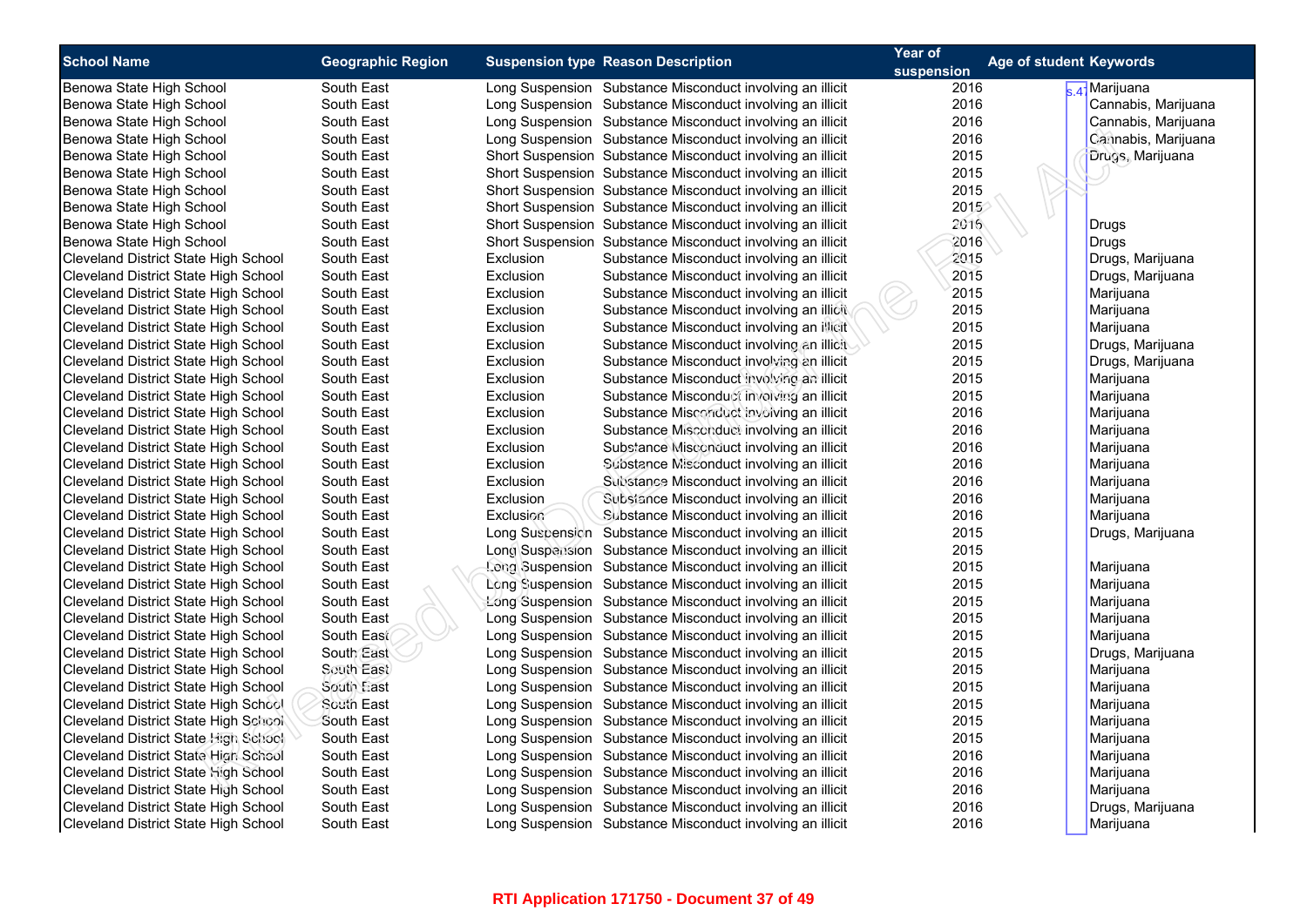| <b>School Name</b>                          | <b>Geographic Region</b> | <b>Suspension type Reason Description</b> |                                                            | Year of    | <b>Age of student Keywords</b> |  |  |
|---------------------------------------------|--------------------------|-------------------------------------------|------------------------------------------------------------|------------|--------------------------------|--|--|
|                                             |                          |                                           |                                                            | suspension |                                |  |  |
| Benowa State High School                    | South East               |                                           | Long Suspension Substance Misconduct involving an illicit  | 2016       | <sub>s 4</sub> ∤Marijuana      |  |  |
| Benowa State High School                    | South East               |                                           | Long Suspension Substance Misconduct involving an illicit  | 2016       | Cannabis, Marijuana            |  |  |
| Benowa State High School                    | South East               |                                           | Long Suspension Substance Misconduct involving an illicit  | 2016       | Cannabis, Marijuana            |  |  |
| Benowa State High School                    | South East               |                                           | Long Suspension Substance Misconduct involving an illicit  | 2016       | Carinabis, Marijuana           |  |  |
| Benowa State High School                    | South East               |                                           | Short Suspension Substance Misconduct involving an illicit | 2015       | Drugs, Marijuana               |  |  |
| Benowa State High School                    | South East               |                                           | Short Suspension Substance Misconduct involving an illicit | 2015       |                                |  |  |
| Benowa State High School                    | South East               |                                           | Short Suspension Substance Misconduct involving an illicit | 2015       |                                |  |  |
| Benowa State High School                    | South East               |                                           | Short Suspension Substance Misconduct involving an illicit | 2015       |                                |  |  |
| Benowa State High School                    | South East               |                                           | Short Suspension Substance Misconduct involving an illicit | 2016       | Drugs                          |  |  |
| Benowa State High School                    | South East               |                                           | Short Suspension Substance Misconduct involving an illicit | 2016       | <b>Drugs</b>                   |  |  |
| Cleveland District State High School        | South East               | Exclusion                                 | Substance Misconduct involving an illicit                  | 2015       | Drugs, Marijuana               |  |  |
| Cleveland District State High School        | South East               | Exclusion                                 | Substance Misconduct involving an illicit                  | 2015       | Drugs, Marijuana               |  |  |
| Cleveland District State High School        | South East               | Exclusion                                 | Substance Misconduct involving an illicit                  | 2015       | Marijuana                      |  |  |
| Cleveland District State High School        | South East               | Exclusion                                 | Substance Misconduct involving an illicit                  | 2015       | Marijuana                      |  |  |
| Cleveland District State High School        | South East               | Exclusion                                 | Substance Misconduct involving an illicit                  | 2015       | Marijuana                      |  |  |
| Cleveland District State High School        | South East               | Exclusion                                 | Substance Misconduct involving an illicit                  | 2015       | Drugs, Marijuana               |  |  |
| Cleveland District State High School        | South East               | Exclusion                                 | Substance Misconduct involving an illicit                  | 2015       | Drugs, Marijuana               |  |  |
| Cleveland District State High School        | South East               | Exclusion                                 | Substance Misconduct involving an illicit                  | 2015       | Marijuana                      |  |  |
| Cleveland District State High School        | South East               | Exclusion                                 | Substance Misconduct involving an illicit                  | 2015       | Marijuana                      |  |  |
| Cleveland District State High School        | South East               | Exclusion                                 | Substance Misconduct involving an illicit                  | 2016       | Marijuana                      |  |  |
| Cleveland District State High School        | South East               | Exclusion                                 | Substance Misconduct involving an illicit                  | 2016       | Marijuana                      |  |  |
| Cleveland District State High School        | South East               | Exclusion                                 | Substance Misconduct involving an illicit                  | 2016       | Marijuana                      |  |  |
| Cleveland District State High School        | South East               | Exclusion                                 | Substance Misconduct involving an illicit                  | 2016       | Marijuana                      |  |  |
| Cleveland District State High School        | South East               | Exclusion                                 | Substance Misconduct involving an illicit                  | 2016       | Marijuana                      |  |  |
| Cleveland District State High School        | South East               | Exclusion                                 | Substance Misconduct involving an illicit                  | 2016       | Marijuana                      |  |  |
| Cleveland District State High School        | South East               | Exclusion                                 | Substance Misconduct involving an illicit                  | 2016       | Marijuana                      |  |  |
| Cleveland District State High School        | South East               |                                           | Long Suspension Substance Misconduct involving an illicit  | 2015       | Drugs, Marijuana               |  |  |
| Cleveland District State High School        | South East               |                                           | Long Suspension Substance Misconduct involving an illicit  | 2015       |                                |  |  |
| <b>Cleveland District State High School</b> | South East               |                                           | Long Suspension Substance Misconduct involving an illicit  | 2015       | Marijuana                      |  |  |
| Cleveland District State High School        | South East               |                                           | Long Suspension Substance Misconduct involving an illicit  | 2015       | Marijuana                      |  |  |
| Cleveland District State High School        | South East               |                                           | Long Suspension Substance Misconduct involving an illicit  | 2015       | Marijuana                      |  |  |
| Cleveland District State High School        | South East               |                                           | Long Suspension Substance Misconduct involving an illicit  | 2015       | Marijuana                      |  |  |
| Cleveland District State High School        | South East               |                                           | Long Suspension Substance Misconduct involving an illicit  | 2015       | Marijuana                      |  |  |
| Cleveland District State High School        | South East               |                                           | Long Suspension Substance Misconduct involving an illicit  | 2015       | Drugs, Marijuana               |  |  |
| Cleveland District State High School        | South East               |                                           | Long Suspension Substance Misconduct involving an illicit  | 2015       | Marijuana                      |  |  |
| Cleveland District State High School        | South East               |                                           | Long Suspension Substance Misconduct involving an illicit  | 2015       | Marijuana                      |  |  |
| Cleveland District State High School        | South East               |                                           | Long Suspension Substance Misconduct involving an illicit  | 2015       | Marijuana                      |  |  |
| Cleveland District State High School        | South East               |                                           | Long Suspension Substance Misconduct involving an illicit  | 2015       | Marijuana                      |  |  |
| Cleveland District State High School        | South East               |                                           | Long Suspension Substance Misconduct involving an illicit  | 2015       | Marijuana                      |  |  |
| Cleveland District State High School        | South East               |                                           | Long Suspension Substance Misconduct involving an illicit  | 2016       | Marijuana                      |  |  |
| Cleveland District State High School        | South East               |                                           | Long Suspension Substance Misconduct involving an illicit  | 2016       | Marijuana                      |  |  |
| Cleveland District State High School        | South East               |                                           | Long Suspension Substance Misconduct involving an illicit  | 2016       | Marijuana                      |  |  |
| Cleveland District State High School        | South East               |                                           | Long Suspension Substance Misconduct involving an illicit  | 2016       | Drugs, Marijuana               |  |  |
| Cleveland District State High School        | South East               |                                           | Long Suspension Substance Misconduct involving an illicit  | 2016       | Marijuana                      |  |  |
|                                             |                          |                                           |                                                            |            |                                |  |  |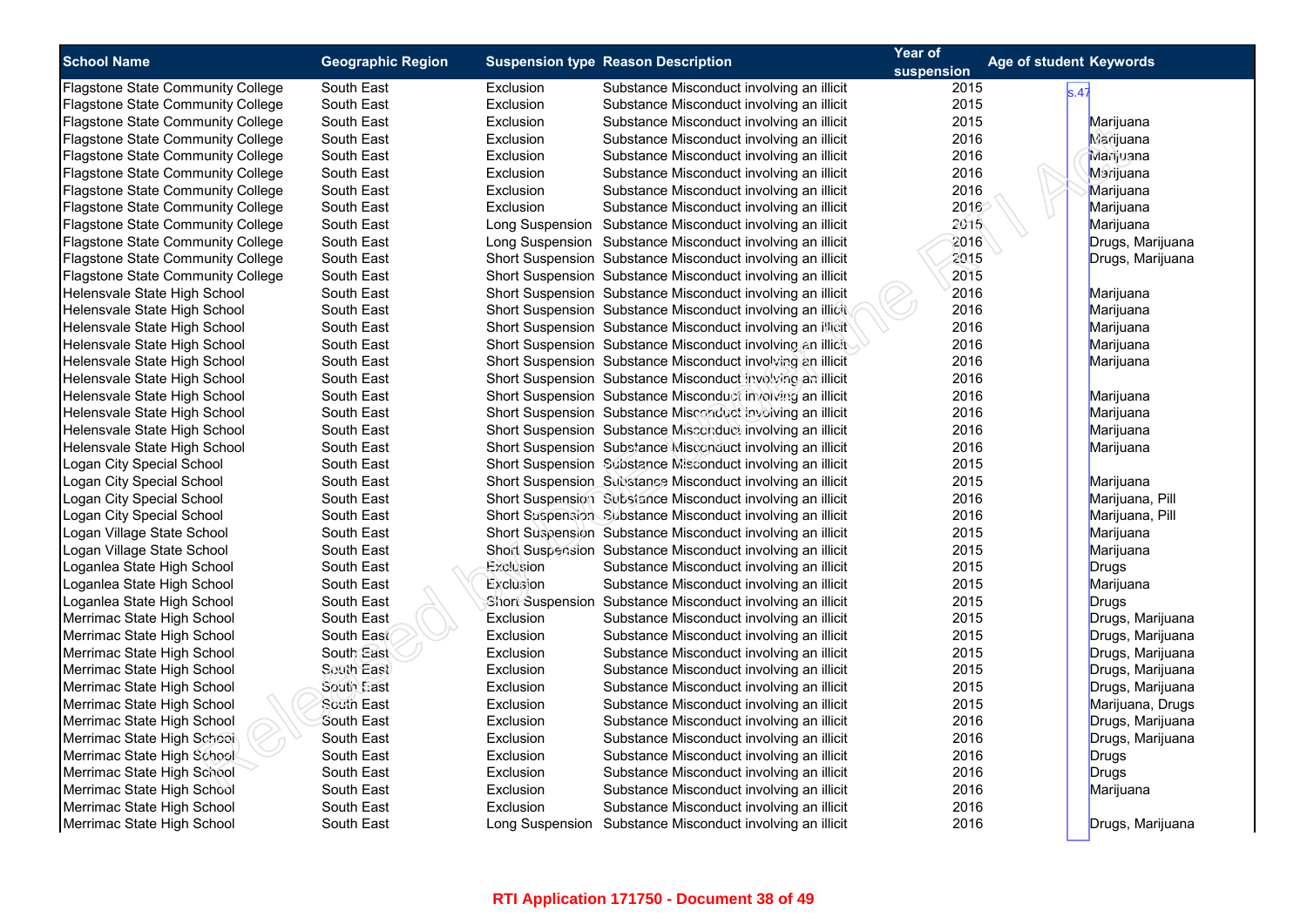| <b>School Name</b>                       | <b>Geographic Region</b> |           | <b>Suspension type Reason Description</b>                  | Year of<br>suspension | <b>Age of student Keywords</b> |                  |
|------------------------------------------|--------------------------|-----------|------------------------------------------------------------|-----------------------|--------------------------------|------------------|
| <b>Flagstone State Community College</b> | South East               | Exclusion | Substance Misconduct involving an illicit                  | 2015                  | s.47                           |                  |
| <b>Flagstone State Community College</b> | South East               | Exclusion | Substance Misconduct involving an illicit                  | 2015                  |                                |                  |
| <b>Flagstone State Community College</b> | South East               | Exclusion | Substance Misconduct involving an illicit                  | 2015                  |                                | Marijuana        |
| <b>Flagstone State Community College</b> | South East               | Exclusion | Substance Misconduct involving an illicit                  | 2016                  |                                | <b>Marijuana</b> |
| <b>Flagstone State Community College</b> | South East               | Exclusion | Substance Misconduct involving an illicit                  | 2016                  |                                | Marijuana        |
| Flagstone State Community College        | South East               | Exclusion | Substance Misconduct involving an illicit                  | 2016                  |                                | Marijuana        |
| <b>Flagstone State Community College</b> | South East               | Exclusion | Substance Misconduct involving an illicit                  | 2016                  |                                | Marijuana        |
| <b>Flagstone State Community College</b> | South East               | Exclusion | Substance Misconduct involving an illicit                  | 2016                  |                                | Marijuana        |
| <b>Flagstone State Community College</b> | South East               |           | Long Suspension Substance Misconduct involving an illicit  | 2015                  |                                | Marijuana        |
| Flagstone State Community College        | South East               |           | Long Suspension Substance Misconduct involving an illicit  | 2016                  |                                | Drugs, Marijuana |
| <b>Flagstone State Community College</b> | South East               |           | Short Suspension Substance Misconduct involving an illicit | 2015                  |                                | Drugs, Marijuana |
| Flagstone State Community College        | South East               |           | Short Suspension Substance Misconduct involving an illicit | 2015                  |                                |                  |
| Helensvale State High School             | South East               |           | Short Suspension Substance Misconduct involving an illicit | 2016                  |                                | Marijuana        |
| Helensvale State High School             | South East               |           | Short Suspension Substance Misconduct involving an illicit | 2016                  |                                | Marijuana        |
| Helensvale State High School             | South East               |           | Short Suspension Substance Misconduct involving an illicit | 2016                  |                                | Marijuana        |
| Helensvale State High School             | South East               |           | Short Suspension Substance Misconduct involving an illicit | 2016                  |                                | Marijuana        |
| Helensvale State High School             | South East               |           | Short Suspension Substance Misconduct involving an illicit | 2016                  |                                | Marijuana        |
| Helensvale State High School             | South East               |           | Short Suspension Substance Misconduct involving an illicit | 2016                  |                                |                  |
| Helensvale State High School             | South East               |           | Short Suspension Substance Misconduct involving an illicit | 2016                  |                                | Marijuana        |
| Helensvale State High School             | South East               |           | Short Suspension Substance Misconduct involving an illicit | 2016                  |                                | Marijuana        |
| Helensvale State High School             | South East               |           | Short Suspension Substance Misconduct involving an illicit | 2016                  |                                | Marijuana        |
| Helensvale State High School             | South East               |           | Short Suspension Substance Misconduct involving an illicit | 2016                  |                                | Marijuana        |
| Logan City Special School                | South East               |           | Short Suspension Substance Misconduct involving an illicit | 2015                  |                                |                  |
| Logan City Special School                | South East               |           | Short Suspension Substance Misconduct involving an illicit | 2015                  |                                | Marijuana        |
| Logan City Special School                | South East               |           | Short Suspension Substance Misconduct involving an illicit | 2016                  |                                | Marijuana, Pill  |
| Logan City Special School                | South East               |           | Short Suspension Substance Misconduct involving an illicit | 2016                  |                                | Marijuana, Pill  |
| Logan Village State School               | South East               |           | Short Suspension Substance Misconduct involving an illicit | 2015                  |                                | Marijuana        |
| Logan Village State School               | South East               |           | Short Suspension Substance Misconduct involving an illicit | 2015                  |                                | Marijuana        |
| Loganlea State High School               | South East               | Exclusion | Substance Misconduct involving an illicit                  | 2015                  |                                | <b>Drugs</b>     |
| Loganlea State High School               | South East               | Exclusion | Substance Misconduct involving an illicit                  | 2015                  |                                | Marijuana        |
| Loganlea State High School               | South East               |           | Short Suspension Substance Misconduct involving an illicit | 2015                  |                                | <b>Drugs</b>     |
| Merrimac State High School               | South East               | Exclusion | Substance Misconduct involving an illicit                  | 2015                  |                                | Drugs, Marijuana |
| Merrimac State High School               | South East               | Exclusion | Substance Misconduct involving an illicit                  | 2015                  |                                | Drugs, Marijuana |
| Merrimac State High School               | South East               | Exclusion | Substance Misconduct involving an illicit                  | 2015                  |                                | Drugs, Marijuana |
| Merrimac State High School               | South East               | Exclusion | Substance Misconduct involving an illicit                  | 2015                  |                                | Drugs, Marijuana |
| Merrimac State High School               | South East               | Exclusion | Substance Misconduct involving an illicit                  | 2015                  |                                | Drugs, Marijuana |
| Merrimac State High School               | South East               | Exclusion | Substance Misconduct involving an illicit                  | 2015                  |                                | Marijuana, Drugs |
| Merrimac State High School               | South East               | Exclusion | Substance Misconduct involving an illicit                  | 2016                  |                                | Drugs, Marijuana |
| Merrimac State High School               | South East               | Exclusion | Substance Misconduct involving an illicit                  | 2016                  |                                | Drugs, Marijuana |
| Merrimac State High School               | South East               | Exclusion | Substance Misconduct involving an illicit                  | 2016                  |                                | Drugs            |
| Merrimac State High School               | South East               | Exclusion | Substance Misconduct involving an illicit                  | 2016                  |                                | Drugs            |
| Merrimac State High School               | South East               | Exclusion | Substance Misconduct involving an illicit                  | 2016                  |                                | Marijuana        |
| Merrimac State High School               | South East               | Exclusion | Substance Misconduct involving an illicit                  | 2016                  |                                |                  |
| Merrimac State High School               | South East               |           | Long Suspension Substance Misconduct involving an illicit  | 2016                  |                                | Drugs, Marijuana |
|                                          |                          |           |                                                            |                       |                                |                  |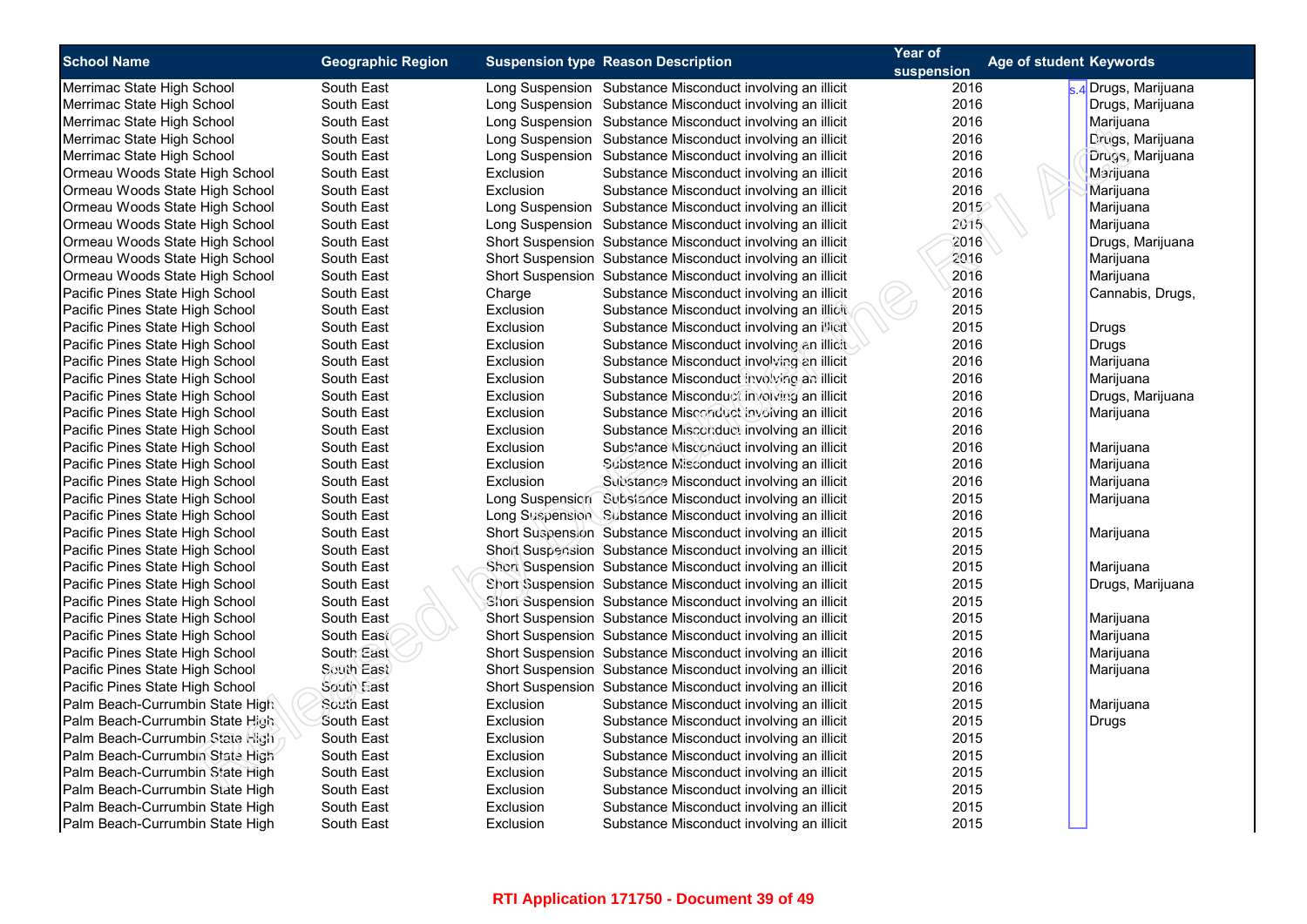| <b>School Name</b>              | <b>Geographic Region</b> |           | <b>Suspension type Reason Description</b>                  | Year of    | Age of student Keywords |                    |
|---------------------------------|--------------------------|-----------|------------------------------------------------------------|------------|-------------------------|--------------------|
|                                 |                          |           |                                                            | suspension |                         |                    |
| Merrimac State High School      | South East               |           | Long Suspension Substance Misconduct involving an illicit  | 2016       |                         | 4 Drugs, Marijuana |
| Merrimac State High School      | South East               |           | Long Suspension Substance Misconduct involving an illicit  | 2016       |                         | Drugs, Marijuana   |
| Merrimac State High School      | South East               |           | Long Suspension Substance Misconduct involving an illicit  | 2016       |                         | Marijuana          |
| Merrimac State High School      | South East               |           | Long Suspension Substance Misconduct involving an illicit  | 2016       |                         | Drugs, Marijuana   |
| Merrimac State High School      | South East               |           | Long Suspension Substance Misconduct involving an illicit  | 2016       |                         | Drugs, Marijuana   |
| Ormeau Woods State High School  | South East               | Exclusion | Substance Misconduct involving an illicit                  | 2016       |                         | Marijuana          |
| Ormeau Woods State High School  | South East               | Exclusion | Substance Misconduct involving an illicit                  | 2016       |                         | Marijuana          |
| Ormeau Woods State High School  | South East               |           | Long Suspension Substance Misconduct involving an illicit  | 2015       |                         | Marijuana          |
| Ormeau Woods State High School  | South East               |           | Long Suspension Substance Misconduct involving an illicit  | 2015       |                         | Marijuana          |
| Ormeau Woods State High School  | South East               |           | Short Suspension Substance Misconduct involving an illicit | 2016       |                         | Drugs, Marijuana   |
| Ormeau Woods State High School  | South East               |           | Short Suspension Substance Misconduct involving an illicit | 2016       |                         | Marijuana          |
| Ormeau Woods State High School  | South East               |           | Short Suspension Substance Misconduct involving an illicit | 2016       |                         | Marijuana          |
| Pacific Pines State High School | South East               | Charge    | Substance Misconduct involving an illicit                  | 2016       |                         | Cannabis, Drugs,   |
| Pacific Pines State High School | South East               | Exclusion | Substance Misconduct involving an illicit                  | 2015       |                         |                    |
| Pacific Pines State High School | South East               | Exclusion | Substance Misconduct involving an illicit                  | 2015       |                         | <b>Drugs</b>       |
| Pacific Pines State High School | South East               | Exclusion | Substance Misconduct involving an illicit                  | 2016       |                         | <b>Drugs</b>       |
| Pacific Pines State High School | South East               | Exclusion | Substance Misconduct involving an illicit                  | 2016       |                         | Marijuana          |
| Pacific Pines State High School | South East               | Exclusion | Substance Misconduct involving an illicit                  | 2016       |                         | Marijuana          |
| Pacific Pines State High School | South East               | Exclusion | Substance Misconduct involving an illicit                  | 2016       |                         | Drugs, Marijuana   |
| Pacific Pines State High School | South East               | Exclusion | Substance Misconduct involving an illicit                  | 2016       |                         | Marijuana          |
| Pacific Pines State High School | South East               | Exclusion | Substance Misconduct involving an illicit                  | 2016       |                         |                    |
| Pacific Pines State High School | South East               | Exclusion | Substance Misconduct involving an illicit                  | 2016       |                         | Marijuana          |
| Pacific Pines State High School | South East               | Exclusion | Substance Misconduct involving an illicit                  | 2016       |                         | Marijuana          |
| Pacific Pines State High School | South East               | Exclusion | Substance Misconduct involving an illicit                  | 2016       |                         | Marijuana          |
| Pacific Pines State High School | South East               |           | Long Suspension Substance Misconduct involving an illicit  | 2015       |                         | Marijuana          |
| Pacific Pines State High School | South East               |           | Long Suspension Substance Misconduct involving an illicit  | 2016       |                         |                    |
| Pacific Pines State High School | South East               |           | Short Suspension Substance Misconduct involving an illicit | 2015       |                         | Marijuana          |
| Pacific Pines State High School | South East               |           | Short Suspension Substance Misconduct involving an illicit | 2015       |                         |                    |
| Pacific Pines State High School | South East               |           | Short Suspension Substance Misconduct involving an illicit | 2015       |                         | Marijuana          |
| Pacific Pines State High School | South East               |           | Short Suspension Substance Misconduct involving an illicit | 2015       |                         | Drugs, Marijuana   |
| Pacific Pines State High School | South East               |           | Short Suspension Substance Misconduct involving an illicit | 2015       |                         |                    |
| Pacific Pines State High School | South East               |           | Short Suspension Substance Misconduct involving an illicit | 2015       |                         | Marijuana          |
| Pacific Pines State High School | South East               |           | Short Suspension Substance Misconduct involving an illicit | 2015       |                         | Marijuana          |
| Pacific Pines State High School | South East               |           | Short Suspension Substance Misconduct involving an illicit | 2016       |                         | Marijuana          |
| Pacific Pines State High School | South East               |           | Short Suspension Substance Misconduct involving an illicit | 2016       |                         | Marijuana          |
| Pacific Pines State High School | South East               |           | Short Suspension Substance Misconduct involving an illicit | 2016       |                         |                    |
| Palm Beach-Currumbin State High | South East               | Exclusion | Substance Misconduct involving an illicit                  | 2015       |                         | Marijuana          |
| Palm Beach-Currumbin State High | South East               | Exclusion | Substance Misconduct involving an illicit                  | 2015       |                         | Drugs              |
| Palm Beach-Currumbin State High | South East               | Exclusion | Substance Misconduct involving an illicit                  | 2015       |                         |                    |
| Palm Beach-Currumbin State High | South East               | Exclusion | Substance Misconduct involving an illicit                  | 2015       |                         |                    |
| Palm Beach-Currumbin State High | South East               | Exclusion | Substance Misconduct involving an illicit                  | 2015       |                         |                    |
| Palm Beach-Currumbin State High | South East               | Exclusion | Substance Misconduct involving an illicit                  | 2015       |                         |                    |
| Palm Beach-Currumbin State High | South East               | Exclusion | Substance Misconduct involving an illicit                  | 2015       |                         |                    |
| Palm Beach-Currumbin State High | South East               | Exclusion | Substance Misconduct involving an illicit                  | 2015       |                         |                    |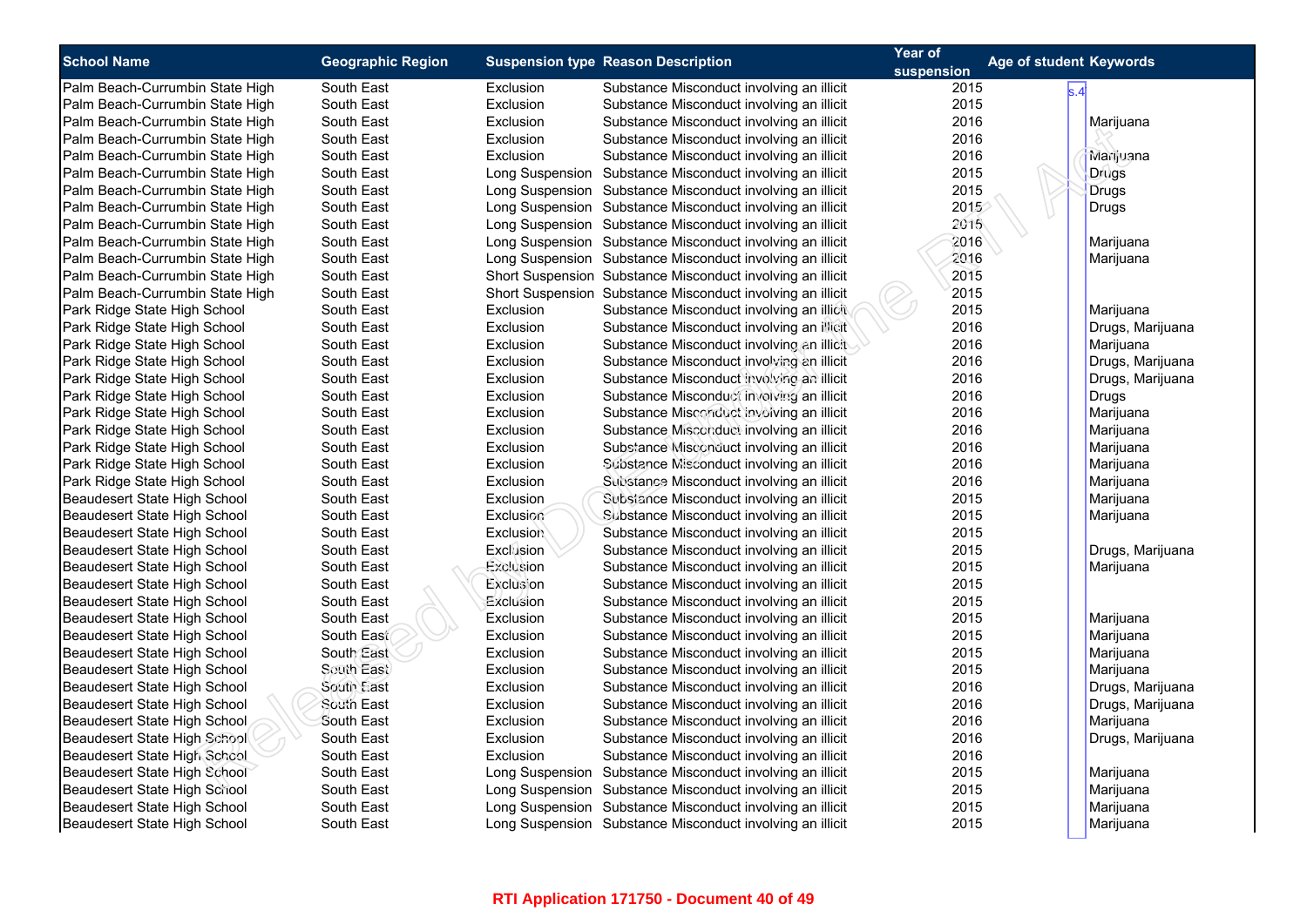| <b>School Name</b>              | <b>Geographic Region</b> |                  | <b>Suspension type Reason Description</b>                  | Year of<br>suspension | Age of student Keywords |                  |
|---------------------------------|--------------------------|------------------|------------------------------------------------------------|-----------------------|-------------------------|------------------|
| Palm Beach-Currumbin State High | South East               | Exclusion        | Substance Misconduct involving an illicit                  | 2015                  | s.4                     |                  |
| Palm Beach-Currumbin State High | South East               | Exclusion        | Substance Misconduct involving an illicit                  | 2015                  |                         |                  |
| Palm Beach-Currumbin State High | South East               | Exclusion        | Substance Misconduct involving an illicit                  | 2016                  |                         | Marijuana        |
| Palm Beach-Currumbin State High | South East               | Exclusion        | Substance Misconduct involving an illicit                  | 2016                  |                         |                  |
| Palm Beach-Currumbin State High | South East               | Exclusion        | Substance Misconduct involving an illicit                  | 2016                  |                         | Marijuana        |
| Palm Beach-Currumbin State High | South East               |                  | Long Suspension Substance Misconduct involving an illicit  | 2015                  |                         | <b>Drugs</b>     |
| Palm Beach-Currumbin State High | South East               |                  | Long Suspension Substance Misconduct involving an illicit  | 2015                  |                         | <b>Drugs</b>     |
| Palm Beach-Currumbin State High | South East               |                  | Long Suspension Substance Misconduct involving an illicit  | 2015                  |                         | <b>Drugs</b>     |
| Palm Beach-Currumbin State High | South East               |                  | Long Suspension Substance Misconduct involving an illicit  | 2015                  |                         |                  |
| Palm Beach-Currumbin State High | South East               |                  | Long Suspension Substance Misconduct involving an illicit  | 2016                  |                         | Marijuana        |
| Palm Beach-Currumbin State High | South East               |                  | Long Suspension Substance Misconduct involving an illicit  | 2016                  |                         | Marijuana        |
| Palm Beach-Currumbin State High | South East               |                  | Short Suspension Substance Misconduct involving an illicit | 2015                  |                         |                  |
| Palm Beach-Currumbin State High | South East               |                  | Short Suspension Substance Misconduct involving an illicit | 2015                  |                         |                  |
| Park Ridge State High School    | South East               | Exclusion        | Substance Misconduct involving an illicit                  | 2015                  |                         | Marijuana        |
| Park Ridge State High School    | South East               | Exclusion        | Substance Misconduct involving an illicit                  | 2016                  |                         | Drugs, Marijuana |
| Park Ridge State High School    | South East               | Exclusion        | Substance Misconduct involving an illicit                  | 2016                  |                         | Marijuana        |
| Park Ridge State High School    | South East               | Exclusion        | Substance Misconduct involving an illicit                  | 2016                  |                         | Drugs, Marijuana |
| Park Ridge State High School    | South East               | Exclusion        | Substance Misconduct involving an illicit                  | 2016                  |                         | Drugs, Marijuana |
| Park Ridge State High School    | South East               | Exclusion        | Substance Misconduct involving an illicit                  | 2016                  |                         | Drugs            |
| Park Ridge State High School    | South East               | Exclusion        | Substance Misconduct involving an illicit                  | 2016                  |                         | Marijuana        |
| Park Ridge State High School    | South East               | Exclusion        | Substance Misconduct involving an illicit                  | 2016                  |                         | Marijuana        |
| Park Ridge State High School    | South East               | Exclusion        | Substance Misconduct involving an illicit                  | 2016                  |                         | Marijuana        |
| Park Ridge State High School    | South East               | Exclusion        | Substance Misconduct involving an illicit                  | 2016                  |                         | Marijuana        |
| Park Ridge State High School    | South East               | Exclusion        | Substance Misconduct involving an illicit                  | 2016                  |                         | Marijuana        |
| Beaudesert State High School    | South East               | Exclusion        | Subsiance Misconduct involving an illicit                  | 2015                  |                         | Marijuana        |
| Beaudesert State High School    | South East               | Exclusion        | Substance Misconduct involving an illicit                  | 2015                  |                         | Marijuana        |
| Beaudesert State High School    | South East               | <b>Exclusion</b> | Substance Misconduct involving an illicit                  | 2015                  |                         |                  |
| Beaudesert State High School    | South East               | Exclusion        | Substance Misconduct involving an illicit                  | 2015                  |                         | Drugs, Marijuana |
| Beaudesert State High School    | South East               | Exclusion        | Substance Misconduct involving an illicit                  | 2015                  |                         | Marijuana        |
| Beaudesert State High School    | South East               | Exclusion        | Substance Misconduct involving an illicit                  | 2015                  |                         |                  |
| Beaudesert State High School    | South East               | Exclusion        | Substance Misconduct involving an illicit                  | 2015                  |                         |                  |
| Beaudesert State High School    | South East               | Exclusion        | Substance Misconduct involving an illicit                  | 2015                  |                         | Marijuana        |
| Beaudesert State High School    | South East               | Exclusion        | Substance Misconduct involving an illicit                  | 2015                  |                         | Marijuana        |
| Beaudesert State High School    | South East               | Exclusion        | Substance Misconduct involving an illicit                  | 2015                  |                         | Marijuana        |
| Beaudesert State High School    | South East               | Exclusion        | Substance Misconduct involving an illicit                  | 2015                  |                         | Marijuana        |
| Beaudesert State High School    | South East               | Exclusion        | Substance Misconduct involving an illicit                  | 2016                  |                         | Drugs, Marijuana |
| Beaudesert State High School    | South East               | Exclusion        | Substance Misconduct involving an illicit                  | 2016                  |                         | Drugs, Marijuana |
| Beaudesert State High School    | South East               | Exclusion        | Substance Misconduct involving an illicit                  | 2016                  |                         | Marijuana        |
| Beaudesert State High School    | South East               | Exclusion        | Substance Misconduct involving an illicit                  | 2016                  |                         | Drugs, Marijuana |
| Beaudesert State High School    | South East               | Exclusion        | Substance Misconduct involving an illicit                  | 2016                  |                         |                  |
| Beaudesert State High School    | South East               |                  | Long Suspension Substance Misconduct involving an illicit  | 2015                  |                         | Marijuana        |
| Beaudesert State High School    | South East               |                  | Long Suspension Substance Misconduct involving an illicit  | 2015                  |                         | Marijuana        |
| Beaudesert State High School    | South East               |                  | Long Suspension Substance Misconduct involving an illicit  | 2015                  |                         | Marijuana        |
| Beaudesert State High School    | South East               |                  | Long Suspension Substance Misconduct involving an illicit  | 2015                  |                         | Marijuana        |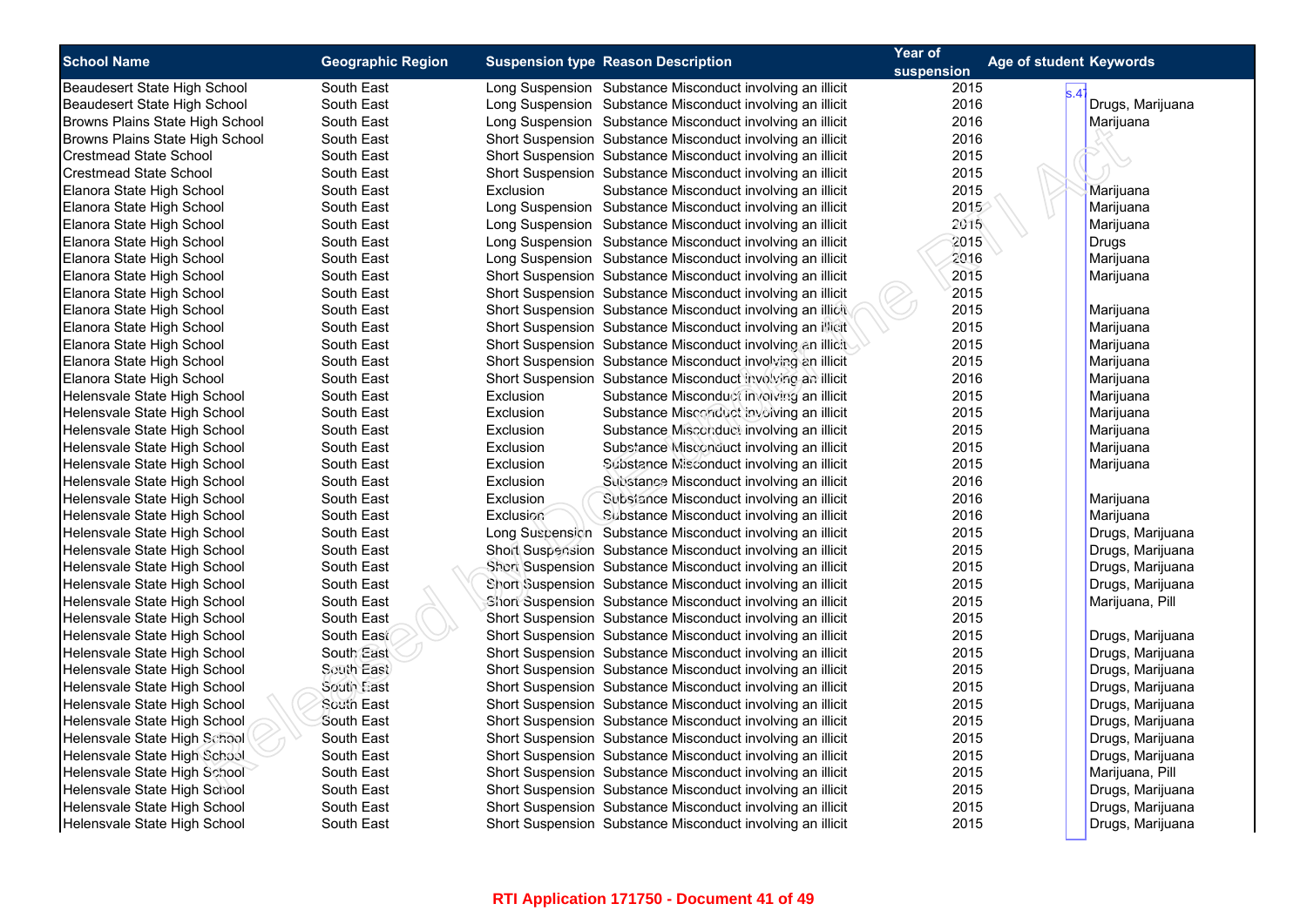| <b>School Name</b>              | <b>Geographic Region</b> | <b>Suspension type Reason Description</b> |                                                            | Year of    | <b>Age of student Keywords</b> |
|---------------------------------|--------------------------|-------------------------------------------|------------------------------------------------------------|------------|--------------------------------|
|                                 |                          |                                           |                                                            | suspension |                                |
| Beaudesert State High School    | South East               |                                           | Long Suspension Substance Misconduct involving an illicit  | 2015       | s.4                            |
| Beaudesert State High School    | South East               |                                           | Long Suspension Substance Misconduct involving an illicit  | 2016       | Drugs, Marijuana               |
| Browns Plains State High School | South East               |                                           | Long Suspension Substance Misconduct involving an illicit  | 2016       | Marijuana                      |
| Browns Plains State High School | South East               |                                           | Short Suspension Substance Misconduct involving an illicit | 2016       |                                |
| <b>Crestmead State School</b>   | South East               |                                           | Short Suspension Substance Misconduct involving an illicit | 2015       |                                |
| <b>Crestmead State School</b>   | South East               |                                           | Short Suspension Substance Misconduct involving an illicit | 2015       |                                |
| Elanora State High School       | South East               | Exclusion                                 | Substance Misconduct involving an illicit                  | 2015       | Marijuana                      |
| Elanora State High School       | South East               |                                           | Long Suspension Substance Misconduct involving an illicit  | 2015       | Marijuana                      |
| Elanora State High School       | South East               |                                           | Long Suspension Substance Misconduct involving an illicit  | 2015       | Marijuana                      |
| Elanora State High School       | South East               |                                           | Long Suspension Substance Misconduct involving an illicit  | 2015       | Drugs                          |
| Elanora State High School       | South East               |                                           | Long Suspension Substance Misconduct involving an illicit  | 2016       | Marijuana                      |
| Elanora State High School       | South East               |                                           | Short Suspension Substance Misconduct involving an illicit | 2015       | Marijuana                      |
| Elanora State High School       | South East               |                                           | Short Suspension Substance Misconduct involving an illicit | 2015       |                                |
| Elanora State High School       | South East               |                                           | Short Suspension Substance Misconduct involving an illicit | 2015       | Marijuana                      |
| Elanora State High School       | South East               |                                           | Short Suspension Substance Misconduct involving an illicit | 2015       | Marijuana                      |
| Elanora State High School       | South East               |                                           | Short Suspension Substance Misconduct involving an illicit | 2015       | Marijuana                      |
| Elanora State High School       | South East               |                                           | Short Suspension Substance Misconduct involving an illicit | 2015       | Marijuana                      |
| Elanora State High School       | South East               |                                           | Short Suspension Substance Misconduct involving an illicit | 2016       | Marijuana                      |
| Helensvale State High School    | South East               | Exclusion                                 | Substance Misconduct involving an illicit                  | 2015       | Marijuana                      |
| Helensvale State High School    | South East               | Exclusion                                 | Substance Misconduct involving an illicit                  | 2015       | Marijuana                      |
| Helensvale State High School    | South East               | Exclusion                                 | Substance Misconduct involving an illicit                  | 2015       | Marijuana                      |
| Helensvale State High School    | South East               | Exclusion                                 | Substance Misconduct involving an illicit                  | 2015       | Marijuana                      |
| Helensvale State High School    | South East               | Exclusion                                 | Substance Misconduct involving an illicit                  | 2015       | Marijuana                      |
| Helensvale State High School    | South East               | Exclusion                                 | Substance Misconduct involving an illicit                  | 2016       |                                |
| Helensvale State High School    | South East               | Exclusion                                 | Subsiance Misconduct involving an illicit                  | 2016       | Marijuana                      |
| Helensvale State High School    | South East               | Exclusion                                 | Substance Misconduct involving an illicit                  | 2016       | Marijuana                      |
| Helensvale State High School    | South East               |                                           | Long Suspension Substance Misconduct involving an illicit  | 2015       | Drugs, Marijuana               |
| Helensvale State High School    | South East               |                                           | Short Suspension Substance Misconduct involving an illicit | 2015       | Drugs, Marijuana               |
| Helensvale State High School    | South East               |                                           | Short Suspension Substance Misconduct involving an illicit | 2015       | Drugs, Marijuana               |
| Helensvale State High School    | South East               |                                           | Short Suspension Substance Misconduct involving an illicit | 2015       | Drugs, Marijuana               |
| Helensvale State High School    | South East               |                                           | Short Suspension Substance Misconduct involving an illicit | 2015       | Marijuana, Pill                |
| Helensvale State High School    | South East               |                                           | Short Suspension Substance Misconduct involving an illicit | 2015       |                                |
| Helensvale State High School    | South East               |                                           | Short Suspension Substance Misconduct involving an illicit | 2015       | Drugs, Marijuana               |
| Helensvale State High School    | South East               |                                           | Short Suspension Substance Misconduct involving an illicit | 2015       | Drugs, Marijuana               |
| Helensvale State High School    | South East               |                                           | Short Suspension Substance Misconduct involving an illicit | 2015       | Drugs, Marijuana               |
| Helensvale State High School    | South East               |                                           | Short Suspension Substance Misconduct involving an illicit | 2015       | Drugs, Marijuana               |
| Helensvale State High School    | South East               |                                           | Short Suspension Substance Misconduct involving an illicit | 2015       | Drugs, Marijuana               |
| Helensvale State High School    | South East               |                                           | Short Suspension Substance Misconduct involving an illicit | 2015       | Drugs, Marijuana               |
| Helensvale State High School    | South East               |                                           | Short Suspension Substance Misconduct involving an illicit | 2015       | Drugs, Marijuana               |
| Helensvale State High School    | South East               |                                           | Short Suspension Substance Misconduct involving an illicit | 2015       | Drugs, Marijuana               |
| Helensvale State High School    | South East               |                                           | Short Suspension Substance Misconduct involving an illicit | 2015       | Marijuana, Pill                |
| Helensvale State High School    | South East               |                                           | Short Suspension Substance Misconduct involving an illicit | 2015       | Drugs, Marijuana               |
| Helensvale State High School    | South East               |                                           | Short Suspension Substance Misconduct involving an illicit | 2015       | Drugs, Marijuana               |
| Helensvale State High School    | South East               |                                           | Short Suspension Substance Misconduct involving an illicit | 2015       | Drugs, Marijuana               |
|                                 |                          |                                           |                                                            |            |                                |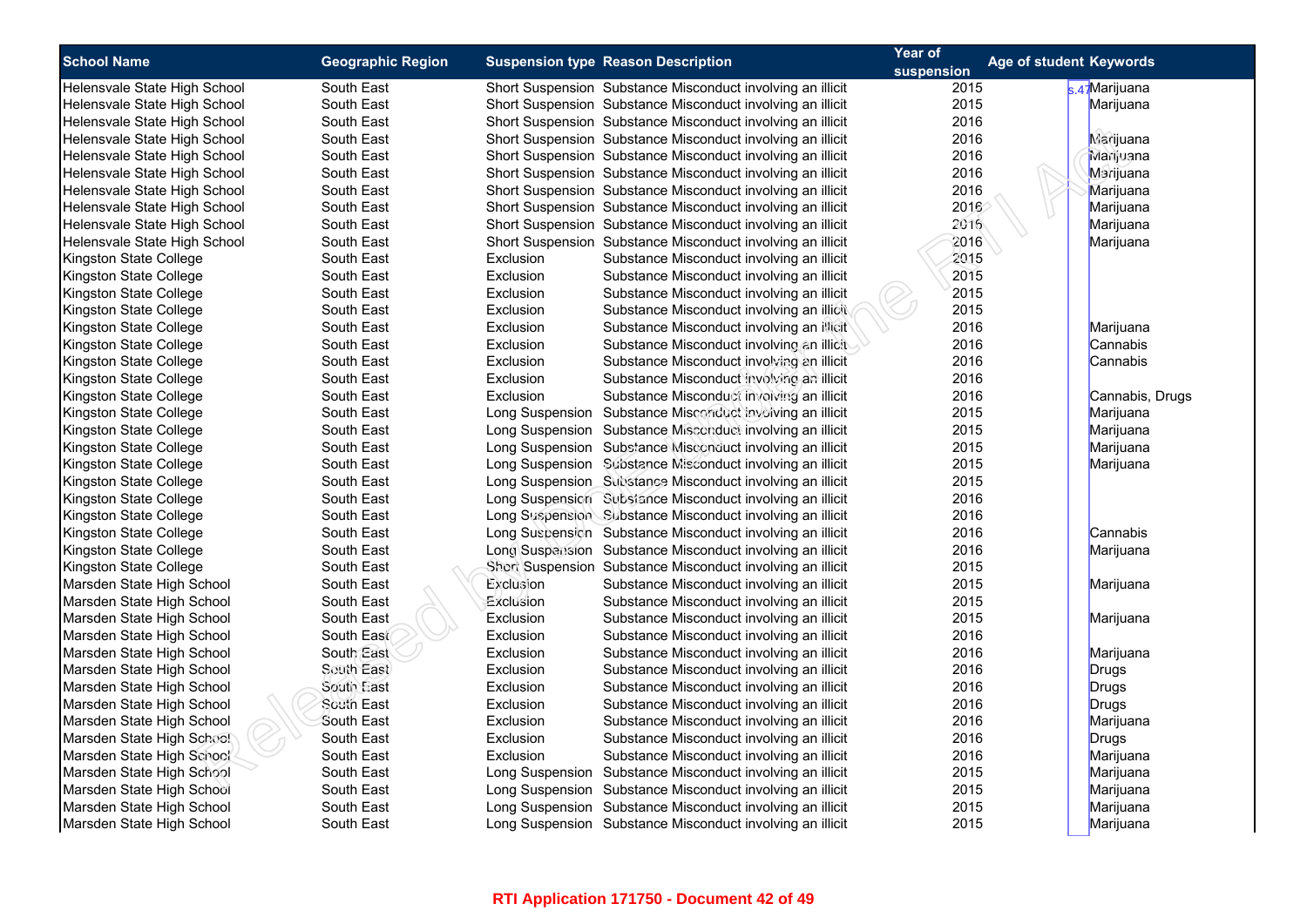| <b>School Name</b>                                           | <b>Geographic Region</b> |           | <b>Suspension type Reason Description</b>                  | Year of      | Age of student Keywords |                 |
|--------------------------------------------------------------|--------------------------|-----------|------------------------------------------------------------|--------------|-------------------------|-----------------|
|                                                              | South East               |           | Short Suspension Substance Misconduct involving an illicit | suspension   |                         | s.47 Marijuana  |
| Helensvale State High School<br>Helensvale State High School | South East               |           | Short Suspension Substance Misconduct involving an illicit | 2015<br>2015 |                         | Marijuana       |
| Helensvale State High School                                 | South East               |           | Short Suspension Substance Misconduct involving an illicit | 2016         |                         |                 |
| Helensvale State High School                                 | South East               |           | Short Suspension Substance Misconduct involving an illicit | 2016         |                         |                 |
| Helensvale State High School                                 | South East               |           | Short Suspension Substance Misconduct involving an illicit | 2016         |                         | Marijuana       |
| Helensvale State High School                                 |                          |           | Short Suspension Substance Misconduct involving an illicit | 2016         |                         | Marijuana       |
|                                                              | South East               |           |                                                            |              |                         | Marijuana       |
| Helensvale State High School                                 | South East               |           | Short Suspension Substance Misconduct involving an illicit | 2016         |                         | Marijuana       |
| Helensvale State High School                                 | South East               |           | Short Suspension Substance Misconduct involving an illicit | 2016         |                         | Marijuana       |
| Helensvale State High School                                 | South East               |           | Short Suspension Substance Misconduct involving an illicit | 2016         |                         | Marijuana       |
| Helensvale State High School                                 | South East               |           | Short Suspension Substance Misconduct involving an illicit | 2016         |                         | Marijuana       |
| Kingston State College                                       | South East               | Exclusion | Substance Misconduct involving an illicit                  | 2015         |                         |                 |
| Kingston State College                                       | South East               | Exclusion | Substance Misconduct involving an illicit                  | 2015         |                         |                 |
| Kingston State College                                       | South East               | Exclusion | Substance Misconduct involving an illicit                  | 2015         |                         |                 |
| Kingston State College                                       | South East               | Exclusion | Substance Misconduct involving an illicit                  | 2015         |                         |                 |
| Kingston State College                                       | South East               | Exclusion | Substance Misconduct involving an illicit                  | 2016         |                         | Marijuana       |
| Kingston State College                                       | South East               | Exclusion | Substance Misconduct involving an illicit                  | 2016         |                         | Cannabis        |
| Kingston State College                                       | South East               | Exclusion | Substance Misconduct involving an illicit                  | 2016         |                         | Cannabis        |
| Kingston State College                                       | South East               | Exclusion | Substance Misconduct involving an illicit                  | 2016         |                         |                 |
| Kingston State College                                       | South East               | Exclusion | Substance Misconduct involving an illicit                  | 2016         |                         | Cannabis, Drugs |
| Kingston State College                                       | South East               |           | Long Suspension Substance Misconduct involving an illicit  | 2015         |                         | Marijuana       |
| Kingston State College                                       | South East               |           | Long Suspension Substance Misconduct involving an illicit  | 2015         |                         | Marijuana       |
| Kingston State College                                       | South East               |           | Long Suspension Substance Misconduct involving an illicit  | 2015         |                         | Marijuana       |
| Kingston State College                                       | South East               |           | Long Suspension Substance Misconduct involving an illicit  | 2015         |                         | Marijuana       |
| Kingston State College                                       | South East               |           | Long Suspension Substance Misconduct involving an illicit  | 2015         |                         |                 |
| Kingston State College                                       | South East               |           | Long Suspension Substance Misconduct involving an illicit  | 2016         |                         |                 |
| Kingston State College                                       | South East               |           | Long Suspension Substance Misconduct involving an illicit  | 2016         |                         |                 |
| Kingston State College                                       | South East               |           | Long Suspension Substance Misconduct involving an illicit  | 2016         |                         | Cannabis        |
| Kingston State College                                       | South East               |           | Long Suspension Substance Misconduct involving an illicit  | 2016         |                         | Marijuana       |
| Kingston State College                                       | South East               |           | Short Suspension Substance Misconduct involving an illicit | 2015         |                         |                 |
| Marsden State High School                                    | South East               | Exclusion | Substance Misconduct involving an illicit                  | 2015         |                         | Marijuana       |
| Marsden State High School                                    | South East               | Exclusion | Substance Misconduct involving an illicit                  | 2015         |                         |                 |
| Marsden State High School                                    | South East               | Exclusion | Substance Misconduct involving an illicit                  | 2015         |                         | Marijuana       |
| Marsden State High School                                    | South East               | Exclusion | Substance Misconduct involving an illicit                  | 2016         |                         |                 |
| Marsden State High School                                    | South East               | Exclusion | Substance Misconduct involving an illicit                  | 2016         |                         | Marijuana       |
| Marsden State High School                                    | South East               | Exclusion | Substance Misconduct involving an illicit                  | 2016         |                         | Drugs           |
| Marsden State High School                                    | <b>South East</b>        | Exclusion | Substance Misconduct involving an illicit                  | 2016         |                         | Drugs           |
| Marsden State High School                                    | South East               | Exclusion | Substance Misconduct involving an illicit                  | 2016         |                         | <b>Drugs</b>    |
| Marsden State High School                                    | South East               | Exclusion | Substance Misconduct involving an illicit                  | 2016         |                         | Marijuana       |
| Marsden State High School                                    | South East               | Exclusion | Substance Misconduct involving an illicit                  | 2016         |                         | <b>Drugs</b>    |
| Marsden State High School                                    | South East               | Exclusion | Substance Misconduct involving an illicit                  | 2016         |                         | Marijuana       |
| Marsden State High School                                    | South East               |           | Long Suspension Substance Misconduct involving an illicit  | 2015         |                         | Marijuana       |
| Marsden State High School                                    | South East               |           | Long Suspension Substance Misconduct involving an illicit  | 2015         |                         | Marijuana       |
| Marsden State High School                                    | South East               |           | Long Suspension Substance Misconduct involving an illicit  | 2015         |                         | Marijuana       |
| Marsden State High School                                    | South East               |           | Long Suspension Substance Misconduct involving an illicit  | 2015         |                         | Marijuana       |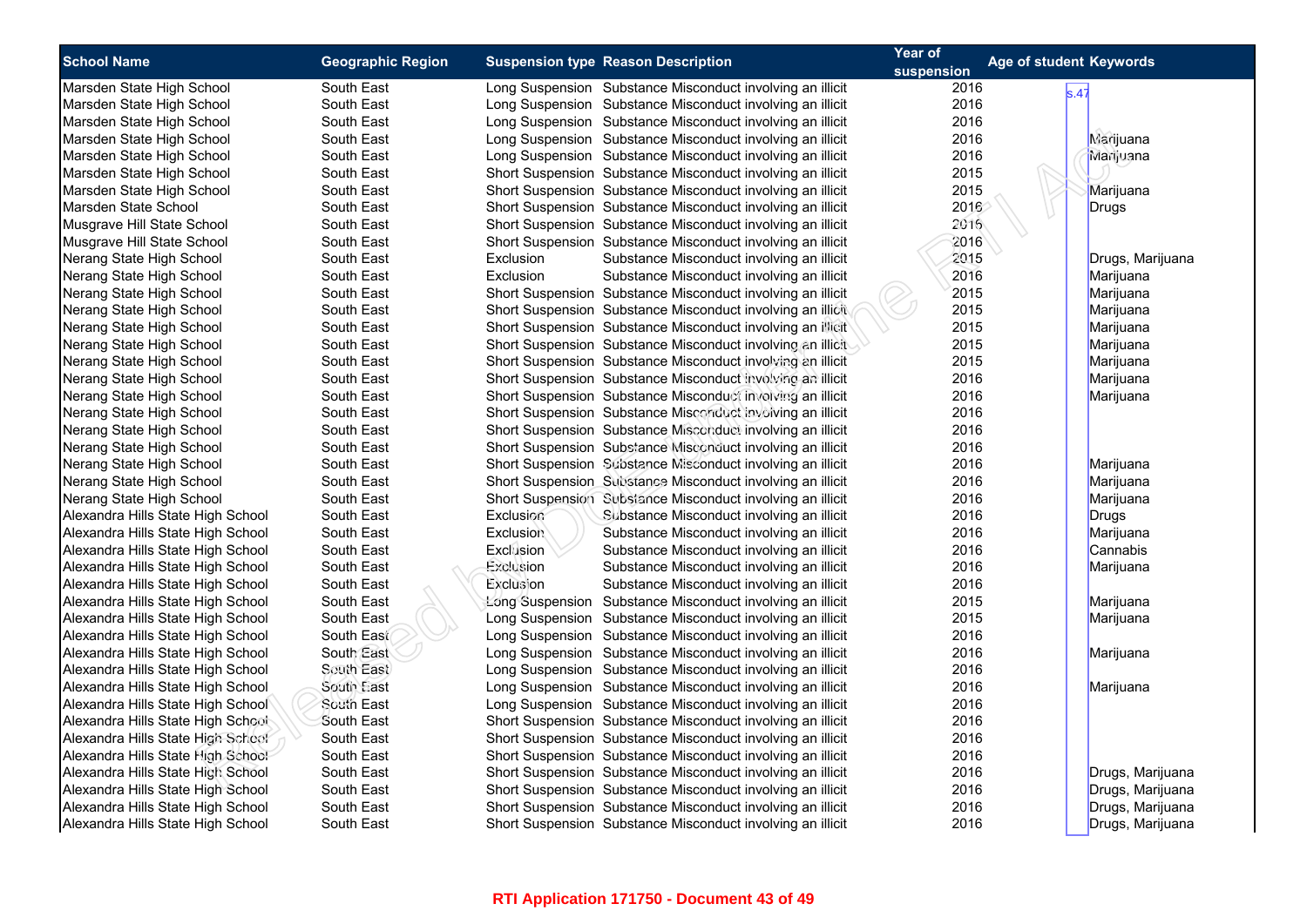| <b>School Name</b>                 | <b>Geographic Region</b> | <b>Suspension type Reason Description</b>                     | Year of    | Age of student Keywords |
|------------------------------------|--------------------------|---------------------------------------------------------------|------------|-------------------------|
|                                    |                          |                                                               | suspension |                         |
| Marsden State High School          | South East               | Long Suspension Substance Misconduct involving an illicit     | 2016       | s.47                    |
| Marsden State High School          | South East               | Long Suspension Substance Misconduct involving an illicit     | 2016       |                         |
| Marsden State High School          | South East               | Long Suspension Substance Misconduct involving an illicit     | 2016       |                         |
| Marsden State High School          | South East               | Long Suspension Substance Misconduct involving an illicit     | 2016       | Marijuana               |
| Marsden State High School          | South East               | Long Suspension Substance Misconduct involving an illicit     | 2016       | Marijuana               |
| Marsden State High School          | South East               | Short Suspension Substance Misconduct involving an illicit    | 2015       |                         |
| Marsden State High School          | South East               | Short Suspension Substance Misconduct involving an illicit    | 2015       | Marijuana               |
| Marsden State School               | South East               | Short Suspension Substance Misconduct involving an illicit    | 2016       | Drugs                   |
| Musgrave Hill State School         | South East               | Short Suspension Substance Misconduct involving an illicit    | 2016       |                         |
| Musgrave Hill State School         | South East               | Short Suspension Substance Misconduct involving an illicit    | 2016       |                         |
| Nerang State High School           | South East               | Exclusion<br>Substance Misconduct involving an illicit        | 2015       | Drugs, Marijuana        |
| Nerang State High School           | South East               | Exclusion<br>Substance Misconduct involving an illicit        | 2016       | Marijuana               |
| Nerang State High School           | South East               | Short Suspension Substance Misconduct involving an illicit    | 2015       | Marijuana               |
| Nerang State High School           | South East               | Short Suspension Substance Misconduct involving an illicit    | 2015       | Marijuana               |
| Nerang State High School           | South East               | Short Suspension Substance Misconduct involving an illicit    | 2015       | Marijuana               |
| Nerang State High School           | South East               | Short Suspension Substance Misconduct involving an illicit    | 2015       | Marijuana               |
| Nerang State High School           | South East               | Short Suspension Substance Misconduct involving an illicit    | 2015       | Marijuana               |
| Nerang State High School           | South East               | Short Suspension Substance Misconduct involving an illicit    | 2016       | Marijuana               |
| Nerang State High School           | South East               | Short Suspension Substance Misconduct involving an illicit    | 2016       | Marijuana               |
| Nerang State High School           | South East               | Short Suspension Substance Misconduct involving an illicit    | 2016       |                         |
| Nerang State High School           | South East               | Short Suspension Substance Misconduct involving an illicit    | 2016       |                         |
| Nerang State High School           | South East               | Short Suspension Substance Misconduct involving an illicit    | 2016       |                         |
| Nerang State High School           | South East               | Short Suspension Substance Misconduct involving an illicit    | 2016       | Marijuana               |
| Nerang State High School           | South East               | Short Suspension Substance Misconduct involving an illicit    | 2016       | Marijuana               |
| Nerang State High School           | South East               | Short Suspension Substance Misconduct involving an illicit    | 2016       | Marijuana               |
| Alexandra Hills State High School  | South East               | Exclusion<br>Substance Misconduct involving an illicit        | 2016       | Drugs                   |
| Alexandra Hills State High School  | South East               | <b>Exclusion</b><br>Substance Misconduct involving an illicit | 2016       | Marijuana               |
| Alexandra Hills State High School  | South East               | Exclusion<br>Substance Misconduct involving an illicit        | 2016       | Cannabis                |
| Alexandra Hills State High School  | South East               | Exclusion<br>Substance Misconduct involving an illicit        | 2016       | Marijuana               |
| Alexandra Hills State High School  | South East               | Exclusion<br>Substance Misconduct involving an illicit        | 2016       |                         |
| Alexandra Hills State High School  | South East               | Long Suspension Substance Misconduct involving an illicit     | 2015       | Marijuana               |
| Alexandra Hills State High School  | South East               | Long Suspension Substance Misconduct involving an illicit     | 2015       | Marijuana               |
| Alexandra Hills State High School  | South East               | Long Suspension Substance Misconduct involving an illicit     | 2016       |                         |
| Alexandra Hills State High School  | South East               | Long Suspension Substance Misconduct involving an illicit     | 2016       | Marijuana               |
| Alexandra Hills State High School  | South East               | Long Suspension Substance Misconduct involving an illicit     | 2016       |                         |
| Alexandra Hills State High School  | South East               | Long Suspension Substance Misconduct involving an illicit     | 2016       | Marijuana               |
| Alexandra Hills State High School  | South East               | Long Suspension Substance Misconduct involving an illicit     | 2016       |                         |
| Alexandra Hills State High School: | South East               | Short Suspension Substance Misconduct involving an illicit    | 2016       |                         |
| Alexandra Hills State High School  | South East               | Short Suspension Substance Misconduct involving an illicit    | 2016       |                         |
| Alexandra Hills State High School  | South East               | Short Suspension Substance Misconduct involving an illicit    | 2016       |                         |
| Alexandra Hills State High School  | South East               | Short Suspension Substance Misconduct involving an illicit    | 2016       | Drugs, Marijuana        |
| Alexandra Hills State High School  | South East               | Short Suspension Substance Misconduct involving an illicit    | 2016       | Drugs, Marijuana        |
| Alexandra Hills State High School  | South East               | Short Suspension Substance Misconduct involving an illicit    | 2016       | Drugs, Marijuana        |
| Alexandra Hills State High School  | South East               | Short Suspension Substance Misconduct involving an illicit    | 2016       | Drugs, Marijuana        |
|                                    |                          |                                                               |            |                         |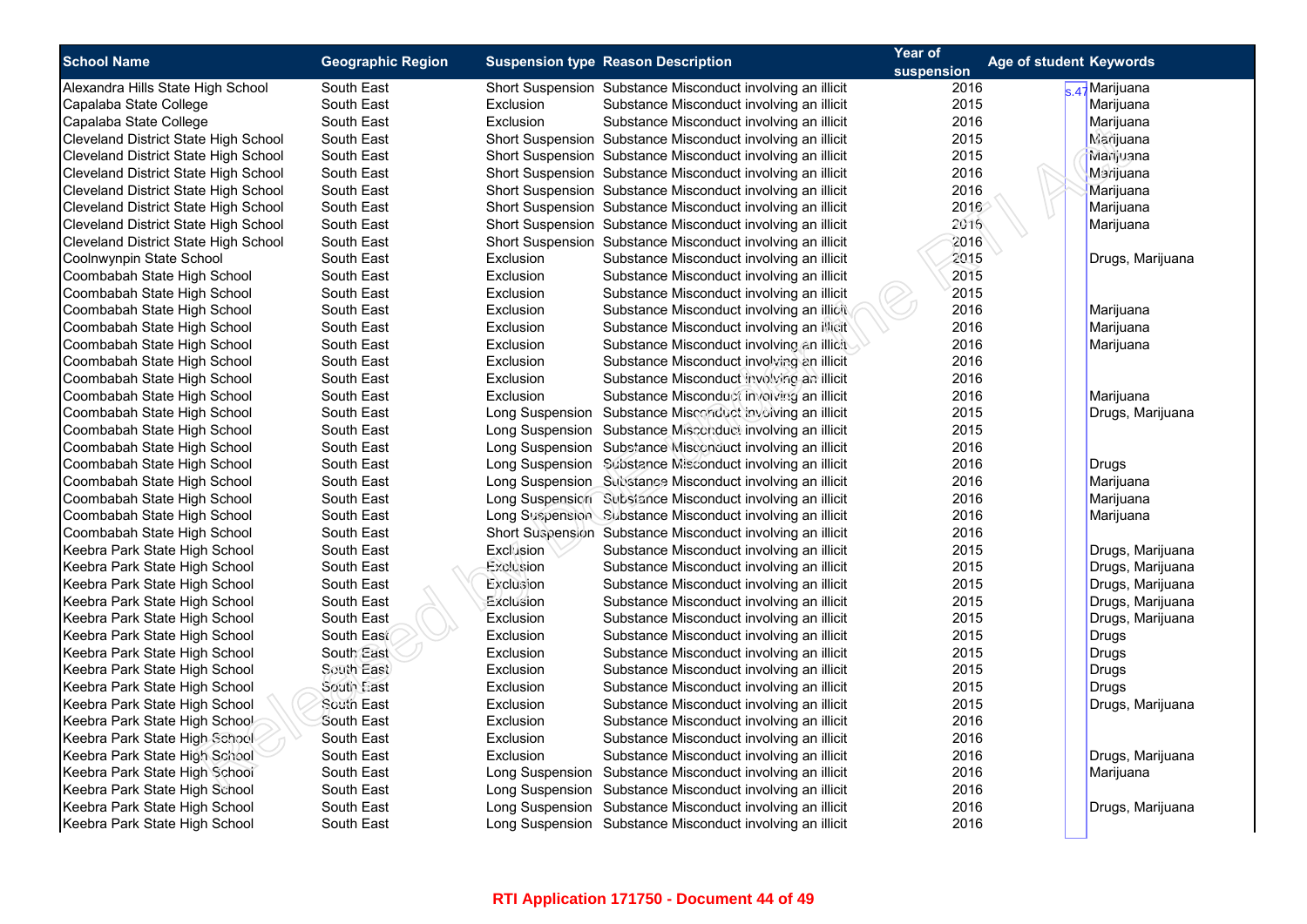| <b>School Name</b>                          | <b>Geographic Region</b> |           | <b>Suspension type Reason Description</b>                  | Year of            | <b>Age of student Keywords</b> |                  |
|---------------------------------------------|--------------------------|-----------|------------------------------------------------------------|--------------------|--------------------------------|------------------|
| Alexandra Hills State High School           | South East               |           | Short Suspension Substance Misconduct involving an illicit | suspension<br>2016 |                                | s 47 Marijuana   |
| Capalaba State College                      | South East               | Exclusion | Substance Misconduct involving an illicit                  | 2015               |                                | Marijuana        |
| Capalaba State College                      | South East               | Exclusion | Substance Misconduct involving an illicit                  | 2016               |                                | Marijuana        |
| Cleveland District State High School        | South East               |           | Short Suspension Substance Misconduct involving an illicit | 2015               |                                | Marijuana        |
| Cleveland District State High School        | South East               |           | Short Suspension Substance Misconduct involving an illicit | 2015               |                                | Marijuana        |
| Cleveland District State High School        | South East               |           | Short Suspension Substance Misconduct involving an illicit | 2016               |                                | Marijuana        |
| Cleveland District State High School        | South East               |           | Short Suspension Substance Misconduct involving an illicit | 2016               |                                | Marijuana        |
| Cleveland District State High School        | South East               |           | Short Suspension Substance Misconduct involving an illicit | 2016               |                                | Marijuana        |
| <b>Cleveland District State High School</b> | South East               |           | Short Suspension Substance Misconduct involving an illicit | 2016               |                                | Marijuana        |
| Cleveland District State High School        | South East               |           | Short Suspension Substance Misconduct involving an illicit | 2016               |                                |                  |
| Coolnwynpin State School                    | South East               | Exclusion | Substance Misconduct involving an illicit                  | 2015               |                                | Drugs, Marijuana |
| Coombabah State High School                 | South East               | Exclusion | Substance Misconduct involving an illicit                  | 2015               |                                |                  |
| Coombabah State High School                 | South East               | Exclusion | Substance Misconduct involving an illicit                  | 2015               |                                |                  |
| Coombabah State High School                 | South East               | Exclusion | Substance Misconduct involving an illicit                  | 2016               |                                | Marijuana        |
| Coombabah State High School                 | South East               | Exclusion | Substance Misconduct involving an illicit                  | 2016               |                                | Marijuana        |
| Coombabah State High School                 | South East               | Exclusion | Substance Misconduct involving an illicit                  | 2016               |                                | Marijuana        |
| Coombabah State High School                 | South East               | Exclusion | Substance Misconduct involving an illicit                  | 2016               |                                |                  |
| Coombabah State High School                 | South East               | Exclusion | Substance Misconduct involving an illicit                  | 2016               |                                |                  |
| Coombabah State High School                 | South East               | Exclusion | Substance Misconduct involving an illicit                  | 2016               |                                | Marijuana        |
| Coombabah State High School                 | South East               |           | Long Suspension Substance Misconduct involving an illicit  | 2015               |                                | Drugs, Marijuana |
| Coombabah State High School                 | South East               |           | Long Suspension Substance Misconduct involving an illicit  | 2015               |                                |                  |
| Coombabah State High School                 | South East               |           | Long Suspension Substance Misconduct involving an illicit  | 2016               |                                |                  |
| Coombabah State High School                 | South East               |           | Long Suspension Substance Misconduct involving an illicit  | 2016               |                                | Drugs            |
| Coombabah State High School                 | South East               |           | Long Suspension Substance Misconduct involving an illicit  | 2016               |                                | Marijuana        |
| Coombabah State High School                 | South East               |           | Long Suspension Substance Misconduct involving an illicit  | 2016               |                                | Marijuana        |
| Coombabah State High School                 | South East               |           | Long Suspension Substance Misconduct involving an illicit  | 2016               |                                | Marijuana        |
| Coombabah State High School                 | South East               |           | Short Suspension Substance Misconduct involving an illicit | 2016               |                                |                  |
| Keebra Park State High School               | South East               | Exclusion | Substance Misconduct involving an illicit                  | 2015               |                                | Drugs, Marijuana |
| Keebra Park State High School               | South East               | Exclusion | Substance Misconduct involving an illicit                  | 2015               |                                | Drugs, Marijuana |
| Keebra Park State High School               | South East               | Exclusion | Substance Misconduct involving an illicit                  | 2015               |                                | Drugs, Marijuana |
| Keebra Park State High School               | South East               | Exclusion | Substance Misconduct involving an illicit                  | 2015               |                                | Drugs, Marijuana |
| Keebra Park State High School               | South East               | Exclusion | Substance Misconduct involving an illicit                  | 2015               |                                | Drugs, Marijuana |
| Keebra Park State High School               | South East               | Exclusion | Substance Misconduct involving an illicit                  | 2015               |                                | Drugs            |
| Keebra Park State High School               | South East               | Exclusion | Substance Misconduct involving an illicit                  | 2015               |                                | Drugs            |
| Keebra Park State High School               | South East               | Exclusion | Substance Misconduct involving an illicit                  | 2015               |                                | Drugs            |
| Keebra Park State High School               | South East               | Exclusion | Substance Misconduct involving an illicit                  | 2015               |                                | Drugs            |
| Keebra Park State High School               | South East               | Exclusion | Substance Misconduct involving an illicit                  | 2015               |                                | Drugs, Marijuana |
| Keebra Park State High Schoo!               | South East               | Exclusion | Substance Misconduct involving an illicit                  | 2016               |                                |                  |
| Keebra Park State High School               | South East               | Exclusion | Substance Misconduct involving an illicit                  | 2016               |                                |                  |
| Keebra Park State High School               | South East               | Exclusion | Substance Misconduct involving an illicit                  | 2016               |                                | Drugs, Marijuana |
| Keebra Park State High School               | South East               |           | Long Suspension Substance Misconduct involving an illicit  | 2016               |                                | Marijuana        |
| Keebra Park State High School               | South East               |           | Long Suspension Substance Misconduct involving an illicit  | 2016               |                                |                  |
| Keebra Park State High School               | South East               |           | Long Suspension Substance Misconduct involving an illicit  | 2016               |                                | Drugs, Marijuana |
| Keebra Park State High School               |                          |           |                                                            |                    |                                |                  |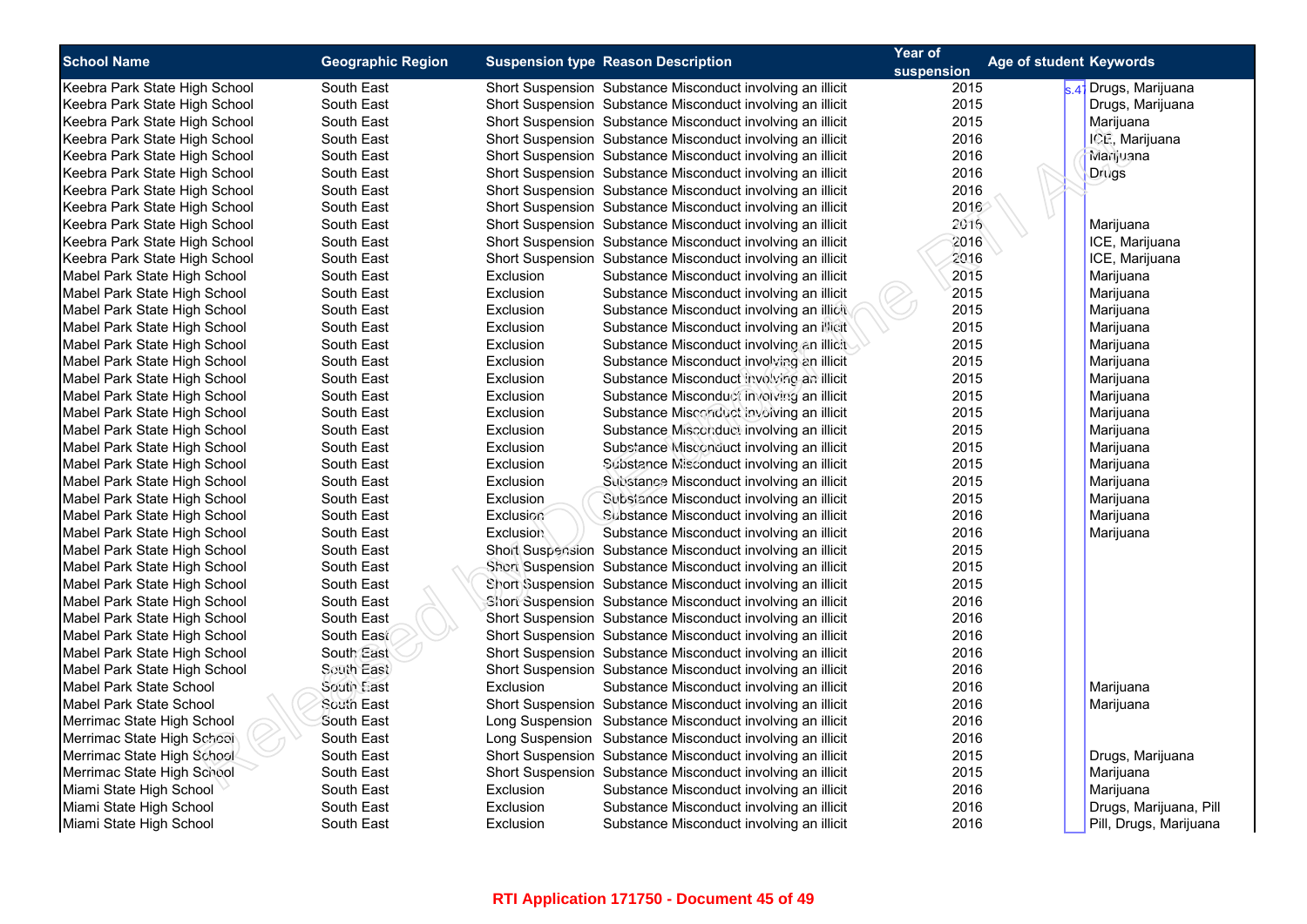| <b>School Name</b>             | <b>Geographic Region</b> |                  | <b>Suspension type Reason Description</b>                  | Year of<br>suspension | Age of student Keywords |                        |
|--------------------------------|--------------------------|------------------|------------------------------------------------------------|-----------------------|-------------------------|------------------------|
| Keebra Park State High School  | South East               |                  | Short Suspension Substance Misconduct involving an illicit | 2015                  |                         | s 47 Drugs, Marijuana  |
| Keebra Park State High School  | South East               |                  | Short Suspension Substance Misconduct involving an illicit | 2015                  |                         | Drugs, Marijuana       |
| Keebra Park State High School  | South East               |                  | Short Suspension Substance Misconduct involving an illicit | 2015                  |                         | Marijuana              |
| Keebra Park State High School  | South East               |                  | Short Suspension Substance Misconduct involving an illicit | 2016                  |                         | ICE, Marijuana         |
| Keebra Park State High School  | South East               |                  | Short Suspension Substance Misconduct involving an illicit | 2016                  |                         | Marijuana              |
| Keebra Park State High School  | South East               |                  | Short Suspension Substance Misconduct involving an illicit | 2016                  |                         | Drugs                  |
| Keebra Park State High School  | South East               |                  | Short Suspension Substance Misconduct involving an illicit | 2016                  |                         |                        |
| Keebra Park State High School  | South East               |                  | Short Suspension Substance Misconduct involving an illicit | 2016                  |                         |                        |
| Keebra Park State High School  | South East               |                  | Short Suspension Substance Misconduct involving an illicit | 2016                  |                         | Marijuana              |
| Keebra Park State High School  | South East               |                  | Short Suspension Substance Misconduct involving an illicit | 2016                  |                         | ICE, Marijuana         |
| Keebra Park State High School  | South East               |                  | Short Suspension Substance Misconduct involving an illicit | 2016                  |                         | ICE, Marijuana         |
| Mabel Park State High School   | South East               | Exclusion        | Substance Misconduct involving an illicit                  | 2015                  |                         | Marijuana              |
| Mabel Park State High School   | South East               | Exclusion        | Substance Misconduct involving an illicit                  | 2015                  |                         | Marijuana              |
| Mabel Park State High School   | South East               | Exclusion        | Substance Misconduct involving an illicit                  | 2015                  |                         | Marijuana              |
| Mabel Park State High School   | South East               | Exclusion        | Substance Misconduct involving an inicit                   | 2015                  |                         | Marijuana              |
| Mabel Park State High School   | South East               | Exclusion        | Substance Misconduct involving an illicit                  | 2015                  |                         | Marijuana              |
| Mabel Park State High School   | South East               | Exclusion        | Substance Misconduct involving an illicit                  | 2015                  |                         | Marijuana              |
| Mabel Park State High School   | South East               | Exclusion        | Substance Misconduct involving an illicit                  | 2015                  |                         | Marijuana              |
| Mabel Park State High School   | South East               | Exclusion        | Substance Misconduct involving an illicit                  | 2015                  |                         | Marijuana              |
| Mabel Park State High School   | South East               | Exclusion        | Substance Misconduct involving an illicit                  | 2015                  |                         | Marijuana              |
| Mabel Park State High School   | South East               | Exclusion        | Substance Misconduct involving an illicit                  | 2015                  |                         | Marijuana              |
| Mabel Park State High School   | South East               | Exclusion        | Substance Misconduct involving an illicit                  | 2015                  |                         | Marijuana              |
| Mabel Park State High School   | South East               | Exclusion        | Substance Misconduct involving an illicit                  | 2015                  |                         | Marijuana              |
| Mabel Park State High School   | South East               | Exclusion        | Substance Misconduct involving an illicit                  | 2015                  |                         | Marijuana              |
| Mabel Park State High School   | South East               | Exclusion        | Subsiance Misconduct involving an illicit                  | 2015                  |                         | Marijuana              |
| Mabel Park State High School   | South East               | Exclusion        | Substance Misconduct involving an illicit                  | 2016                  |                         | Marijuana              |
| Mabel Park State High School   | South East               | <b>Exclusion</b> | Substance Misconduct involving an illicit                  | 2016                  |                         | Marijuana              |
| Mabel Park State High School   | South East               |                  | Short Suspension Substance Misconduct involving an illicit | 2015                  |                         |                        |
| Mabel Park State High School   | South East               |                  | Short Suspension Substance Misconduct involving an illicit | 2015                  |                         |                        |
| Mabel Park State High School   | South East               |                  | Short Suspension Substance Misconduct involving an illicit | 2015                  |                         |                        |
| Mabel Park State High School   | South East               |                  | Short Suspension Substance Misconduct involving an illicit | 2016                  |                         |                        |
| Mabel Park State High School   | South East               |                  | Short Suspension Substance Misconduct involving an illicit | 2016                  |                         |                        |
| Mabel Park State High School   | South East               |                  | Short Suspension Substance Misconduct involving an illicit | 2016                  |                         |                        |
| Mabel Park State High School   | South East               |                  | Short Suspension Substance Misconduct involving an illicit | 2016                  |                         |                        |
| Mabel Park State High School   | South East               |                  | Short Suspension Substance Misconduct involving an illicit | 2016                  |                         |                        |
| <b>Mabel Park State School</b> | South East               | Exclusion        | Substance Misconduct involving an illicit                  | 2016                  |                         | Marijuana              |
| Mabel Park State School        | South East               |                  | Short Suspension Substance Misconduct involving an illicit | 2016                  |                         | Marijuana              |
| Merrimac State High School     | South East               |                  | Long Suspension Substance Misconduct involving an illicit  | 2016                  |                         |                        |
| Merrimac State High School     | South East               |                  | Long Suspension Substance Misconduct involving an illicit  | 2016                  |                         |                        |
| Merrimac State High School     | South East               |                  | Short Suspension Substance Misconduct involving an illicit | 2015                  |                         | Drugs, Marijuana       |
| Merrimac State High School     | South East               |                  | Short Suspension Substance Misconduct involving an illicit | 2015                  |                         | Marijuana              |
| Miami State High School        | South East               | Exclusion        | Substance Misconduct involving an illicit                  | 2016                  |                         | Marijuana              |
| Miami State High School        | South East               | Exclusion        | Substance Misconduct involving an illicit                  | 2016                  |                         | Drugs, Marijuana, Pill |
| Miami State High School        | South East               | Exclusion        | Substance Misconduct involving an illicit                  | 2016                  |                         | Pill, Drugs, Marijuana |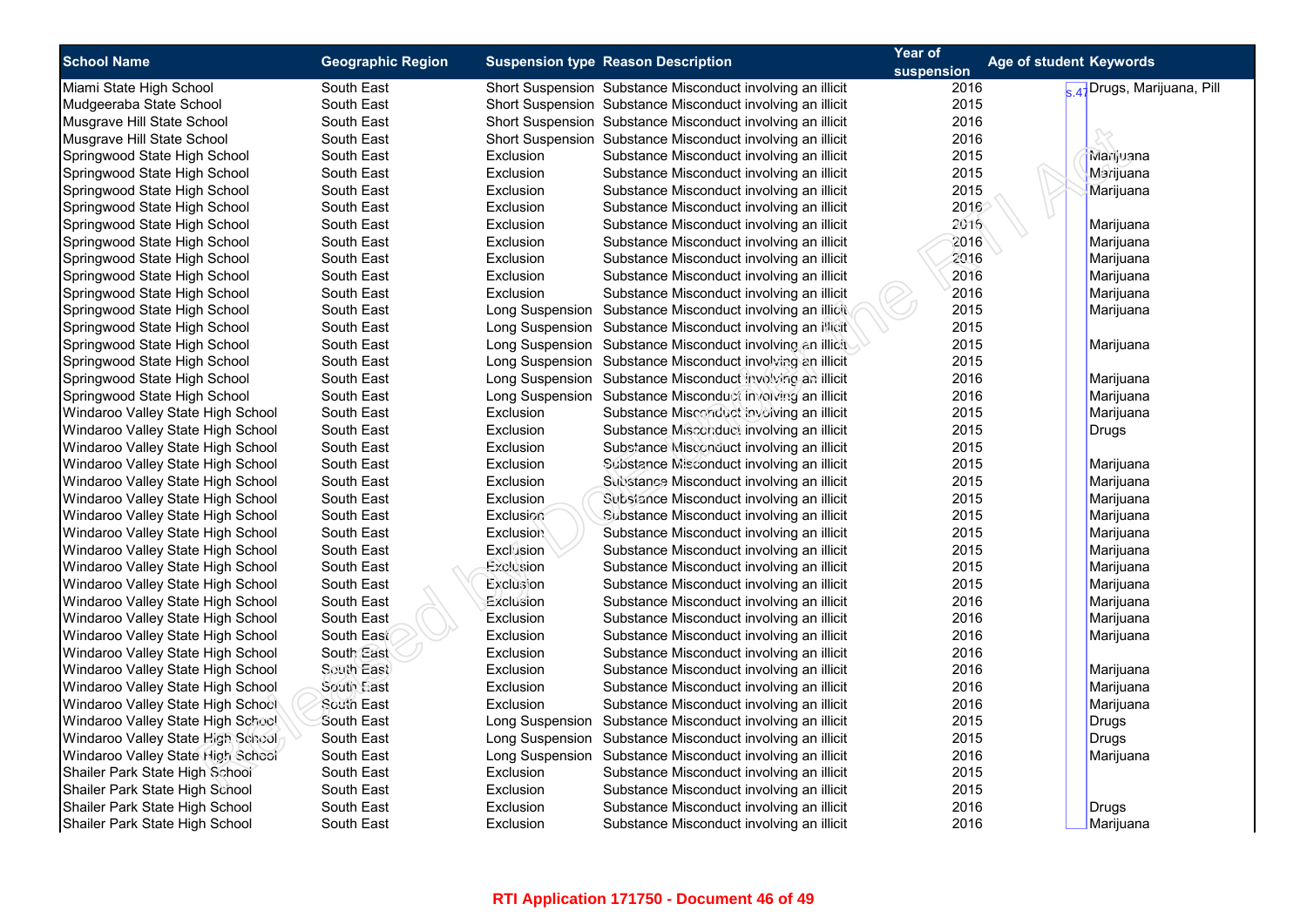| <b>School Name</b>                | <b>Geographic Region</b> |                  |                                                            | Year of | Age of student Keywords   |
|-----------------------------------|--------------------------|------------------|------------------------------------------------------------|---------|---------------------------|
|                                   |                          |                  | <b>Suspension type Reason Description</b>                  |         |                           |
| Miami State High School           | South East               |                  | Short Suspension Substance Misconduct involving an illicit | 2016    | 47 Drugs, Marijuana, Pill |
| Mudgeeraba State School           | South East               |                  | Short Suspension Substance Misconduct involving an illicit | 2015    |                           |
| Musgrave Hill State School        | South East               |                  | Short Suspension Substance Misconduct involving an illicit | 2016    |                           |
| Musgrave Hill State School        | South East               |                  | Short Suspension Substance Misconduct involving an illicit | 2016    |                           |
| Springwood State High School      | South East               | Exclusion        | Substance Misconduct involving an illicit                  | 2015    | Marijuana                 |
| Springwood State High School      | South East               | <b>Exclusion</b> | Substance Misconduct involving an illicit                  | 2015    | Marijuana                 |
| Springwood State High School      | South East               | Exclusion        | Substance Misconduct involving an illicit                  | 2015    | Marijuana                 |
| Springwood State High School      | South East               | Exclusion        | Substance Misconduct involving an illicit                  | 2016    |                           |
| Springwood State High School      | South East               | Exclusion        | Substance Misconduct involving an illicit                  | 2016    | Marijuana                 |
| Springwood State High School      | South East               | Exclusion        | Substance Misconduct involving an illicit                  | 2016    | Marijuana                 |
| Springwood State High School      | South East               | Exclusion        | Substance Misconduct involving an illicit                  | 2016    | Marijuana                 |
| Springwood State High School      | South East               | Exclusion        | Substance Misconduct involving an illicit                  | 2016    | Marijuana                 |
| Springwood State High School      | South East               | Exclusion        | Substance Misconduct involving an illicit                  | 2016    | Marijuana                 |
| Springwood State High School      | South East               |                  | Long Suspension Substance Misconduct involving an illicit  | 2015    | Marijuana                 |
| Springwood State High School      | South East               |                  | Long Suspension Substance Misconduct involving an illicit  | 2015    |                           |
| Springwood State High School      | South East               |                  | Long Suspension Substance Misconduct involving an illicit  | 2015    | Marijuana                 |
| Springwood State High School      | South East               |                  | Long Suspension Substance Misconduct involving an illicit  | 2015    |                           |
| Springwood State High School      | South East               |                  | Long Suspension Substance Misconduct involving an illicit  | 2016    | Marijuana                 |
| Springwood State High School      | South East               |                  | Long Suspension Substance Misconduct involving an illicit  | 2016    | Marijuana                 |
| Windaroo Valley State High School | South East               | Exclusion        | Substance Misconduct involving an illicit                  | 2015    | Marijuana                 |
| Windaroo Valley State High School | South East               | Exclusion        | Substance Misconduct involving an illicit                  | 2015    | Drugs                     |
| Windaroo Valley State High School | South East               | Exclusion        | Substance Misconduct involving an illicit                  | 2015    |                           |
| Windaroo Valley State High School | South East               | Exclusion        | Substance Misconduct involving an illicit                  | 2015    | Marijuana                 |
| Windaroo Valley State High School | South East               | Exclusion        | Substance Misconduct involving an illicit                  | 2015    | Marijuana                 |
| Windaroo Valley State High School | South East               | <b>Exclusion</b> | Substance Misconduct involving an illicit                  | 2015    | Marijuana                 |
| Windaroo Valley State High School | South East               | Exclusion        | Substance Misconduct involving an illicit                  | 2015    | Marijuana                 |
| Windaroo Valley State High School | South East               | Exclusion        | Substance Misconduct involving an illicit                  | 2015    | Marijuana                 |
| Windaroo Valley State High School | South East               | Exclusion        | Substance Misconduct involving an illicit                  | 2015    | Marijuana                 |
| Windaroo Valley State High School | South East               | Exclusion        | Substance Misconduct involving an illicit                  | 2015    | Marijuana                 |
| Windaroo Valley State High School | South East               | Exclusion        | Substance Misconduct involving an illicit                  | 2015    | Marijuana                 |
| Windaroo Valley State High School | South East               | Exclusion        | Substance Misconduct involving an illicit                  | 2016    | Marijuana                 |
| Windaroo Valley State High School | South East               | Exclusion        | Substance Misconduct involving an illicit                  | 2016    | Marijuana                 |
| Windaroo Valley State High School | South East               | Exclusion        | Substance Misconduct involving an illicit                  | 2016    | Marijuana                 |
| Windaroo Valley State High School | South East               | Exclusion        | Substance Misconduct involving an illicit                  | 2016    |                           |
| Windaroo Valley State High School | South East               | Exclusion        | Substance Misconduct involving an illicit                  | 2016    | Marijuana                 |
| Windaroo Valley State High School | South East               | Exclusion        | Substance Misconduct involving an illicit                  | 2016    | Marijuana                 |
| Windaroo Valley State High School | South East               | Exclusion        | Substance Misconduct involving an illicit                  | 2016    | Marijuana                 |
| Windaroo Valley State High School | South East               |                  | Long Suspension Substance Misconduct involving an illicit  | 2015    | Drugs                     |
| Windaroo Valley State High School | South East               |                  | Long Suspension Substance Misconduct involving an illicit  | 2015    | Drugs                     |
| Windaroo Valley State High School | South East               |                  | Long Suspension Substance Misconduct involving an illicit  | 2016    | Marijuana                 |
| Shailer Park State High School    | South East               | Exclusion        | Substance Misconduct involving an illicit                  | 2015    |                           |
| Shailer Park State High School    | South East               | Exclusion        | Substance Misconduct involving an illicit                  | 2015    |                           |
| Shailer Park State High School    | South East               | Exclusion        | Substance Misconduct involving an illicit                  | 2016    | Drugs                     |
| Shailer Park State High School    | South East               | Exclusion        | Substance Misconduct involving an illicit                  | 2016    | Marijuana                 |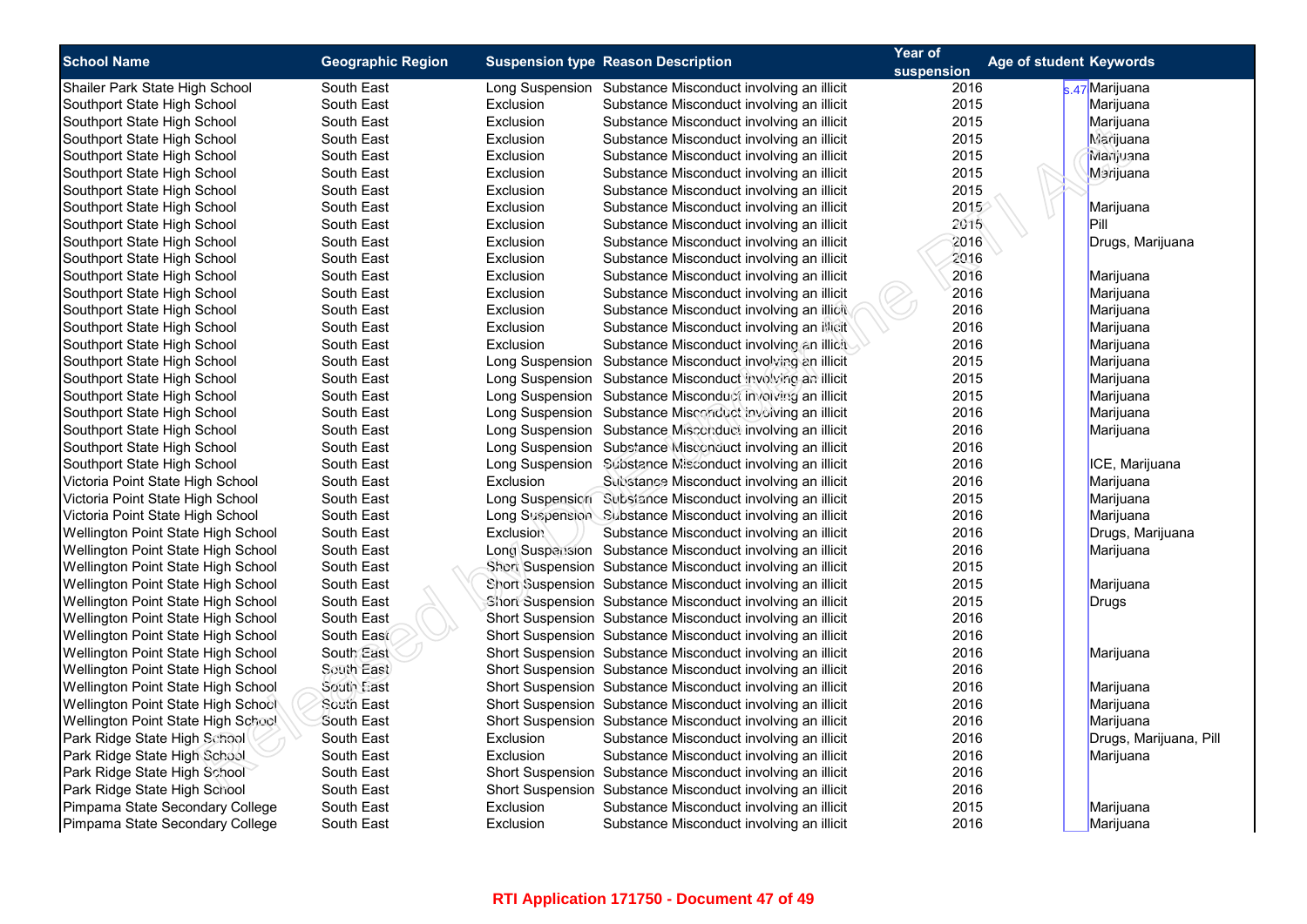| <b>School Name</b>                        | <b>Geographic Region</b> |                  | <b>Suspension type Reason Description</b>                  | Year of    | Age of student Keywords |
|-------------------------------------------|--------------------------|------------------|------------------------------------------------------------|------------|-------------------------|
|                                           |                          |                  |                                                            | suspension |                         |
| Shailer Park State High School            | South East               |                  | Long Suspension Substance Misconduct involving an illicit  | 2016       | s.47 Marijuana          |
| Southport State High School               | South East               | Exclusion        | Substance Misconduct involving an illicit                  | 2015       | Marijuana               |
| Southport State High School               | South East               | Exclusion        | Substance Misconduct involving an illicit                  | 2015       | Marijuana               |
| Southport State High School               | South East               | Exclusion        | Substance Misconduct involving an illicit                  | 2015       | <b>Marijuana</b>        |
| Southport State High School               | South East               | Exclusion        | Substance Misconduct involving an illicit                  | 2015       | Marijuana               |
| Southport State High School               | South East               | Exclusion        | Substance Misconduct involving an illicit                  | 2015       | Marijuana               |
| Southport State High School               | South East               | Exclusion        | Substance Misconduct involving an illicit                  | 2015       |                         |
| Southport State High School               | South East               | Exclusion        | Substance Misconduct involving an illicit                  | 2015       | Marijuana               |
| Southport State High School               | South East               | Exclusion        | Substance Misconduct involving an illicit                  | 2015       | Pill                    |
| Southport State High School               | South East               | Exclusion        | Substance Misconduct involving an illicit                  | 2016       | Drugs, Marijuana        |
| Southport State High School               | South East               | Exclusion        | Substance Misconduct involving an illicit                  | 2016       |                         |
| Southport State High School               | South East               | Exclusion        | Substance Misconduct involving an illicit                  | 2016       | Marijuana               |
| Southport State High School               | South East               | Exclusion        | Substance Misconduct involving an illicit                  | 2016       | Marijuana               |
| Southport State High School               | South East               | Exclusion        | Substance Misconduct involving an illicit                  | 2016       | Marijuana               |
| Southport State High School               | South East               | Exclusion        | Substance Misconduct involving an illicit                  | 2016       | Marijuana               |
| Southport State High School               | South East               | Exclusion        | Substance Misconduct involving an illicit                  | 2016       | Marijuana               |
| Southport State High School               | South East               |                  | Long Suspension Substance Misconduct involving an illicit  | 2015       | Marijuana               |
| Southport State High School               | South East               |                  | Long Suspension Substance Misconduct involving an illicit  | 2015       | Marijuana               |
| Southport State High School               | South East               |                  | Long Suspension Substance Misconduct involving an illicit  | 2015       | Marijuana               |
| Southport State High School               | South East               |                  | Long Suspension Substance Misconduct involving an illicit  | 2016       | Marijuana               |
| Southport State High School               | South East               |                  | Long Suspension Substance Misconduct involving an illicit  | 2016       | Marijuana               |
| Southport State High School               | South East               |                  | Long Suspension Substance Misconduct involving an illicit  | 2016       |                         |
| Southport State High School               | South East               |                  | Long Suspension Substance Misconduct involving an illicit  | 2016       | ICE, Marijuana          |
| Victoria Point State High School          | South East               | Exclusion        | Substance Misconduct involving an illicit                  | 2016       | Marijuana               |
| Victoria Point State High School          | South East               |                  | Long Suspension Substance Misconduct involving an illicit  | 2015       | Marijuana               |
| Victoria Point State High School          | South East               |                  | Long Suspension Substance Misconduct involving an illicit  | 2016       | Marijuana               |
| Wellington Point State High School        | South East               | <b>Exclusion</b> | Substance Misconduct involving an illicit                  | 2016       | Drugs, Marijuana        |
| Wellington Point State High School        | South East               |                  | Long Suspension Substance Misconduct involving an illicit  | 2016       | Marijuana               |
| Wellington Point State High School        | South East               |                  | Short Suspension Substance Misconduct involving an illicit | 2015       |                         |
| Wellington Point State High School        | South East               |                  | Short Suspension Substance Misconduct involving an illicit | 2015       | Marijuana               |
| Wellington Point State High School        | South East               |                  | Short Suspension Substance Misconduct involving an illicit | 2015       | Drugs                   |
| Wellington Point State High School        | South East               |                  | Short Suspension Substance Misconduct involving an illicit | 2016       |                         |
| Wellington Point State High School        | South East               |                  | Short Suspension Substance Misconduct involving an illicit | 2016       |                         |
| <b>Wellington Point State High School</b> | South East               |                  | Short Suspension Substance Misconduct involving an illicit | 2016       | Marijuana               |
| Wellington Point State High School        | South East               |                  | Short Suspension Substance Misconduct involving an illicit | 2016       |                         |
| Wellington Point State High School        | South East               |                  | Short Suspension Substance Misconduct involving an illicit | 2016       | Marijuana               |
| Wellington Point State High School        | South East               |                  | Short Suspension Substance Misconduct involving an illicit | 2016       | Marijuana               |
| Wellington Point State High School        | South East               |                  | Short Suspension Substance Misconduct involving an illicit | 2016       | Marijuana               |
| Park Ridge State High School              | South East               | Exclusion        | Substance Misconduct involving an illicit                  | 2016       | Drugs, Marijuana, Pill  |
| Park Ridge State High School              | South East               | Exclusion        | Substance Misconduct involving an illicit                  | 2016       | Marijuana               |
| Park Ridge State High School              | South East               |                  | Short Suspension Substance Misconduct involving an illicit | 2016       |                         |
| Park Ridge State High School              | South East               |                  | Short Suspension Substance Misconduct involving an illicit | 2016       |                         |
| Pimpama State Secondary College           | South East               | Exclusion        | Substance Misconduct involving an illicit                  | 2015       | Marijuana               |
| Pimpama State Secondary College           | South East               | Exclusion        | Substance Misconduct involving an illicit                  | 2016       | Marijuana               |
|                                           |                          |                  |                                                            |            |                         |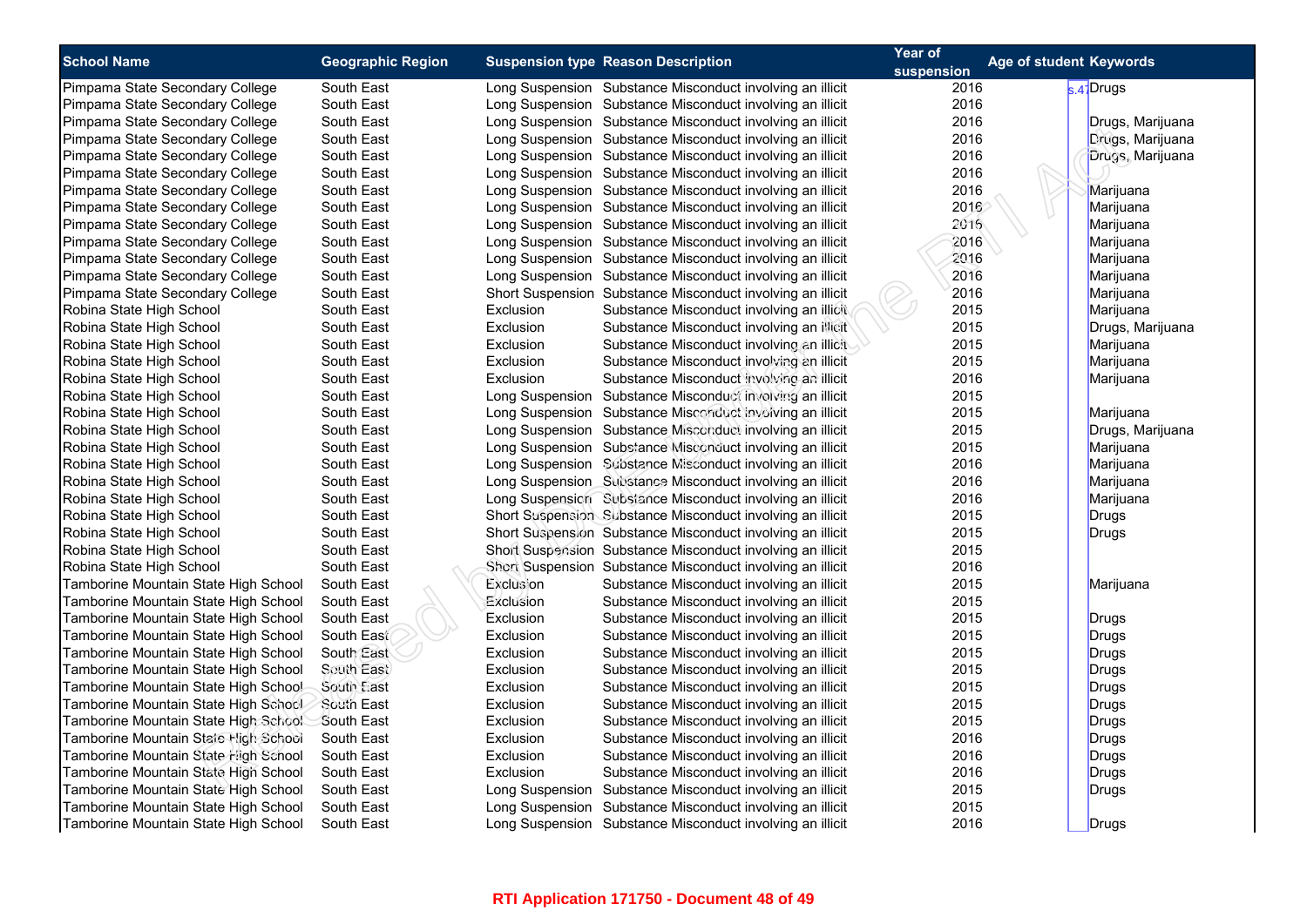| <b>School Name</b>                   | <b>Geographic Region</b> | <b>Suspension type Reason Description</b>                  | Year of<br>suspension | Age of student Keywords |
|--------------------------------------|--------------------------|------------------------------------------------------------|-----------------------|-------------------------|
| Pimpama State Secondary College      | South East               | Long Suspension Substance Misconduct involving an illicit  | 2016                  | $s.4$ Drugs             |
| Pimpama State Secondary College      | South East               | Long Suspension Substance Misconduct involving an illicit  | 2016                  |                         |
| Pimpama State Secondary College      | South East               | Long Suspension Substance Misconduct involving an illicit  | 2016                  | Drugs, Marijuana        |
| Pimpama State Secondary College      | South East               | Long Suspension Substance Misconduct involving an illicit  | 2016                  | Drugs, Marijuana        |
| Pimpama State Secondary College      | South East               | Long Suspension Substance Misconduct involving an illicit  | 2016                  | Drugs, Marijuana        |
| Pimpama State Secondary College      | South East               | Long Suspension Substance Misconduct involving an illicit  | 2016                  |                         |
| Pimpama State Secondary College      | South East               | Long Suspension Substance Misconduct involving an illicit  | 2016                  | Marijuana               |
| Pimpama State Secondary College      | South East               | Long Suspension Substance Misconduct involving an illicit  | 2016                  | Marijuana               |
| Pimpama State Secondary College      | South East               | Long Suspension Substance Misconduct involving an illicit  | 2016                  | Marijuana               |
| Pimpama State Secondary College      | South East               | Long Suspension Substance Misconduct involving an illicit  | 2016                  | Marijuana               |
| Pimpama State Secondary College      | South East               | Long Suspension Substance Misconduct involving an illicit  | 2016                  | Marijuana               |
| Pimpama State Secondary College      | South East               | Long Suspension Substance Misconduct involving an illicit  | 2016                  | Marijuana               |
| Pimpama State Secondary College      | South East               | Short Suspension Substance Misconduct involving an illicit | 2016                  | Marijuana               |
| Robina State High School             | South East               | Exclusion<br>Substance Misconduct involving an illicit     | 2015                  | Marijuana               |
| Robina State High School             | South East               | Exclusion<br>Substance Misconduct involving an illicit     | 2015                  | Drugs, Marijuana        |
| Robina State High School             | South East               | Exclusion<br>Substance Misconduct involving an illicit     | 2015                  | Marijuana               |
| Robina State High School             | South East               | Exclusion<br>Substance Misconduct involving an illicit     | 2015                  | Marijuana               |
| Robina State High School             | South East               | Exclusion<br>Substance Misconduct involving an illicit     | 2016                  | Marijuana               |
| Robina State High School             | South East               | Long Suspension Substance Misconduct involving an illicit  | 2015                  |                         |
| Robina State High School             | South East               | Long Suspension Substance Misconduct involving an illicit  | 2015                  | Marijuana               |
| Robina State High School             | South East               | Long Suspension Substance Misconduct involving an illicit  | 2015                  | Drugs, Marijuana        |
| Robina State High School             | South East               | Long Suspension Substance Misconduct involving an illicit  | 2015                  | Marijuana               |
| Robina State High School             | South East               | Long Suspension Substance Misconduct involving an illicit  | 2016                  | Marijuana               |
| Robina State High School             | South East               | Long Suspension Substance Misconduct involving an illicit  | 2016                  | Marijuana               |
| Robina State High School             | South East               | Long Suspension Subsiance Misconduct involving an illicit  | 2016                  | Marijuana               |
| Robina State High School             | South East               | Short Suspension Substance Misconduct involving an illicit | 2015                  | Drugs                   |
| Robina State High School             | South East               | Short Suspension Substance Misconduct involving an illicit | 2015                  | Drugs                   |
| Robina State High School             | South East               | Short Suspension Substance Misconduct involving an illicit | 2015                  |                         |
| Robina State High School             | South East               | Short Suspension Substance Misconduct involving an illicit | 2016                  |                         |
| Tamborine Mountain State High School | South East               | Exclusion<br>Substance Misconduct involving an illicit     | 2015                  | Marijuana               |
| Tamborine Mountain State High School | South East               | Exclusion<br>Substance Misconduct involving an illicit     | 2015                  |                         |
| Tamborine Mountain State High School | South East               | Exclusion<br>Substance Misconduct involving an illicit     | 2015                  | Drugs                   |
| Tamborine Mountain State High School | South East               | Exclusion<br>Substance Misconduct involving an illicit     | 2015                  | Drugs                   |
| Tamborine Mountain State High School | South East               | Exclusion<br>Substance Misconduct involving an illicit     | 2015                  | Drugs                   |
| Tamborine Mountain State High School | South East               | Exclusion<br>Substance Misconduct involving an illicit     | 2015                  | Drugs                   |
| Tamborine Mountain State High Schoo! | South East               | Exclusion<br>Substance Misconduct involving an illicit     | 2015                  | Drugs                   |
| Tamborine Mountain State High School | South East               | Exclusion<br>Substance Misconduct involving an illicit     | 2015                  | Drugs                   |
| Tamborine Mountain State High School | South East               | Substance Misconduct involving an illicit<br>Exclusion     | 2015                  | Drugs                   |
| Tamborine Mountain State High School | South East               | Exclusion<br>Substance Misconduct involving an illicit     | 2016                  | <b>Drugs</b>            |
| Tamborine Mountain State High School | South East               | Exclusion<br>Substance Misconduct involving an illicit     | 2016                  | <b>Drugs</b>            |
| Tamborine Mountain State High School | South East               | Exclusion<br>Substance Misconduct involving an illicit     | 2016                  | <b>Drugs</b>            |
| Tamborine Mountain State High School | South East               | Long Suspension Substance Misconduct involving an illicit  | 2015                  | Drugs                   |
| Tamborine Mountain State High School | South East               | Long Suspension Substance Misconduct involving an illicit  | 2015                  |                         |
| Tamborine Mountain State High School | South East               | Long Suspension Substance Misconduct involving an illicit  | 2016                  | Drugs                   |